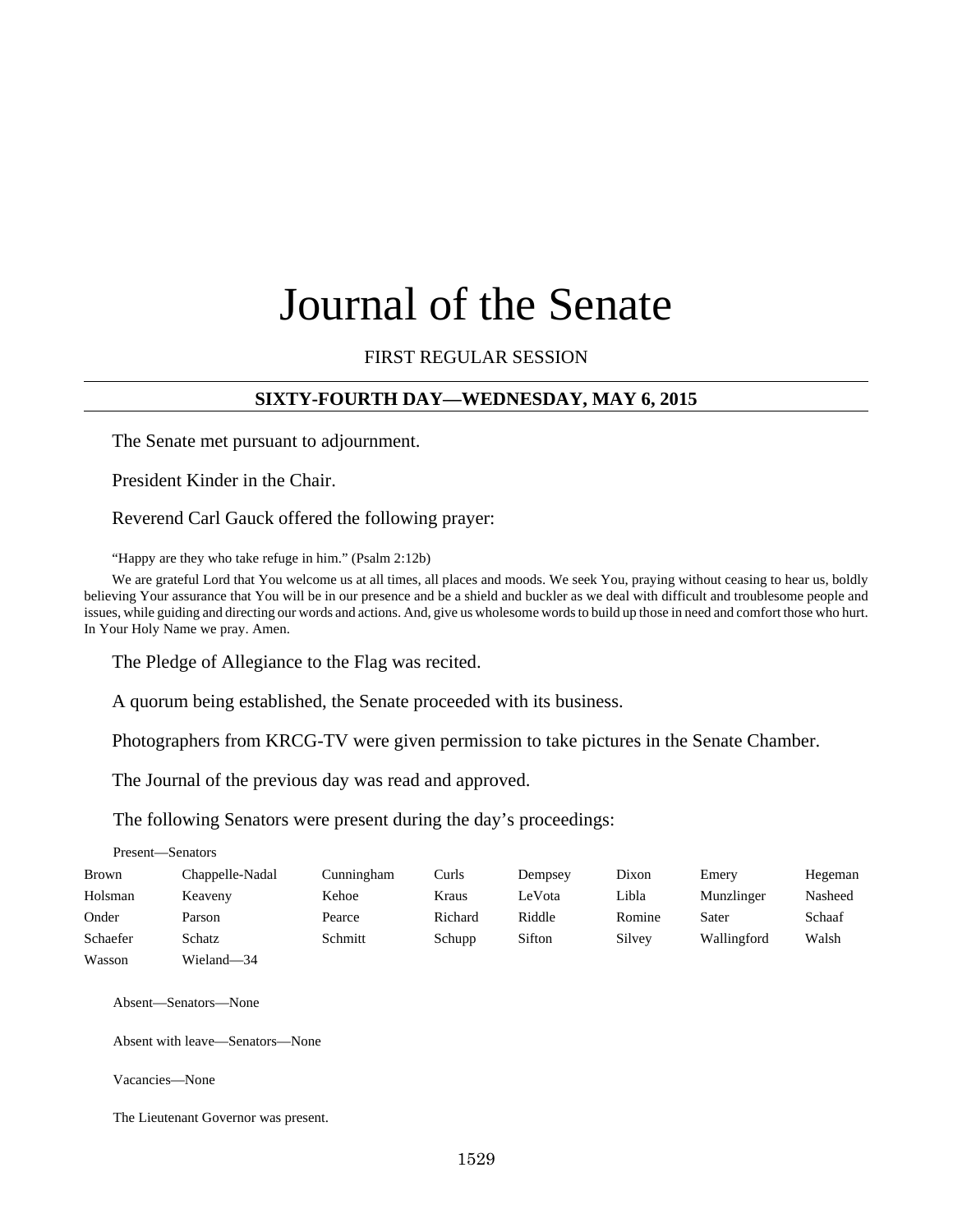# Journal of the Senate

## FIRST REGULAR SESSION

## **SIXTY-FOURTH DAY—WEDNESDAY, MAY 6, 2015**

The Senate met pursuant to adjournment.

President Kinder in the Chair.

Reverend Carl Gauck offered the following prayer:

"Happy are they who take refuge in him." (Psalm 2:12b)

We are grateful Lord that You welcome us at all times, all places and moods. We seek You, praying without ceasing to hear us, boldly believing Your assurance that You will be in our presence and be a shield and buckler as we deal with difficult and troublesome people and issues, while guiding and directing our words and actions. And, give us wholesome words to build up those in need and comfort those who hurt. In Your Holy Name we pray. Amen.

The Pledge of Allegiance to the Flag was recited.

A quorum being established, the Senate proceeded with its business.

Photographers from KRCG-TV were given permission to take pictures in the Senate Chamber.

The Journal of the previous day was read and approved.

The following Senators were present during the day's proceedings:

|              | Present—Senators |            |         |         |        |             |         |
|--------------|------------------|------------|---------|---------|--------|-------------|---------|
| <b>Brown</b> | Chappelle-Nadal  | Cunningham | Curls   | Dempsey | Dixon  | Emery       | Hegeman |
| Holsman      | Keaveny          | Kehoe      | Kraus   | LeVota  | Libla  | Munzlinger  | Nasheed |
| Onder        | Parson           | Pearce     | Richard | Riddle  | Romine | Sater       | Schaaf  |
| Schaefer     | Schatz           | Schmitt    | Schupp  | Sifton  | Silvey | Wallingford | Walsh   |
| Wasson       | Wieland-34       |            |         |         |        |             |         |

Absent—Senators—None

Absent with leave—Senators—None

Vacancies—None

The Lieutenant Governor was present.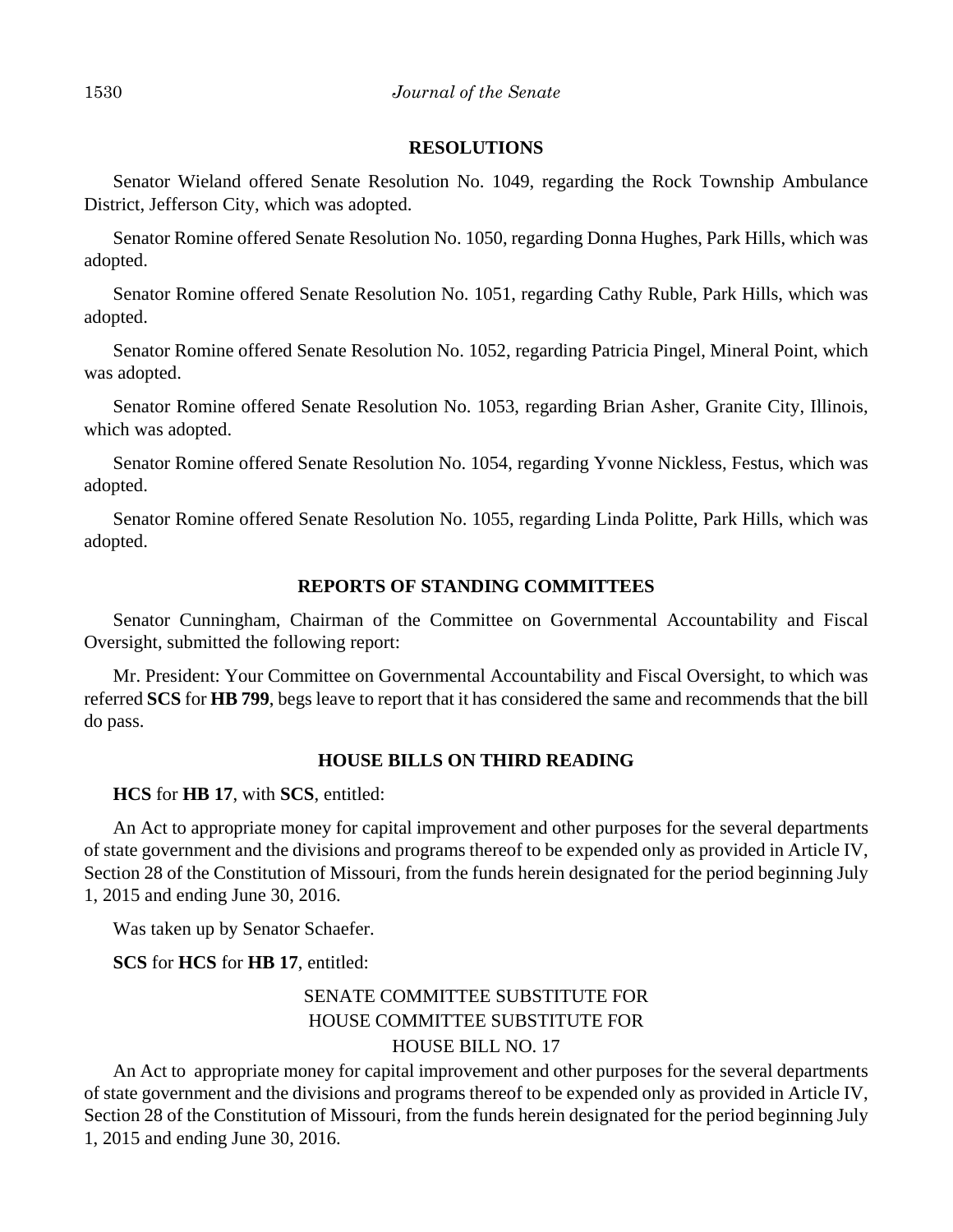#### **RESOLUTIONS**

Senator Wieland offered Senate Resolution No. 1049, regarding the Rock Township Ambulance District, Jefferson City, which was adopted.

Senator Romine offered Senate Resolution No. 1050, regarding Donna Hughes, Park Hills, which was adopted.

Senator Romine offered Senate Resolution No. 1051, regarding Cathy Ruble, Park Hills, which was adopted.

Senator Romine offered Senate Resolution No. 1052, regarding Patricia Pingel, Mineral Point, which was adopted.

Senator Romine offered Senate Resolution No. 1053, regarding Brian Asher, Granite City, Illinois, which was adopted.

Senator Romine offered Senate Resolution No. 1054, regarding Yvonne Nickless, Festus, which was adopted.

Senator Romine offered Senate Resolution No. 1055, regarding Linda Politte, Park Hills, which was adopted.

#### **REPORTS OF STANDING COMMITTEES**

Senator Cunningham, Chairman of the Committee on Governmental Accountability and Fiscal Oversight, submitted the following report:

Mr. President: Your Committee on Governmental Accountability and Fiscal Oversight, to which was referred **SCS** for **HB 799**, begs leave to report that it has considered the same and recommends that the bill do pass.

#### **HOUSE BILLS ON THIRD READING**

**HCS** for **HB 17**, with **SCS**, entitled:

An Act to appropriate money for capital improvement and other purposes for the several departments of state government and the divisions and programs thereof to be expended only as provided in Article IV, Section 28 of the Constitution of Missouri, from the funds herein designated for the period beginning July 1, 2015 and ending June 30, 2016.

Was taken up by Senator Schaefer.

**SCS** for **HCS** for **HB 17**, entitled:

# SENATE COMMITTEE SUBSTITUTE FOR HOUSE COMMITTEE SUBSTITUTE FOR HOUSE BILL NO. 17

An Act to appropriate money for capital improvement and other purposes for the several departments of state government and the divisions and programs thereof to be expended only as provided in Article IV, Section 28 of the Constitution of Missouri, from the funds herein designated for the period beginning July 1, 2015 and ending June 30, 2016.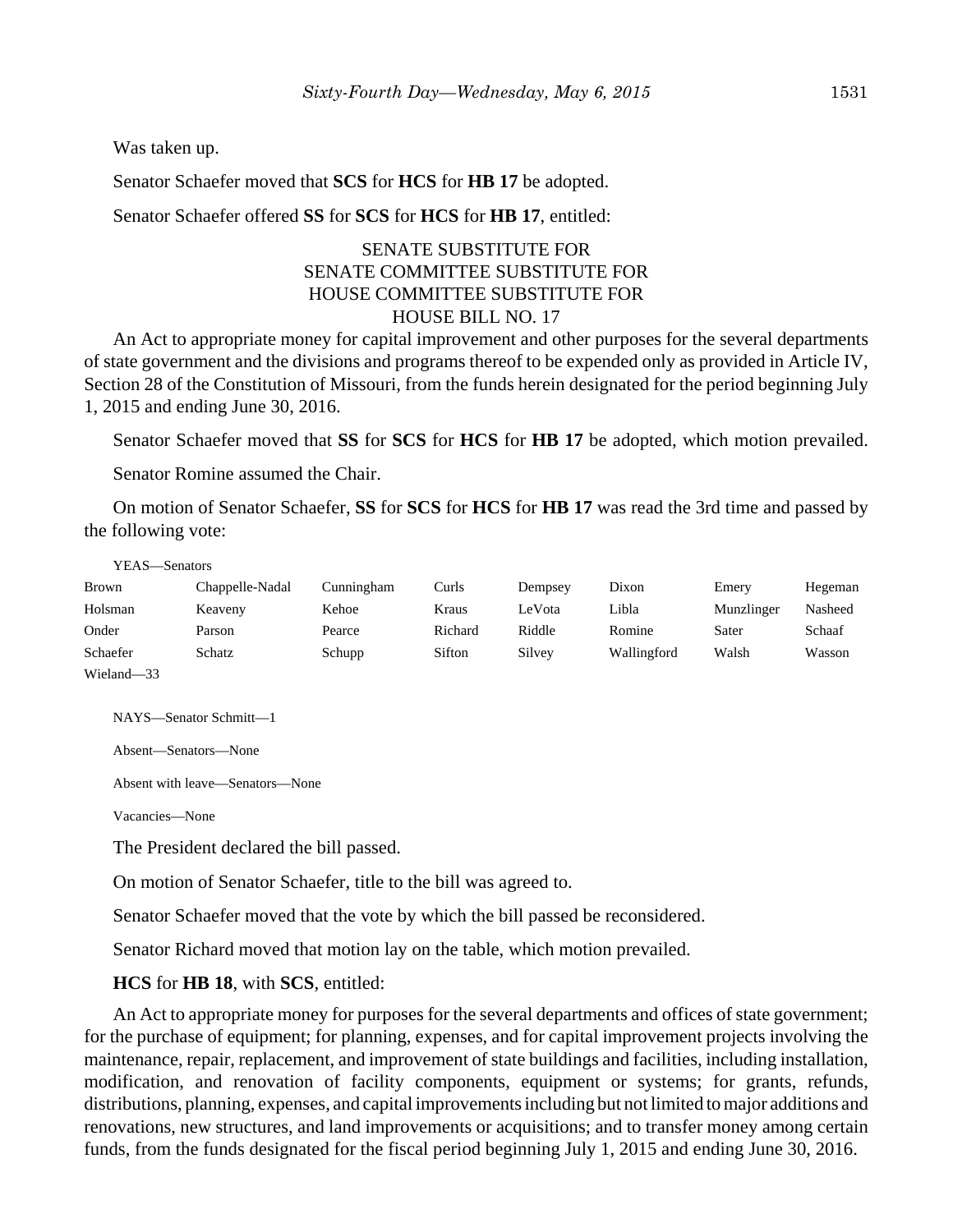Was taken up.

Senator Schaefer moved that **SCS** for **HCS** for **HB 17** be adopted.

Senator Schaefer offered **SS** for **SCS** for **HCS** for **HB 17**, entitled:

## SENATE SUBSTITUTE FOR SENATE COMMITTEE SUBSTITUTE FOR HOUSE COMMITTEE SUBSTITUTE FOR HOUSE BILL NO. 17

An Act to appropriate money for capital improvement and other purposes for the several departments of state government and the divisions and programs thereof to be expended only as provided in Article IV, Section 28 of the Constitution of Missouri, from the funds herein designated for the period beginning July 1, 2015 and ending June 30, 2016.

Senator Schaefer moved that **SS** for **SCS** for **HCS** for **HB 17** be adopted, which motion prevailed.

Senator Romine assumed the Chair.

On motion of Senator Schaefer, **SS** for **SCS** for **HCS** for **HB 17** was read the 3rd time and passed by the following vote:

| YEAS—Senators |                 |            |         |         |             |            |         |
|---------------|-----------------|------------|---------|---------|-------------|------------|---------|
| <b>Brown</b>  | Chappelle-Nadal | Cunningham | Curls   | Dempsey | Dixon       | Emery      | Hegeman |
| Holsman       | Keaveny         | Kehoe      | Kraus   | LeVota  | Libla       | Munzlinger | Nasheed |
| Onder         | Parson          | Pearce     | Richard | Riddle  | Romine      | Sater      | Schaaf  |
| Schaefer      | Schatz          | Schupp     | Sifton  | Silvey  | Wallingford | Walsh      | Wasson  |
| Wieland-33    |                 |            |         |         |             |            |         |

NAYS—Senator Schmitt—1

Absent—Senators—None

Absent with leave—Senators—None

Vacancies—None

The President declared the bill passed.

On motion of Senator Schaefer, title to the bill was agreed to.

Senator Schaefer moved that the vote by which the bill passed be reconsidered.

Senator Richard moved that motion lay on the table, which motion prevailed.

**HCS** for **HB 18**, with **SCS**, entitled:

An Act to appropriate money for purposes for the several departments and offices of state government; for the purchase of equipment; for planning, expenses, and for capital improvement projects involving the maintenance, repair, replacement, and improvement of state buildings and facilities, including installation, modification, and renovation of facility components, equipment or systems; for grants, refunds, distributions, planning, expenses, and capital improvements including but not limited to major additions and renovations, new structures, and land improvements or acquisitions; and to transfer money among certain funds, from the funds designated for the fiscal period beginning July 1, 2015 and ending June 30, 2016.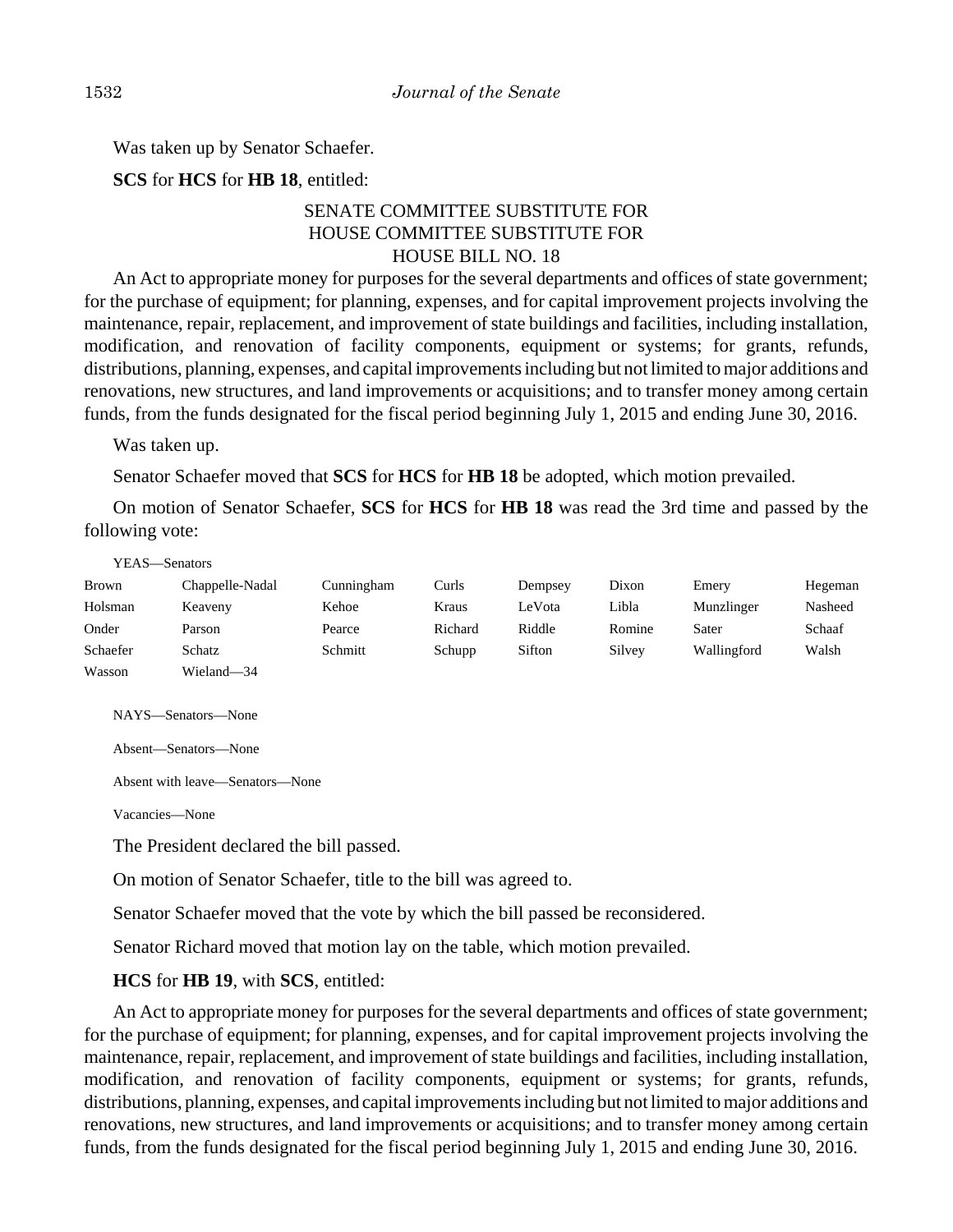Was taken up by Senator Schaefer.

**SCS** for **HCS** for **HB 18**, entitled:

# SENATE COMMITTEE SUBSTITUTE FOR HOUSE COMMITTEE SUBSTITUTE FOR HOUSE BILL NO. 18

An Act to appropriate money for purposes for the several departments and offices of state government; for the purchase of equipment; for planning, expenses, and for capital improvement projects involving the maintenance, repair, replacement, and improvement of state buildings and facilities, including installation, modification, and renovation of facility components, equipment or systems; for grants, refunds, distributions, planning, expenses, and capital improvements including but not limited to major additions and renovations, new structures, and land improvements or acquisitions; and to transfer money among certain funds, from the funds designated for the fiscal period beginning July 1, 2015 and ending June 30, 2016.

Was taken up.

Senator Schaefer moved that **SCS** for **HCS** for **HB 18** be adopted, which motion prevailed.

On motion of Senator Schaefer, **SCS** for **HCS** for **HB 18** was read the 3rd time and passed by the following vote:

#### YEAS—Senators

| Brown    | Chappelle-Nadal | Cunningham | Curls   | Dempsey | Dixon  | Emery       | Hegeman |
|----------|-----------------|------------|---------|---------|--------|-------------|---------|
| Holsman  | Keaveny         | Kehoe      | Kraus   | LeVota  | Libla  | Munzlinger  | Nasheed |
| Onder    | Parson          | Pearce     | Richard | Riddle  | Romine | Sater       | Schaaf  |
| Schaefer | Schatz          | Schmitt    | Schupp  | Sifton  | Silvey | Wallingford | Walsh   |
| Wasson   | Wieland—34      |            |         |         |        |             |         |

NAYS—Senators—None

Absent—Senators—None

Absent with leave—Senators—None

Vacancies—None

The President declared the bill passed.

On motion of Senator Schaefer, title to the bill was agreed to.

Senator Schaefer moved that the vote by which the bill passed be reconsidered.

Senator Richard moved that motion lay on the table, which motion prevailed.

**HCS** for **HB 19**, with **SCS**, entitled:

An Act to appropriate money for purposes for the several departments and offices of state government; for the purchase of equipment; for planning, expenses, and for capital improvement projects involving the maintenance, repair, replacement, and improvement of state buildings and facilities, including installation, modification, and renovation of facility components, equipment or systems; for grants, refunds, distributions, planning, expenses, and capital improvements including but not limited to major additions and renovations, new structures, and land improvements or acquisitions; and to transfer money among certain funds, from the funds designated for the fiscal period beginning July 1, 2015 and ending June 30, 2016.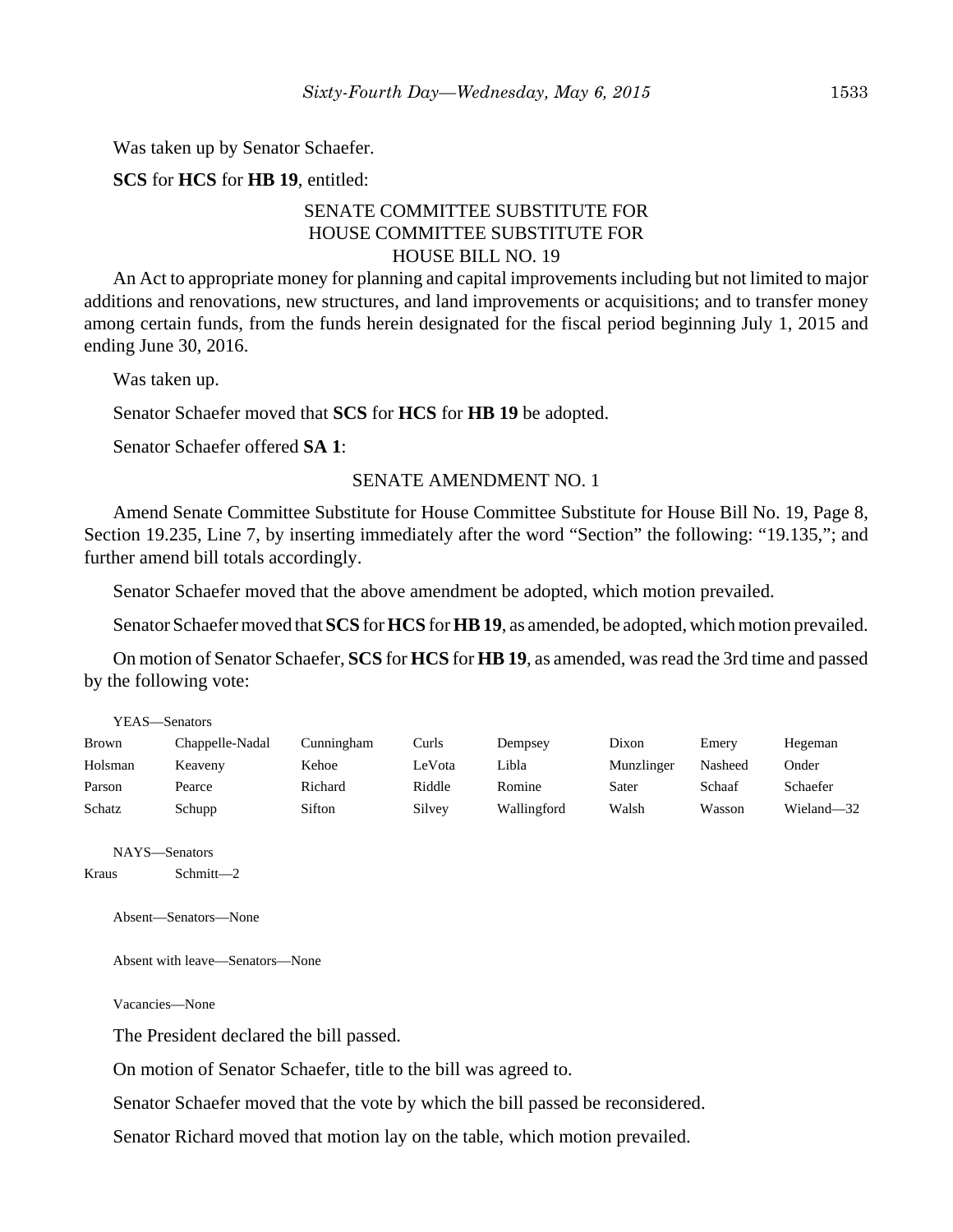Was taken up by Senator Schaefer.

**SCS** for **HCS** for **HB 19**, entitled:

## SENATE COMMITTEE SUBSTITUTE FOR HOUSE COMMITTEE SUBSTITUTE FOR HOUSE BILL NO. 19

An Act to appropriate money for planning and capital improvements including but not limited to major additions and renovations, new structures, and land improvements or acquisitions; and to transfer money among certain funds, from the funds herein designated for the fiscal period beginning July 1, 2015 and ending June 30, 2016.

Was taken up.

Senator Schaefer moved that **SCS** for **HCS** for **HB 19** be adopted.

Senator Schaefer offered **SA 1**:

#### SENATE AMENDMENT NO. 1

Amend Senate Committee Substitute for House Committee Substitute for House Bill No. 19, Page 8, Section 19.235, Line 7, by inserting immediately after the word "Section" the following: "19.135,"; and further amend bill totals accordingly.

Senator Schaefer moved that the above amendment be adopted, which motion prevailed.

Senator Schaefer moved that **SCS** for **HCS** for **HB 19**, as amended, be adopted, which motion prevailed.

On motion of Senator Schaefer, **SCS** for **HCS** for **HB 19**, as amended, was read the 3rd time and passed by the following vote:

| YEAS—Senators |                 |            |        |             |            |         |            |  |  |  |
|---------------|-----------------|------------|--------|-------------|------------|---------|------------|--|--|--|
| <b>Brown</b>  | Chappelle-Nadal | Cunningham | Curls  | Dempsey     | Dixon      | Emery   | Hegeman    |  |  |  |
| Holsman       | Keaveny         | Kehoe      | LeVota | Libla       | Munzlinger | Nasheed | Onder      |  |  |  |
| Parson        | Pearce          | Richard    | Riddle | Romine      | Sater      | Schaaf  | Schaefer   |  |  |  |
| Schatz        | Schupp          | Sifton     | Silvey | Wallingford | Walsh      | Wasson  | Wieland-32 |  |  |  |

NAYS—Senators

Kraus Schmitt—2

Absent—Senators—None

Absent with leave—Senators—None

Vacancies—None

The President declared the bill passed.

On motion of Senator Schaefer, title to the bill was agreed to.

Senator Schaefer moved that the vote by which the bill passed be reconsidered.

Senator Richard moved that motion lay on the table, which motion prevailed.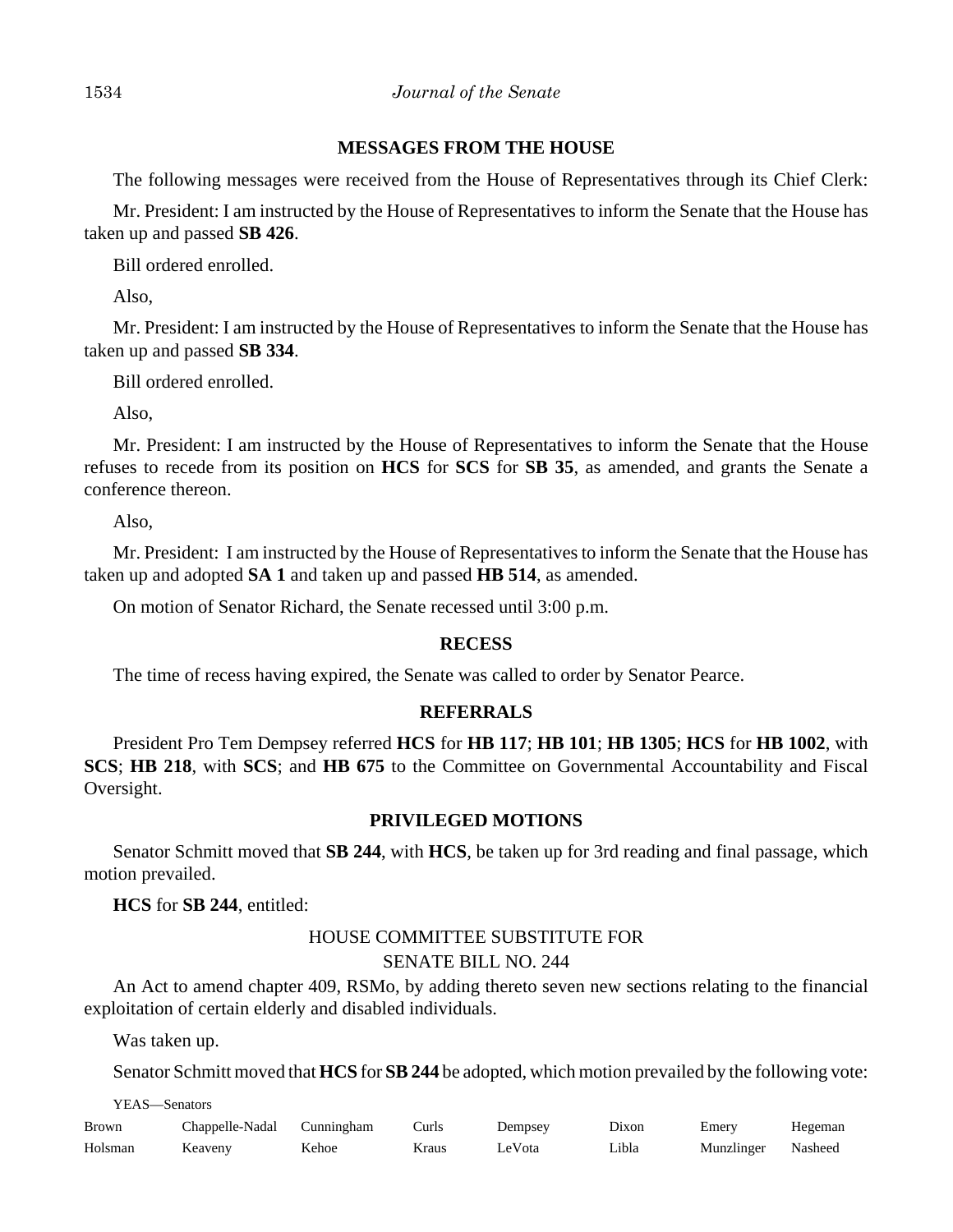## **MESSAGES FROM THE HOUSE**

The following messages were received from the House of Representatives through its Chief Clerk:

Mr. President: I am instructed by the House of Representatives to inform the Senate that the House has taken up and passed **SB 426**.

Bill ordered enrolled.

Also,

Mr. President: I am instructed by the House of Representatives to inform the Senate that the House has taken up and passed **SB 334**.

Bill ordered enrolled.

Also,

Mr. President: I am instructed by the House of Representatives to inform the Senate that the House refuses to recede from its position on **HCS** for **SCS** for **SB 35**, as amended, and grants the Senate a conference thereon.

Also,

Mr. President: I am instructed by the House of Representatives to inform the Senate that the House has taken up and adopted **SA 1** and taken up and passed **HB 514**, as amended.

On motion of Senator Richard, the Senate recessed until 3:00 p.m.

# **RECESS**

The time of recess having expired, the Senate was called to order by Senator Pearce.

# **REFERRALS**

President Pro Tem Dempsey referred **HCS** for **HB 117**; **HB 101**; **HB 1305**; **HCS** for **HB 1002**, with **SCS**; **HB 218**, with **SCS**; and **HB 675** to the Committee on Governmental Accountability and Fiscal Oversight.

# **PRIVILEGED MOTIONS**

Senator Schmitt moved that **SB 244**, with **HCS**, be taken up for 3rd reading and final passage, which motion prevailed.

**HCS** for **SB 244**, entitled:

# HOUSE COMMITTEE SUBSTITUTE FOR SENATE BILL NO. 244

An Act to amend chapter 409, RSMo, by adding thereto seven new sections relating to the financial exploitation of certain elderly and disabled individuals.

Was taken up.

Senator Schmitt moved that **HCS** for **SB 244** be adopted, which motion prevailed by the following vote:

YEAS—Senators

| Brown   | Chappelle-Nadal Cunningham |       | Curls | Dempsey | Dixon | Emery              | Hegeman |
|---------|----------------------------|-------|-------|---------|-------|--------------------|---------|
| Holsman | Keaveny                    | Kehoe | Kraus | LeVota  | Libla | Munzlinger Nasheed |         |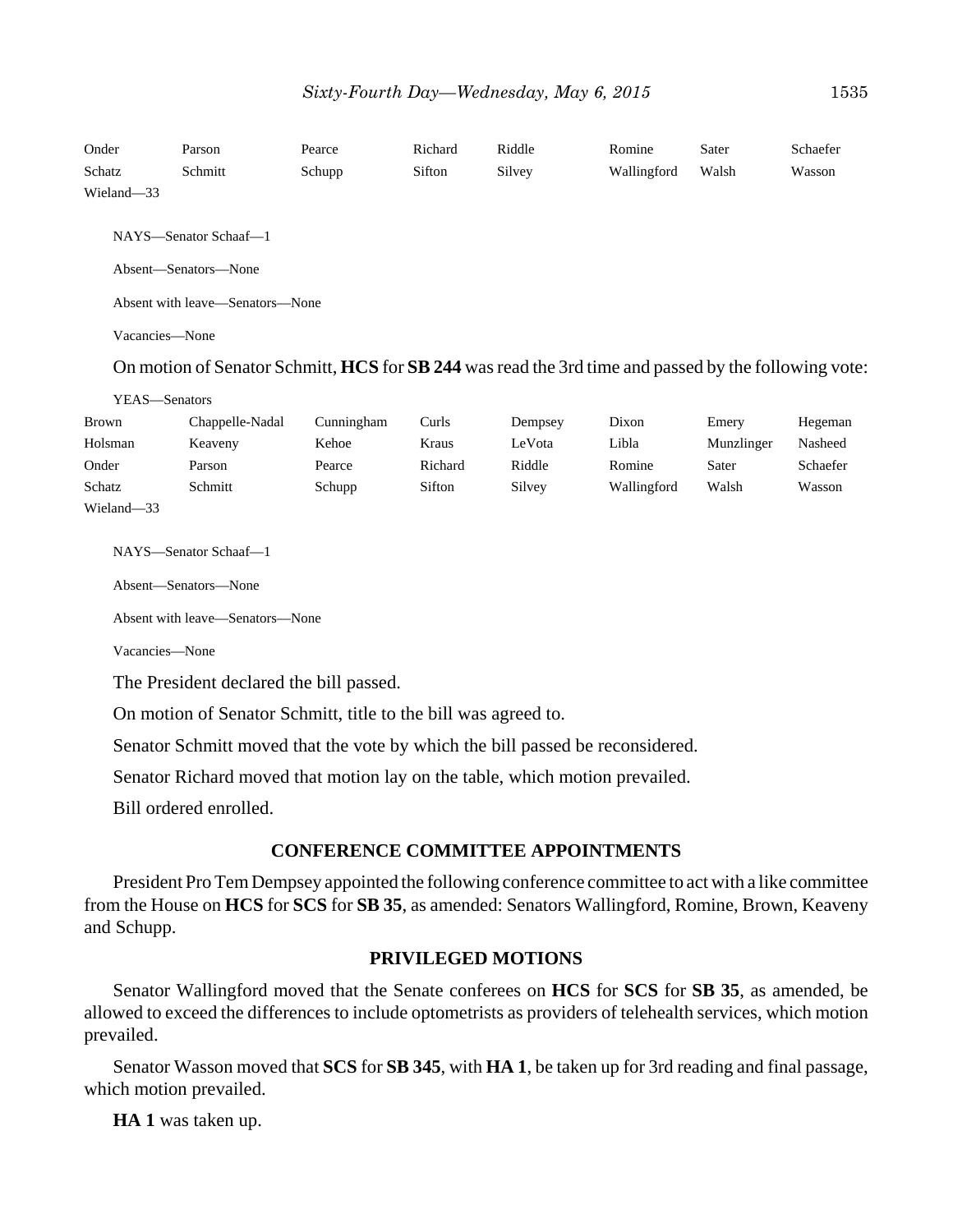| Onder<br>Schatz                 | Parson<br>Schmitt                                                                                    | Pearce<br>Schupp | Richard<br>Sifton | Riddle<br>Silvey | Romine<br>Wallingford | Sater<br>Walsh | Schaefer<br>Wasson |  |  |  |
|---------------------------------|------------------------------------------------------------------------------------------------------|------------------|-------------------|------------------|-----------------------|----------------|--------------------|--|--|--|
| Wieland-33                      |                                                                                                      |                  |                   |                  |                       |                |                    |  |  |  |
|                                 |                                                                                                      |                  |                   |                  |                       |                |                    |  |  |  |
|                                 | NAYS-Senator Schaaf-1                                                                                |                  |                   |                  |                       |                |                    |  |  |  |
| Absent-Senators-None            |                                                                                                      |                  |                   |                  |                       |                |                    |  |  |  |
| Absent with leave—Senators—None |                                                                                                      |                  |                   |                  |                       |                |                    |  |  |  |
| Vacancies-None                  |                                                                                                      |                  |                   |                  |                       |                |                    |  |  |  |
|                                 | On motion of Senator Schmitt, HCS for SB 244 was read the 3rd time and passed by the following vote: |                  |                   |                  |                       |                |                    |  |  |  |
| YEAS-Senators                   |                                                                                                      |                  |                   |                  |                       |                |                    |  |  |  |
| <b>Brown</b>                    | Chappelle-Nadal                                                                                      | Cunningham       | Curls             | Dempsey          | Dixon                 | Emery          | Hegeman            |  |  |  |
| Holsman                         | Keaveny                                                                                              | Kehoe            | Kraus             | LeVota           | Libla                 | Munzlinger     | Nasheed            |  |  |  |
| Onder                           | Parson                                                                                               | Pearce           | Richard           | Riddle           | Romine                | Sater          | Schaefer           |  |  |  |
| Schatz                          | Schmitt                                                                                              | Schupp           | Sifton            | Silvey           | Wallingford           | Walsh          | Wasson             |  |  |  |
| Wieland-33                      |                                                                                                      |                  |                   |                  |                       |                |                    |  |  |  |
|                                 |                                                                                                      |                  |                   |                  |                       |                |                    |  |  |  |
|                                 | NAYS-Senator Schaaf-1                                                                                |                  |                   |                  |                       |                |                    |  |  |  |
|                                 | Absent-Senators-None                                                                                 |                  |                   |                  |                       |                |                    |  |  |  |
|                                 | Absent with leave—Senators—None                                                                      |                  |                   |                  |                       |                |                    |  |  |  |
| Vacancies—None                  |                                                                                                      |                  |                   |                  |                       |                |                    |  |  |  |

The President declared the bill passed.

On motion of Senator Schmitt, title to the bill was agreed to.

Senator Schmitt moved that the vote by which the bill passed be reconsidered.

Senator Richard moved that motion lay on the table, which motion prevailed.

Bill ordered enrolled.

## **CONFERENCE COMMITTEE APPOINTMENTS**

President Pro Tem Dempsey appointed the following conference committee to act with a like committee from the House on **HCS** for **SCS** for **SB 35**, as amended: Senators Wallingford, Romine, Brown, Keaveny and Schupp.

## **PRIVILEGED MOTIONS**

Senator Wallingford moved that the Senate conferees on **HCS** for **SCS** for **SB 35**, as amended, be allowed to exceed the differences to include optometrists as providers of telehealth services, which motion prevailed.

Senator Wasson moved that **SCS** for **SB 345**, with **HA 1**, be taken up for 3rd reading and final passage, which motion prevailed.

**HA 1** was taken up.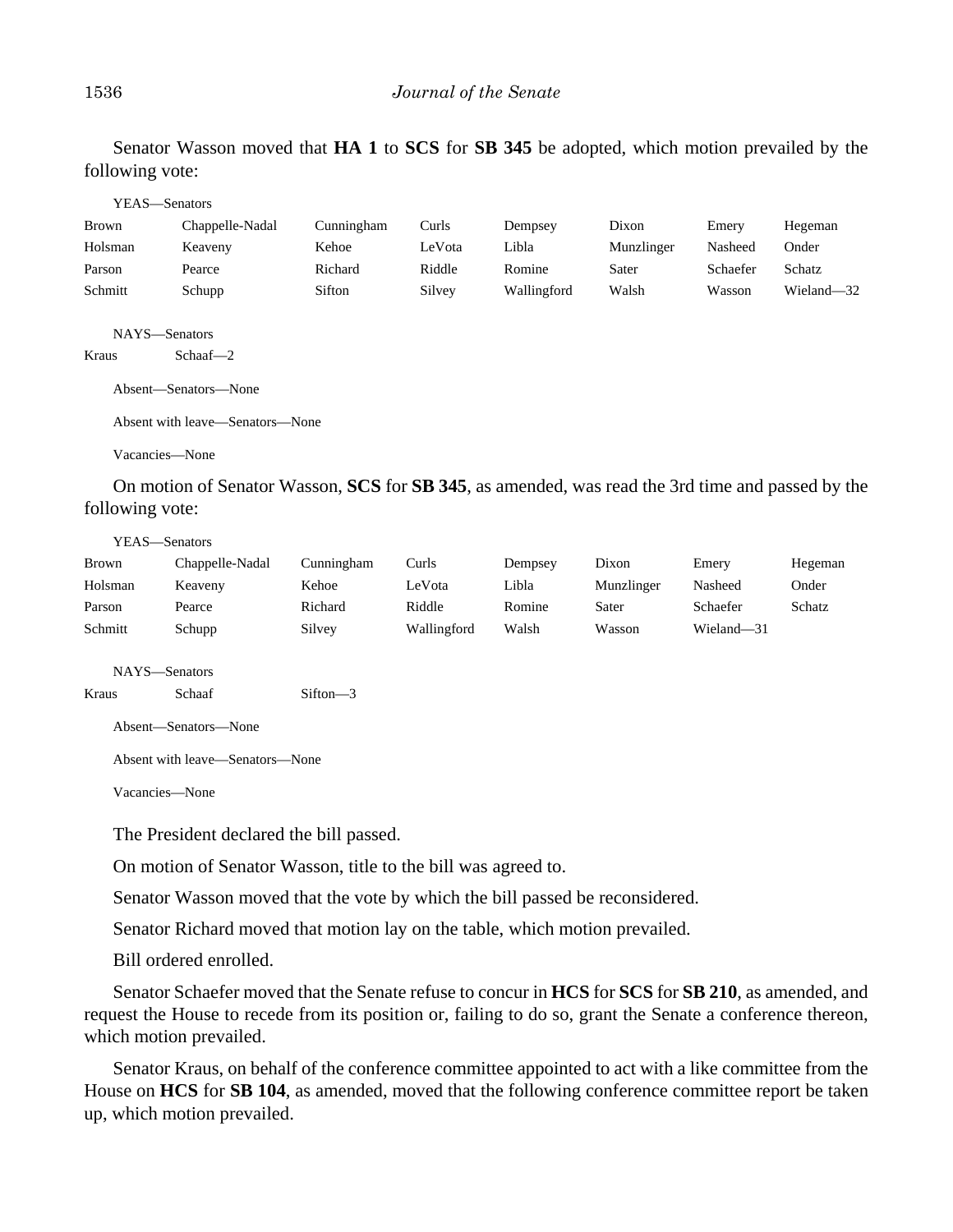Senator Wasson moved that **HA 1** to **SCS** for **SB 345** be adopted, which motion prevailed by the following vote:

|         | YEAS—Senators                                         |                      |                      |               |                                                                 |          |                                                     |
|---------|-------------------------------------------------------|----------------------|----------------------|---------------|-----------------------------------------------------------------|----------|-----------------------------------------------------|
| Brown   | Chappelle-Nadal                                       | Cunningham           | Curls                | Dempsey       | Dixon                                                           | Emery    | Hegeman                                             |
| Holsman | Keaveny                                               | Kehoe                | LeVota               | Libla         | Munzlinger                                                      | Nasheed  | Onder                                               |
| Parson  | Pearce                                                | Richard              | Riddle               | Romine        | Sater                                                           | Schaefer | Schatz                                              |
| Schmitt | Schupp                                                | Sifton               | Silvey               | Wallingford   | Walsh                                                           | Wasson   | Wieland-32                                          |
| Kraus   | NAYS-Senators<br>$Schaaf - 2$<br>Absent-Senators-None |                      |                      |               |                                                                 |          |                                                     |
|         | Absent with leave—Senators—None                       |                      |                      |               |                                                                 |          |                                                     |
|         | Vacancies—None                                        |                      |                      |               |                                                                 |          |                                                     |
|         | $\sim$ $\sim$ $\sim$ $\sim$ $\sim$<br>$T$ $T$         | $\sim$ $\sim$ $\sim$ | $\sim$ $\sim$ $\sim$ | $\sim$ $\sim$ | $\mathbf{A}$ and $\mathbf{A}$ and $\mathbf{A}$ and $\mathbf{A}$ |          | $\mathbf{1}$ $\mathbf{1}$ $\mathbf{1}$ $\mathbf{1}$ |

On motion of Senator Wasson, **SCS** for **SB 345**, as amended, was read the 3rd time and passed by the following vote:

YEAS—Senators

| Brown   | Chappelle-Nadal | Cunningham | Curls       | Dempsey | Dixon      | Emery           | Hegeman |
|---------|-----------------|------------|-------------|---------|------------|-----------------|---------|
| Holsman | Keaveny         | Kehoe      | LeVota      | Libla   | Munzlinger | Nasheed         | Onder   |
| Parson  | Pearce          | Richard    | Riddle      | Romine  | Sater      | <b>Schaefer</b> | Schatz  |
| Schmitt | Schupp          | Silvey     | Wallingford | Walsh   | Wasson     | Wieland—31      |         |

NAYS—Senators

Kraus Schaaf Sifton—3

Absent—Senators—None

Absent with leave—Senators—None

Vacancies—None

The President declared the bill passed.

On motion of Senator Wasson, title to the bill was agreed to.

Senator Wasson moved that the vote by which the bill passed be reconsidered.

Senator Richard moved that motion lay on the table, which motion prevailed.

Bill ordered enrolled.

Senator Schaefer moved that the Senate refuse to concur in **HCS** for **SCS** for **SB 210**, as amended, and request the House to recede from its position or, failing to do so, grant the Senate a conference thereon, which motion prevailed.

Senator Kraus, on behalf of the conference committee appointed to act with a like committee from the House on **HCS** for **SB 104**, as amended, moved that the following conference committee report be taken up, which motion prevailed.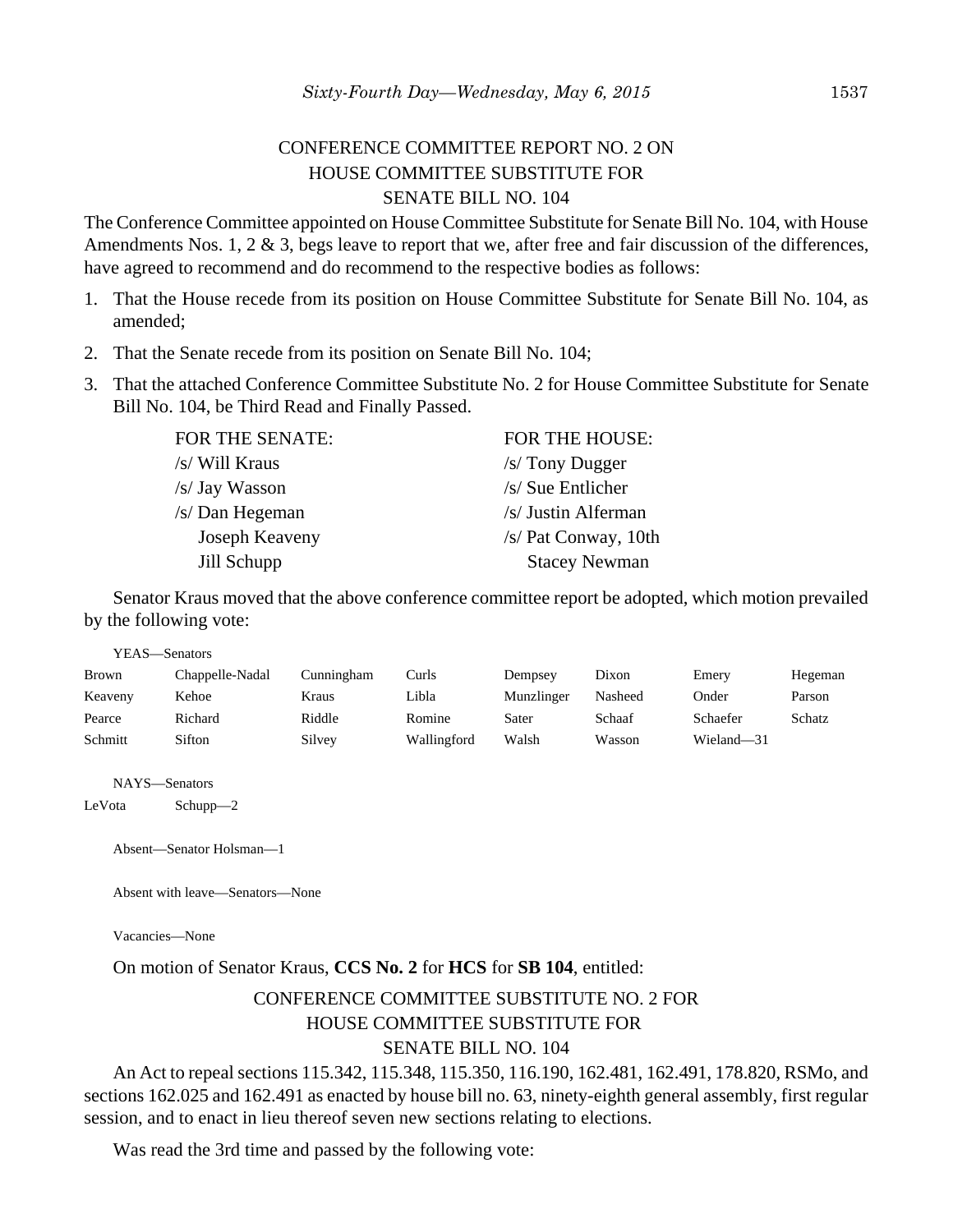# CONFERENCE COMMITTEE REPORT NO. 2 ON HOUSE COMMITTEE SUBSTITUTE FOR SENATE BILL NO. 104

The Conference Committee appointed on House Committee Substitute for Senate Bill No. 104, with House Amendments Nos. 1, 2 & 3, begs leave to report that we, after free and fair discussion of the differences, have agreed to recommend and do recommend to the respective bodies as follows:

- 1. That the House recede from its position on House Committee Substitute for Senate Bill No. 104, as amended;
- 2. That the Senate recede from its position on Senate Bill No. 104;
- 3. That the attached Conference Committee Substitute No. 2 for House Committee Substitute for Senate Bill No. 104, be Third Read and Finally Passed.

FOR THE SENATE: FOR THE HOUSE: /s/ Will Kraus /s/ Tony Dugger /s/ Jay Wasson /s/ Sue Entlicher /s/ Dan Hegeman /s/ Justin Alferman Joseph Keaveny /s/ Pat Conway, 10th Jill Schupp Stacey Newman

Senator Kraus moved that the above conference committee report be adopted, which motion prevailed by the following vote:

YEAS—Senators

| Brown   | Chappelle-Nadal | Cunningham | Curls       | Dempsey    | Dixon   | Emery      | Hegeman |
|---------|-----------------|------------|-------------|------------|---------|------------|---------|
| Keaveny | Kehoe           | Kraus      | Libla       | Munzlinger | Nasheed | Onder      | Parson  |
| Pearce  | Richard         | Riddle     | Romine      | Sater      | Schaaf  | Schaefer   | Schatz  |
| Schmitt | Sifton          | Silvey     | Wallingford | Walsh      | Wasson  | Wieland-31 |         |

NAYS—Senators

LeVota Schupp—2

Absent—Senator Holsman—1

Absent with leave—Senators—None

Vacancies—None

On motion of Senator Kraus, **CCS No. 2** for **HCS** for **SB 104**, entitled:

# CONFERENCE COMMITTEE SUBSTITUTE NO. 2 FOR HOUSE COMMITTEE SUBSTITUTE FOR SENATE BILL NO. 104

An Act to repeal sections 115.342, 115.348, 115.350, 116.190, 162.481, 162.491, 178.820, RSMo, and sections 162.025 and 162.491 as enacted by house bill no. 63, ninety-eighth general assembly, first regular session, and to enact in lieu thereof seven new sections relating to elections.

Was read the 3rd time and passed by the following vote: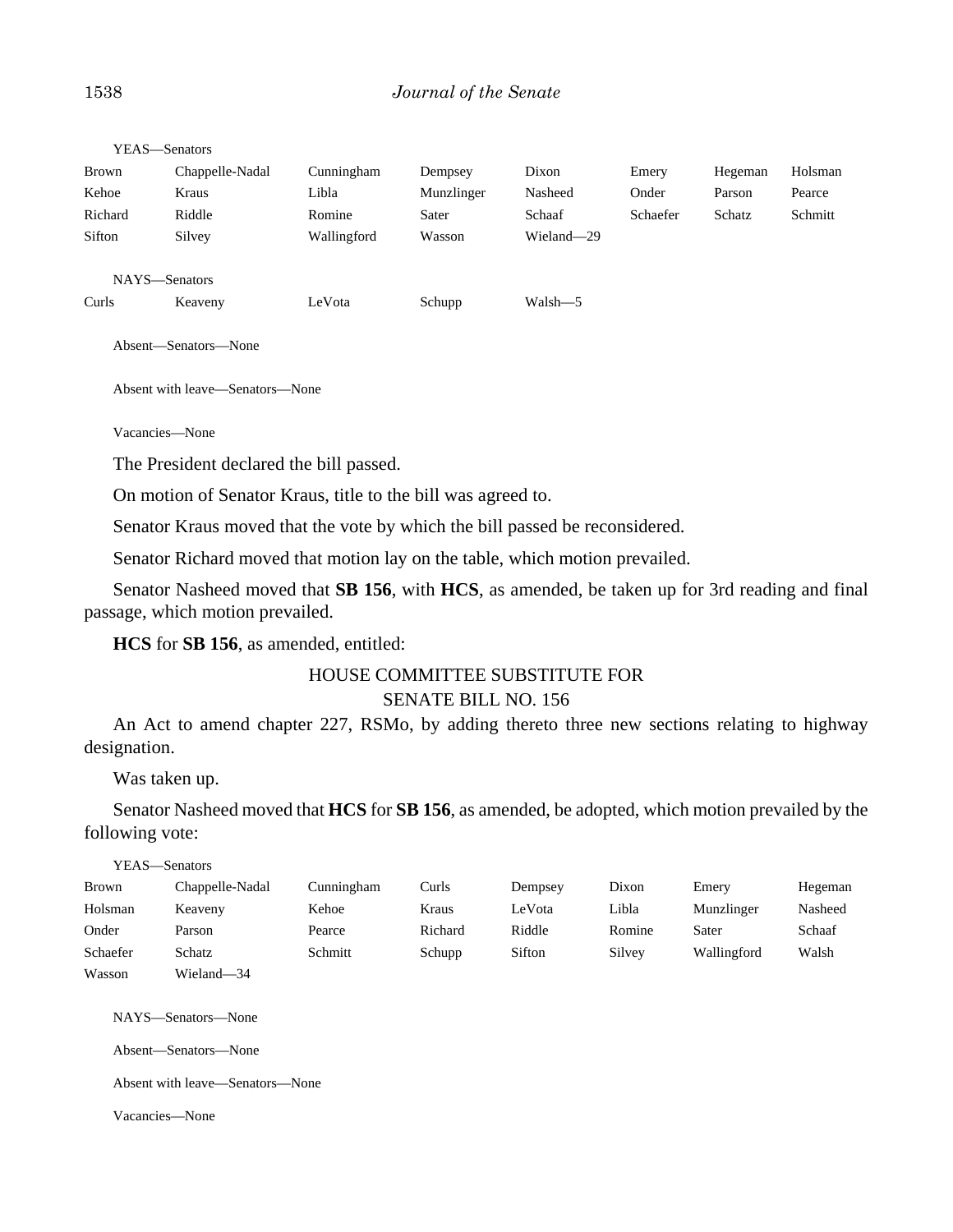| Brown         | Chappelle-Nadal | Cunningham  | Dempsey    | Dixon      | Emery    | Hegeman | Holsman |
|---------------|-----------------|-------------|------------|------------|----------|---------|---------|
| Kehoe         | Kraus           | Libla       | Munzlinger | Nasheed    | Onder    | Parson  | Pearce  |
| Richard       | Riddle          | Romine      | Sater      | Schaaf     | Schaefer | Schatz  | Schmitt |
| Sifton        | Silvey          | Wallingford | Wasson     | Wieland-29 |          |         |         |
| NAYS-Senators |                 |             |            |            |          |         |         |
| Curls         | Keaveny         | LeVota      | Schupp     | Walsh-5    |          |         |         |

Absent—Senators—None

Absent with leave—Senators—None

Vacancies—None

YEAS—Senators

The President declared the bill passed.

On motion of Senator Kraus, title to the bill was agreed to.

Senator Kraus moved that the vote by which the bill passed be reconsidered.

Senator Richard moved that motion lay on the table, which motion prevailed.

Senator Nasheed moved that **SB 156**, with **HCS**, as amended, be taken up for 3rd reading and final passage, which motion prevailed.

**HCS** for **SB 156**, as amended, entitled:

## HOUSE COMMITTEE SUBSTITUTE FOR SENATE BILL NO. 156

An Act to amend chapter 227, RSMo, by adding thereto three new sections relating to highway designation.

Was taken up.

Senator Nasheed moved that **HCS** for **SB 156**, as amended, be adopted, which motion prevailed by the following vote:

| YEAS—Senators |                 |            |         |         |        |             |         |
|---------------|-----------------|------------|---------|---------|--------|-------------|---------|
| <b>Brown</b>  | Chappelle-Nadal | Cunningham | Curls   | Dempsey | Dixon  | Emery       | Hegeman |
| Holsman       | Keaveny         | Kehoe      | Kraus   | LeVota  | Libla  | Munzlinger  | Nasheed |
| Onder         | Parson          | Pearce     | Richard | Riddle  | Romine | Sater       | Schaaf  |
| Schaefer      | Schatz          | Schmitt    | Schupp  | Sifton  | Silvey | Wallingford | Walsh   |
| Wasson        | Wieland-34      |            |         |         |        |             |         |

NAYS—Senators—None

Absent—Senators—None

Absent with leave—Senators—None

Vacancies—None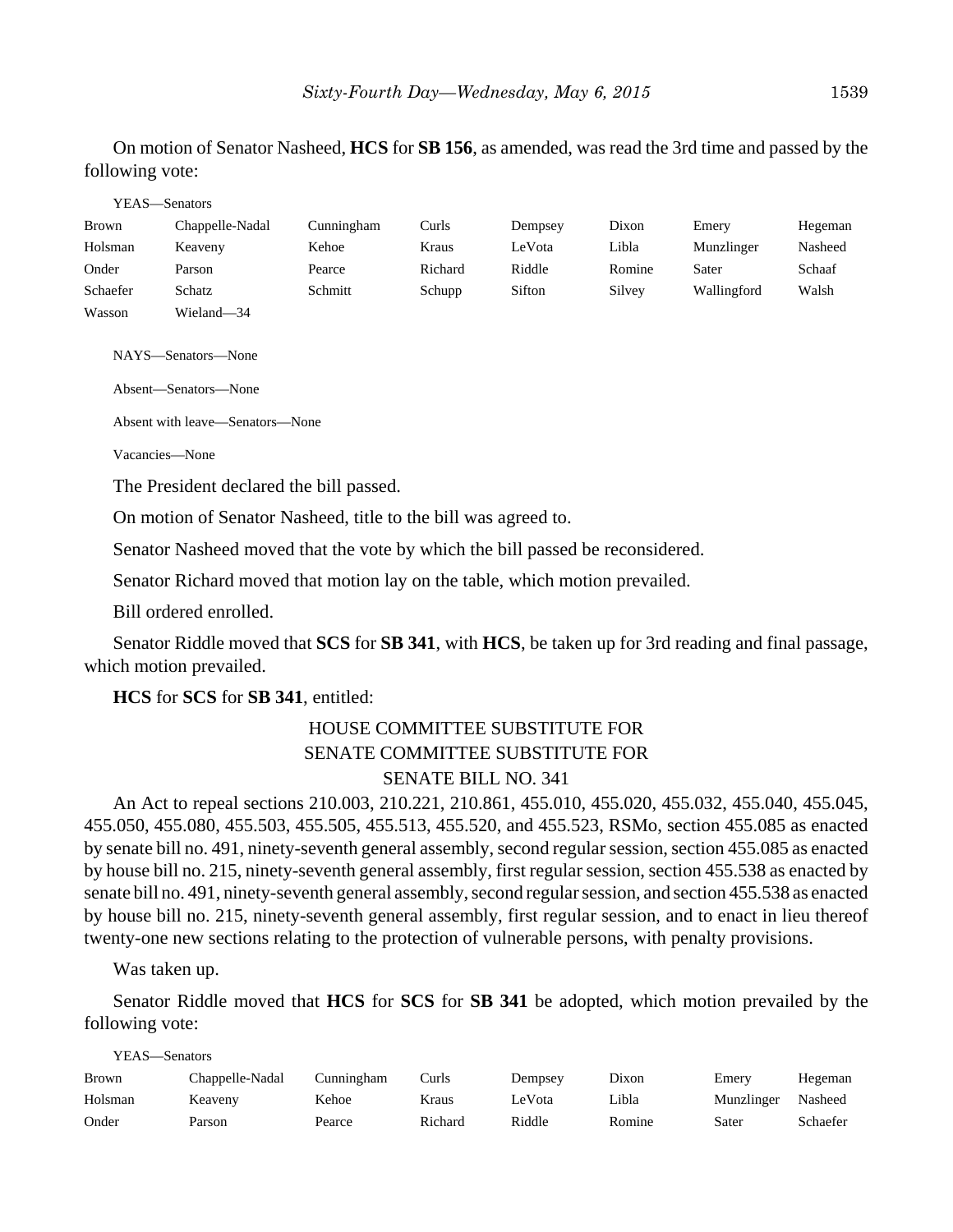On motion of Senator Nasheed, **HCS** for **SB 156**, as amended, was read the 3rd time and passed by the following vote:

#### YEAS—Senators

| Brown    | Chappelle-Nadal | Cunningham | Curls   | Dempsey | Dixon  | Emery       | Hegeman |
|----------|-----------------|------------|---------|---------|--------|-------------|---------|
| Holsman  | Keaveny         | Kehoe      | Kraus   | LeVota  | Libla  | Munzlinger  | Nasheed |
| Onder    | Parson          | Pearce     | Richard | Riddle  | Romine | Sater       | Schaaf  |
| Schaefer | Schatz          | Schmitt    | Schupp  | Sifton  | Silvey | Wallingford | Walsh   |
| Wasson   | Wieland-34      |            |         |         |        |             |         |

NAYS—Senators—None

Absent—Senators—None

Absent with leave—Senators—None

Vacancies—None

The President declared the bill passed.

On motion of Senator Nasheed, title to the bill was agreed to.

Senator Nasheed moved that the vote by which the bill passed be reconsidered.

Senator Richard moved that motion lay on the table, which motion prevailed.

Bill ordered enrolled.

Senator Riddle moved that **SCS** for **SB 341**, with **HCS**, be taken up for 3rd reading and final passage, which motion prevailed.

**HCS** for **SCS** for **SB 341**, entitled:

# HOUSE COMMITTEE SUBSTITUTE FOR SENATE COMMITTEE SUBSTITUTE FOR SENATE BILL NO. 341

An Act to repeal sections 210.003, 210.221, 210.861, 455.010, 455.020, 455.032, 455.040, 455.045, 455.050, 455.080, 455.503, 455.505, 455.513, 455.520, and 455.523, RSMo, section 455.085 as enacted by senate bill no. 491, ninety-seventh general assembly, second regular session, section 455.085 as enacted by house bill no. 215, ninety-seventh general assembly, first regular session, section 455.538 as enacted by senate bill no. 491, ninety-seventh general assembly, second regular session, and section 455.538 as enacted by house bill no. 215, ninety-seventh general assembly, first regular session, and to enact in lieu thereof twenty-one new sections relating to the protection of vulnerable persons, with penalty provisions.

Was taken up.

YEAS—Senators

Senator Riddle moved that **HCS** for **SCS** for **SB 341** be adopted, which motion prevailed by the following vote:

| <b>Brown</b> | Chappelle-Nadal | Cunningham | Curls   | Dempsey | Dixon  | Emery      | Hegeman  |
|--------------|-----------------|------------|---------|---------|--------|------------|----------|
| Holsman      | Keaveny         | Kehoe      | Kraus   | LeVota  | Libla  | Munzlinger | Nasheed  |
| Onder        | Parson          | Pearce     | Richard | Riddle  | Romine | Sater      | Schaefer |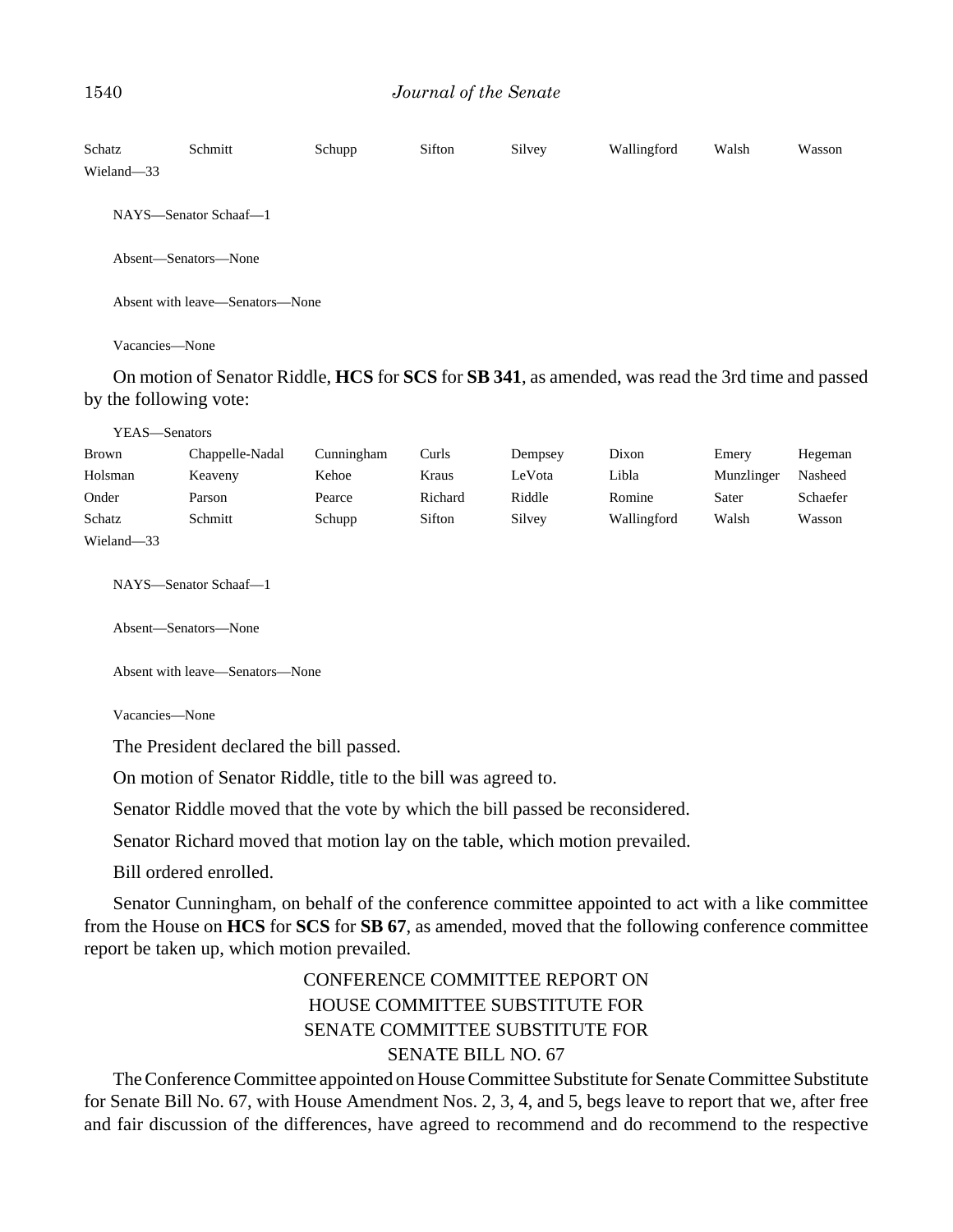| Schatz<br>Wieland-33 | Schmitt                         | Schupp | Sifton | Silvey | Wallingford | Walsh | Wasson |  |  |
|----------------------|---------------------------------|--------|--------|--------|-------------|-------|--------|--|--|
|                      | NAYS—Senator Schaaf—1           |        |        |        |             |       |        |  |  |
| Absent—Senators—None |                                 |        |        |        |             |       |        |  |  |
|                      | Absent with leave—Senators—None |        |        |        |             |       |        |  |  |

Vacancies—None

On motion of Senator Riddle, **HCS** for **SCS** for **SB 341**, as amended, was read the 3rd time and passed by the following vote:

| YEAS—Senators |                 |            |         |         |             |            |          |  |  |
|---------------|-----------------|------------|---------|---------|-------------|------------|----------|--|--|
| <b>Brown</b>  | Chappelle-Nadal | Cunningham | Curls   | Dempsey | Dixon       | Emery      | Hegeman  |  |  |
| Holsman       | Keaveny         | Kehoe      | Kraus   | LeVota  | Libla       | Munzlinger | Nasheed  |  |  |
| Onder         | Parson          | Pearce     | Richard | Riddle  | Romine      | Sater      | Schaefer |  |  |
| Schatz        | Schmitt         | Schupp     | Sifton  | Silvey  | Wallingford | Walsh      | Wasson   |  |  |
| Wieland-33    |                 |            |         |         |             |            |          |  |  |

NAYS—Senator Schaaf—1

Absent—Senators—None

Absent with leave—Senators—None

Vacancies—None

The President declared the bill passed.

On motion of Senator Riddle, title to the bill was agreed to.

Senator Riddle moved that the vote by which the bill passed be reconsidered.

Senator Richard moved that motion lay on the table, which motion prevailed.

Bill ordered enrolled.

Senator Cunningham, on behalf of the conference committee appointed to act with a like committee from the House on **HCS** for **SCS** for **SB 67**, as amended, moved that the following conference committee report be taken up, which motion prevailed.

# CONFERENCE COMMITTEE REPORT ON HOUSE COMMITTEE SUBSTITUTE FOR SENATE COMMITTEE SUBSTITUTE FOR SENATE BILL NO. 67

The Conference Committee appointed on House Committee Substitute for Senate Committee Substitute for Senate Bill No. 67, with House Amendment Nos. 2, 3, 4, and 5, begs leave to report that we, after free and fair discussion of the differences, have agreed to recommend and do recommend to the respective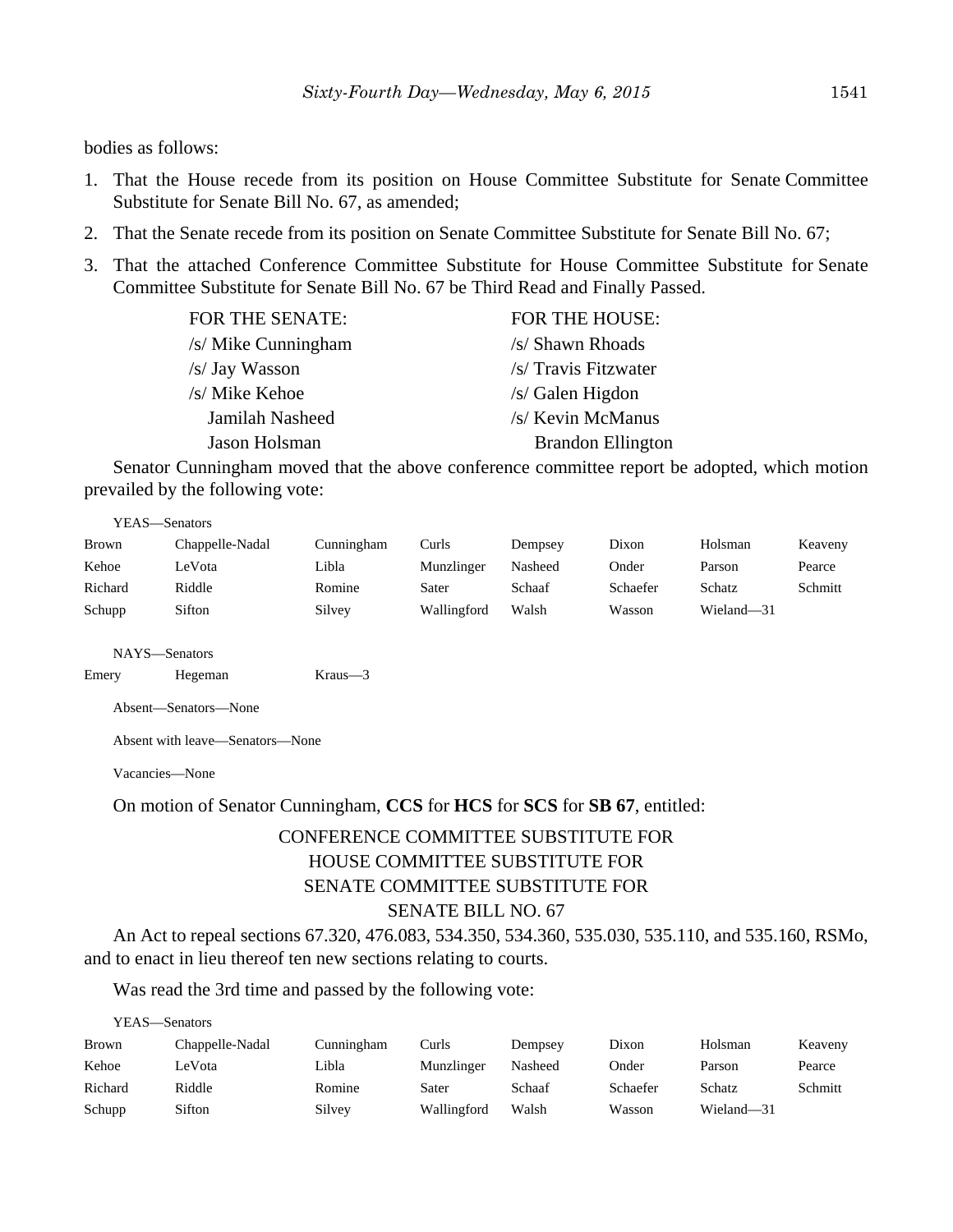bodies as follows:

- 1. That the House recede from its position on House Committee Substitute for Senate Committee Substitute for Senate Bill No. 67, as amended;
- 2. That the Senate recede from its position on Senate Committee Substitute for Senate Bill No. 67;
- 3. That the attached Conference Committee Substitute for House Committee Substitute for Senate Committee Substitute for Senate Bill No. 67 be Third Read and Finally Passed.

| FOR THE HOUSE:           |
|--------------------------|
| /s/ Shawn Rhoads         |
| /s/ Travis Fitzwater     |
| /s/ Galen Higdon         |
| /s/ Kevin McManus        |
| <b>Brandon Ellington</b> |
|                          |

Senator Cunningham moved that the above conference committee report be adopted, which motion prevailed by the following vote:

YEAS—Senators

| Brown   | Chappelle-Nadal | Cunningham | Curls       | Dempsey | Dixon    | Holsman    | Keaveny |
|---------|-----------------|------------|-------------|---------|----------|------------|---------|
| Kehoe   | LeVota          | ∟ibla      | Munzlinger  | Nasheed | Onder    | Parson     | Pearce  |
| Richard | Riddle          | Romine     | Sater       | Schaaf  | Schaefer | Schatz     | Schmitt |
| Schupp  | Sifton          | Silvey     | Wallingford | Walsh   | Wasson   | Wieland-31 |         |

NAYS—Senators

```
Emery Hegeman Kraus—3
```
Absent—Senators—None

Absent with leave—Senators—None

Vacancies—None

On motion of Senator Cunningham, **CCS** for **HCS** for **SCS** for **SB 67**, entitled:

# CONFERENCE COMMITTEE SUBSTITUTE FOR HOUSE COMMITTEE SUBSTITUTE FOR SENATE COMMITTEE SUBSTITUTE FOR SENATE BILL NO. 67

An Act to repeal sections 67.320, 476.083, 534.350, 534.360, 535.030, 535.110, and 535.160, RSMo, and to enact in lieu thereof ten new sections relating to courts.

Was read the 3rd time and passed by the following vote:

YEAS—Senators

| Brown   | Chappelle-Nadal | Cunningham | Curls       | Dempsey | Dixon    | Holsman    | Keaveny |
|---------|-----------------|------------|-------------|---------|----------|------------|---------|
| Kehoe   | LeVota          | Libla      | Munzlinger  | Nasheed | Onder    | Parson     | Pearce  |
| Richard | Riddle          | Romine     | Sater       | Schaaf  | Schaefer | Schatz     | Schmitt |
| Schupp  | Sifton          | Silvey     | Wallingford | Walsh   | Wasson   | Wieland-31 |         |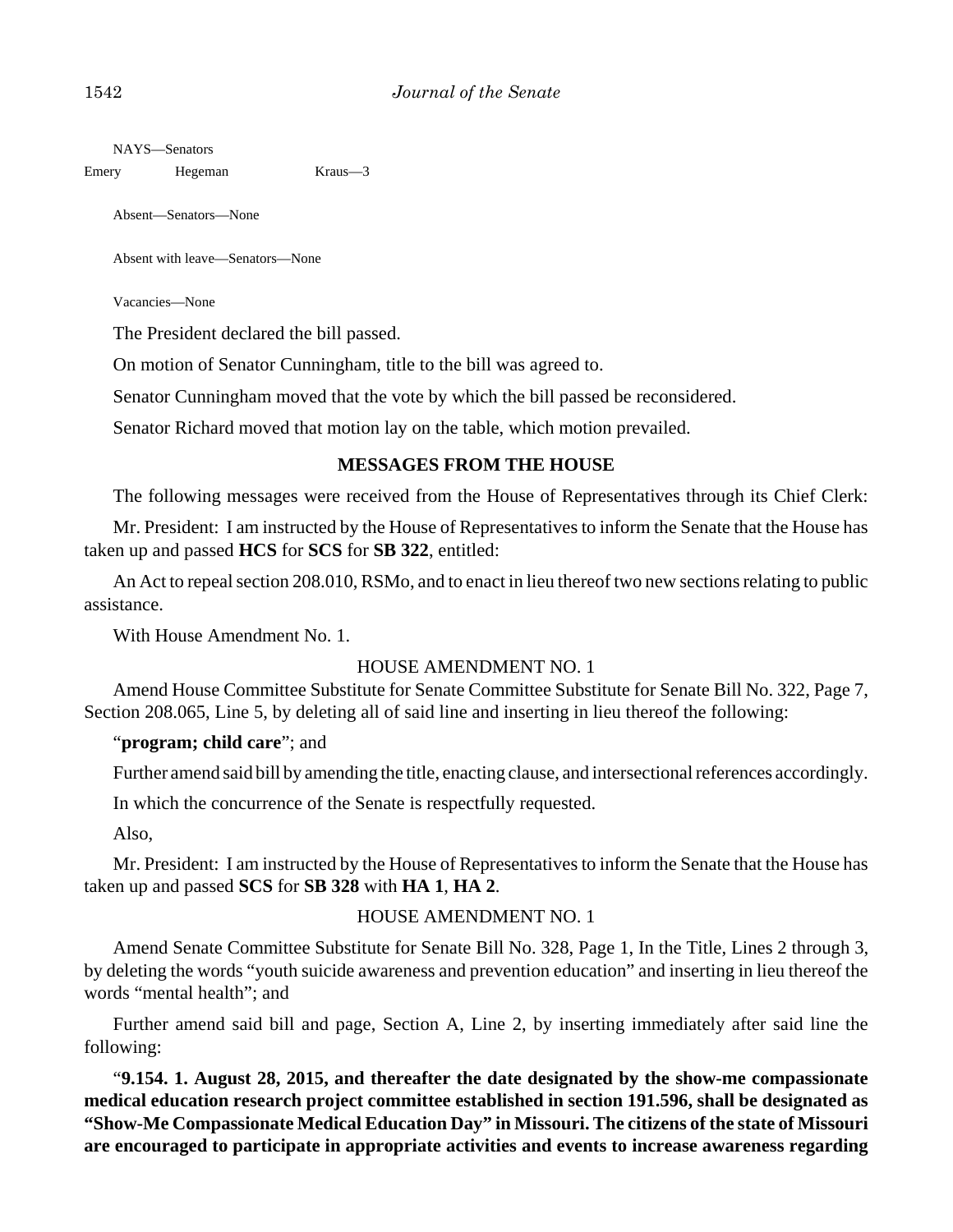NAYS—Senators

Emery Hegeman Kraus—3

Absent—Senators—None

Absent with leave—Senators—None

Vacancies—None

The President declared the bill passed.

On motion of Senator Cunningham, title to the bill was agreed to.

Senator Cunningham moved that the vote by which the bill passed be reconsidered.

Senator Richard moved that motion lay on the table, which motion prevailed.

#### **MESSAGES FROM THE HOUSE**

The following messages were received from the House of Representatives through its Chief Clerk:

Mr. President: I am instructed by the House of Representatives to inform the Senate that the House has taken up and passed **HCS** for **SCS** for **SB 322**, entitled:

An Act to repeal section 208.010, RSMo, and to enact in lieu thereof two new sections relating to public assistance.

With House Amendment No. 1.

#### HOUSE AMENDMENT NO. 1

Amend House Committee Substitute for Senate Committee Substitute for Senate Bill No. 322, Page 7, Section 208.065, Line 5, by deleting all of said line and inserting in lieu thereof the following:

#### "**program; child care**"; and

Further amend said bill by amending the title, enacting clause, and intersectional references accordingly.

In which the concurrence of the Senate is respectfully requested.

Also,

Mr. President: I am instructed by the House of Representatives to inform the Senate that the House has taken up and passed **SCS** for **SB 328** with **HA 1**, **HA 2**.

#### HOUSE AMENDMENT NO. 1

Amend Senate Committee Substitute for Senate Bill No. 328, Page 1, In the Title, Lines 2 through 3, by deleting the words "youth suicide awareness and prevention education" and inserting in lieu thereof the words "mental health"; and

Further amend said bill and page, Section A, Line 2, by inserting immediately after said line the following:

"**9.154. 1. August 28, 2015, and thereafter the date designated by the show-me compassionate medical education research project committee established in section 191.596, shall be designated as "Show-Me Compassionate Medical Education Day" in Missouri. The citizens of the state of Missouri are encouraged to participate in appropriate activities and events to increase awareness regarding**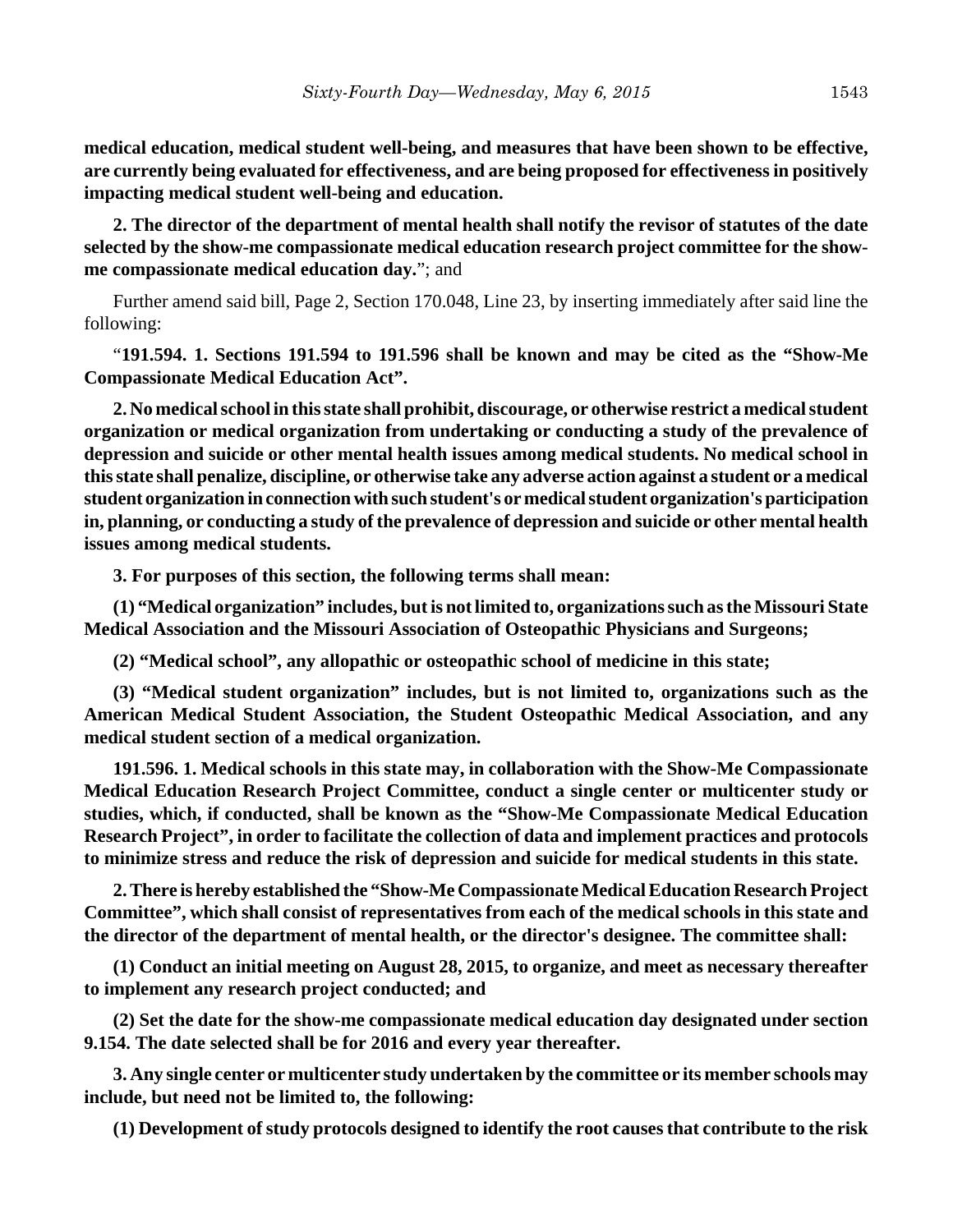**medical education, medical student well-being, and measures that have been shown to be effective, are currently being evaluated for effectiveness, and are being proposed for effectiveness in positively impacting medical student well-being and education.**

**2. The director of the department of mental health shall notify the revisor of statutes of the date selected by the show-me compassionate medical education research project committee for the showme compassionate medical education day.**"; and

Further amend said bill, Page 2, Section 170.048, Line 23, by inserting immediately after said line the following:

"**191.594. 1. Sections 191.594 to 191.596 shall be known and may be cited as the "Show-Me Compassionate Medical Education Act".**

**2. No medical school in this state shall prohibit, discourage, or otherwise restrict a medical student organization or medical organization from undertaking or conducting a study of the prevalence of depression and suicide or other mental health issues among medical students. No medical school in this state shall penalize, discipline, or otherwise take any adverse action against a student or a medical student organization in connection with such student's or medical student organization's participation in, planning, or conducting a study of the prevalence of depression and suicide or other mental health issues among medical students.**

**3. For purposes of this section, the following terms shall mean:**

**(1) "Medical organization" includes, but is not limited to, organizations such as the Missouri State Medical Association and the Missouri Association of Osteopathic Physicians and Surgeons;**

**(2) "Medical school", any allopathic or osteopathic school of medicine in this state;**

**(3) "Medical student organization" includes, but is not limited to, organizations such as the American Medical Student Association, the Student Osteopathic Medical Association, and any medical student section of a medical organization.**

**191.596. 1. Medical schools in this state may, in collaboration with the Show-Me Compassionate Medical Education Research Project Committee, conduct a single center or multicenter study or studies, which, if conducted, shall be known as the "Show-Me Compassionate Medical Education Research Project", in order to facilitate the collection of data and implement practices and protocols to minimize stress and reduce the risk of depression and suicide for medical students in this state.**

**2. There is hereby established the "Show-Me Compassionate Medical Education Research Project Committee", which shall consist of representatives from each of the medical schools in this state and the director of the department of mental health, or the director's designee. The committee shall:**

**(1) Conduct an initial meeting on August 28, 2015, to organize, and meet as necessary thereafter to implement any research project conducted; and**

**(2) Set the date for the show-me compassionate medical education day designated under section 9.154. The date selected shall be for 2016 and every year thereafter.**

**3. Any single center or multicenter study undertaken by the committee or its member schools may include, but need not be limited to, the following:**

**(1) Development of study protocols designed to identify the root causes that contribute to the risk**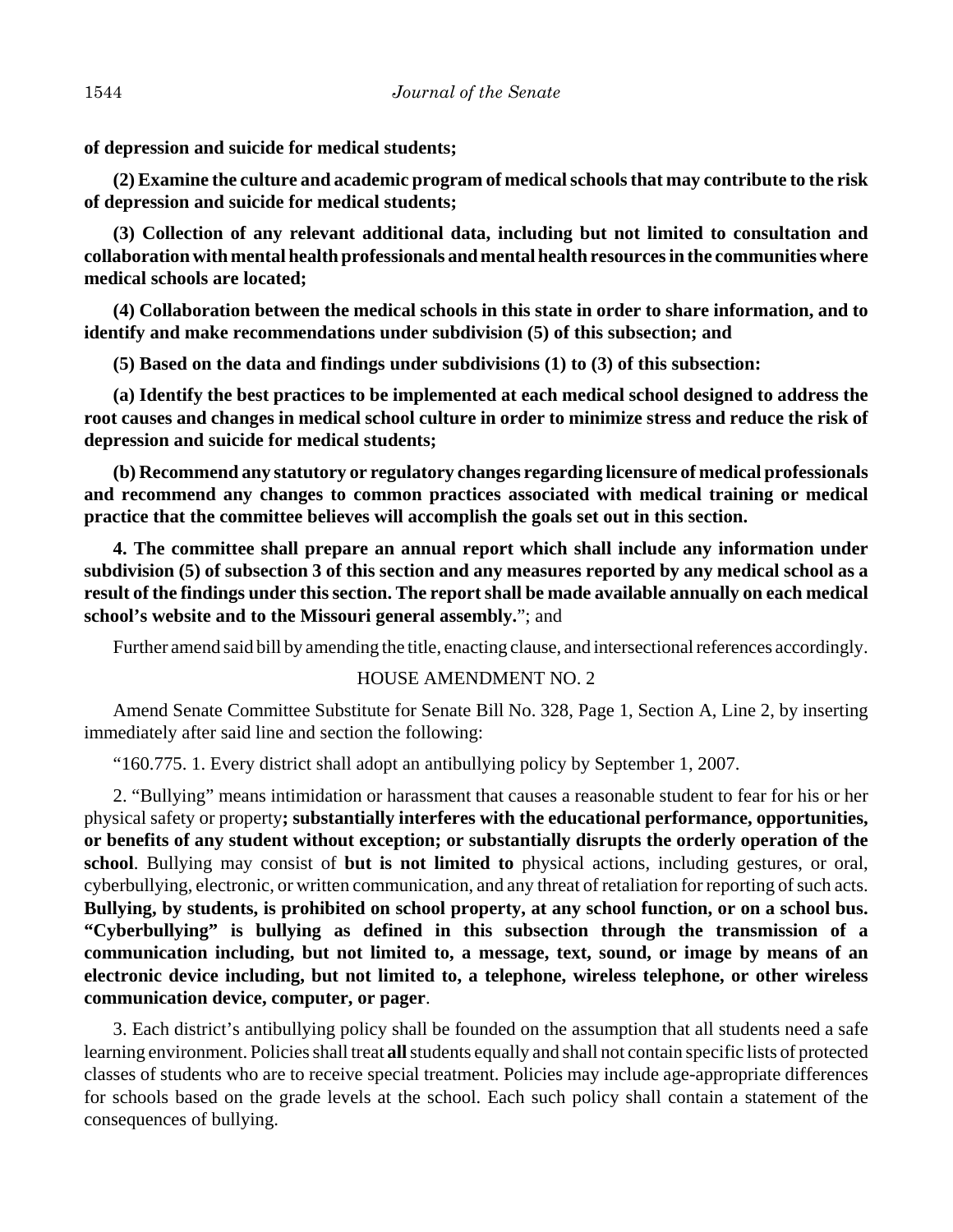**of depression and suicide for medical students;**

**(2) Examine the culture and academic program of medical schools that may contribute to the risk of depression and suicide for medical students;**

**(3) Collection of any relevant additional data, including but not limited to consultation and collaboration with mental health professionals and mental health resources in the communities where medical schools are located;**

**(4) Collaboration between the medical schools in this state in order to share information, and to identify and make recommendations under subdivision (5) of this subsection; and**

**(5) Based on the data and findings under subdivisions (1) to (3) of this subsection:**

**(a) Identify the best practices to be implemented at each medical school designed to address the root causes and changes in medical school culture in order to minimize stress and reduce the risk of depression and suicide for medical students;**

**(b) Recommend any statutory or regulatory changes regarding licensure of medical professionals and recommend any changes to common practices associated with medical training or medical practice that the committee believes will accomplish the goals set out in this section.**

**4. The committee shall prepare an annual report which shall include any information under subdivision (5) of subsection 3 of this section and any measures reported by any medical school as a result of the findings under this section. The report shall be made available annually on each medical school's website and to the Missouri general assembly.**"; and

Further amend said bill by amending the title, enacting clause, and intersectional references accordingly.

#### HOUSE AMENDMENT NO. 2

Amend Senate Committee Substitute for Senate Bill No. 328, Page 1, Section A, Line 2, by inserting immediately after said line and section the following:

"160.775. 1. Every district shall adopt an antibullying policy by September 1, 2007.

2. "Bullying" means intimidation or harassment that causes a reasonable student to fear for his or her physical safety or property**; substantially interferes with the educational performance, opportunities, or benefits of any student without exception; or substantially disrupts the orderly operation of the school**. Bullying may consist of **but is not limited to** physical actions, including gestures, or oral, cyberbullying, electronic, or written communication, and any threat of retaliation for reporting of such acts. **Bullying, by students, is prohibited on school property, at any school function, or on a school bus. "Cyberbullying" is bullying as defined in this subsection through the transmission of a communication including, but not limited to, a message, text, sound, or image by means of an electronic device including, but not limited to, a telephone, wireless telephone, or other wireless communication device, computer, or pager**.

3. Each district's antibullying policy shall be founded on the assumption that all students need a safe learning environment. Policies shall treat **all** students equally and shall not contain specific lists of protected classes of students who are to receive special treatment. Policies may include age-appropriate differences for schools based on the grade levels at the school. Each such policy shall contain a statement of the consequences of bullying.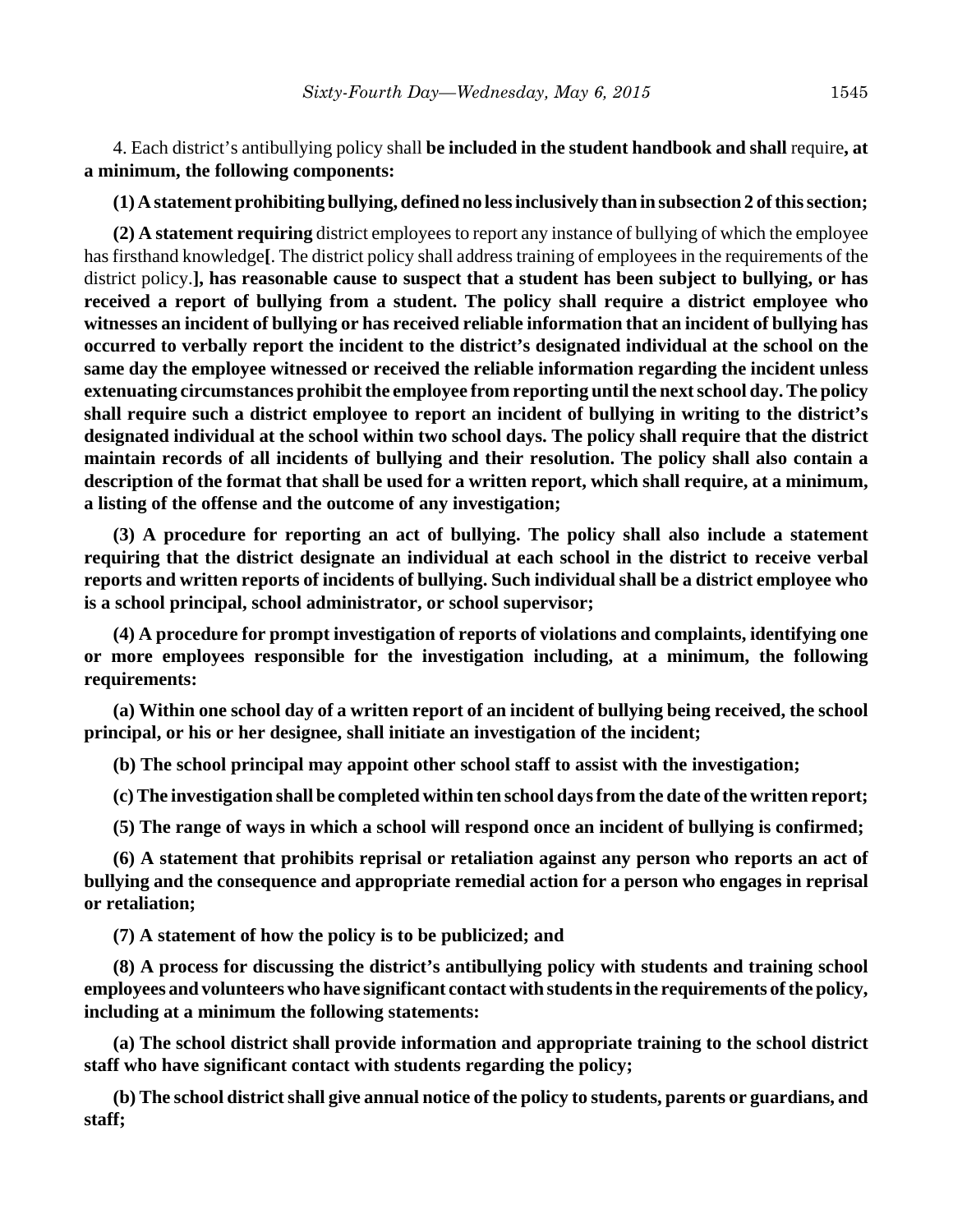4. Each district's antibullying policy shall **be included in the student handbook and shall** require**, at a minimum, the following components:**

**(1) A statement prohibiting bullying, defined no less inclusively than in subsection 2 of this section;**

**(2) A statement requiring** district employees to report any instance of bullying of which the employee has firsthand knowledge**[**. The district policy shall address training of employees in the requirements of the district policy.**], has reasonable cause to suspect that a student has been subject to bullying, or has received a report of bullying from a student. The policy shall require a district employee who witnesses an incident of bullying or has received reliable information that an incident of bullying has occurred to verbally report the incident to the district's designated individual at the school on the same day the employee witnessed or received the reliable information regarding the incident unless extenuating circumstances prohibit the employee from reporting until the next school day. The policy shall require such a district employee to report an incident of bullying in writing to the district's designated individual at the school within two school days. The policy shall require that the district maintain records of all incidents of bullying and their resolution. The policy shall also contain a description of the format that shall be used for a written report, which shall require, at a minimum, a listing of the offense and the outcome of any investigation;**

**(3) A procedure for reporting an act of bullying. The policy shall also include a statement requiring that the district designate an individual at each school in the district to receive verbal reports and written reports of incidents of bullying. Such individual shall be a district employee who is a school principal, school administrator, or school supervisor;**

**(4) A procedure for prompt investigation of reports of violations and complaints, identifying one or more employees responsible for the investigation including, at a minimum, the following requirements:**

**(a) Within one school day of a written report of an incident of bullying being received, the school principal, or his or her designee, shall initiate an investigation of the incident;**

**(b) The school principal may appoint other school staff to assist with the investigation;**

**(c) The investigation shall be completed within ten school days from the date of the written report;**

**(5) The range of ways in which a school will respond once an incident of bullying is confirmed;**

**(6) A statement that prohibits reprisal or retaliation against any person who reports an act of bullying and the consequence and appropriate remedial action for a person who engages in reprisal or retaliation;**

**(7) A statement of how the policy is to be publicized; and**

**(8) A process for discussing the district's antibullying policy with students and training school employees and volunteers who have significant contact with students in the requirements of the policy, including at a minimum the following statements:**

**(a) The school district shall provide information and appropriate training to the school district staff who have significant contact with students regarding the policy;**

**(b) The school district shall give annual notice of the policy to students, parents or guardians, and staff;**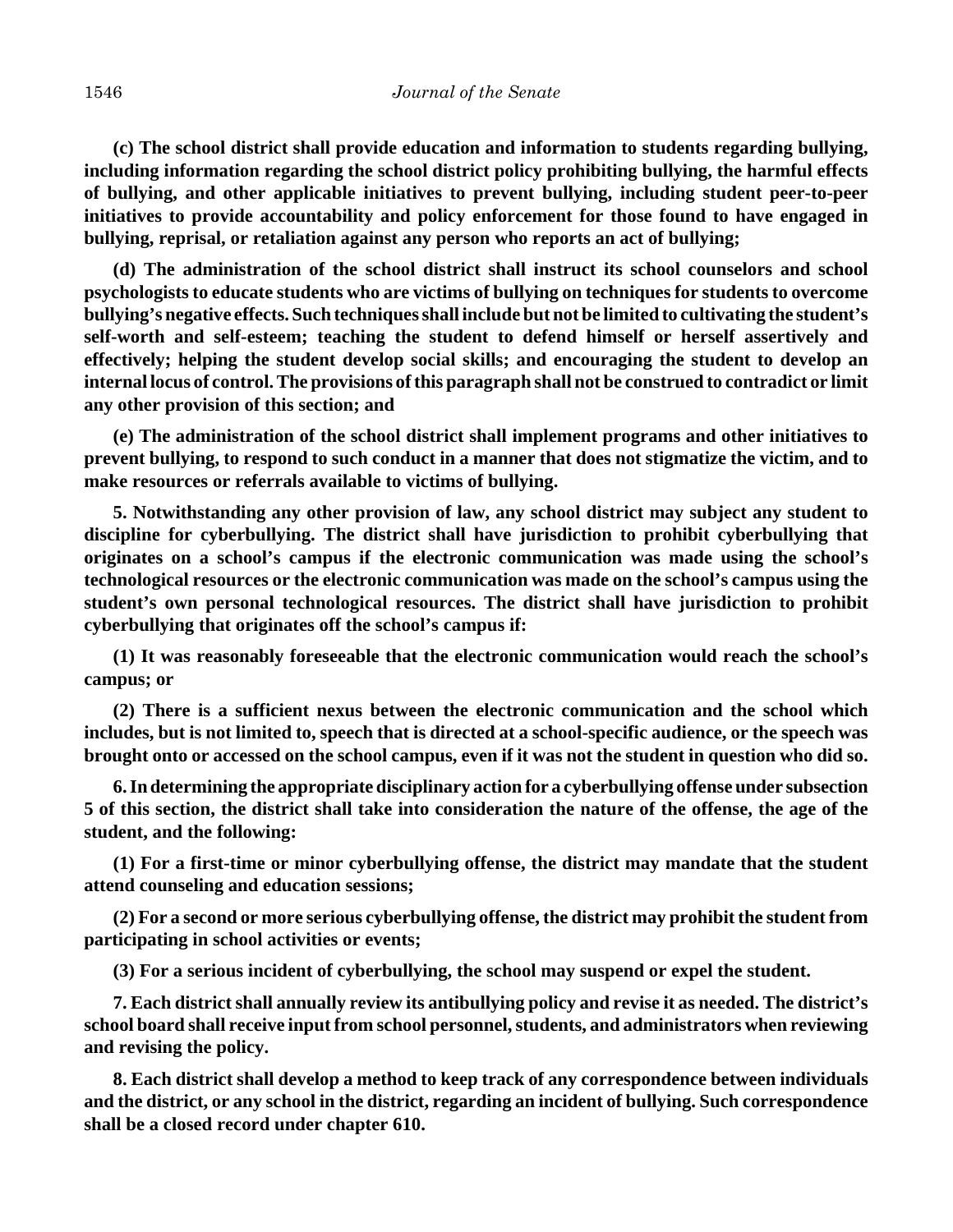**(c) The school district shall provide education and information to students regarding bullying, including information regarding the school district policy prohibiting bullying, the harmful effects of bullying, and other applicable initiatives to prevent bullying, including student peer-to-peer initiatives to provide accountability and policy enforcement for those found to have engaged in bullying, reprisal, or retaliation against any person who reports an act of bullying;**

**(d) The administration of the school district shall instruct its school counselors and school psychologists to educate students who are victims of bullying on techniques for students to overcome bullying's negative effects. Such techniques shall include but not be limited to cultivating the student's self-worth and self-esteem; teaching the student to defend himself or herself assertively and effectively; helping the student develop social skills; and encouraging the student to develop an internal locus of control. The provisions of this paragraph shall not be construed to contradict or limit any other provision of this section; and**

**(e) The administration of the school district shall implement programs and other initiatives to prevent bullying, to respond to such conduct in a manner that does not stigmatize the victim, and to make resources or referrals available to victims of bullying.**

**5. Notwithstanding any other provision of law, any school district may subject any student to discipline for cyberbullying. The district shall have jurisdiction to prohibit cyberbullying that originates on a school's campus if the electronic communication was made using the school's technological resources or the electronic communication was made on the school's campus using the student's own personal technological resources. The district shall have jurisdiction to prohibit cyberbullying that originates off the school's campus if:**

**(1) It was reasonably foreseeable that the electronic communication would reach the school's campus; or**

**(2) There is a sufficient nexus between the electronic communication and the school which includes, but is not limited to, speech that is directed at a school-specific audience, or the speech was brought onto or accessed on the school campus, even if it was not the student in question who did so.**

**6. In determining the appropriate disciplinary action for a cyberbullying offense under subsection 5 of this section, the district shall take into consideration the nature of the offense, the age of the student, and the following:**

**(1) For a first-time or minor cyberbullying offense, the district may mandate that the student attend counseling and education sessions;**

**(2) For a second or more serious cyberbullying offense, the district may prohibit the student from participating in school activities or events;**

**(3) For a serious incident of cyberbullying, the school may suspend or expel the student.**

**7. Each district shall annually review its antibullying policy and revise it as needed. The district's school board shall receive input from school personnel, students, and administrators when reviewing and revising the policy.**

**8. Each district shall develop a method to keep track of any correspondence between individuals and the district, or any school in the district, regarding an incident of bullying. Such correspondence shall be a closed record under chapter 610.**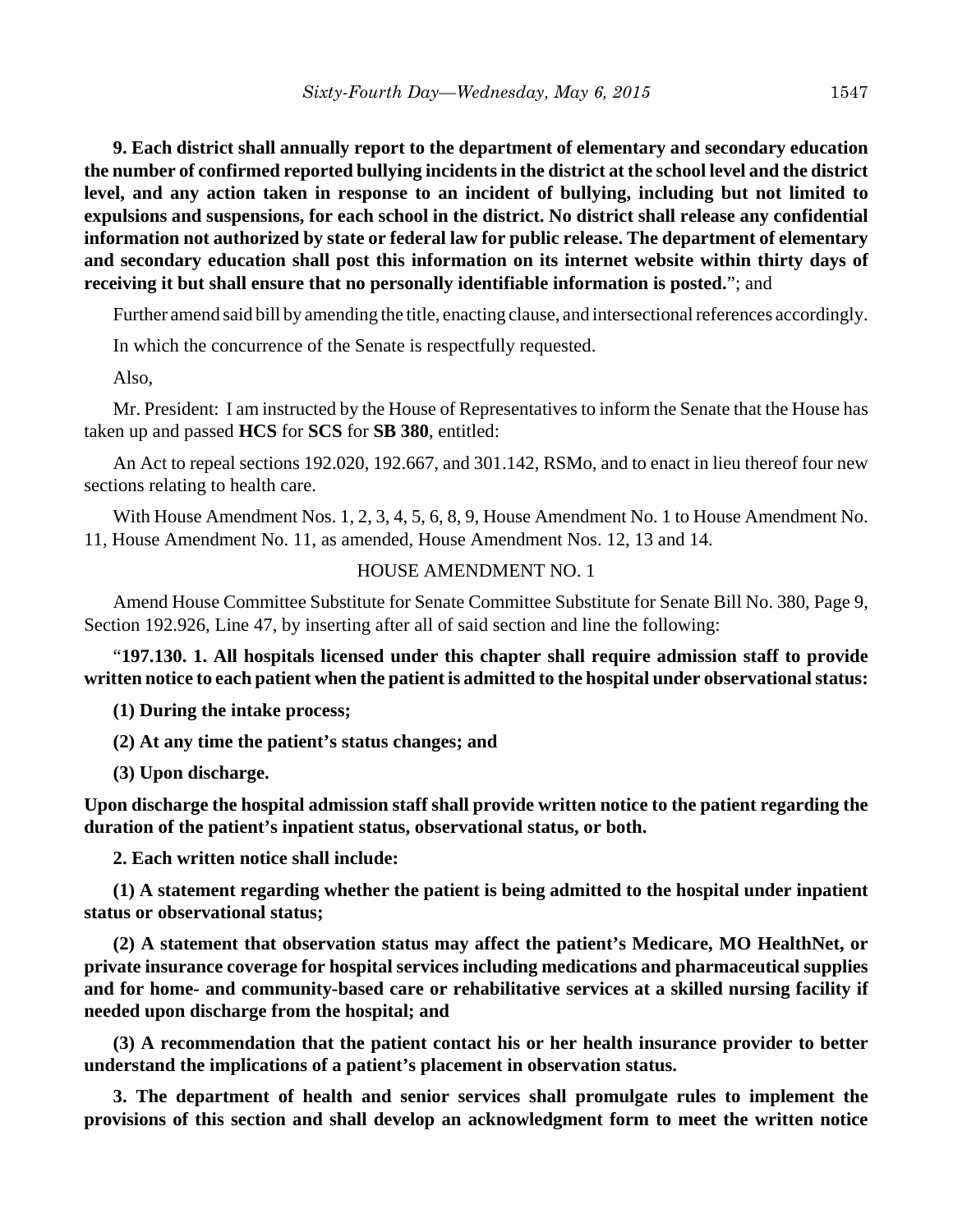**9. Each district shall annually report to the department of elementary and secondary education the number of confirmed reported bullying incidents in the district at the school level and the district level, and any action taken in response to an incident of bullying, including but not limited to expulsions and suspensions, for each school in the district. No district shall release any confidential information not authorized by state or federal law for public release. The department of elementary and secondary education shall post this information on its internet website within thirty days of receiving it but shall ensure that no personally identifiable information is posted.**"; and

Further amend said bill by amending the title, enacting clause, and intersectional references accordingly.

In which the concurrence of the Senate is respectfully requested.

Also,

Mr. President: I am instructed by the House of Representatives to inform the Senate that the House has taken up and passed **HCS** for **SCS** for **SB 380**, entitled:

An Act to repeal sections 192.020, 192.667, and 301.142, RSMo, and to enact in lieu thereof four new sections relating to health care.

With House Amendment Nos. 1, 2, 3, 4, 5, 6, 8, 9, House Amendment No. 1 to House Amendment No. 11, House Amendment No. 11, as amended, House Amendment Nos. 12, 13 and 14.

## HOUSE AMENDMENT NO. 1

Amend House Committee Substitute for Senate Committee Substitute for Senate Bill No. 380, Page 9, Section 192.926, Line 47, by inserting after all of said section and line the following:

"**197.130. 1. All hospitals licensed under this chapter shall require admission staff to provide written notice to each patient when the patient is admitted to the hospital under observational status:**

**(1) During the intake process;**

**(2) At any time the patient's status changes; and**

**(3) Upon discharge.**

**Upon discharge the hospital admission staff shall provide written notice to the patient regarding the duration of the patient's inpatient status, observational status, or both.**

**2. Each written notice shall include:**

**(1) A statement regarding whether the patient is being admitted to the hospital under inpatient status or observational status;**

**(2) A statement that observation status may affect the patient's Medicare, MO HealthNet, or private insurance coverage for hospital services including medications and pharmaceutical supplies and for home- and community-based care or rehabilitative services at a skilled nursing facility if needed upon discharge from the hospital; and**

**(3) A recommendation that the patient contact his or her health insurance provider to better understand the implications of a patient's placement in observation status.**

**3. The department of health and senior services shall promulgate rules to implement the provisions of this section and shall develop an acknowledgment form to meet the written notice**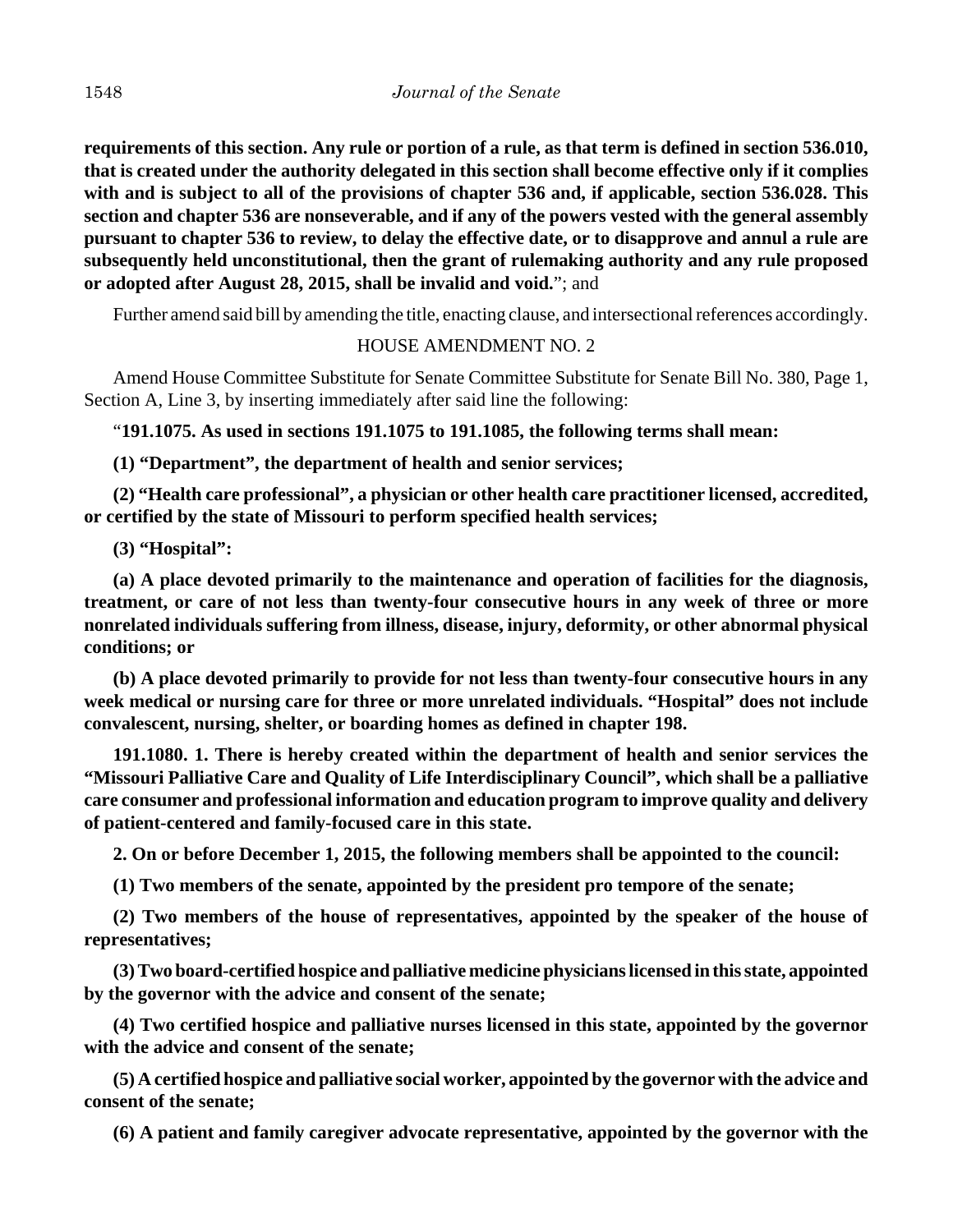**requirements of this section. Any rule or portion of a rule, as that term is defined in section 536.010, that is created under the authority delegated in this section shall become effective only if it complies with and is subject to all of the provisions of chapter 536 and, if applicable, section 536.028. This section and chapter 536 are nonseverable, and if any of the powers vested with the general assembly pursuant to chapter 536 to review, to delay the effective date, or to disapprove and annul a rule are subsequently held unconstitutional, then the grant of rulemaking authority and any rule proposed or adopted after August 28, 2015, shall be invalid and void.**"; and

Further amend said bill by amending the title, enacting clause, and intersectional references accordingly.

# HOUSE AMENDMENT NO. 2

Amend House Committee Substitute for Senate Committee Substitute for Senate Bill No. 380, Page 1, Section A, Line 3, by inserting immediately after said line the following:

"**191.1075. As used in sections 191.1075 to 191.1085, the following terms shall mean:**

**(1) "Department", the department of health and senior services;**

**(2) "Health care professional", a physician or other health care practitioner licensed, accredited, or certified by the state of Missouri to perform specified health services;**

**(3) "Hospital":**

**(a) A place devoted primarily to the maintenance and operation of facilities for the diagnosis, treatment, or care of not less than twenty-four consecutive hours in any week of three or more nonrelated individuals suffering from illness, disease, injury, deformity, or other abnormal physical conditions; or**

**(b) A place devoted primarily to provide for not less than twenty-four consecutive hours in any week medical or nursing care for three or more unrelated individuals. "Hospital" does not include convalescent, nursing, shelter, or boarding homes as defined in chapter 198.**

**191.1080. 1. There is hereby created within the department of health and senior services the "Missouri Palliative Care and Quality of Life Interdisciplinary Council", which shall be a palliative care consumer and professional information and education program to improve quality and delivery of patient-centered and family-focused care in this state.**

**2. On or before December 1, 2015, the following members shall be appointed to the council:**

**(1) Two members of the senate, appointed by the president pro tempore of the senate;**

**(2) Two members of the house of representatives, appointed by the speaker of the house of representatives;**

**(3) Two board-certified hospice and palliative medicine physicians licensed in this state, appointed by the governor with the advice and consent of the senate;**

**(4) Two certified hospice and palliative nurses licensed in this state, appointed by the governor with the advice and consent of the senate;**

**(5) A certified hospice and palliative social worker, appointed by the governor with the advice and consent of the senate;**

**(6) A patient and family caregiver advocate representative, appointed by the governor with the**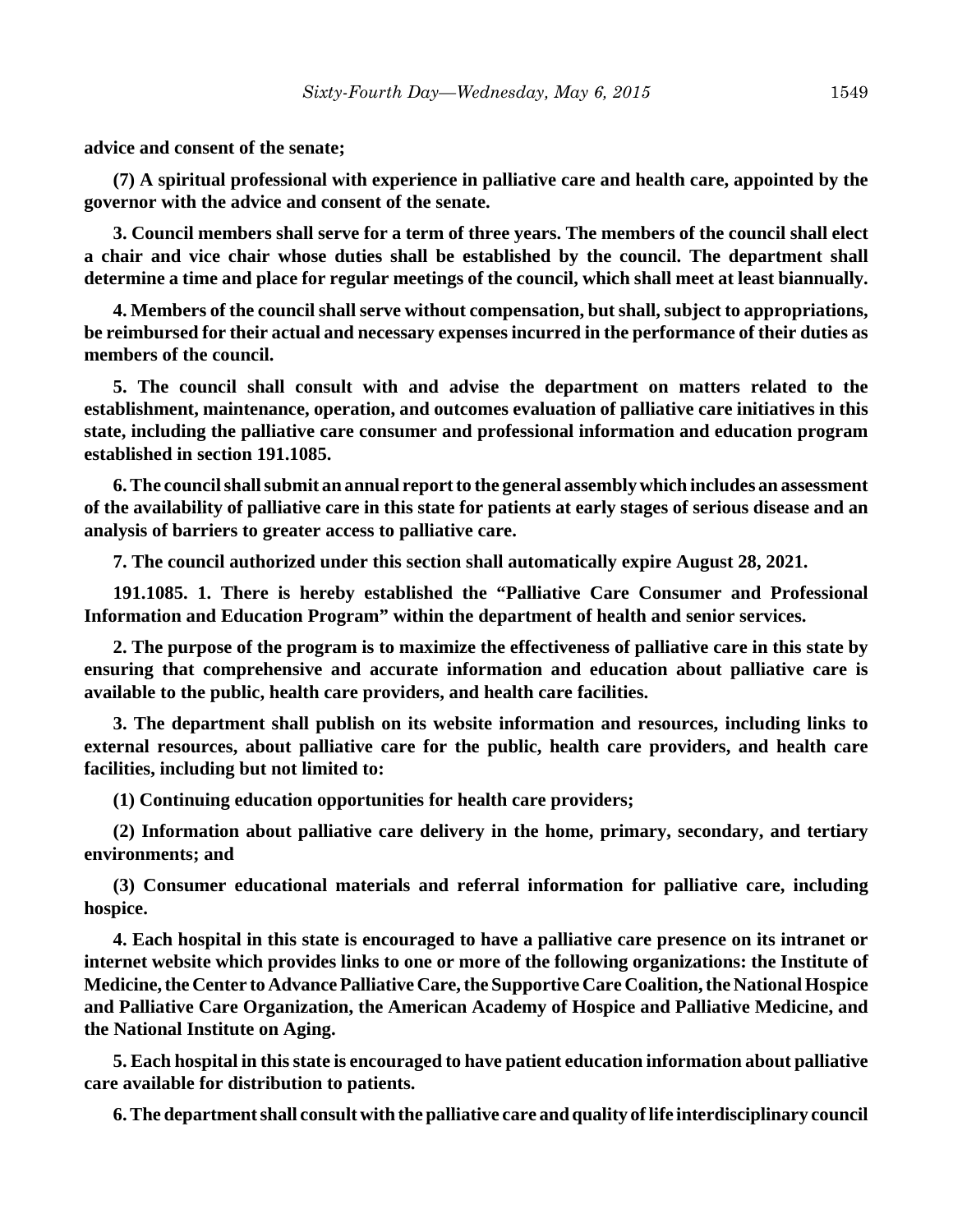**advice and consent of the senate;**

**(7) A spiritual professional with experience in palliative care and health care, appointed by the governor with the advice and consent of the senate.**

**3. Council members shall serve for a term of three years. The members of the council shall elect a chair and vice chair whose duties shall be established by the council. The department shall determine a time and place for regular meetings of the council, which shall meet at least biannually.**

**4. Members of the council shall serve without compensation, but shall, subject to appropriations, be reimbursed for their actual and necessary expenses incurred in the performance of their duties as members of the council.**

**5. The council shall consult with and advise the department on matters related to the establishment, maintenance, operation, and outcomes evaluation of palliative care initiatives in this state, including the palliative care consumer and professional information and education program established in section 191.1085.**

**6. The council shall submit an annual report to the general assembly which includes an assessment of the availability of palliative care in this state for patients at early stages of serious disease and an analysis of barriers to greater access to palliative care.**

**7. The council authorized under this section shall automatically expire August 28, 2021.**

**191.1085. 1. There is hereby established the "Palliative Care Consumer and Professional Information and Education Program" within the department of health and senior services.**

**2. The purpose of the program is to maximize the effectiveness of palliative care in this state by ensuring that comprehensive and accurate information and education about palliative care is available to the public, health care providers, and health care facilities.**

**3. The department shall publish on its website information and resources, including links to external resources, about palliative care for the public, health care providers, and health care facilities, including but not limited to:**

**(1) Continuing education opportunities for health care providers;**

**(2) Information about palliative care delivery in the home, primary, secondary, and tertiary environments; and**

**(3) Consumer educational materials and referral information for palliative care, including hospice.**

**4. Each hospital in this state is encouraged to have a palliative care presence on its intranet or internet website which provides links to one or more of the following organizations: the Institute of Medicine, the Center to Advance Palliative Care, the Supportive Care Coalition, the National Hospice and Palliative Care Organization, the American Academy of Hospice and Palliative Medicine, and the National Institute on Aging.**

**5. Each hospital in this state is encouraged to have patient education information about palliative care available for distribution to patients.**

**6. The department shall consult with the palliative care and quality of life interdisciplinary council**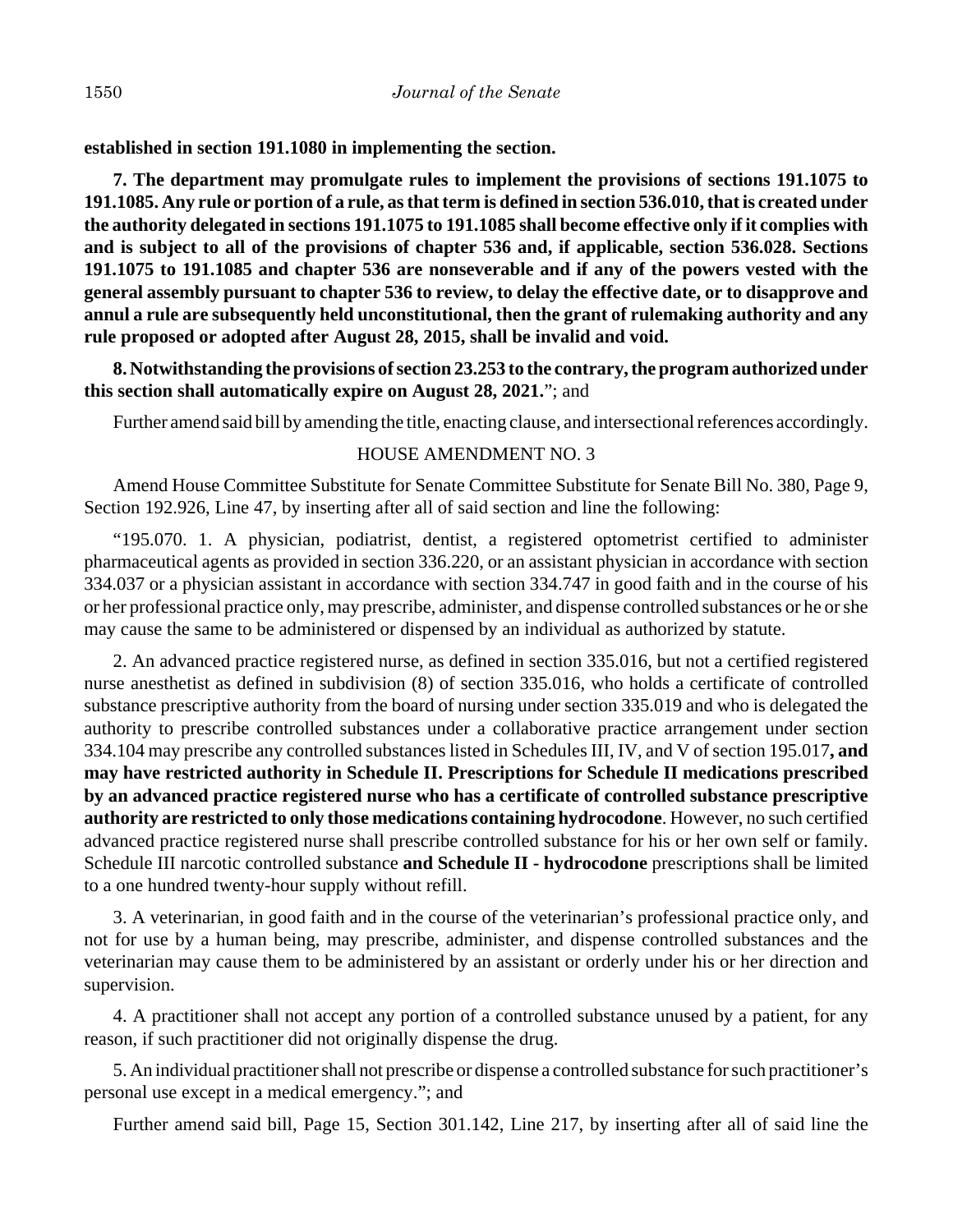**established in section 191.1080 in implementing the section.**

**7. The department may promulgate rules to implement the provisions of sections 191.1075 to 191.1085. Any rule or portion of a rule, as that term is defined in section 536.010, that is created under the authority delegated in sections 191.1075 to 191.1085 shall become effective only if it complies with and is subject to all of the provisions of chapter 536 and, if applicable, section 536.028. Sections 191.1075 to 191.1085 and chapter 536 are nonseverable and if any of the powers vested with the general assembly pursuant to chapter 536 to review, to delay the effective date, or to disapprove and annul a rule are subsequently held unconstitutional, then the grant of rulemaking authority and any rule proposed or adopted after August 28, 2015, shall be invalid and void.**

**8. Notwithstanding the provisions of section 23.253 to the contrary, the program authorized under this section shall automatically expire on August 28, 2021.**"; and

Further amend said bill by amending the title, enacting clause, and intersectional references accordingly.

## HOUSE AMENDMENT NO. 3

Amend House Committee Substitute for Senate Committee Substitute for Senate Bill No. 380, Page 9, Section 192.926, Line 47, by inserting after all of said section and line the following:

"195.070. 1. A physician, podiatrist, dentist, a registered optometrist certified to administer pharmaceutical agents as provided in section 336.220, or an assistant physician in accordance with section 334.037 or a physician assistant in accordance with section 334.747 in good faith and in the course of his or her professional practice only, may prescribe, administer, and dispense controlled substances or he or she may cause the same to be administered or dispensed by an individual as authorized by statute.

2. An advanced practice registered nurse, as defined in section 335.016, but not a certified registered nurse anesthetist as defined in subdivision (8) of section 335.016, who holds a certificate of controlled substance prescriptive authority from the board of nursing under section 335.019 and who is delegated the authority to prescribe controlled substances under a collaborative practice arrangement under section 334.104 may prescribe any controlled substances listed in Schedules III, IV, and V of section 195.017**, and may have restricted authority in Schedule II. Prescriptions for Schedule II medications prescribed by an advanced practice registered nurse who has a certificate of controlled substance prescriptive authority are restricted to only those medications containing hydrocodone**. However, no such certified advanced practice registered nurse shall prescribe controlled substance for his or her own self or family. Schedule III narcotic controlled substance **and Schedule II - hydrocodone** prescriptions shall be limited to a one hundred twenty-hour supply without refill.

3. A veterinarian, in good faith and in the course of the veterinarian's professional practice only, and not for use by a human being, may prescribe, administer, and dispense controlled substances and the veterinarian may cause them to be administered by an assistant or orderly under his or her direction and supervision.

4. A practitioner shall not accept any portion of a controlled substance unused by a patient, for any reason, if such practitioner did not originally dispense the drug.

5. An individual practitioner shall not prescribe or dispense a controlled substance for such practitioner's personal use except in a medical emergency."; and

Further amend said bill, Page 15, Section 301.142, Line 217, by inserting after all of said line the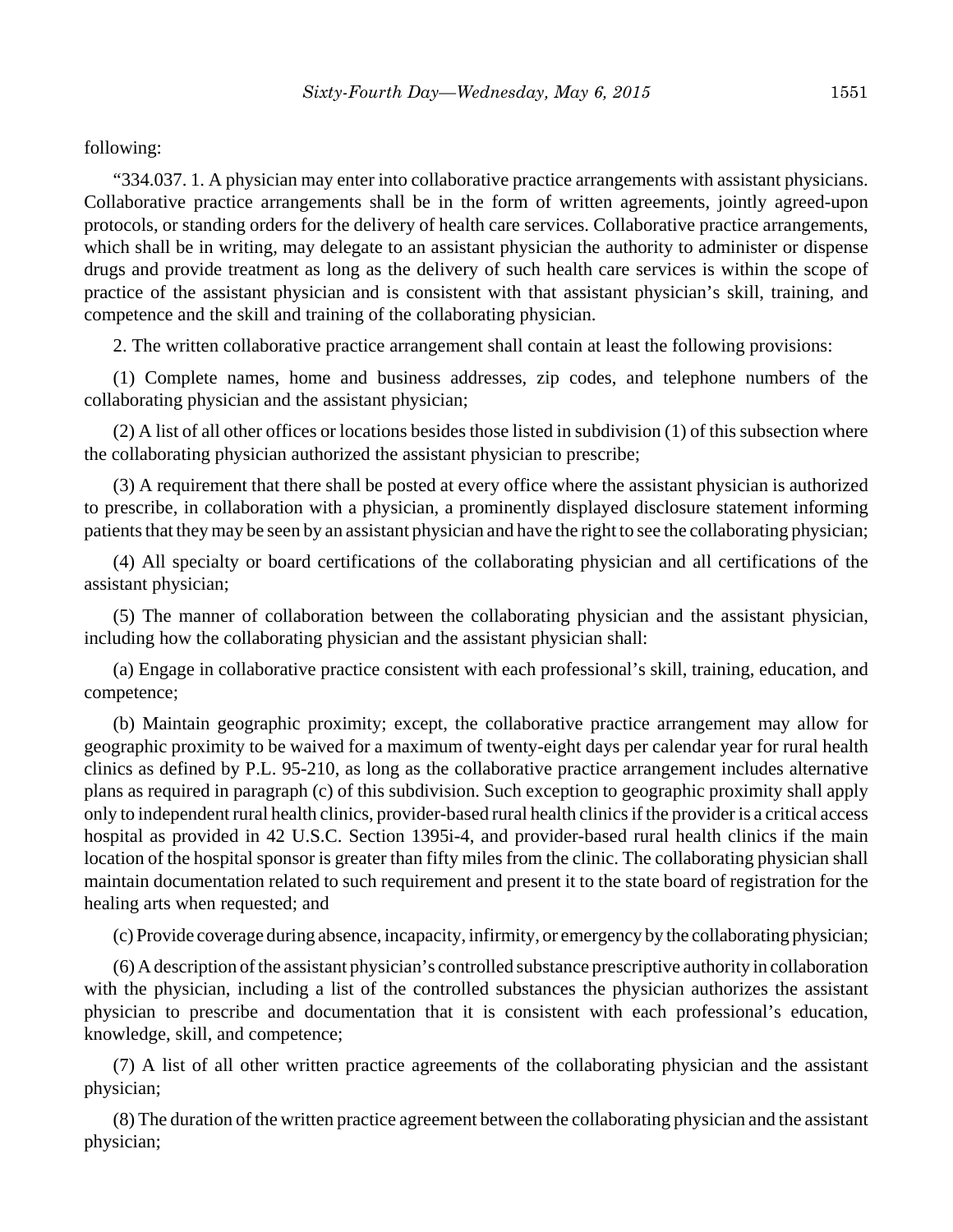following:

"334.037. 1. A physician may enter into collaborative practice arrangements with assistant physicians. Collaborative practice arrangements shall be in the form of written agreements, jointly agreed-upon protocols, or standing orders for the delivery of health care services. Collaborative practice arrangements, which shall be in writing, may delegate to an assistant physician the authority to administer or dispense drugs and provide treatment as long as the delivery of such health care services is within the scope of practice of the assistant physician and is consistent with that assistant physician's skill, training, and competence and the skill and training of the collaborating physician.

2. The written collaborative practice arrangement shall contain at least the following provisions:

(1) Complete names, home and business addresses, zip codes, and telephone numbers of the collaborating physician and the assistant physician;

(2) A list of all other offices or locations besides those listed in subdivision (1) of this subsection where the collaborating physician authorized the assistant physician to prescribe;

(3) A requirement that there shall be posted at every office where the assistant physician is authorized to prescribe, in collaboration with a physician, a prominently displayed disclosure statement informing patients that they may be seen by an assistant physician and have the right to see the collaborating physician;

(4) All specialty or board certifications of the collaborating physician and all certifications of the assistant physician;

(5) The manner of collaboration between the collaborating physician and the assistant physician, including how the collaborating physician and the assistant physician shall:

(a) Engage in collaborative practice consistent with each professional's skill, training, education, and competence;

(b) Maintain geographic proximity; except, the collaborative practice arrangement may allow for geographic proximity to be waived for a maximum of twenty-eight days per calendar year for rural health clinics as defined by P.L. 95-210, as long as the collaborative practice arrangement includes alternative plans as required in paragraph (c) of this subdivision. Such exception to geographic proximity shall apply only to independent rural health clinics, provider-based rural health clinics if the provider is a critical access hospital as provided in 42 U.S.C. Section 1395i-4, and provider-based rural health clinics if the main location of the hospital sponsor is greater than fifty miles from the clinic. The collaborating physician shall maintain documentation related to such requirement and present it to the state board of registration for the healing arts when requested; and

(c) Provide coverage during absence, incapacity, infirmity, or emergency by the collaborating physician;

(6) A description of the assistant physician's controlled substance prescriptive authority in collaboration with the physician, including a list of the controlled substances the physician authorizes the assistant physician to prescribe and documentation that it is consistent with each professional's education, knowledge, skill, and competence;

(7) A list of all other written practice agreements of the collaborating physician and the assistant physician;

(8) The duration of the written practice agreement between the collaborating physician and the assistant physician;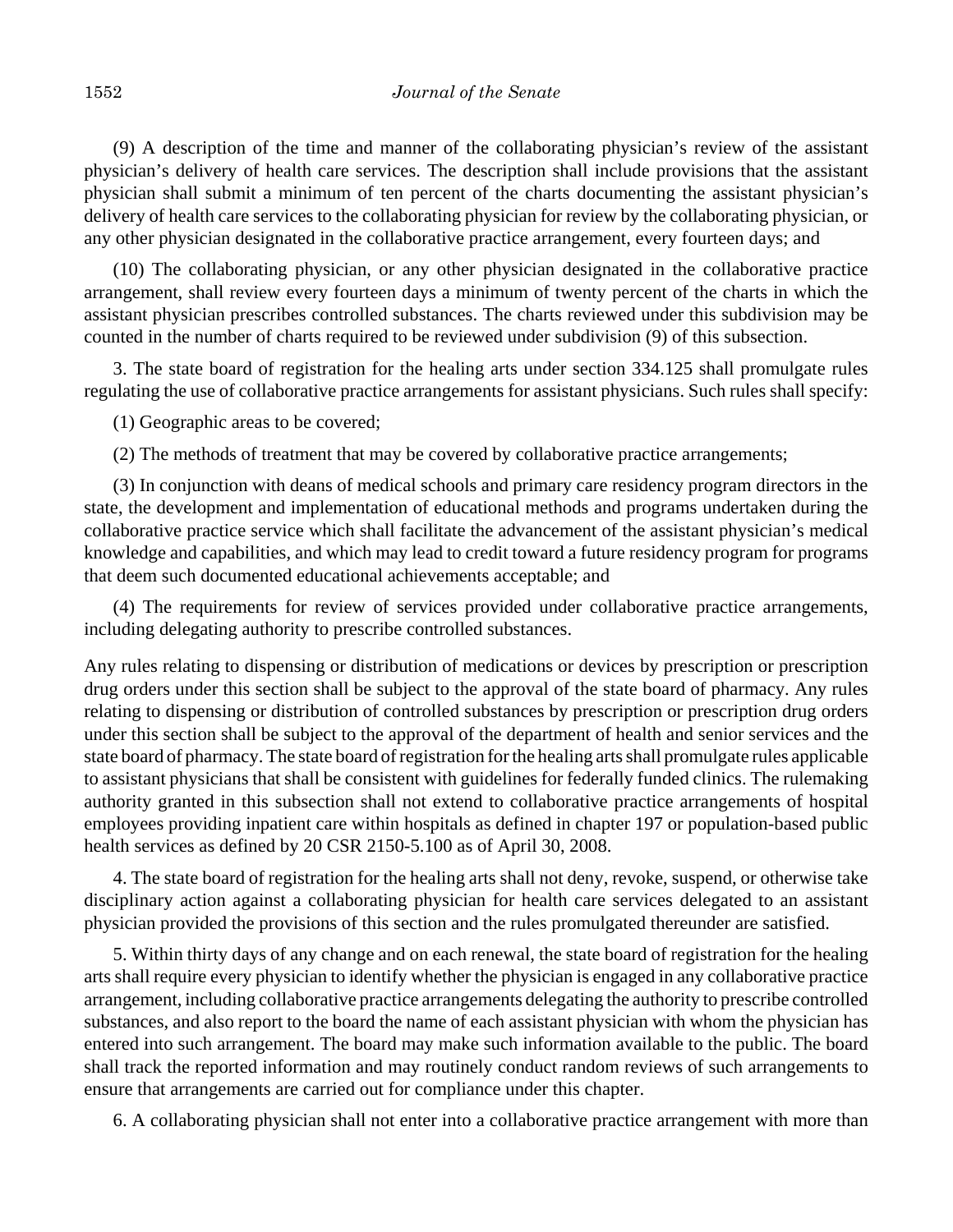(9) A description of the time and manner of the collaborating physician's review of the assistant physician's delivery of health care services. The description shall include provisions that the assistant physician shall submit a minimum of ten percent of the charts documenting the assistant physician's delivery of health care services to the collaborating physician for review by the collaborating physician, or any other physician designated in the collaborative practice arrangement, every fourteen days; and

(10) The collaborating physician, or any other physician designated in the collaborative practice arrangement, shall review every fourteen days a minimum of twenty percent of the charts in which the assistant physician prescribes controlled substances. The charts reviewed under this subdivision may be counted in the number of charts required to be reviewed under subdivision (9) of this subsection.

3. The state board of registration for the healing arts under section 334.125 shall promulgate rules regulating the use of collaborative practice arrangements for assistant physicians. Such rules shall specify:

(1) Geographic areas to be covered;

(2) The methods of treatment that may be covered by collaborative practice arrangements;

(3) In conjunction with deans of medical schools and primary care residency program directors in the state, the development and implementation of educational methods and programs undertaken during the collaborative practice service which shall facilitate the advancement of the assistant physician's medical knowledge and capabilities, and which may lead to credit toward a future residency program for programs that deem such documented educational achievements acceptable; and

(4) The requirements for review of services provided under collaborative practice arrangements, including delegating authority to prescribe controlled substances.

Any rules relating to dispensing or distribution of medications or devices by prescription or prescription drug orders under this section shall be subject to the approval of the state board of pharmacy. Any rules relating to dispensing or distribution of controlled substances by prescription or prescription drug orders under this section shall be subject to the approval of the department of health and senior services and the state board of pharmacy. The state board of registration for the healing arts shall promulgate rules applicable to assistant physicians that shall be consistent with guidelines for federally funded clinics. The rulemaking authority granted in this subsection shall not extend to collaborative practice arrangements of hospital employees providing inpatient care within hospitals as defined in chapter 197 or population-based public health services as defined by 20 CSR 2150-5.100 as of April 30, 2008.

4. The state board of registration for the healing arts shall not deny, revoke, suspend, or otherwise take disciplinary action against a collaborating physician for health care services delegated to an assistant physician provided the provisions of this section and the rules promulgated thereunder are satisfied.

5. Within thirty days of any change and on each renewal, the state board of registration for the healing arts shall require every physician to identify whether the physician is engaged in any collaborative practice arrangement, including collaborative practice arrangements delegating the authority to prescribe controlled substances, and also report to the board the name of each assistant physician with whom the physician has entered into such arrangement. The board may make such information available to the public. The board shall track the reported information and may routinely conduct random reviews of such arrangements to ensure that arrangements are carried out for compliance under this chapter.

6. A collaborating physician shall not enter into a collaborative practice arrangement with more than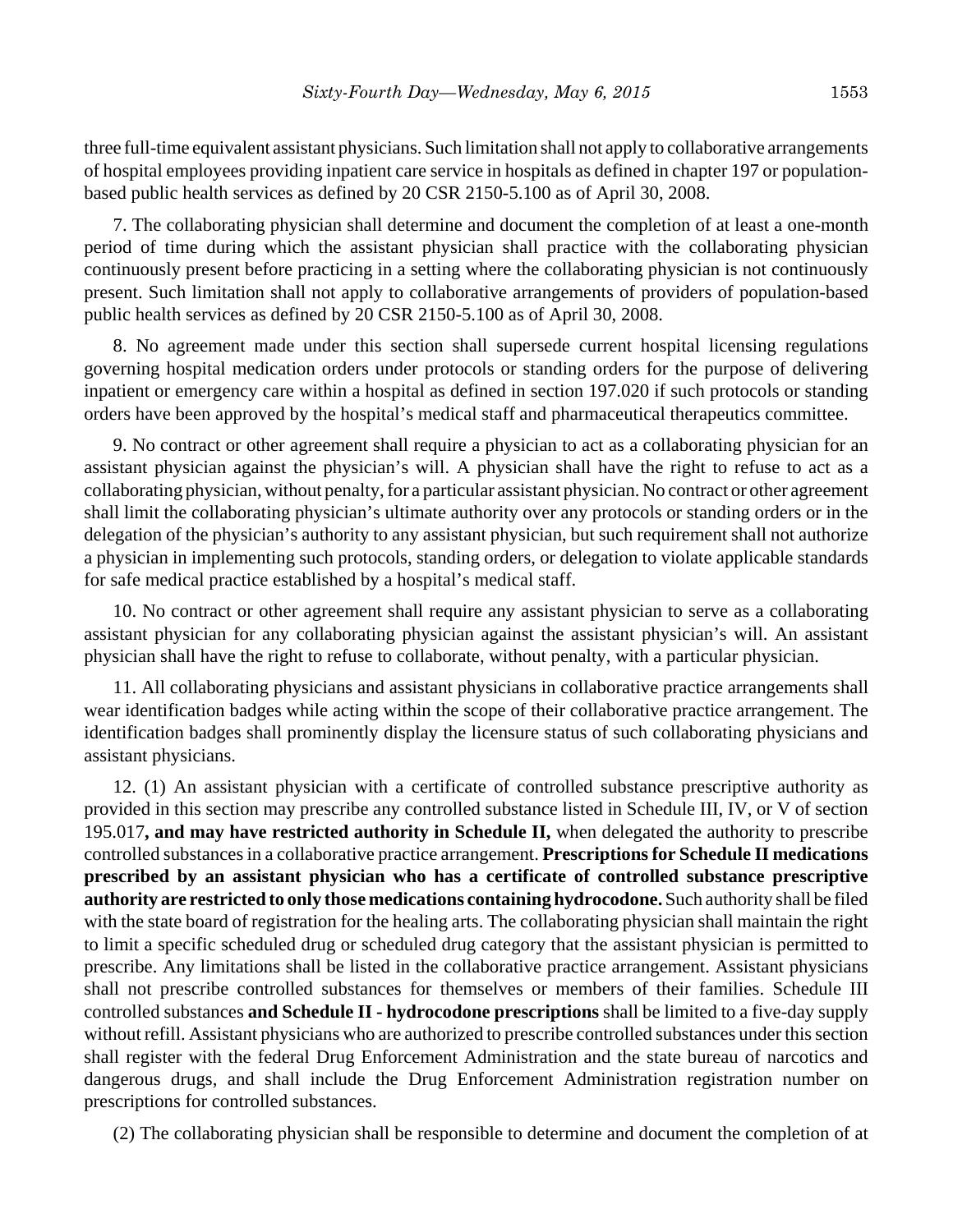three full-time equivalent assistant physicians. Such limitation shall not apply to collaborative arrangements of hospital employees providing inpatient care service in hospitals as defined in chapter 197 or populationbased public health services as defined by 20 CSR 2150-5.100 as of April 30, 2008.

7. The collaborating physician shall determine and document the completion of at least a one-month period of time during which the assistant physician shall practice with the collaborating physician continuously present before practicing in a setting where the collaborating physician is not continuously present. Such limitation shall not apply to collaborative arrangements of providers of population-based public health services as defined by 20 CSR 2150-5.100 as of April 30, 2008.

8. No agreement made under this section shall supersede current hospital licensing regulations governing hospital medication orders under protocols or standing orders for the purpose of delivering inpatient or emergency care within a hospital as defined in section 197.020 if such protocols or standing orders have been approved by the hospital's medical staff and pharmaceutical therapeutics committee.

9. No contract or other agreement shall require a physician to act as a collaborating physician for an assistant physician against the physician's will. A physician shall have the right to refuse to act as a collaborating physician, without penalty, for a particular assistant physician. No contract or other agreement shall limit the collaborating physician's ultimate authority over any protocols or standing orders or in the delegation of the physician's authority to any assistant physician, but such requirement shall not authorize a physician in implementing such protocols, standing orders, or delegation to violate applicable standards for safe medical practice established by a hospital's medical staff.

10. No contract or other agreement shall require any assistant physician to serve as a collaborating assistant physician for any collaborating physician against the assistant physician's will. An assistant physician shall have the right to refuse to collaborate, without penalty, with a particular physician.

11. All collaborating physicians and assistant physicians in collaborative practice arrangements shall wear identification badges while acting within the scope of their collaborative practice arrangement. The identification badges shall prominently display the licensure status of such collaborating physicians and assistant physicians.

12. (1) An assistant physician with a certificate of controlled substance prescriptive authority as provided in this section may prescribe any controlled substance listed in Schedule III, IV, or V of section 195.017**, and may have restricted authority in Schedule II,** when delegated the authority to prescribe controlled substances in a collaborative practice arrangement. **Prescriptions for Schedule II medications prescribed by an assistant physician who has a certificate of controlled substance prescriptive authority are restricted to only those medications containing hydrocodone.** Such authority shall be filed with the state board of registration for the healing arts. The collaborating physician shall maintain the right to limit a specific scheduled drug or scheduled drug category that the assistant physician is permitted to prescribe. Any limitations shall be listed in the collaborative practice arrangement. Assistant physicians shall not prescribe controlled substances for themselves or members of their families. Schedule III controlled substances **and Schedule II - hydrocodone prescriptions** shall be limited to a five-day supply without refill. Assistant physicians who are authorized to prescribe controlled substances under this section shall register with the federal Drug Enforcement Administration and the state bureau of narcotics and dangerous drugs, and shall include the Drug Enforcement Administration registration number on prescriptions for controlled substances.

(2) The collaborating physician shall be responsible to determine and document the completion of at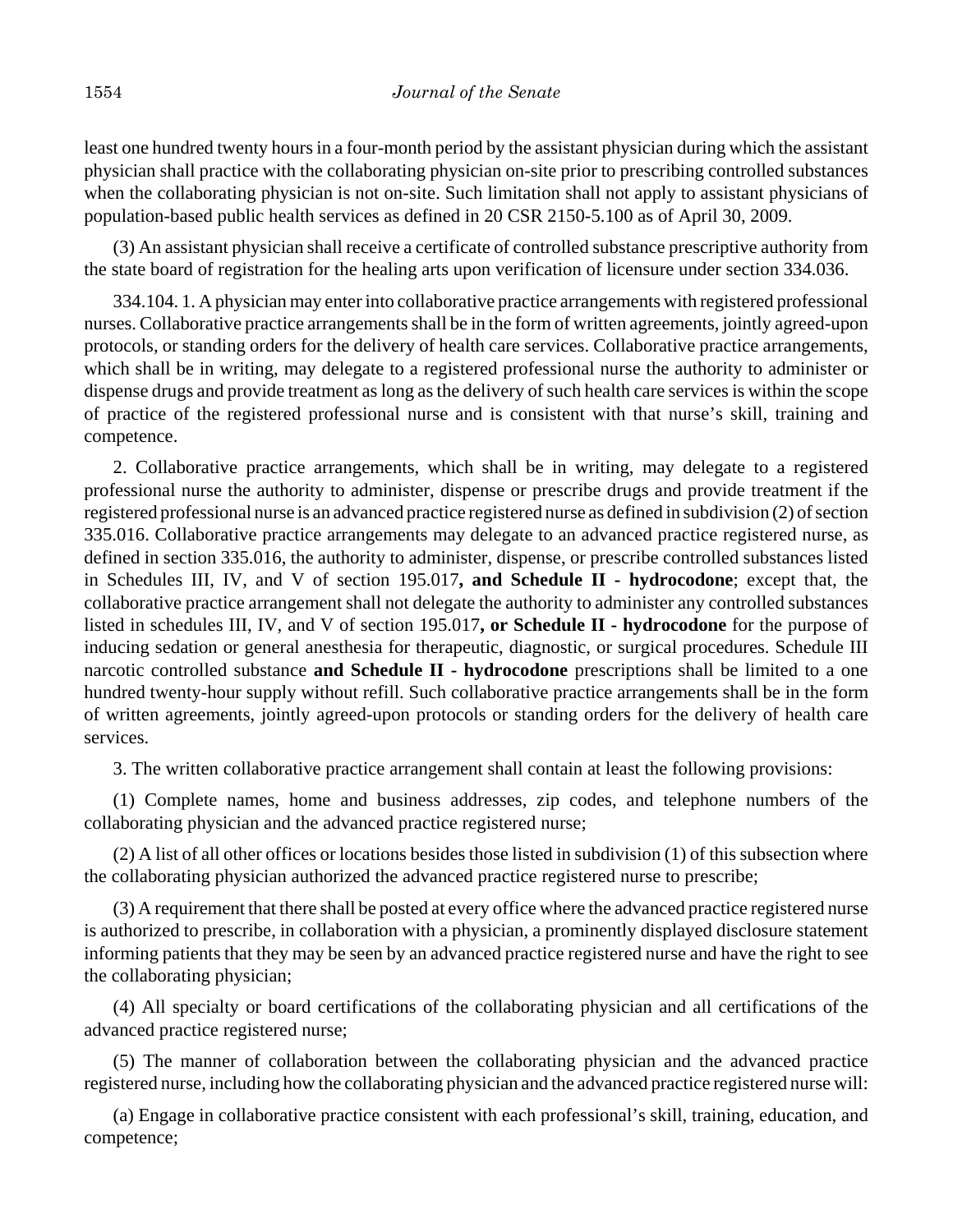least one hundred twenty hours in a four-month period by the assistant physician during which the assistant physician shall practice with the collaborating physician on-site prior to prescribing controlled substances when the collaborating physician is not on-site. Such limitation shall not apply to assistant physicians of population-based public health services as defined in 20 CSR 2150-5.100 as of April 30, 2009.

(3) An assistant physician shall receive a certificate of controlled substance prescriptive authority from the state board of registration for the healing arts upon verification of licensure under section 334.036.

334.104. 1. A physician may enter into collaborative practice arrangements with registered professional nurses. Collaborative practice arrangements shall be in the form of written agreements, jointly agreed-upon protocols, or standing orders for the delivery of health care services. Collaborative practice arrangements, which shall be in writing, may delegate to a registered professional nurse the authority to administer or dispense drugs and provide treatment as long as the delivery of such health care services is within the scope of practice of the registered professional nurse and is consistent with that nurse's skill, training and competence.

2. Collaborative practice arrangements, which shall be in writing, may delegate to a registered professional nurse the authority to administer, dispense or prescribe drugs and provide treatment if the registered professional nurse is an advanced practice registered nurse as defined in subdivision (2) of section 335.016. Collaborative practice arrangements may delegate to an advanced practice registered nurse, as defined in section 335.016, the authority to administer, dispense, or prescribe controlled substances listed in Schedules III, IV, and V of section 195.017**, and Schedule II - hydrocodone**; except that, the collaborative practice arrangement shall not delegate the authority to administer any controlled substances listed in schedules III, IV, and V of section 195.017**, or Schedule II - hydrocodone** for the purpose of inducing sedation or general anesthesia for therapeutic, diagnostic, or surgical procedures. Schedule III narcotic controlled substance **and Schedule II - hydrocodone** prescriptions shall be limited to a one hundred twenty-hour supply without refill. Such collaborative practice arrangements shall be in the form of written agreements, jointly agreed-upon protocols or standing orders for the delivery of health care services.

3. The written collaborative practice arrangement shall contain at least the following provisions:

(1) Complete names, home and business addresses, zip codes, and telephone numbers of the collaborating physician and the advanced practice registered nurse;

(2) A list of all other offices or locations besides those listed in subdivision (1) of this subsection where the collaborating physician authorized the advanced practice registered nurse to prescribe;

(3) A requirement that there shall be posted at every office where the advanced practice registered nurse is authorized to prescribe, in collaboration with a physician, a prominently displayed disclosure statement informing patients that they may be seen by an advanced practice registered nurse and have the right to see the collaborating physician;

(4) All specialty or board certifications of the collaborating physician and all certifications of the advanced practice registered nurse;

(5) The manner of collaboration between the collaborating physician and the advanced practice registered nurse, including how the collaborating physician and the advanced practice registered nurse will:

(a) Engage in collaborative practice consistent with each professional's skill, training, education, and competence;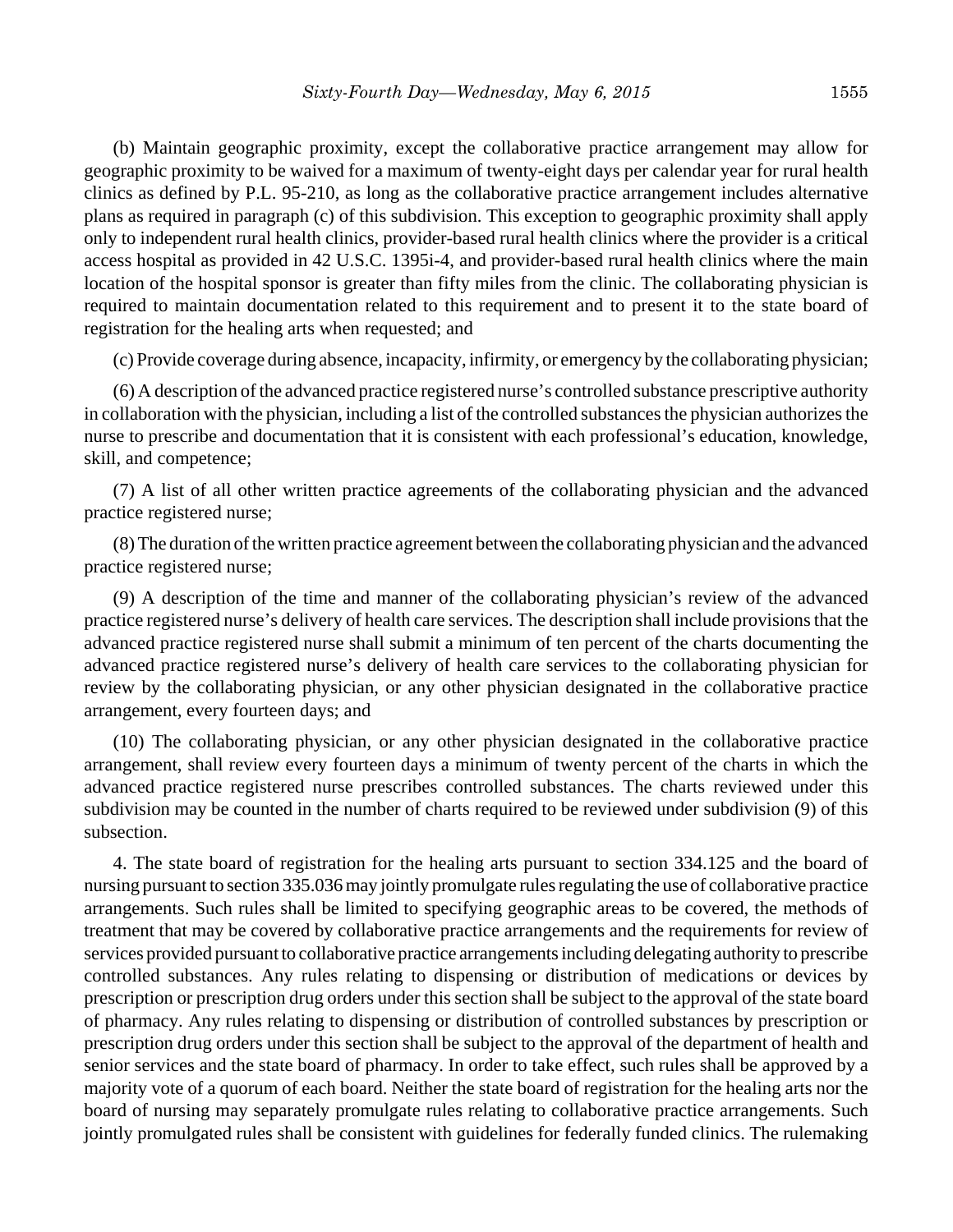(b) Maintain geographic proximity, except the collaborative practice arrangement may allow for geographic proximity to be waived for a maximum of twenty-eight days per calendar year for rural health clinics as defined by P.L. 95-210, as long as the collaborative practice arrangement includes alternative plans as required in paragraph (c) of this subdivision. This exception to geographic proximity shall apply only to independent rural health clinics, provider-based rural health clinics where the provider is a critical access hospital as provided in 42 U.S.C. 1395i-4, and provider-based rural health clinics where the main location of the hospital sponsor is greater than fifty miles from the clinic. The collaborating physician is required to maintain documentation related to this requirement and to present it to the state board of registration for the healing arts when requested; and

(c) Provide coverage during absence, incapacity, infirmity, or emergency by the collaborating physician;

(6) A description of the advanced practice registered nurse's controlled substance prescriptive authority in collaboration with the physician, including a list of the controlled substances the physician authorizes the nurse to prescribe and documentation that it is consistent with each professional's education, knowledge, skill, and competence;

(7) A list of all other written practice agreements of the collaborating physician and the advanced practice registered nurse;

(8) The duration of the written practice agreement between the collaborating physician and the advanced practice registered nurse;

(9) A description of the time and manner of the collaborating physician's review of the advanced practice registered nurse's delivery of health care services. The description shall include provisions that the advanced practice registered nurse shall submit a minimum of ten percent of the charts documenting the advanced practice registered nurse's delivery of health care services to the collaborating physician for review by the collaborating physician, or any other physician designated in the collaborative practice arrangement, every fourteen days; and

(10) The collaborating physician, or any other physician designated in the collaborative practice arrangement, shall review every fourteen days a minimum of twenty percent of the charts in which the advanced practice registered nurse prescribes controlled substances. The charts reviewed under this subdivision may be counted in the number of charts required to be reviewed under subdivision (9) of this subsection.

4. The state board of registration for the healing arts pursuant to section 334.125 and the board of nursing pursuant to section 335.036 may jointly promulgate rules regulating the use of collaborative practice arrangements. Such rules shall be limited to specifying geographic areas to be covered, the methods of treatment that may be covered by collaborative practice arrangements and the requirements for review of services provided pursuant to collaborative practice arrangements including delegating authority to prescribe controlled substances. Any rules relating to dispensing or distribution of medications or devices by prescription or prescription drug orders under this section shall be subject to the approval of the state board of pharmacy. Any rules relating to dispensing or distribution of controlled substances by prescription or prescription drug orders under this section shall be subject to the approval of the department of health and senior services and the state board of pharmacy. In order to take effect, such rules shall be approved by a majority vote of a quorum of each board. Neither the state board of registration for the healing arts nor the board of nursing may separately promulgate rules relating to collaborative practice arrangements. Such jointly promulgated rules shall be consistent with guidelines for federally funded clinics. The rulemaking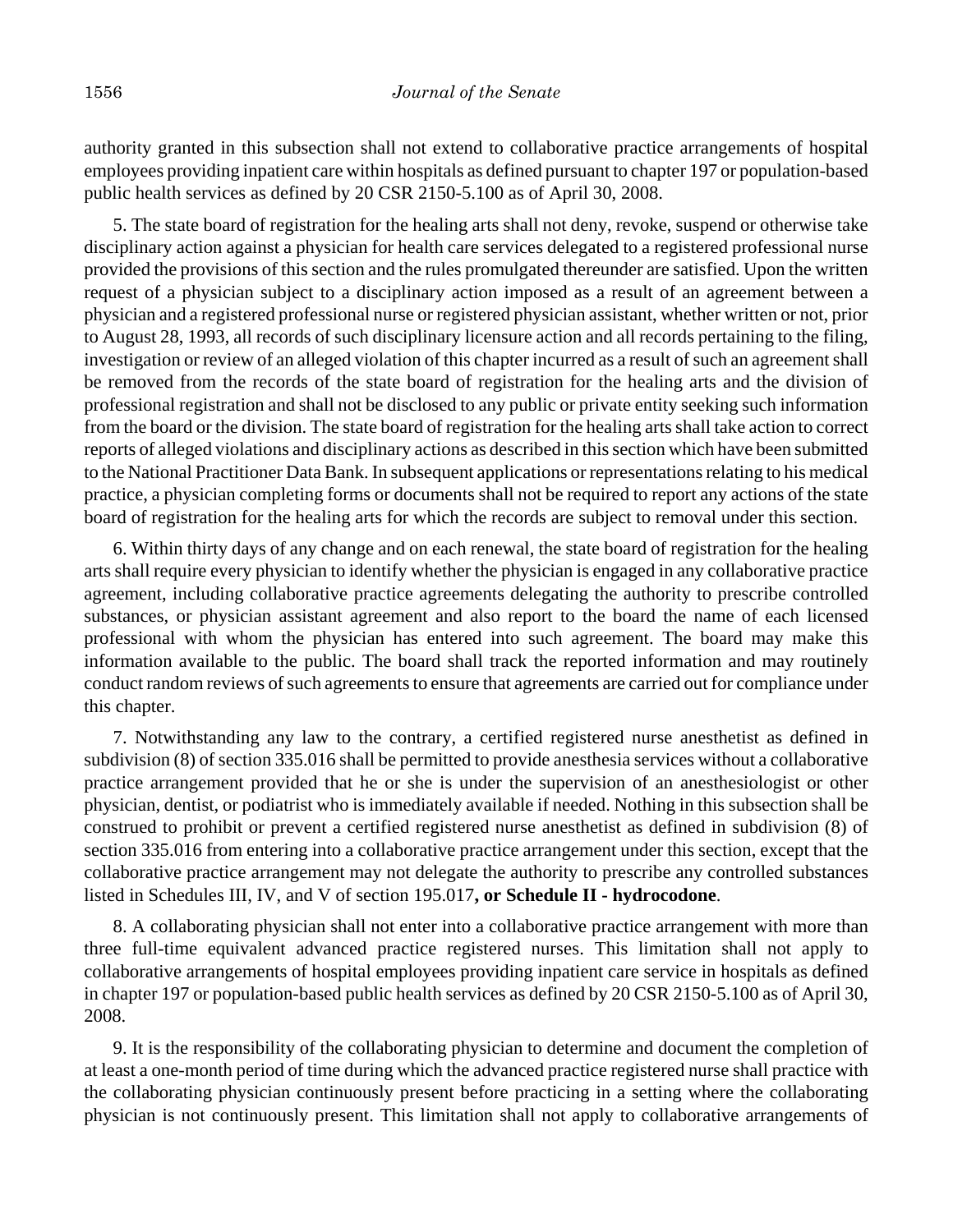authority granted in this subsection shall not extend to collaborative practice arrangements of hospital employees providing inpatient care within hospitals as defined pursuant to chapter 197 or population-based public health services as defined by 20 CSR 2150-5.100 as of April 30, 2008.

5. The state board of registration for the healing arts shall not deny, revoke, suspend or otherwise take disciplinary action against a physician for health care services delegated to a registered professional nurse provided the provisions of this section and the rules promulgated thereunder are satisfied. Upon the written request of a physician subject to a disciplinary action imposed as a result of an agreement between a physician and a registered professional nurse or registered physician assistant, whether written or not, prior to August 28, 1993, all records of such disciplinary licensure action and all records pertaining to the filing, investigation or review of an alleged violation of this chapter incurred as a result of such an agreement shall be removed from the records of the state board of registration for the healing arts and the division of professional registration and shall not be disclosed to any public or private entity seeking such information from the board or the division. The state board of registration for the healing arts shall take action to correct reports of alleged violations and disciplinary actions as described in this section which have been submitted to the National Practitioner Data Bank. In subsequent applications or representations relating to his medical practice, a physician completing forms or documents shall not be required to report any actions of the state board of registration for the healing arts for which the records are subject to removal under this section.

6. Within thirty days of any change and on each renewal, the state board of registration for the healing arts shall require every physician to identify whether the physician is engaged in any collaborative practice agreement, including collaborative practice agreements delegating the authority to prescribe controlled substances, or physician assistant agreement and also report to the board the name of each licensed professional with whom the physician has entered into such agreement. The board may make this information available to the public. The board shall track the reported information and may routinely conduct random reviews of such agreements to ensure that agreements are carried out for compliance under this chapter.

7. Notwithstanding any law to the contrary, a certified registered nurse anesthetist as defined in subdivision (8) of section 335.016 shall be permitted to provide anesthesia services without a collaborative practice arrangement provided that he or she is under the supervision of an anesthesiologist or other physician, dentist, or podiatrist who is immediately available if needed. Nothing in this subsection shall be construed to prohibit or prevent a certified registered nurse anesthetist as defined in subdivision (8) of section 335.016 from entering into a collaborative practice arrangement under this section, except that the collaborative practice arrangement may not delegate the authority to prescribe any controlled substances listed in Schedules III, IV, and V of section 195.017**, or Schedule II - hydrocodone**.

8. A collaborating physician shall not enter into a collaborative practice arrangement with more than three full-time equivalent advanced practice registered nurses. This limitation shall not apply to collaborative arrangements of hospital employees providing inpatient care service in hospitals as defined in chapter 197 or population-based public health services as defined by 20 CSR 2150-5.100 as of April 30, 2008.

9. It is the responsibility of the collaborating physician to determine and document the completion of at least a one-month period of time during which the advanced practice registered nurse shall practice with the collaborating physician continuously present before practicing in a setting where the collaborating physician is not continuously present. This limitation shall not apply to collaborative arrangements of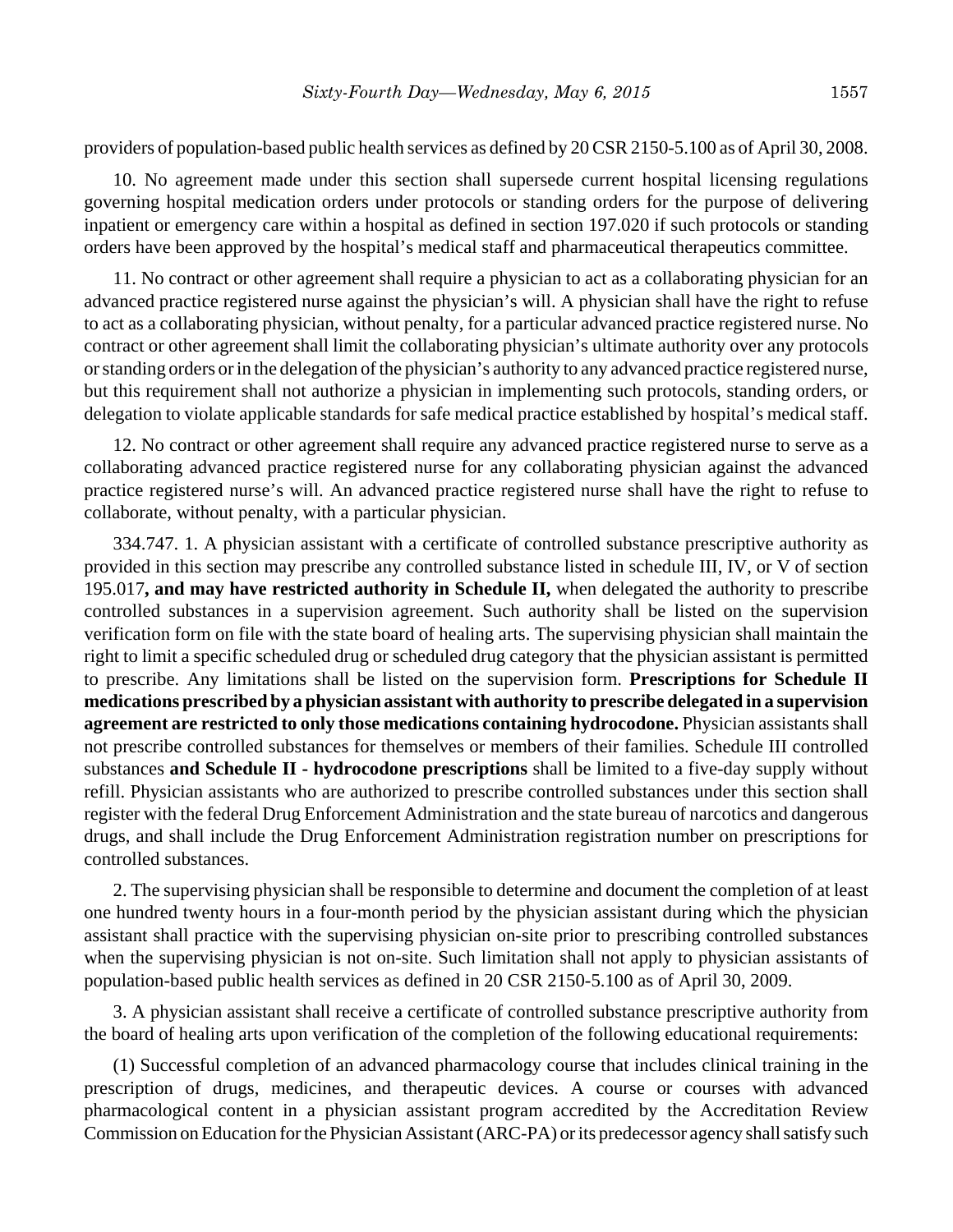providers of population-based public health services as defined by 20 CSR 2150-5.100 as of April 30, 2008.

10. No agreement made under this section shall supersede current hospital licensing regulations governing hospital medication orders under protocols or standing orders for the purpose of delivering inpatient or emergency care within a hospital as defined in section 197.020 if such protocols or standing orders have been approved by the hospital's medical staff and pharmaceutical therapeutics committee.

11. No contract or other agreement shall require a physician to act as a collaborating physician for an advanced practice registered nurse against the physician's will. A physician shall have the right to refuse to act as a collaborating physician, without penalty, for a particular advanced practice registered nurse. No contract or other agreement shall limit the collaborating physician's ultimate authority over any protocols or standing orders or in the delegation of the physician's authority to any advanced practice registered nurse, but this requirement shall not authorize a physician in implementing such protocols, standing orders, or delegation to violate applicable standards for safe medical practice established by hospital's medical staff.

12. No contract or other agreement shall require any advanced practice registered nurse to serve as a collaborating advanced practice registered nurse for any collaborating physician against the advanced practice registered nurse's will. An advanced practice registered nurse shall have the right to refuse to collaborate, without penalty, with a particular physician.

334.747. 1. A physician assistant with a certificate of controlled substance prescriptive authority as provided in this section may prescribe any controlled substance listed in schedule III, IV, or V of section 195.017**, and may have restricted authority in Schedule II,** when delegated the authority to prescribe controlled substances in a supervision agreement. Such authority shall be listed on the supervision verification form on file with the state board of healing arts. The supervising physician shall maintain the right to limit a specific scheduled drug or scheduled drug category that the physician assistant is permitted to prescribe. Any limitations shall be listed on the supervision form. **Prescriptions for Schedule II medications prescribed by a physician assistant with authority to prescribe delegated in a supervision agreement are restricted to only those medications containing hydrocodone.** Physician assistants shall not prescribe controlled substances for themselves or members of their families. Schedule III controlled substances **and Schedule II - hydrocodone prescriptions** shall be limited to a five-day supply without refill. Physician assistants who are authorized to prescribe controlled substances under this section shall register with the federal Drug Enforcement Administration and the state bureau of narcotics and dangerous drugs, and shall include the Drug Enforcement Administration registration number on prescriptions for controlled substances.

2. The supervising physician shall be responsible to determine and document the completion of at least one hundred twenty hours in a four-month period by the physician assistant during which the physician assistant shall practice with the supervising physician on-site prior to prescribing controlled substances when the supervising physician is not on-site. Such limitation shall not apply to physician assistants of population-based public health services as defined in 20 CSR 2150-5.100 as of April 30, 2009.

3. A physician assistant shall receive a certificate of controlled substance prescriptive authority from the board of healing arts upon verification of the completion of the following educational requirements:

(1) Successful completion of an advanced pharmacology course that includes clinical training in the prescription of drugs, medicines, and therapeutic devices. A course or courses with advanced pharmacological content in a physician assistant program accredited by the Accreditation Review Commission on Education for the Physician Assistant (ARC-PA) or its predecessor agency shall satisfy such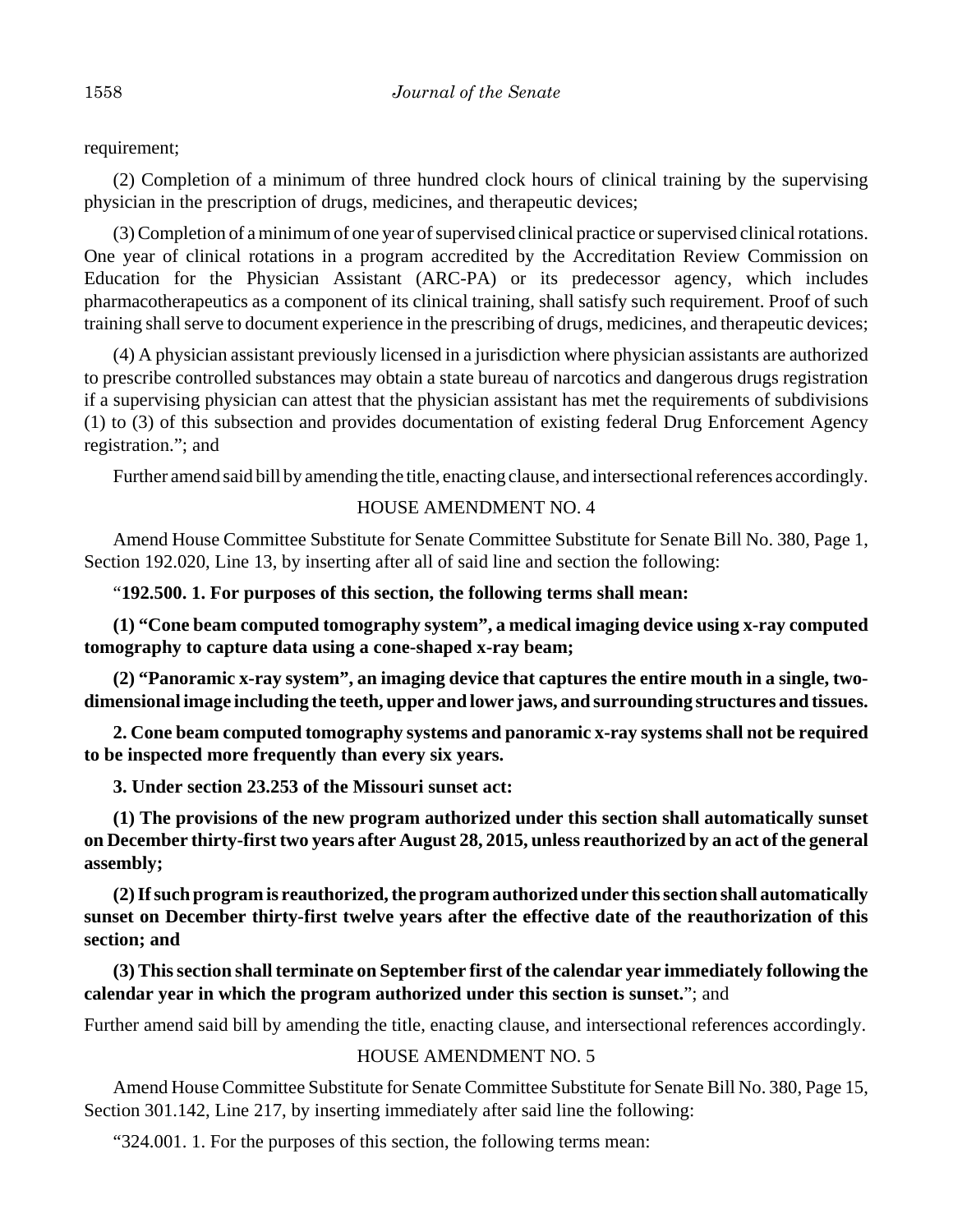requirement;

(2) Completion of a minimum of three hundred clock hours of clinical training by the supervising physician in the prescription of drugs, medicines, and therapeutic devices;

(3) Completion of a minimum of one year of supervised clinical practice or supervised clinical rotations. One year of clinical rotations in a program accredited by the Accreditation Review Commission on Education for the Physician Assistant (ARC-PA) or its predecessor agency, which includes pharmacotherapeutics as a component of its clinical training, shall satisfy such requirement. Proof of such training shall serve to document experience in the prescribing of drugs, medicines, and therapeutic devices;

(4) A physician assistant previously licensed in a jurisdiction where physician assistants are authorized to prescribe controlled substances may obtain a state bureau of narcotics and dangerous drugs registration if a supervising physician can attest that the physician assistant has met the requirements of subdivisions (1) to (3) of this subsection and provides documentation of existing federal Drug Enforcement Agency registration."; and

Further amend said bill by amending the title, enacting clause, and intersectional references accordingly.

## HOUSE AMENDMENT NO. 4

Amend House Committee Substitute for Senate Committee Substitute for Senate Bill No. 380, Page 1, Section 192.020, Line 13, by inserting after all of said line and section the following:

## "**192.500. 1. For purposes of this section, the following terms shall mean:**

**(1) "Cone beam computed tomography system", a medical imaging device using x-ray computed tomography to capture data using a cone-shaped x-ray beam;**

**(2) "Panoramic x-ray system", an imaging device that captures the entire mouth in a single, twodimensional image including the teeth, upper and lower jaws, and surrounding structures and tissues.**

**2. Cone beam computed tomography systems and panoramic x-ray systems shall not be required to be inspected more frequently than every six years.**

**3. Under section 23.253 of the Missouri sunset act:**

**(1) The provisions of the new program authorized under this section shall automatically sunset on December thirty-first two years after August 28, 2015, unless reauthorized by an act of the general assembly;**

**(2) If such program is reauthorized, the program authorized under this section shall automatically sunset on December thirty-first twelve years after the effective date of the reauthorization of this section; and**

**(3) This section shall terminate on September first of the calendar year immediately following the calendar year in which the program authorized under this section is sunset.**"; and

Further amend said bill by amending the title, enacting clause, and intersectional references accordingly.

## HOUSE AMENDMENT NO. 5

Amend House Committee Substitute for Senate Committee Substitute for Senate Bill No. 380, Page 15, Section 301.142, Line 217, by inserting immediately after said line the following:

"324.001. 1. For the purposes of this section, the following terms mean: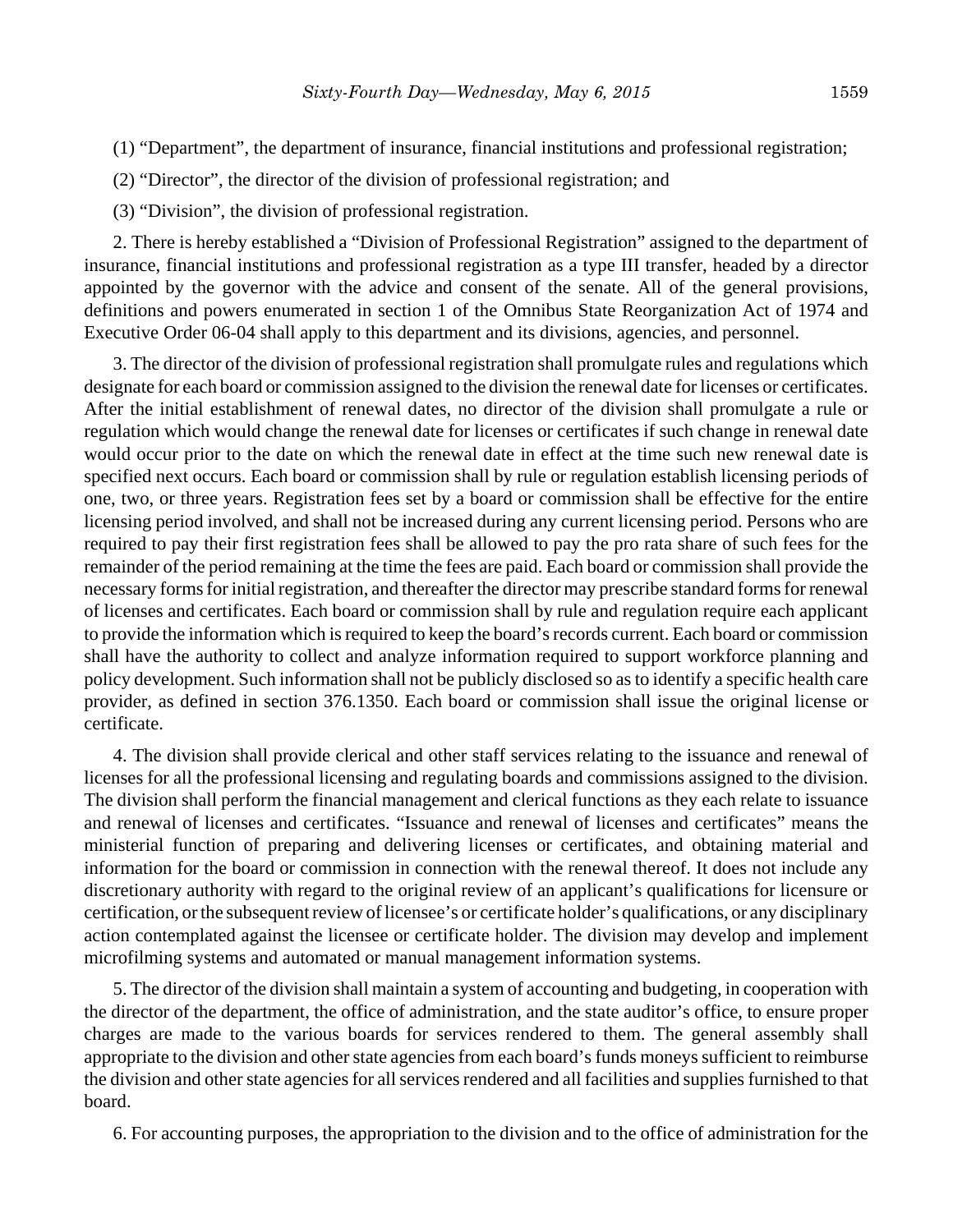- (1) "Department", the department of insurance, financial institutions and professional registration;
- (2) "Director", the director of the division of professional registration; and
- (3) "Division", the division of professional registration.

2. There is hereby established a "Division of Professional Registration" assigned to the department of insurance, financial institutions and professional registration as a type III transfer, headed by a director appointed by the governor with the advice and consent of the senate. All of the general provisions, definitions and powers enumerated in section 1 of the Omnibus State Reorganization Act of 1974 and Executive Order 06-04 shall apply to this department and its divisions, agencies, and personnel.

3. The director of the division of professional registration shall promulgate rules and regulations which designate for each board or commission assigned to the division the renewal date for licenses or certificates. After the initial establishment of renewal dates, no director of the division shall promulgate a rule or regulation which would change the renewal date for licenses or certificates if such change in renewal date would occur prior to the date on which the renewal date in effect at the time such new renewal date is specified next occurs. Each board or commission shall by rule or regulation establish licensing periods of one, two, or three years. Registration fees set by a board or commission shall be effective for the entire licensing period involved, and shall not be increased during any current licensing period. Persons who are required to pay their first registration fees shall be allowed to pay the pro rata share of such fees for the remainder of the period remaining at the time the fees are paid. Each board or commission shall provide the necessary forms for initial registration, and thereafter the director may prescribe standard forms for renewal of licenses and certificates. Each board or commission shall by rule and regulation require each applicant to provide the information which is required to keep the board's records current. Each board or commission shall have the authority to collect and analyze information required to support workforce planning and policy development. Such information shall not be publicly disclosed so as to identify a specific health care provider, as defined in section 376.1350. Each board or commission shall issue the original license or certificate.

4. The division shall provide clerical and other staff services relating to the issuance and renewal of licenses for all the professional licensing and regulating boards and commissions assigned to the division. The division shall perform the financial management and clerical functions as they each relate to issuance and renewal of licenses and certificates. "Issuance and renewal of licenses and certificates" means the ministerial function of preparing and delivering licenses or certificates, and obtaining material and information for the board or commission in connection with the renewal thereof. It does not include any discretionary authority with regard to the original review of an applicant's qualifications for licensure or certification, or the subsequent review of licensee's or certificate holder's qualifications, or any disciplinary action contemplated against the licensee or certificate holder. The division may develop and implement microfilming systems and automated or manual management information systems.

5. The director of the division shall maintain a system of accounting and budgeting, in cooperation with the director of the department, the office of administration, and the state auditor's office, to ensure proper charges are made to the various boards for services rendered to them. The general assembly shall appropriate to the division and other state agencies from each board's funds moneys sufficient to reimburse the division and other state agencies for all services rendered and all facilities and supplies furnished to that board.

6. For accounting purposes, the appropriation to the division and to the office of administration for the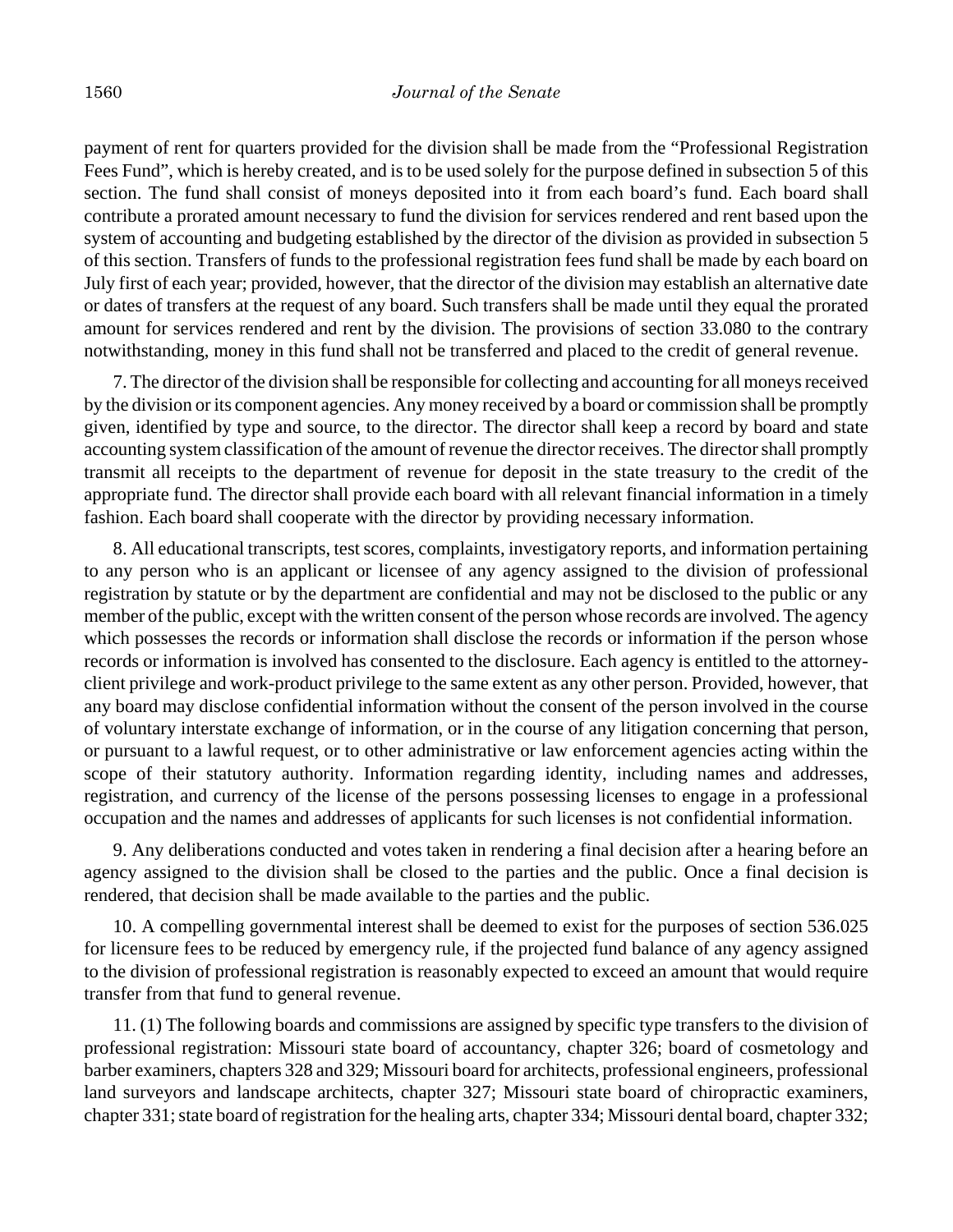payment of rent for quarters provided for the division shall be made from the "Professional Registration Fees Fund", which is hereby created, and is to be used solely for the purpose defined in subsection 5 of this section. The fund shall consist of moneys deposited into it from each board's fund. Each board shall contribute a prorated amount necessary to fund the division for services rendered and rent based upon the system of accounting and budgeting established by the director of the division as provided in subsection 5 of this section. Transfers of funds to the professional registration fees fund shall be made by each board on July first of each year; provided, however, that the director of the division may establish an alternative date or dates of transfers at the request of any board. Such transfers shall be made until they equal the prorated amount for services rendered and rent by the division. The provisions of section 33.080 to the contrary notwithstanding, money in this fund shall not be transferred and placed to the credit of general revenue.

7. The director of the division shall be responsible for collecting and accounting for all moneys received by the division or its component agencies. Any money received by a board or commission shall be promptly given, identified by type and source, to the director. The director shall keep a record by board and state accounting system classification of the amount of revenue the director receives. The director shall promptly transmit all receipts to the department of revenue for deposit in the state treasury to the credit of the appropriate fund. The director shall provide each board with all relevant financial information in a timely fashion. Each board shall cooperate with the director by providing necessary information.

8. All educational transcripts, test scores, complaints, investigatory reports, and information pertaining to any person who is an applicant or licensee of any agency assigned to the division of professional registration by statute or by the department are confidential and may not be disclosed to the public or any member of the public, except with the written consent of the person whose records are involved. The agency which possesses the records or information shall disclose the records or information if the person whose records or information is involved has consented to the disclosure. Each agency is entitled to the attorneyclient privilege and work-product privilege to the same extent as any other person. Provided, however, that any board may disclose confidential information without the consent of the person involved in the course of voluntary interstate exchange of information, or in the course of any litigation concerning that person, or pursuant to a lawful request, or to other administrative or law enforcement agencies acting within the scope of their statutory authority. Information regarding identity, including names and addresses, registration, and currency of the license of the persons possessing licenses to engage in a professional occupation and the names and addresses of applicants for such licenses is not confidential information.

9. Any deliberations conducted and votes taken in rendering a final decision after a hearing before an agency assigned to the division shall be closed to the parties and the public. Once a final decision is rendered, that decision shall be made available to the parties and the public.

10. A compelling governmental interest shall be deemed to exist for the purposes of section 536.025 for licensure fees to be reduced by emergency rule, if the projected fund balance of any agency assigned to the division of professional registration is reasonably expected to exceed an amount that would require transfer from that fund to general revenue.

11. (1) The following boards and commissions are assigned by specific type transfers to the division of professional registration: Missouri state board of accountancy, chapter 326; board of cosmetology and barber examiners, chapters 328 and 329; Missouri board for architects, professional engineers, professional land surveyors and landscape architects, chapter 327; Missouri state board of chiropractic examiners, chapter 331; state board of registration for the healing arts, chapter 334; Missouri dental board, chapter 332;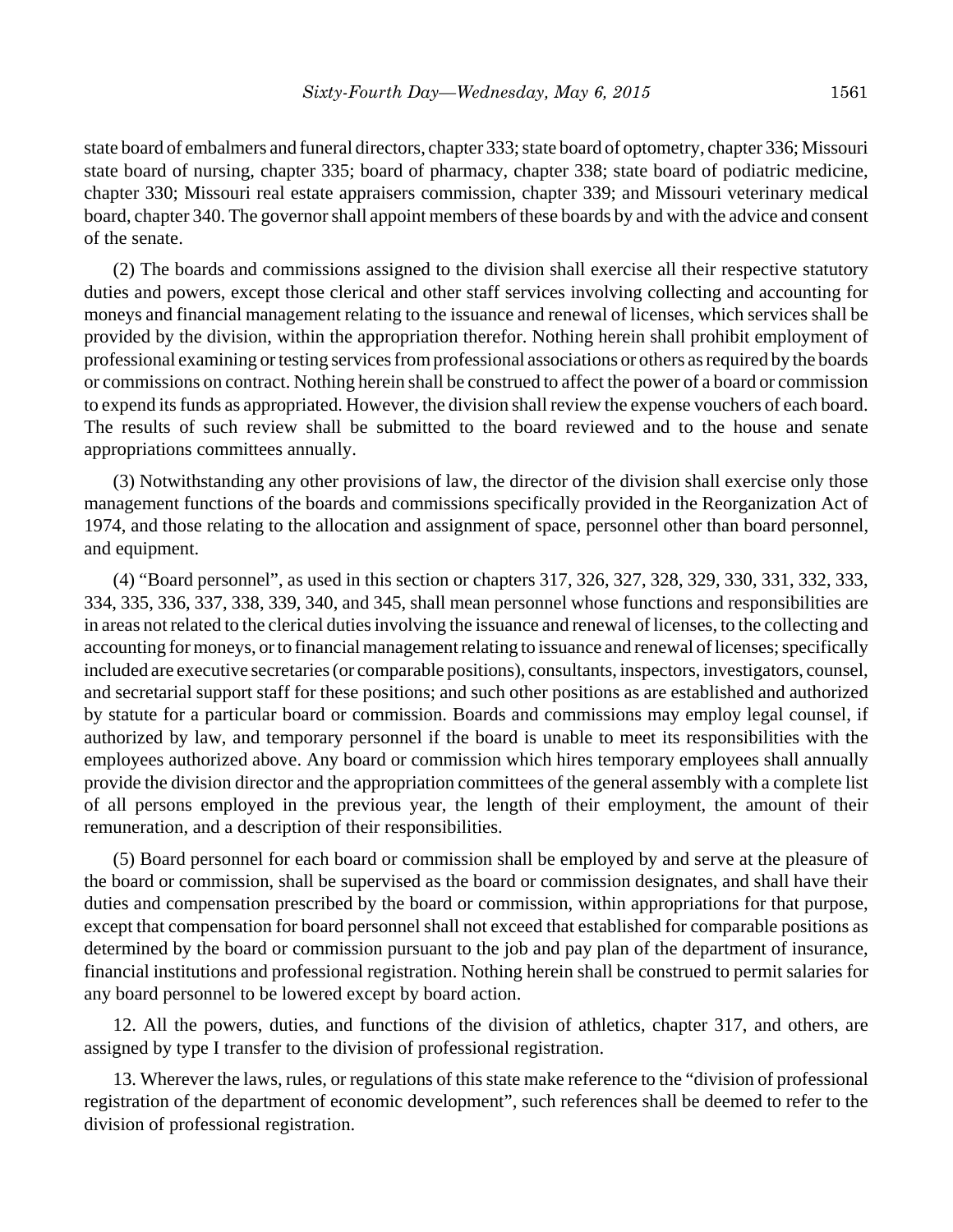state board of embalmers and funeral directors, chapter 333; state board of optometry, chapter 336; Missouri state board of nursing, chapter 335; board of pharmacy, chapter 338; state board of podiatric medicine, chapter 330; Missouri real estate appraisers commission, chapter 339; and Missouri veterinary medical board, chapter 340. The governor shall appoint members of these boards by and with the advice and consent of the senate.

(2) The boards and commissions assigned to the division shall exercise all their respective statutory duties and powers, except those clerical and other staff services involving collecting and accounting for moneys and financial management relating to the issuance and renewal of licenses, which services shall be provided by the division, within the appropriation therefor. Nothing herein shall prohibit employment of professional examining or testing services from professional associations or others as required by the boards or commissions on contract. Nothing herein shall be construed to affect the power of a board or commission to expend its funds as appropriated. However, the division shall review the expense vouchers of each board. The results of such review shall be submitted to the board reviewed and to the house and senate appropriations committees annually.

(3) Notwithstanding any other provisions of law, the director of the division shall exercise only those management functions of the boards and commissions specifically provided in the Reorganization Act of 1974, and those relating to the allocation and assignment of space, personnel other than board personnel, and equipment.

(4) "Board personnel", as used in this section or chapters 317, 326, 327, 328, 329, 330, 331, 332, 333, 334, 335, 336, 337, 338, 339, 340, and 345, shall mean personnel whose functions and responsibilities are in areas not related to the clerical duties involving the issuance and renewal of licenses, to the collecting and accounting for moneys, or to financial management relating to issuance and renewal of licenses; specifically included are executive secretaries (or comparable positions), consultants, inspectors, investigators, counsel, and secretarial support staff for these positions; and such other positions as are established and authorized by statute for a particular board or commission. Boards and commissions may employ legal counsel, if authorized by law, and temporary personnel if the board is unable to meet its responsibilities with the employees authorized above. Any board or commission which hires temporary employees shall annually provide the division director and the appropriation committees of the general assembly with a complete list of all persons employed in the previous year, the length of their employment, the amount of their remuneration, and a description of their responsibilities.

(5) Board personnel for each board or commission shall be employed by and serve at the pleasure of the board or commission, shall be supervised as the board or commission designates, and shall have their duties and compensation prescribed by the board or commission, within appropriations for that purpose, except that compensation for board personnel shall not exceed that established for comparable positions as determined by the board or commission pursuant to the job and pay plan of the department of insurance, financial institutions and professional registration. Nothing herein shall be construed to permit salaries for any board personnel to be lowered except by board action.

12. All the powers, duties, and functions of the division of athletics, chapter 317, and others, are assigned by type I transfer to the division of professional registration.

13. Wherever the laws, rules, or regulations of this state make reference to the "division of professional registration of the department of economic development", such references shall be deemed to refer to the division of professional registration.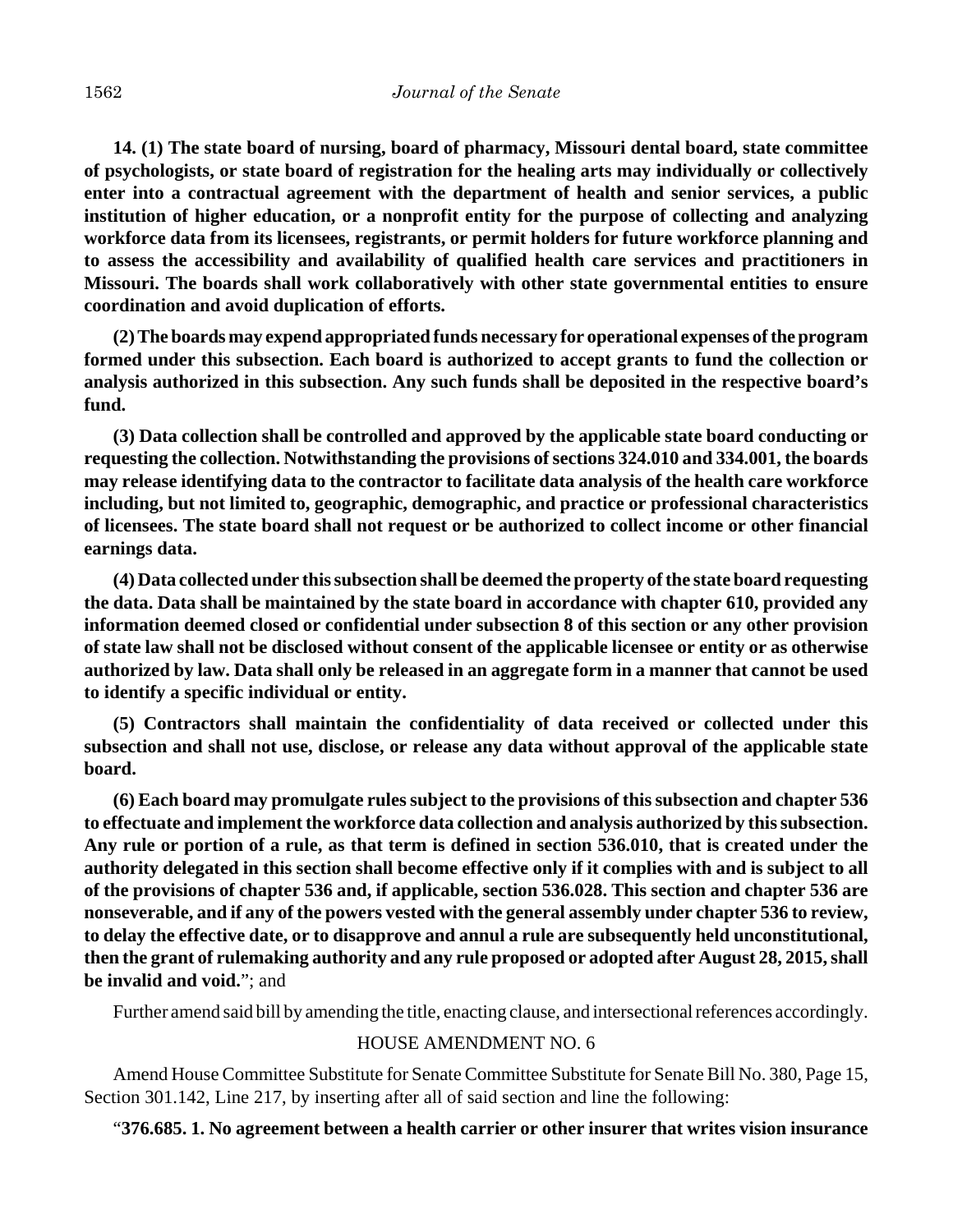**14. (1) The state board of nursing, board of pharmacy, Missouri dental board, state committee of psychologists, or state board of registration for the healing arts may individually or collectively enter into a contractual agreement with the department of health and senior services, a public institution of higher education, or a nonprofit entity for the purpose of collecting and analyzing workforce data from its licensees, registrants, or permit holders for future workforce planning and to assess the accessibility and availability of qualified health care services and practitioners in Missouri. The boards shall work collaboratively with other state governmental entities to ensure coordination and avoid duplication of efforts.**

**(2) The boards may expend appropriated funds necessary for operational expenses of the program formed under this subsection. Each board is authorized to accept grants to fund the collection or analysis authorized in this subsection. Any such funds shall be deposited in the respective board's fund.**

**(3) Data collection shall be controlled and approved by the applicable state board conducting or requesting the collection. Notwithstanding the provisions of sections 324.010 and 334.001, the boards may release identifying data to the contractor to facilitate data analysis of the health care workforce including, but not limited to, geographic, demographic, and practice or professional characteristics of licensees. The state board shall not request or be authorized to collect income or other financial earnings data.**

**(4) Data collected under this subsection shall be deemed the property of the state board requesting the data. Data shall be maintained by the state board in accordance with chapter 610, provided any information deemed closed or confidential under subsection 8 of this section or any other provision of state law shall not be disclosed without consent of the applicable licensee or entity or as otherwise authorized by law. Data shall only be released in an aggregate form in a manner that cannot be used to identify a specific individual or entity.**

**(5) Contractors shall maintain the confidentiality of data received or collected under this subsection and shall not use, disclose, or release any data without approval of the applicable state board.**

**(6) Each board may promulgate rules subject to the provisions of this subsection and chapter 536 to effectuate and implement the workforce data collection and analysis authorized by this subsection. Any rule or portion of a rule, as that term is defined in section 536.010, that is created under the authority delegated in this section shall become effective only if it complies with and is subject to all of the provisions of chapter 536 and, if applicable, section 536.028. This section and chapter 536 are nonseverable, and if any of the powers vested with the general assembly under chapter 536 to review, to delay the effective date, or to disapprove and annul a rule are subsequently held unconstitutional, then the grant of rulemaking authority and any rule proposed or adopted after August 28, 2015, shall be invalid and void.**"; and

Further amend said bill by amending the title, enacting clause, and intersectional references accordingly.

## HOUSE AMENDMENT NO. 6

Amend House Committee Substitute for Senate Committee Substitute for Senate Bill No. 380, Page 15, Section 301.142, Line 217, by inserting after all of said section and line the following:

## "**376.685. 1. No agreement between a health carrier or other insurer that writes vision insurance**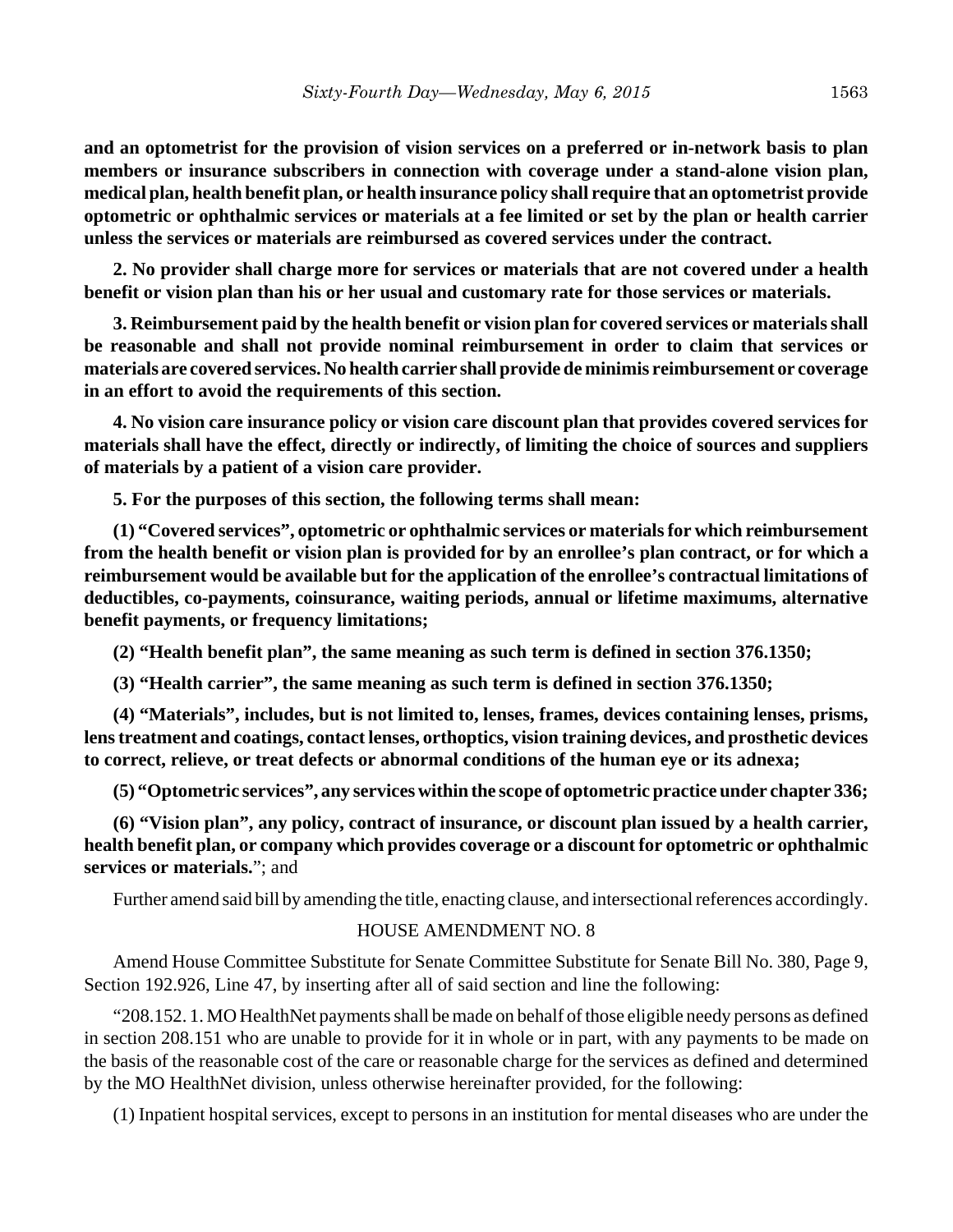**and an optometrist for the provision of vision services on a preferred or in-network basis to plan members or insurance subscribers in connection with coverage under a stand-alone vision plan, medical plan, health benefit plan, or health insurance policy shall require that an optometrist provide optometric or ophthalmic services or materials at a fee limited or set by the plan or health carrier unless the services or materials are reimbursed as covered services under the contract.**

**2. No provider shall charge more for services or materials that are not covered under a health benefit or vision plan than his or her usual and customary rate for those services or materials.**

**3. Reimbursement paid by the health benefit or vision plan for covered services or materials shall be reasonable and shall not provide nominal reimbursement in order to claim that services or materials are covered services. No health carrier shall provide de minimis reimbursement or coverage in an effort to avoid the requirements of this section.**

**4. No vision care insurance policy or vision care discount plan that provides covered services for materials shall have the effect, directly or indirectly, of limiting the choice of sources and suppliers of materials by a patient of a vision care provider.**

**5. For the purposes of this section, the following terms shall mean:**

**(1) "Covered services", optometric or ophthalmic services or materials for which reimbursement from the health benefit or vision plan is provided for by an enrollee's plan contract, or for which a reimbursement would be available but for the application of the enrollee's contractual limitations of deductibles, co-payments, coinsurance, waiting periods, annual or lifetime maximums, alternative benefit payments, or frequency limitations;**

**(2) "Health benefit plan", the same meaning as such term is defined in section 376.1350;**

**(3) "Health carrier", the same meaning as such term is defined in section 376.1350;**

**(4) "Materials", includes, but is not limited to, lenses, frames, devices containing lenses, prisms, lens treatment and coatings, contact lenses, orthoptics, vision training devices, and prosthetic devices to correct, relieve, or treat defects or abnormal conditions of the human eye or its adnexa;**

**(5) "Optometric services", any services within the scope of optometric practice under chapter 336;**

**(6) "Vision plan", any policy, contract of insurance, or discount plan issued by a health carrier, health benefit plan, or company which provides coverage or a discount for optometric or ophthalmic services or materials.**"; and

Further amend said bill by amending the title, enacting clause, and intersectional references accordingly.

# HOUSE AMENDMENT NO. 8

Amend House Committee Substitute for Senate Committee Substitute for Senate Bill No. 380, Page 9, Section 192.926, Line 47, by inserting after all of said section and line the following:

"208.152. 1. MO HealthNet payments shall be made on behalf of those eligible needy persons as defined in section 208.151 who are unable to provide for it in whole or in part, with any payments to be made on the basis of the reasonable cost of the care or reasonable charge for the services as defined and determined by the MO HealthNet division, unless otherwise hereinafter provided, for the following:

(1) Inpatient hospital services, except to persons in an institution for mental diseases who are under the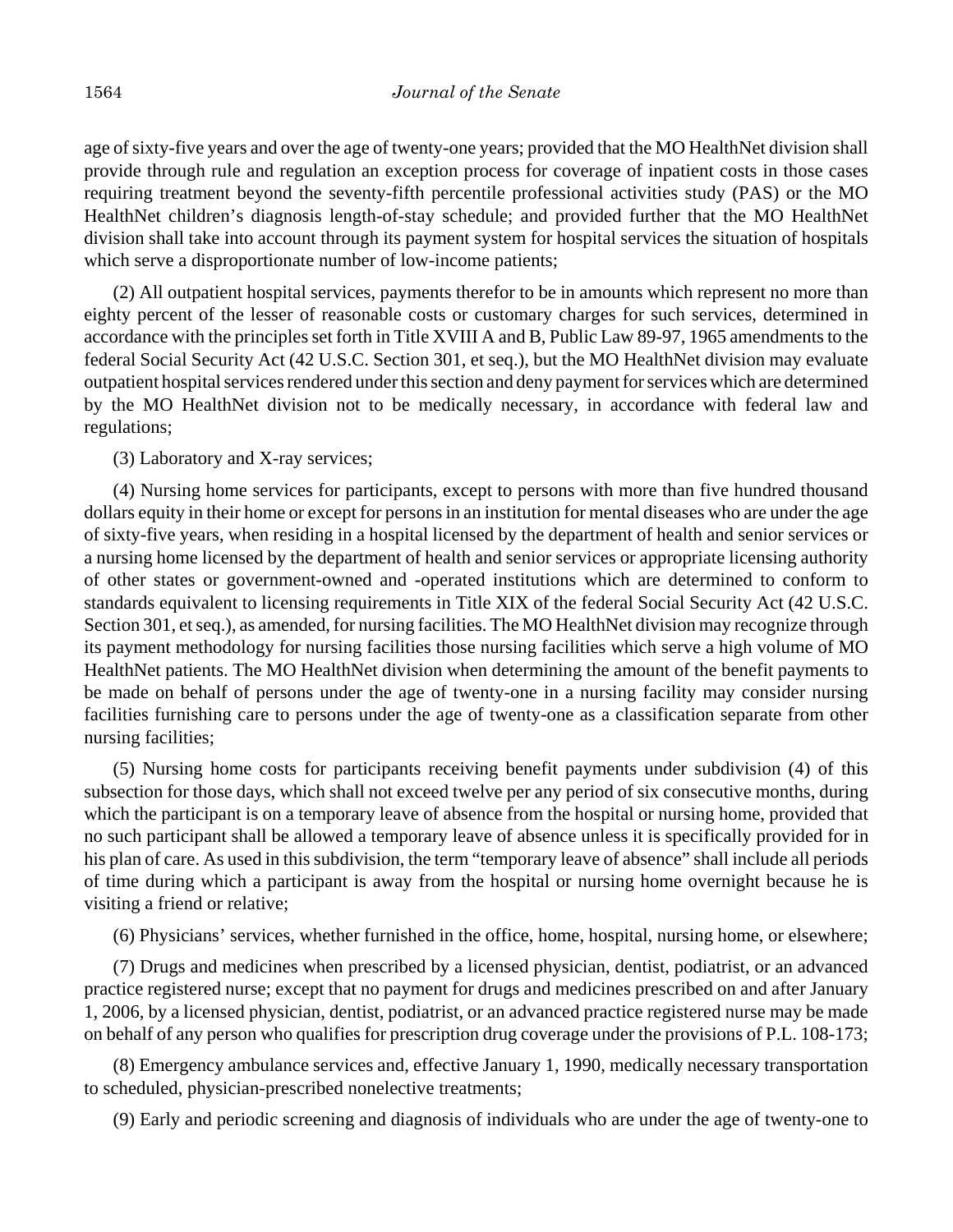age of sixty-five years and over the age of twenty-one years; provided that the MO HealthNet division shall provide through rule and regulation an exception process for coverage of inpatient costs in those cases requiring treatment beyond the seventy-fifth percentile professional activities study (PAS) or the MO HealthNet children's diagnosis length-of-stay schedule; and provided further that the MO HealthNet division shall take into account through its payment system for hospital services the situation of hospitals which serve a disproportionate number of low-income patients;

(2) All outpatient hospital services, payments therefor to be in amounts which represent no more than eighty percent of the lesser of reasonable costs or customary charges for such services, determined in accordance with the principles set forth in Title XVIII A and B, Public Law 89-97, 1965 amendments to the federal Social Security Act (42 U.S.C. Section 301, et seq.), but the MO HealthNet division may evaluate outpatient hospital services rendered under this section and deny payment for services which are determined by the MO HealthNet division not to be medically necessary, in accordance with federal law and regulations;

(3) Laboratory and X-ray services;

(4) Nursing home services for participants, except to persons with more than five hundred thousand dollars equity in their home or except for persons in an institution for mental diseases who are under the age of sixty-five years, when residing in a hospital licensed by the department of health and senior services or a nursing home licensed by the department of health and senior services or appropriate licensing authority of other states or government-owned and -operated institutions which are determined to conform to standards equivalent to licensing requirements in Title XIX of the federal Social Security Act (42 U.S.C. Section 301, et seq.), as amended, for nursing facilities. The MO HealthNet division may recognize through its payment methodology for nursing facilities those nursing facilities which serve a high volume of MO HealthNet patients. The MO HealthNet division when determining the amount of the benefit payments to be made on behalf of persons under the age of twenty-one in a nursing facility may consider nursing facilities furnishing care to persons under the age of twenty-one as a classification separate from other nursing facilities;

(5) Nursing home costs for participants receiving benefit payments under subdivision (4) of this subsection for those days, which shall not exceed twelve per any period of six consecutive months, during which the participant is on a temporary leave of absence from the hospital or nursing home, provided that no such participant shall be allowed a temporary leave of absence unless it is specifically provided for in his plan of care. As used in this subdivision, the term "temporary leave of absence" shall include all periods of time during which a participant is away from the hospital or nursing home overnight because he is visiting a friend or relative;

(6) Physicians' services, whether furnished in the office, home, hospital, nursing home, or elsewhere;

(7) Drugs and medicines when prescribed by a licensed physician, dentist, podiatrist, or an advanced practice registered nurse; except that no payment for drugs and medicines prescribed on and after January 1, 2006, by a licensed physician, dentist, podiatrist, or an advanced practice registered nurse may be made on behalf of any person who qualifies for prescription drug coverage under the provisions of P.L. 108-173;

(8) Emergency ambulance services and, effective January 1, 1990, medically necessary transportation to scheduled, physician-prescribed nonelective treatments;

(9) Early and periodic screening and diagnosis of individuals who are under the age of twenty-one to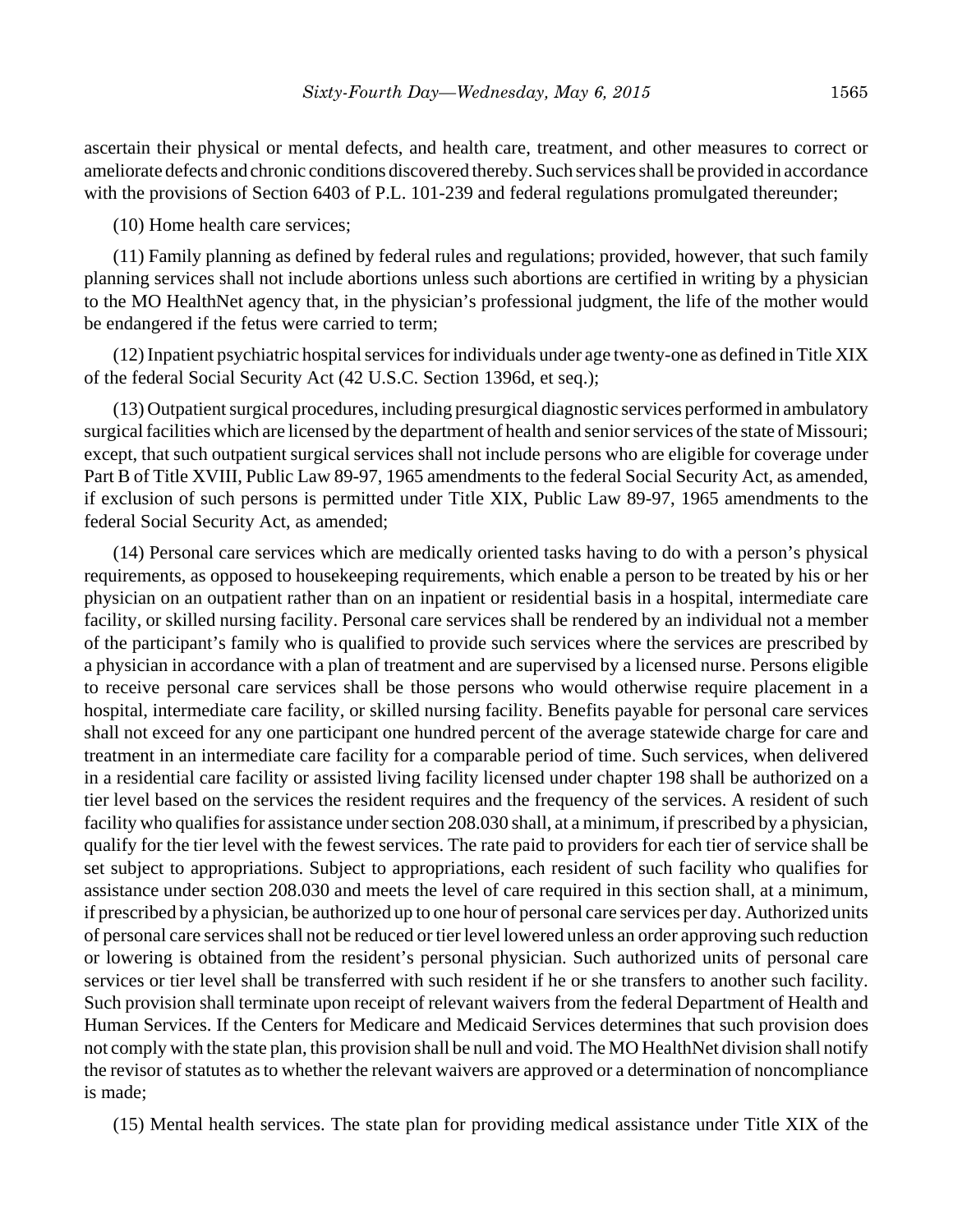ascertain their physical or mental defects, and health care, treatment, and other measures to correct or ameliorate defects and chronic conditions discovered thereby. Such services shall be provided in accordance with the provisions of Section 6403 of P.L. 101-239 and federal regulations promulgated thereunder;

(10) Home health care services;

(11) Family planning as defined by federal rules and regulations; provided, however, that such family planning services shall not include abortions unless such abortions are certified in writing by a physician to the MO HealthNet agency that, in the physician's professional judgment, the life of the mother would be endangered if the fetus were carried to term;

(12) Inpatient psychiatric hospital services for individuals under age twenty-one as defined in Title XIX of the federal Social Security Act (42 U.S.C. Section 1396d, et seq.);

(13) Outpatient surgical procedures, including presurgical diagnostic services performed in ambulatory surgical facilities which are licensed by the department of health and senior services of the state of Missouri; except, that such outpatient surgical services shall not include persons who are eligible for coverage under Part B of Title XVIII, Public Law 89-97, 1965 amendments to the federal Social Security Act, as amended, if exclusion of such persons is permitted under Title XIX, Public Law 89-97, 1965 amendments to the federal Social Security Act, as amended;

(14) Personal care services which are medically oriented tasks having to do with a person's physical requirements, as opposed to housekeeping requirements, which enable a person to be treated by his or her physician on an outpatient rather than on an inpatient or residential basis in a hospital, intermediate care facility, or skilled nursing facility. Personal care services shall be rendered by an individual not a member of the participant's family who is qualified to provide such services where the services are prescribed by a physician in accordance with a plan of treatment and are supervised by a licensed nurse. Persons eligible to receive personal care services shall be those persons who would otherwise require placement in a hospital, intermediate care facility, or skilled nursing facility. Benefits payable for personal care services shall not exceed for any one participant one hundred percent of the average statewide charge for care and treatment in an intermediate care facility for a comparable period of time. Such services, when delivered in a residential care facility or assisted living facility licensed under chapter 198 shall be authorized on a tier level based on the services the resident requires and the frequency of the services. A resident of such facility who qualifies for assistance under section 208.030 shall, at a minimum, if prescribed by a physician, qualify for the tier level with the fewest services. The rate paid to providers for each tier of service shall be set subject to appropriations. Subject to appropriations, each resident of such facility who qualifies for assistance under section 208.030 and meets the level of care required in this section shall, at a minimum, if prescribed by a physician, be authorized up to one hour of personal care services per day. Authorized units of personal care services shall not be reduced or tier level lowered unless an order approving such reduction or lowering is obtained from the resident's personal physician. Such authorized units of personal care services or tier level shall be transferred with such resident if he or she transfers to another such facility. Such provision shall terminate upon receipt of relevant waivers from the federal Department of Health and Human Services. If the Centers for Medicare and Medicaid Services determines that such provision does not comply with the state plan, this provision shall be null and void. The MO HealthNet division shall notify the revisor of statutes as to whether the relevant waivers are approved or a determination of noncompliance is made;

(15) Mental health services. The state plan for providing medical assistance under Title XIX of the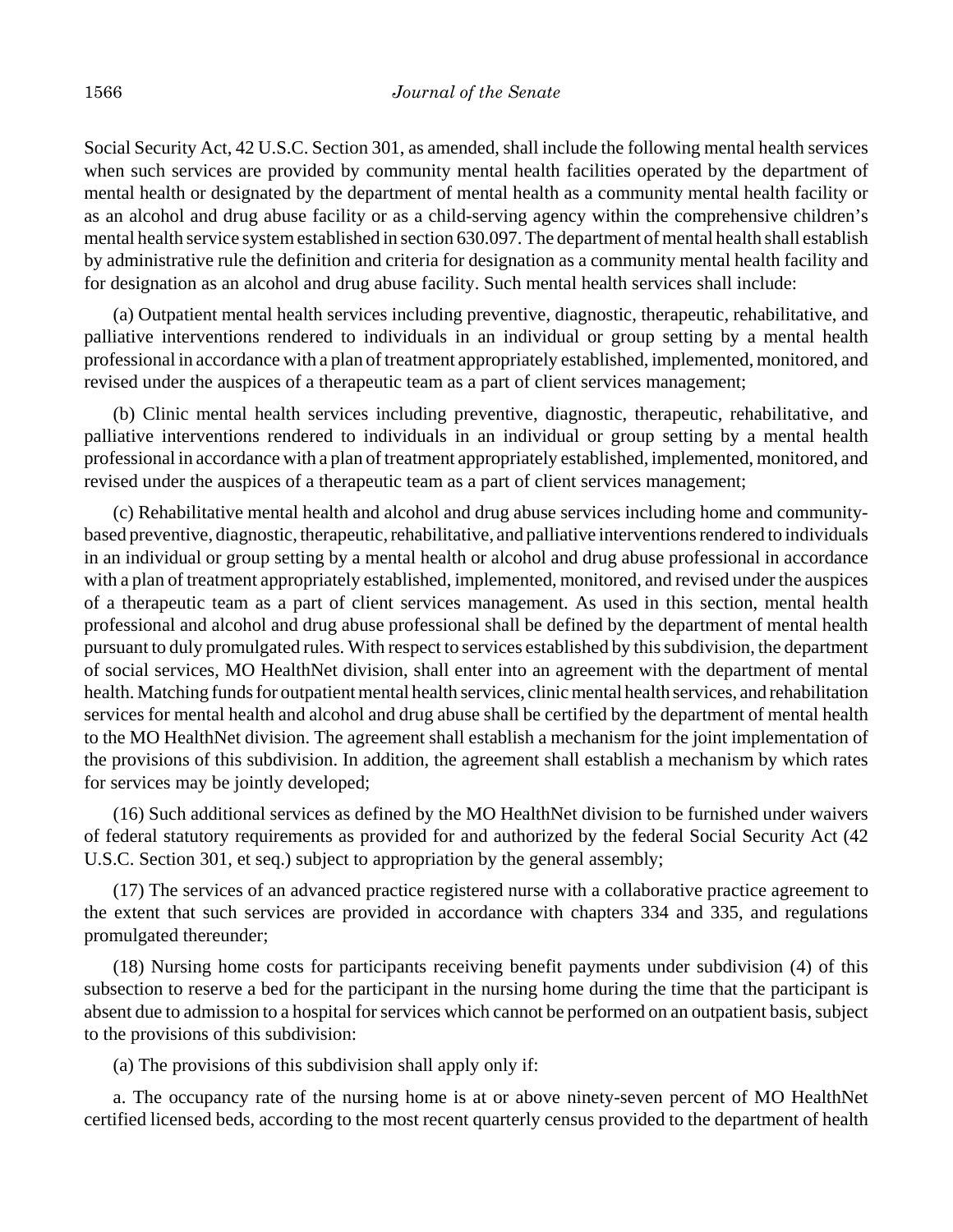Social Security Act, 42 U.S.C. Section 301, as amended, shall include the following mental health services when such services are provided by community mental health facilities operated by the department of mental health or designated by the department of mental health as a community mental health facility or as an alcohol and drug abuse facility or as a child-serving agency within the comprehensive children's mental health service system established in section 630.097. The department of mental health shall establish by administrative rule the definition and criteria for designation as a community mental health facility and for designation as an alcohol and drug abuse facility. Such mental health services shall include:

(a) Outpatient mental health services including preventive, diagnostic, therapeutic, rehabilitative, and palliative interventions rendered to individuals in an individual or group setting by a mental health professional in accordance with a plan of treatment appropriately established, implemented, monitored, and revised under the auspices of a therapeutic team as a part of client services management;

(b) Clinic mental health services including preventive, diagnostic, therapeutic, rehabilitative, and palliative interventions rendered to individuals in an individual or group setting by a mental health professional in accordance with a plan of treatment appropriately established, implemented, monitored, and revised under the auspices of a therapeutic team as a part of client services management;

(c) Rehabilitative mental health and alcohol and drug abuse services including home and communitybased preventive, diagnostic, therapeutic, rehabilitative, and palliative interventions rendered to individuals in an individual or group setting by a mental health or alcohol and drug abuse professional in accordance with a plan of treatment appropriately established, implemented, monitored, and revised under the auspices of a therapeutic team as a part of client services management. As used in this section, mental health professional and alcohol and drug abuse professional shall be defined by the department of mental health pursuant to duly promulgated rules. With respect to services established by this subdivision, the department of social services, MO HealthNet division, shall enter into an agreement with the department of mental health. Matching funds for outpatient mental health services, clinic mental health services, and rehabilitation services for mental health and alcohol and drug abuse shall be certified by the department of mental health to the MO HealthNet division. The agreement shall establish a mechanism for the joint implementation of the provisions of this subdivision. In addition, the agreement shall establish a mechanism by which rates for services may be jointly developed;

(16) Such additional services as defined by the MO HealthNet division to be furnished under waivers of federal statutory requirements as provided for and authorized by the federal Social Security Act (42 U.S.C. Section 301, et seq.) subject to appropriation by the general assembly;

(17) The services of an advanced practice registered nurse with a collaborative practice agreement to the extent that such services are provided in accordance with chapters 334 and 335, and regulations promulgated thereunder;

(18) Nursing home costs for participants receiving benefit payments under subdivision (4) of this subsection to reserve a bed for the participant in the nursing home during the time that the participant is absent due to admission to a hospital for services which cannot be performed on an outpatient basis, subject to the provisions of this subdivision:

(a) The provisions of this subdivision shall apply only if:

a. The occupancy rate of the nursing home is at or above ninety-seven percent of MO HealthNet certified licensed beds, according to the most recent quarterly census provided to the department of health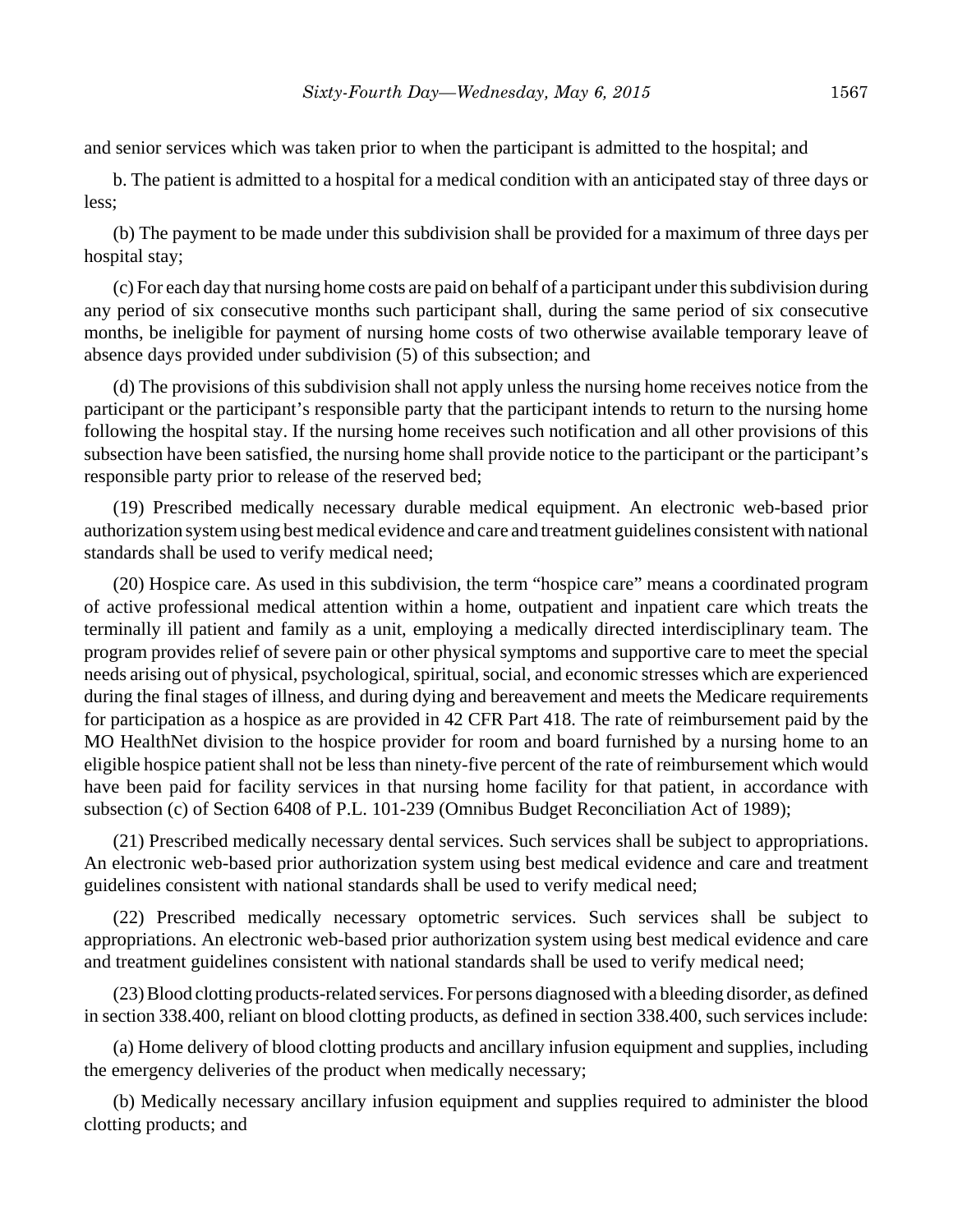and senior services which was taken prior to when the participant is admitted to the hospital; and

b. The patient is admitted to a hospital for a medical condition with an anticipated stay of three days or less;

(b) The payment to be made under this subdivision shall be provided for a maximum of three days per hospital stay;

(c) For each day that nursing home costs are paid on behalf of a participant under this subdivision during any period of six consecutive months such participant shall, during the same period of six consecutive months, be ineligible for payment of nursing home costs of two otherwise available temporary leave of absence days provided under subdivision (5) of this subsection; and

(d) The provisions of this subdivision shall not apply unless the nursing home receives notice from the participant or the participant's responsible party that the participant intends to return to the nursing home following the hospital stay. If the nursing home receives such notification and all other provisions of this subsection have been satisfied, the nursing home shall provide notice to the participant or the participant's responsible party prior to release of the reserved bed;

(19) Prescribed medically necessary durable medical equipment. An electronic web-based prior authorization system using best medical evidence and care and treatment guidelines consistent with national standards shall be used to verify medical need;

(20) Hospice care. As used in this subdivision, the term "hospice care" means a coordinated program of active professional medical attention within a home, outpatient and inpatient care which treats the terminally ill patient and family as a unit, employing a medically directed interdisciplinary team. The program provides relief of severe pain or other physical symptoms and supportive care to meet the special needs arising out of physical, psychological, spiritual, social, and economic stresses which are experienced during the final stages of illness, and during dying and bereavement and meets the Medicare requirements for participation as a hospice as are provided in 42 CFR Part 418. The rate of reimbursement paid by the MO HealthNet division to the hospice provider for room and board furnished by a nursing home to an eligible hospice patient shall not be less than ninety-five percent of the rate of reimbursement which would have been paid for facility services in that nursing home facility for that patient, in accordance with subsection (c) of Section 6408 of P.L. 101-239 (Omnibus Budget Reconciliation Act of 1989);

(21) Prescribed medically necessary dental services. Such services shall be subject to appropriations. An electronic web-based prior authorization system using best medical evidence and care and treatment guidelines consistent with national standards shall be used to verify medical need;

(22) Prescribed medically necessary optometric services. Such services shall be subject to appropriations. An electronic web-based prior authorization system using best medical evidence and care and treatment guidelines consistent with national standards shall be used to verify medical need;

(23) Blood clotting products-related services. For persons diagnosed with a bleeding disorder, as defined in section 338.400, reliant on blood clotting products, as defined in section 338.400, such services include:

(a) Home delivery of blood clotting products and ancillary infusion equipment and supplies, including the emergency deliveries of the product when medically necessary;

(b) Medically necessary ancillary infusion equipment and supplies required to administer the blood clotting products; and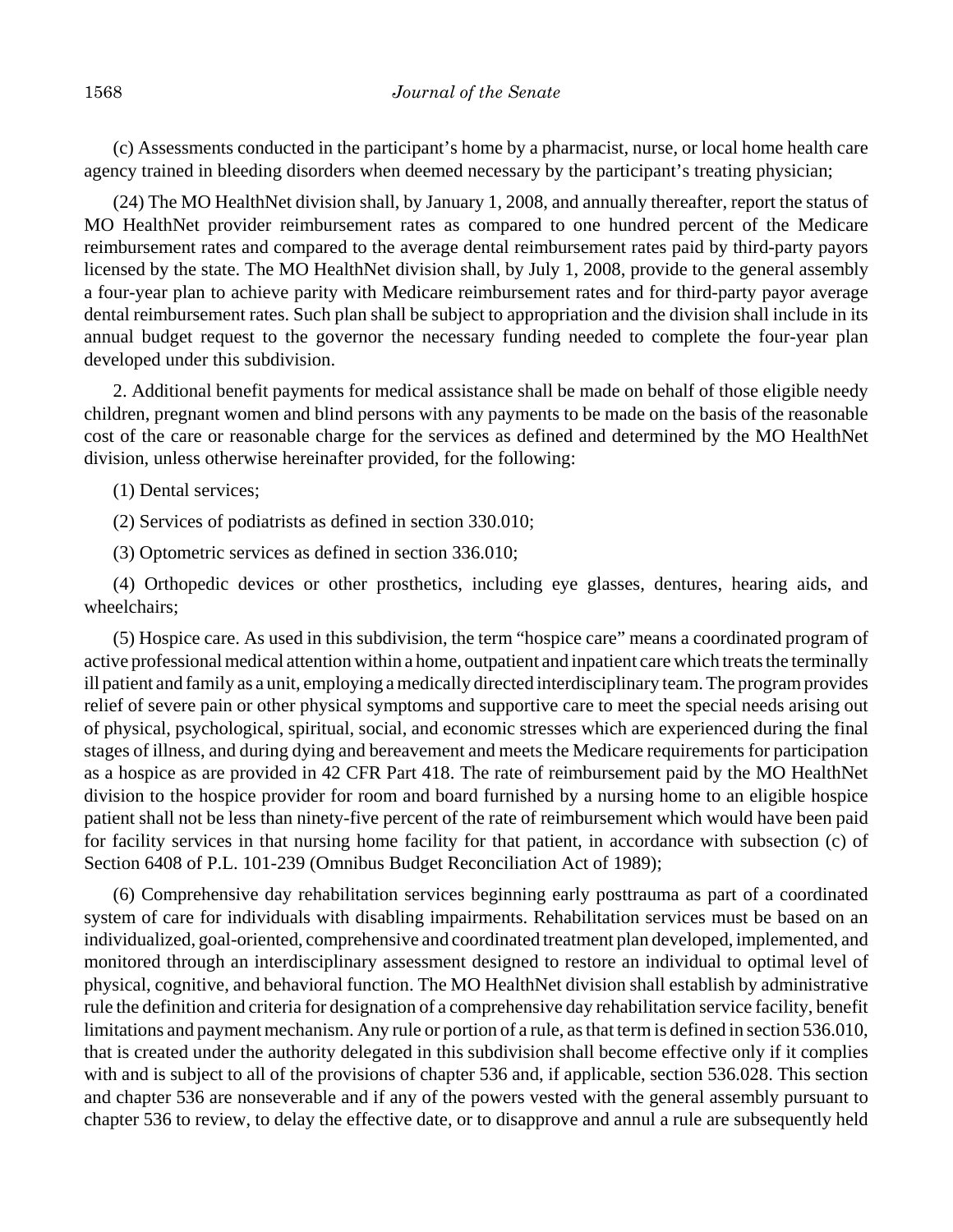(c) Assessments conducted in the participant's home by a pharmacist, nurse, or local home health care agency trained in bleeding disorders when deemed necessary by the participant's treating physician;

(24) The MO HealthNet division shall, by January 1, 2008, and annually thereafter, report the status of MO HealthNet provider reimbursement rates as compared to one hundred percent of the Medicare reimbursement rates and compared to the average dental reimbursement rates paid by third-party payors licensed by the state. The MO HealthNet division shall, by July 1, 2008, provide to the general assembly a four-year plan to achieve parity with Medicare reimbursement rates and for third-party payor average dental reimbursement rates. Such plan shall be subject to appropriation and the division shall include in its annual budget request to the governor the necessary funding needed to complete the four-year plan developed under this subdivision.

2. Additional benefit payments for medical assistance shall be made on behalf of those eligible needy children, pregnant women and blind persons with any payments to be made on the basis of the reasonable cost of the care or reasonable charge for the services as defined and determined by the MO HealthNet division, unless otherwise hereinafter provided, for the following:

(1) Dental services;

(2) Services of podiatrists as defined in section 330.010;

(3) Optometric services as defined in section 336.010;

(4) Orthopedic devices or other prosthetics, including eye glasses, dentures, hearing aids, and wheelchairs;

(5) Hospice care. As used in this subdivision, the term "hospice care" means a coordinated program of active professional medical attention within a home, outpatient and inpatient care which treats the terminally ill patient and family as a unit, employing a medically directed interdisciplinary team. The program provides relief of severe pain or other physical symptoms and supportive care to meet the special needs arising out of physical, psychological, spiritual, social, and economic stresses which are experienced during the final stages of illness, and during dying and bereavement and meets the Medicare requirements for participation as a hospice as are provided in 42 CFR Part 418. The rate of reimbursement paid by the MO HealthNet division to the hospice provider for room and board furnished by a nursing home to an eligible hospice patient shall not be less than ninety-five percent of the rate of reimbursement which would have been paid for facility services in that nursing home facility for that patient, in accordance with subsection (c) of Section 6408 of P.L. 101-239 (Omnibus Budget Reconciliation Act of 1989);

(6) Comprehensive day rehabilitation services beginning early posttrauma as part of a coordinated system of care for individuals with disabling impairments. Rehabilitation services must be based on an individualized, goal-oriented, comprehensive and coordinated treatment plan developed, implemented, and monitored through an interdisciplinary assessment designed to restore an individual to optimal level of physical, cognitive, and behavioral function. The MO HealthNet division shall establish by administrative rule the definition and criteria for designation of a comprehensive day rehabilitation service facility, benefit limitations and payment mechanism. Any rule or portion of a rule, as that term is defined in section 536.010, that is created under the authority delegated in this subdivision shall become effective only if it complies with and is subject to all of the provisions of chapter 536 and, if applicable, section 536.028. This section and chapter 536 are nonseverable and if any of the powers vested with the general assembly pursuant to chapter 536 to review, to delay the effective date, or to disapprove and annul a rule are subsequently held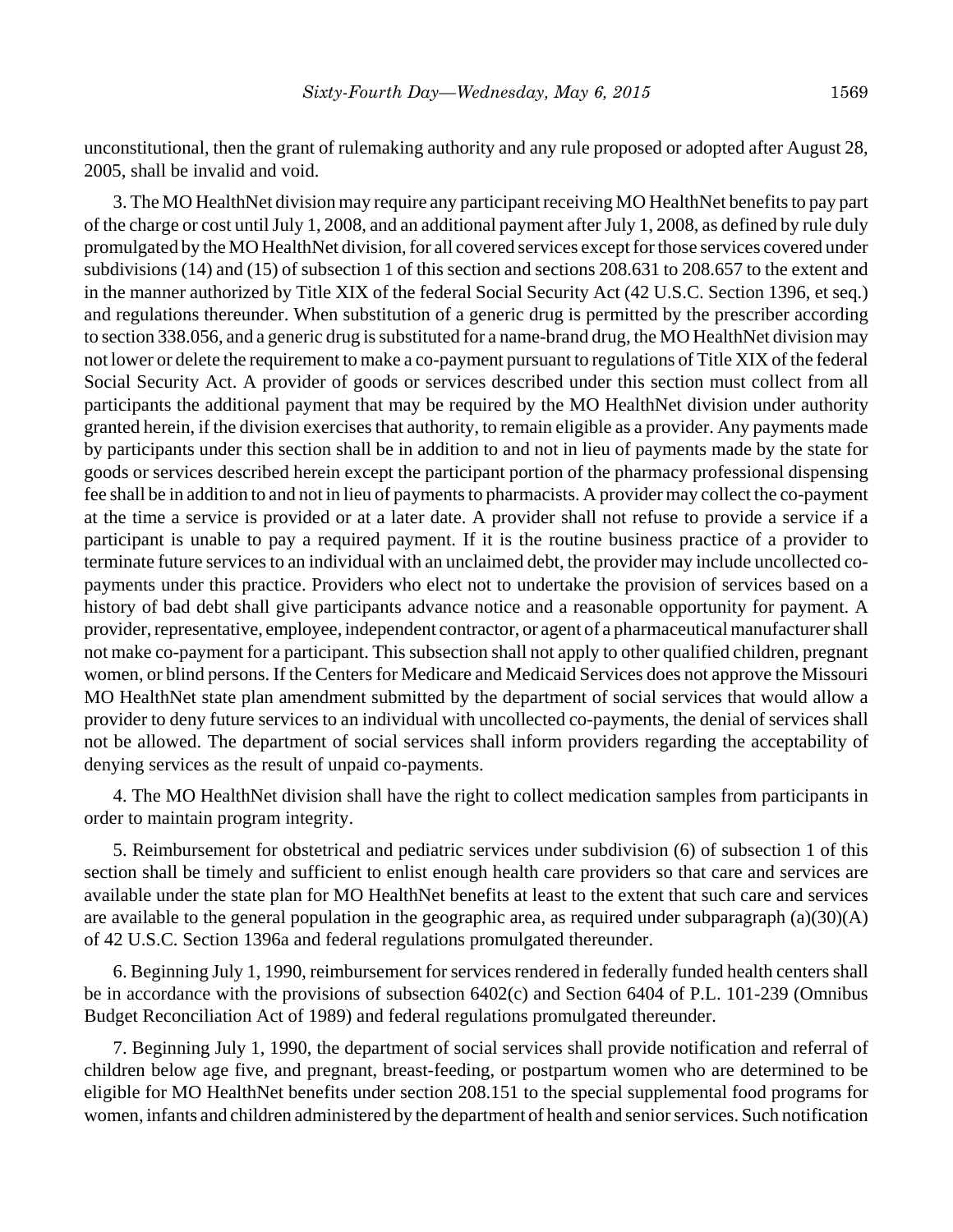unconstitutional, then the grant of rulemaking authority and any rule proposed or adopted after August 28, 2005, shall be invalid and void.

3. The MO HealthNet division may require any participant receiving MO HealthNet benefits to pay part of the charge or cost until July 1, 2008, and an additional payment after July 1, 2008, as defined by rule duly promulgated by the MO HealthNet division, for all covered services except for those services covered under subdivisions (14) and (15) of subsection 1 of this section and sections 208.631 to 208.657 to the extent and in the manner authorized by Title XIX of the federal Social Security Act (42 U.S.C. Section 1396, et seq.) and regulations thereunder. When substitution of a generic drug is permitted by the prescriber according to section 338.056, and a generic drug is substituted for a name-brand drug, the MO HealthNet division may not lower or delete the requirement to make a co-payment pursuant to regulations of Title XIX of the federal Social Security Act. A provider of goods or services described under this section must collect from all participants the additional payment that may be required by the MO HealthNet division under authority granted herein, if the division exercises that authority, to remain eligible as a provider. Any payments made by participants under this section shall be in addition to and not in lieu of payments made by the state for goods or services described herein except the participant portion of the pharmacy professional dispensing fee shall be in addition to and not in lieu of payments to pharmacists. A provider may collect the co-payment at the time a service is provided or at a later date. A provider shall not refuse to provide a service if a participant is unable to pay a required payment. If it is the routine business practice of a provider to terminate future services to an individual with an unclaimed debt, the provider may include uncollected copayments under this practice. Providers who elect not to undertake the provision of services based on a history of bad debt shall give participants advance notice and a reasonable opportunity for payment. A provider, representative, employee, independent contractor, or agent of a pharmaceutical manufacturer shall not make co-payment for a participant. This subsection shall not apply to other qualified children, pregnant women, or blind persons. If the Centers for Medicare and Medicaid Services does not approve the Missouri MO HealthNet state plan amendment submitted by the department of social services that would allow a provider to deny future services to an individual with uncollected co-payments, the denial of services shall not be allowed. The department of social services shall inform providers regarding the acceptability of denying services as the result of unpaid co-payments.

4. The MO HealthNet division shall have the right to collect medication samples from participants in order to maintain program integrity.

5. Reimbursement for obstetrical and pediatric services under subdivision (6) of subsection 1 of this section shall be timely and sufficient to enlist enough health care providers so that care and services are available under the state plan for MO HealthNet benefits at least to the extent that such care and services are available to the general population in the geographic area, as required under subparagraph  $(a)(30)(A)$ of 42 U.S.C. Section 1396a and federal regulations promulgated thereunder.

6. Beginning July 1, 1990, reimbursement for services rendered in federally funded health centers shall be in accordance with the provisions of subsection 6402(c) and Section 6404 of P.L. 101-239 (Omnibus Budget Reconciliation Act of 1989) and federal regulations promulgated thereunder.

7. Beginning July 1, 1990, the department of social services shall provide notification and referral of children below age five, and pregnant, breast-feeding, or postpartum women who are determined to be eligible for MO HealthNet benefits under section 208.151 to the special supplemental food programs for women, infants and children administered by the department of health and senior services. Such notification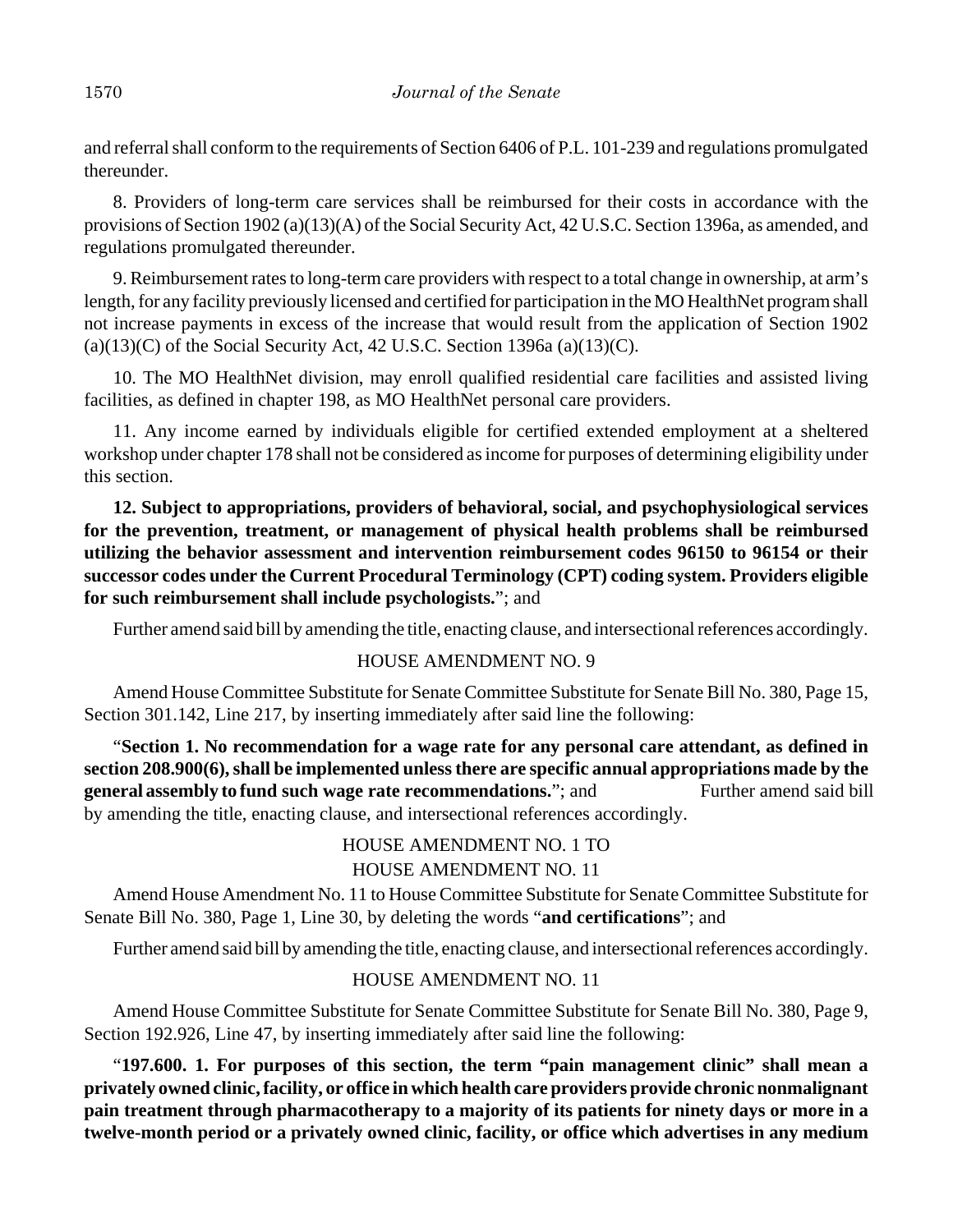and referral shall conform to the requirements of Section 6406 of P.L. 101-239 and regulations promulgated thereunder.

8. Providers of long-term care services shall be reimbursed for their costs in accordance with the provisions of Section 1902 (a)(13)(A) of the Social Security Act, 42 U.S.C. Section 1396a, as amended, and regulations promulgated thereunder.

9. Reimbursement rates to long-term care providers with respect to a total change in ownership, at arm's length, for any facility previously licensed and certified for participation in the MO HealthNet program shall not increase payments in excess of the increase that would result from the application of Section 1902  $(a)(13)(C)$  of the Social Security Act, 42 U.S.C. Section 1396a  $(a)(13)(C)$ .

10. The MO HealthNet division, may enroll qualified residential care facilities and assisted living facilities, as defined in chapter 198, as MO HealthNet personal care providers.

11. Any income earned by individuals eligible for certified extended employment at a sheltered workshop under chapter 178 shall not be considered as income for purposes of determining eligibility under this section.

**12. Subject to appropriations, providers of behavioral, social, and psychophysiological services for the prevention, treatment, or management of physical health problems shall be reimbursed utilizing the behavior assessment and intervention reimbursement codes 96150 to 96154 or their successor codes under the Current Procedural Terminology (CPT) coding system. Providers eligible for such reimbursement shall include psychologists.**"; and

Further amend said bill by amending the title, enacting clause, and intersectional references accordingly.

## HOUSE AMENDMENT NO. 9

Amend House Committee Substitute for Senate Committee Substitute for Senate Bill No. 380, Page 15, Section 301.142, Line 217, by inserting immediately after said line the following:

"**Section 1. No recommendation for a wage rate for any personal care attendant, as defined in section 208.900(6), shall be implemented unless there are specific annual appropriations made by the general assembly to fund such wage rate recommendations."; and Further amend said bill** by amending the title, enacting clause, and intersectional references accordingly.

## HOUSE AMENDMENT NO. 1 TO HOUSE AMENDMENT NO. 11

Amend House Amendment No. 11 to House Committee Substitute for Senate Committee Substitute for Senate Bill No. 380, Page 1, Line 30, by deleting the words "**and certifications**"; and

Further amend said bill by amending the title, enacting clause, and intersectional references accordingly.

## HOUSE AMENDMENT NO. 11

Amend House Committee Substitute for Senate Committee Substitute for Senate Bill No. 380, Page 9, Section 192.926, Line 47, by inserting immediately after said line the following:

"**197.600. 1. For purposes of this section, the term "pain management clinic" shall mean a privately owned clinic, facility, or office in which health care providers provide chronic nonmalignant pain treatment through pharmacotherapy to a majority of its patients for ninety days or more in a twelve-month period or a privately owned clinic, facility, or office which advertises in any medium**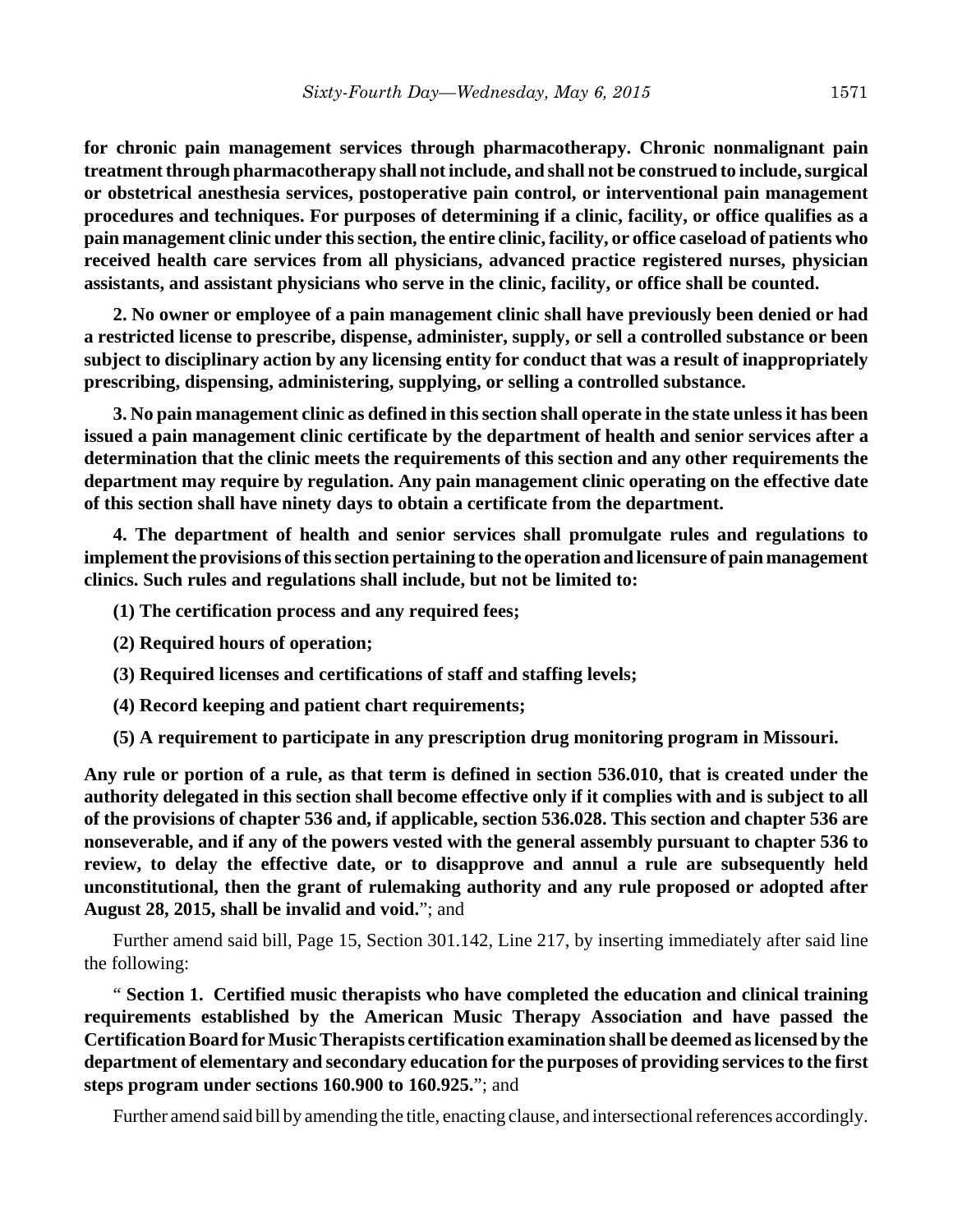**for chronic pain management services through pharmacotherapy. Chronic nonmalignant pain treatment through pharmacotherapy shall not include, and shall not be construed to include, surgical or obstetrical anesthesia services, postoperative pain control, or interventional pain management procedures and techniques. For purposes of determining if a clinic, facility, or office qualifies as a pain management clinic under this section, the entire clinic, facility, or office caseload of patients who received health care services from all physicians, advanced practice registered nurses, physician assistants, and assistant physicians who serve in the clinic, facility, or office shall be counted.**

**2. No owner or employee of a pain management clinic shall have previously been denied or had a restricted license to prescribe, dispense, administer, supply, or sell a controlled substance or been subject to disciplinary action by any licensing entity for conduct that was a result of inappropriately prescribing, dispensing, administering, supplying, or selling a controlled substance.**

**3. No pain management clinic as defined in this section shall operate in the state unless it has been issued a pain management clinic certificate by the department of health and senior services after a determination that the clinic meets the requirements of this section and any other requirements the department may require by regulation. Any pain management clinic operating on the effective date of this section shall have ninety days to obtain a certificate from the department.**

**4. The department of health and senior services shall promulgate rules and regulations to implement the provisions of this section pertaining to the operation and licensure of pain management clinics. Such rules and regulations shall include, but not be limited to:**

- **(1) The certification process and any required fees;**
- **(2) Required hours of operation;**
- **(3) Required licenses and certifications of staff and staffing levels;**
- **(4) Record keeping and patient chart requirements;**
- **(5) A requirement to participate in any prescription drug monitoring program in Missouri.**

**Any rule or portion of a rule, as that term is defined in section 536.010, that is created under the authority delegated in this section shall become effective only if it complies with and is subject to all of the provisions of chapter 536 and, if applicable, section 536.028. This section and chapter 536 are nonseverable, and if any of the powers vested with the general assembly pursuant to chapter 536 to review, to delay the effective date, or to disapprove and annul a rule are subsequently held unconstitutional, then the grant of rulemaking authority and any rule proposed or adopted after August 28, 2015, shall be invalid and void.**"; and

Further amend said bill, Page 15, Section 301.142, Line 217, by inserting immediately after said line the following:

" **Section 1. Certified music therapists who have completed the education and clinical training requirements established by the American Music Therapy Association and have passed the Certification Board for Music Therapists certification examination shall be deemed as licensed by the department of elementary and secondary education for the purposes of providing services to the first steps program under sections 160.900 to 160.925.**"; and

Further amend said bill by amending the title, enacting clause, and intersectional references accordingly.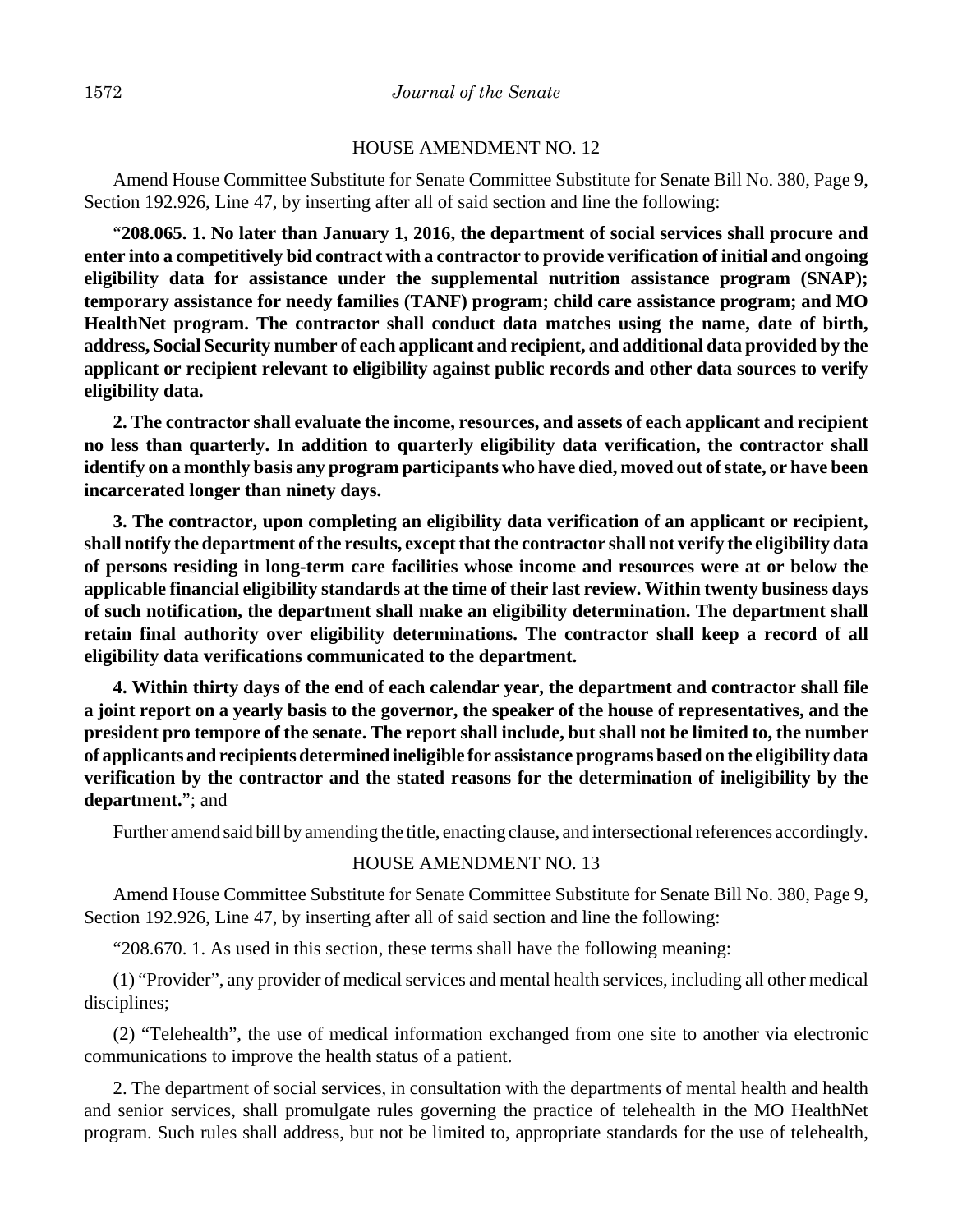#### HOUSE AMENDMENT NO. 12

Amend House Committee Substitute for Senate Committee Substitute for Senate Bill No. 380, Page 9, Section 192.926, Line 47, by inserting after all of said section and line the following:

"**208.065. 1. No later than January 1, 2016, the department of social services shall procure and enter into a competitively bid contract with a contractor to provide verification of initial and ongoing eligibility data for assistance under the supplemental nutrition assistance program (SNAP); temporary assistance for needy families (TANF) program; child care assistance program; and MO HealthNet program. The contractor shall conduct data matches using the name, date of birth, address, Social Security number of each applicant and recipient, and additional data provided by the applicant or recipient relevant to eligibility against public records and other data sources to verify eligibility data.**

**2. The contractor shall evaluate the income, resources, and assets of each applicant and recipient no less than quarterly. In addition to quarterly eligibility data verification, the contractor shall identify on a monthly basis any program participants who have died, moved out of state, or have been incarcerated longer than ninety days.**

**3. The contractor, upon completing an eligibility data verification of an applicant or recipient, shall notify the department of the results, except that the contractor shall not verify the eligibility data of persons residing in long-term care facilities whose income and resources were at or below the applicable financial eligibility standards at the time of their last review. Within twenty business days of such notification, the department shall make an eligibility determination. The department shall retain final authority over eligibility determinations. The contractor shall keep a record of all eligibility data verifications communicated to the department.**

**4. Within thirty days of the end of each calendar year, the department and contractor shall file a joint report on a yearly basis to the governor, the speaker of the house of representatives, and the president pro tempore of the senate. The report shall include, but shall not be limited to, the number of applicants and recipients determined ineligible for assistance programs based on the eligibility data verification by the contractor and the stated reasons for the determination of ineligibility by the department.**"; and

Further amend said bill by amending the title, enacting clause, and intersectional references accordingly.

### HOUSE AMENDMENT NO. 13

Amend House Committee Substitute for Senate Committee Substitute for Senate Bill No. 380, Page 9, Section 192.926, Line 47, by inserting after all of said section and line the following:

"208.670. 1. As used in this section, these terms shall have the following meaning:

(1) "Provider", any provider of medical services and mental health services, including all other medical disciplines;

(2) "Telehealth", the use of medical information exchanged from one site to another via electronic communications to improve the health status of a patient.

2. The department of social services, in consultation with the departments of mental health and health and senior services, shall promulgate rules governing the practice of telehealth in the MO HealthNet program. Such rules shall address, but not be limited to, appropriate standards for the use of telehealth,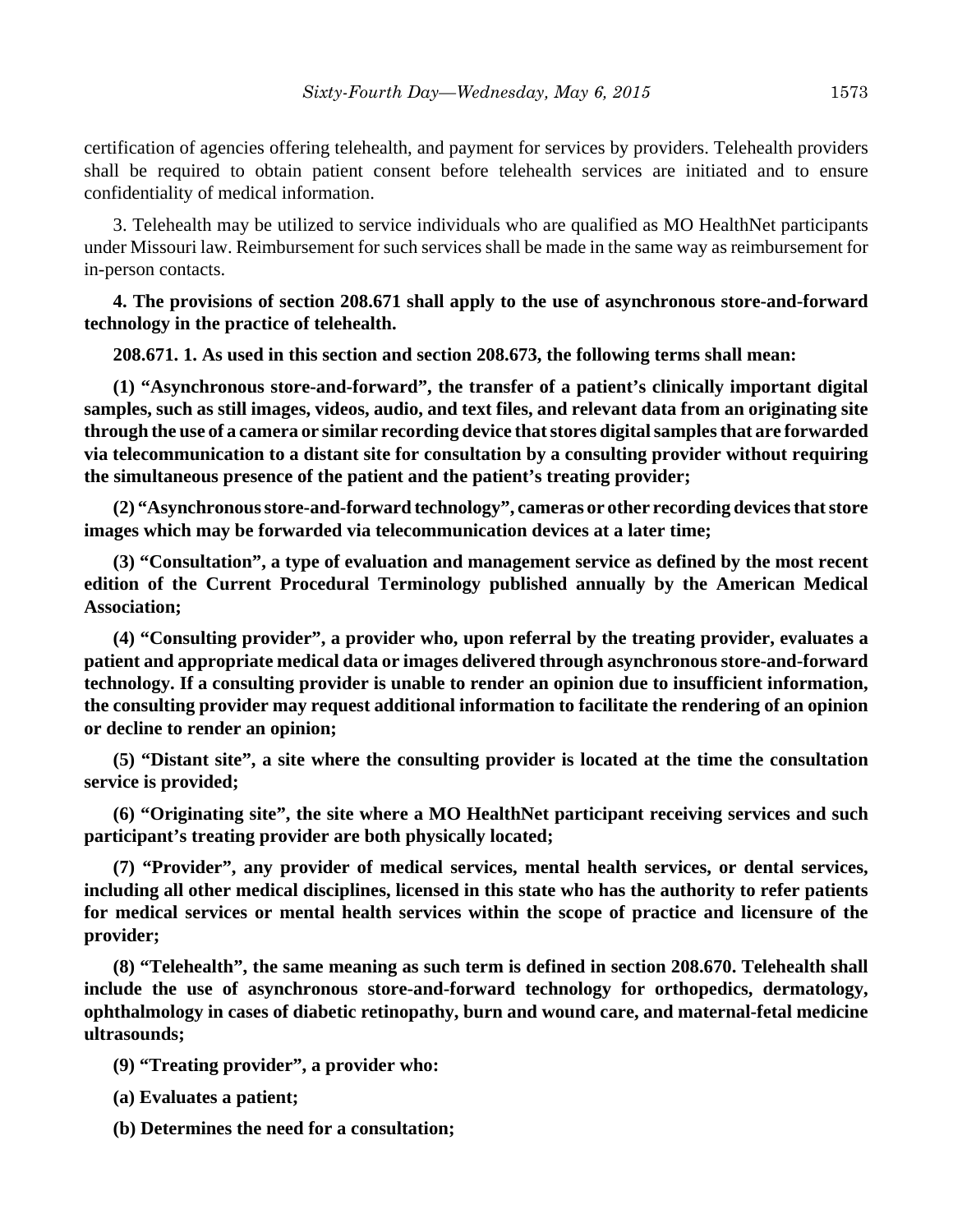certification of agencies offering telehealth, and payment for services by providers. Telehealth providers shall be required to obtain patient consent before telehealth services are initiated and to ensure confidentiality of medical information.

3. Telehealth may be utilized to service individuals who are qualified as MO HealthNet participants under Missouri law. Reimbursement for such services shall be made in the same way as reimbursement for in-person contacts.

**4. The provisions of section 208.671 shall apply to the use of asynchronous store-and-forward technology in the practice of telehealth.**

**208.671. 1. As used in this section and section 208.673, the following terms shall mean:**

**(1) "Asynchronous store-and-forward", the transfer of a patient's clinically important digital samples, such as still images, videos, audio, and text files, and relevant data from an originating site through the use of a camera or similar recording device that stores digital samples that are forwarded via telecommunication to a distant site for consultation by a consulting provider without requiring the simultaneous presence of the patient and the patient's treating provider;**

**(2) "Asynchronous store-and-forward technology", cameras or other recording devices that store images which may be forwarded via telecommunication devices at a later time;**

**(3) "Consultation", a type of evaluation and management service as defined by the most recent edition of the Current Procedural Terminology published annually by the American Medical Association;**

**(4) "Consulting provider", a provider who, upon referral by the treating provider, evaluates a patient and appropriate medical data or images delivered through asynchronous store-and-forward technology. If a consulting provider is unable to render an opinion due to insufficient information, the consulting provider may request additional information to facilitate the rendering of an opinion or decline to render an opinion;**

**(5) "Distant site", a site where the consulting provider is located at the time the consultation service is provided;**

**(6) "Originating site", the site where a MO HealthNet participant receiving services and such participant's treating provider are both physically located;**

**(7) "Provider", any provider of medical services, mental health services, or dental services, including all other medical disciplines, licensed in this state who has the authority to refer patients for medical services or mental health services within the scope of practice and licensure of the provider;**

**(8) "Telehealth", the same meaning as such term is defined in section 208.670. Telehealth shall include the use of asynchronous store-and-forward technology for orthopedics, dermatology, ophthalmology in cases of diabetic retinopathy, burn and wound care, and maternal-fetal medicine ultrasounds;**

**(9) "Treating provider", a provider who:**

**(a) Evaluates a patient;**

**(b) Determines the need for a consultation;**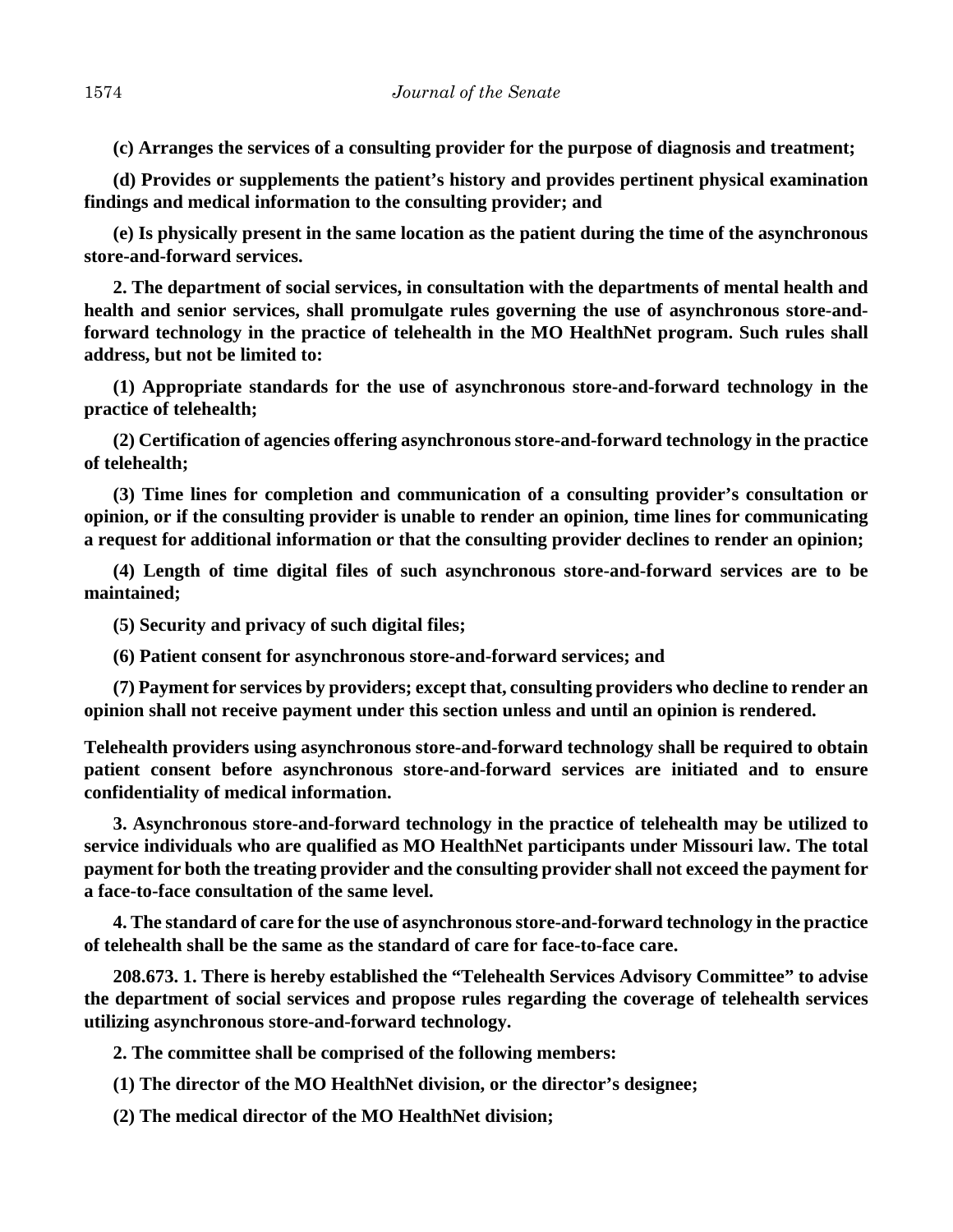**(c) Arranges the services of a consulting provider for the purpose of diagnosis and treatment;**

**(d) Provides or supplements the patient's history and provides pertinent physical examination findings and medical information to the consulting provider; and**

**(e) Is physically present in the same location as the patient during the time of the asynchronous store-and-forward services.**

**2. The department of social services, in consultation with the departments of mental health and health and senior services, shall promulgate rules governing the use of asynchronous store-andforward technology in the practice of telehealth in the MO HealthNet program. Such rules shall address, but not be limited to:**

**(1) Appropriate standards for the use of asynchronous store-and-forward technology in the practice of telehealth;**

**(2) Certification of agencies offering asynchronous store-and-forward technology in the practice of telehealth;**

**(3) Time lines for completion and communication of a consulting provider's consultation or opinion, or if the consulting provider is unable to render an opinion, time lines for communicating a request for additional information or that the consulting provider declines to render an opinion;**

**(4) Length of time digital files of such asynchronous store-and-forward services are to be maintained;**

**(5) Security and privacy of such digital files;**

**(6) Patient consent for asynchronous store-and-forward services; and**

**(7) Payment for services by providers; except that, consulting providers who decline to render an opinion shall not receive payment under this section unless and until an opinion is rendered.**

**Telehealth providers using asynchronous store-and-forward technology shall be required to obtain patient consent before asynchronous store-and-forward services are initiated and to ensure confidentiality of medical information.**

**3. Asynchronous store-and-forward technology in the practice of telehealth may be utilized to service individuals who are qualified as MO HealthNet participants under Missouri law. The total payment for both the treating provider and the consulting provider shall not exceed the payment for a face-to-face consultation of the same level.**

**4. The standard of care for the use of asynchronous store-and-forward technology in the practice of telehealth shall be the same as the standard of care for face-to-face care.**

**208.673. 1. There is hereby established the "Telehealth Services Advisory Committee" to advise the department of social services and propose rules regarding the coverage of telehealth services utilizing asynchronous store-and-forward technology.**

**2. The committee shall be comprised of the following members:**

**(1) The director of the MO HealthNet division, or the director's designee;**

**(2) The medical director of the MO HealthNet division;**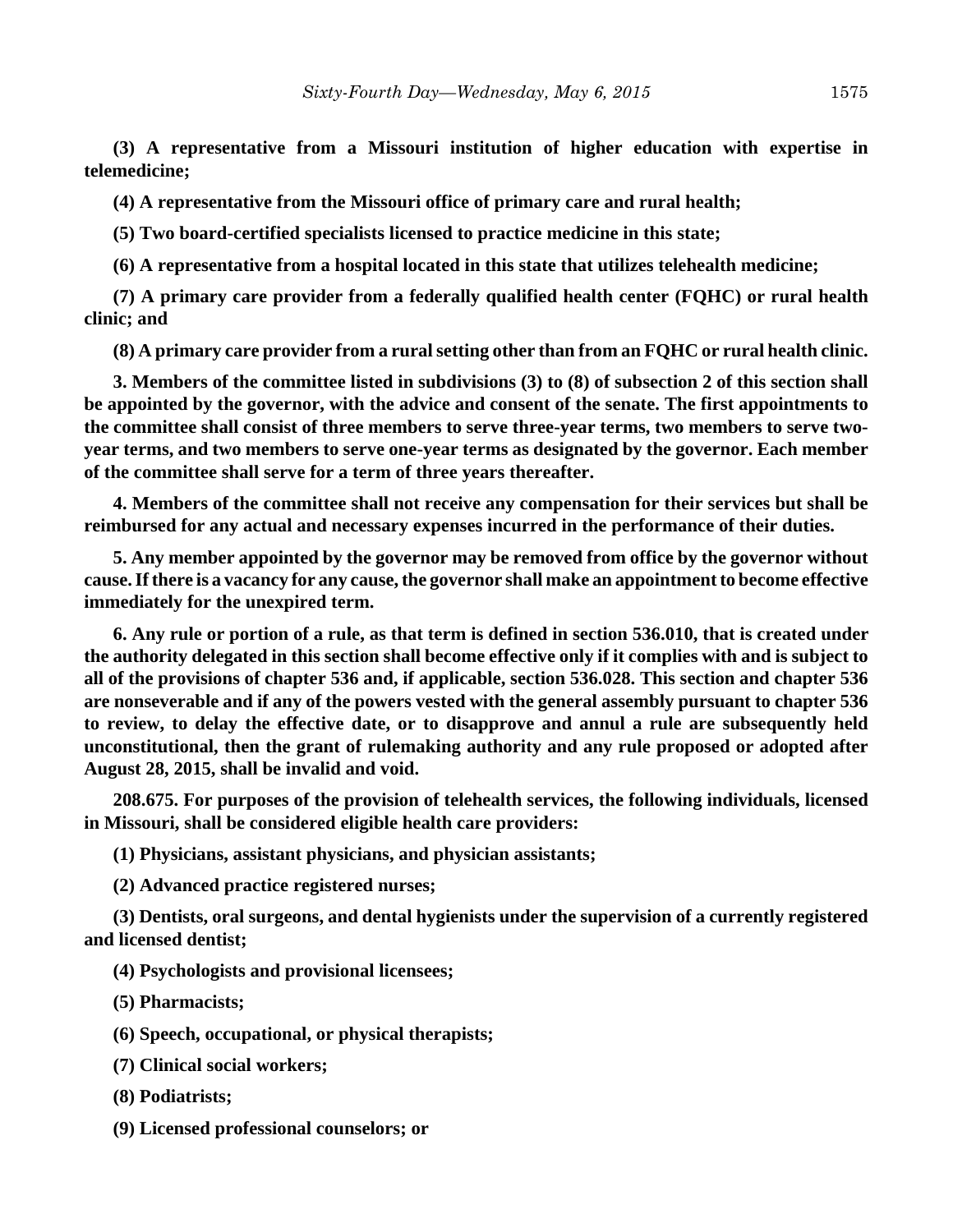**(3) A representative from a Missouri institution of higher education with expertise in telemedicine;**

**(4) A representative from the Missouri office of primary care and rural health;**

**(5) Two board-certified specialists licensed to practice medicine in this state;**

**(6) A representative from a hospital located in this state that utilizes telehealth medicine;**

**(7) A primary care provider from a federally qualified health center (FQHC) or rural health clinic; and**

**(8) A primary care provider from a rural setting other than from an FQHC or rural health clinic.**

**3. Members of the committee listed in subdivisions (3) to (8) of subsection 2 of this section shall be appointed by the governor, with the advice and consent of the senate. The first appointments to the committee shall consist of three members to serve three-year terms, two members to serve twoyear terms, and two members to serve one-year terms as designated by the governor. Each member of the committee shall serve for a term of three years thereafter.**

**4. Members of the committee shall not receive any compensation for their services but shall be reimbursed for any actual and necessary expenses incurred in the performance of their duties.**

**5. Any member appointed by the governor may be removed from office by the governor without cause. If there is a vacancy for any cause, the governor shall make an appointment to become effective immediately for the unexpired term.**

**6. Any rule or portion of a rule, as that term is defined in section 536.010, that is created under the authority delegated in this section shall become effective only if it complies with and is subject to all of the provisions of chapter 536 and, if applicable, section 536.028. This section and chapter 536 are nonseverable and if any of the powers vested with the general assembly pursuant to chapter 536 to review, to delay the effective date, or to disapprove and annul a rule are subsequently held unconstitutional, then the grant of rulemaking authority and any rule proposed or adopted after August 28, 2015, shall be invalid and void.**

**208.675. For purposes of the provision of telehealth services, the following individuals, licensed in Missouri, shall be considered eligible health care providers:**

**(1) Physicians, assistant physicians, and physician assistants;**

**(2) Advanced practice registered nurses;**

**(3) Dentists, oral surgeons, and dental hygienists under the supervision of a currently registered and licensed dentist;**

**(4) Psychologists and provisional licensees;**

**(5) Pharmacists;**

**(6) Speech, occupational, or physical therapists;**

- **(7) Clinical social workers;**
- **(8) Podiatrists;**
- **(9) Licensed professional counselors; or**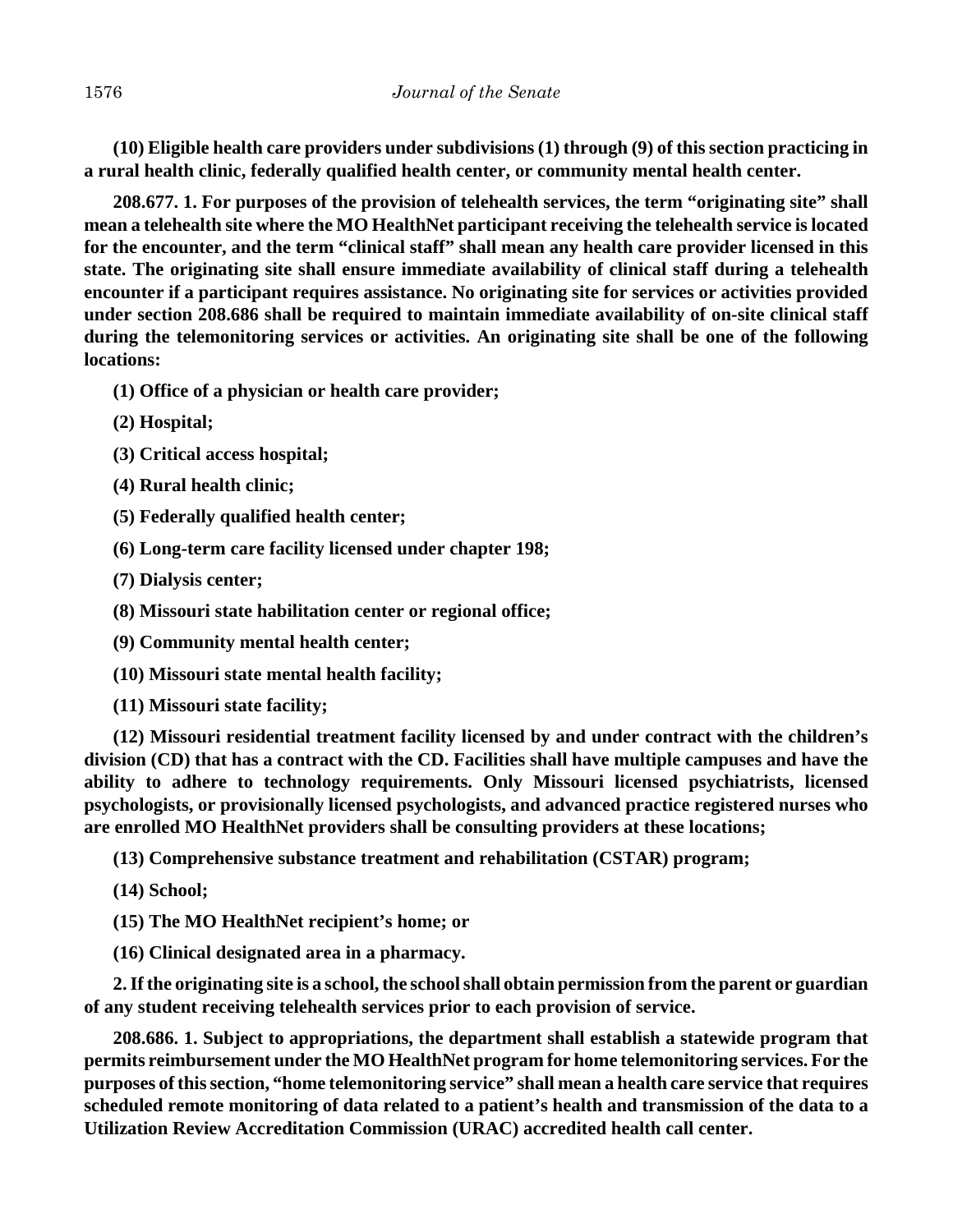**(10) Eligible health care providers under subdivisions (1) through (9) of this section practicing in a rural health clinic, federally qualified health center, or community mental health center.**

**208.677. 1. For purposes of the provision of telehealth services, the term "originating site" shall mean a telehealth site where the MO HealthNet participant receiving the telehealth service is located for the encounter, and the term "clinical staff" shall mean any health care provider licensed in this state. The originating site shall ensure immediate availability of clinical staff during a telehealth encounter if a participant requires assistance. No originating site for services or activities provided under section 208.686 shall be required to maintain immediate availability of on-site clinical staff during the telemonitoring services or activities. An originating site shall be one of the following locations:**

**(1) Office of a physician or health care provider;**

- **(2) Hospital;**
- **(3) Critical access hospital;**
- **(4) Rural health clinic;**
- **(5) Federally qualified health center;**
- **(6) Long-term care facility licensed under chapter 198;**
- **(7) Dialysis center;**
- **(8) Missouri state habilitation center or regional office;**
- **(9) Community mental health center;**
- **(10) Missouri state mental health facility;**
- **(11) Missouri state facility;**

**(12) Missouri residential treatment facility licensed by and under contract with the children's division (CD) that has a contract with the CD. Facilities shall have multiple campuses and have the ability to adhere to technology requirements. Only Missouri licensed psychiatrists, licensed psychologists, or provisionally licensed psychologists, and advanced practice registered nurses who are enrolled MO HealthNet providers shall be consulting providers at these locations;**

**(13) Comprehensive substance treatment and rehabilitation (CSTAR) program;**

**(14) School;**

**(15) The MO HealthNet recipient's home; or**

**(16) Clinical designated area in a pharmacy.**

**2. If the originating site is a school, the school shall obtain permission from the parent or guardian of any student receiving telehealth services prior to each provision of service.**

**208.686. 1. Subject to appropriations, the department shall establish a statewide program that permits reimbursement under the MO HealthNet program for home telemonitoring services. For the purposes of this section, "home telemonitoring service" shall mean a health care service that requires scheduled remote monitoring of data related to a patient's health and transmission of the data to a Utilization Review Accreditation Commission (URAC) accredited health call center.**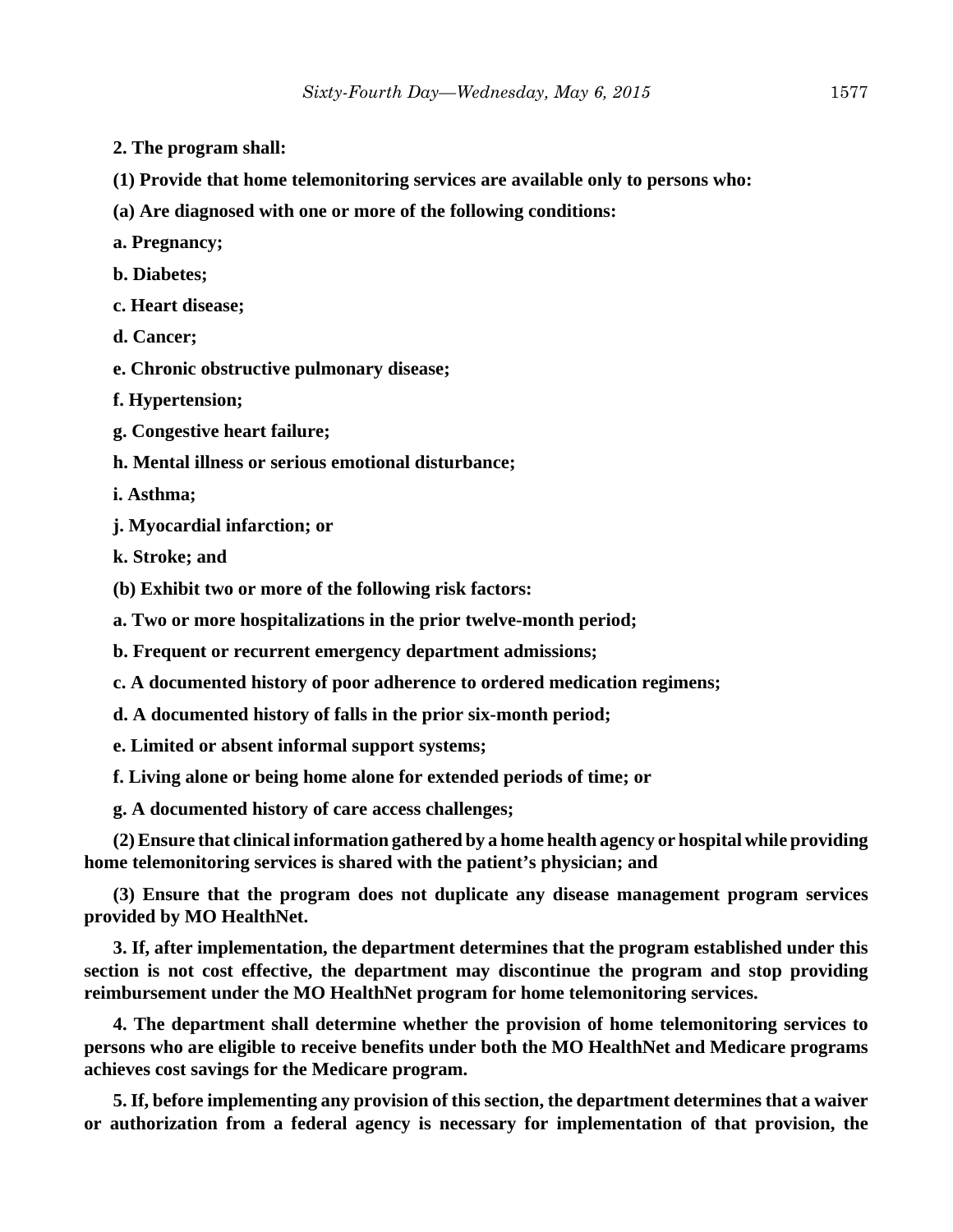- **2. The program shall:**
- **(1) Provide that home telemonitoring services are available only to persons who:**
- **(a) Are diagnosed with one or more of the following conditions:**
- **a. Pregnancy;**
- **b. Diabetes;**
- **c. Heart disease;**
- **d. Cancer;**
- **e. Chronic obstructive pulmonary disease;**
- **f. Hypertension;**
- **g. Congestive heart failure;**
- **h. Mental illness or serious emotional disturbance;**
- **i. Asthma;**
- **j. Myocardial infarction; or**
- **k. Stroke; and**

**(b) Exhibit two or more of the following risk factors:**

**a. Two or more hospitalizations in the prior twelve-month period;**

**b. Frequent or recurrent emergency department admissions;**

- **c. A documented history of poor adherence to ordered medication regimens;**
- **d. A documented history of falls in the prior six-month period;**

**e. Limited or absent informal support systems;**

**f. Living alone or being home alone for extended periods of time; or**

**g. A documented history of care access challenges;**

**(2) Ensure that clinical information gathered by a home health agency or hospital while providing home telemonitoring services is shared with the patient's physician; and**

**(3) Ensure that the program does not duplicate any disease management program services provided by MO HealthNet.**

**3. If, after implementation, the department determines that the program established under this section is not cost effective, the department may discontinue the program and stop providing reimbursement under the MO HealthNet program for home telemonitoring services.**

**4. The department shall determine whether the provision of home telemonitoring services to persons who are eligible to receive benefits under both the MO HealthNet and Medicare programs achieves cost savings for the Medicare program.**

**5. If, before implementing any provision of this section, the department determines that a waiver or authorization from a federal agency is necessary for implementation of that provision, the**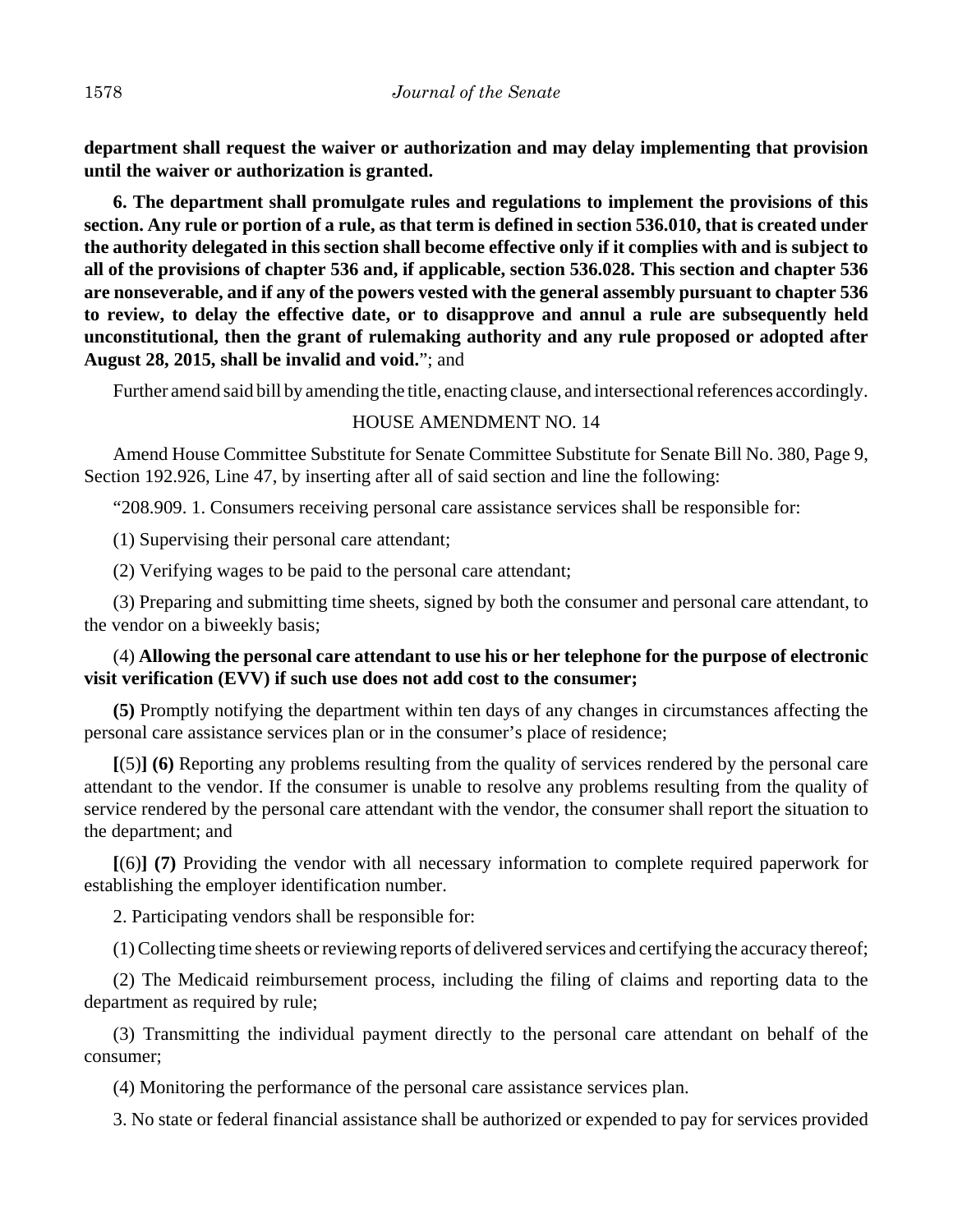**department shall request the waiver or authorization and may delay implementing that provision until the waiver or authorization is granted.**

**6. The department shall promulgate rules and regulations to implement the provisions of this section. Any rule or portion of a rule, as that term is defined in section 536.010, that is created under the authority delegated in this section shall become effective only if it complies with and is subject to all of the provisions of chapter 536 and, if applicable, section 536.028. This section and chapter 536 are nonseverable, and if any of the powers vested with the general assembly pursuant to chapter 536 to review, to delay the effective date, or to disapprove and annul a rule are subsequently held unconstitutional, then the grant of rulemaking authority and any rule proposed or adopted after August 28, 2015, shall be invalid and void.**"; and

Further amend said bill by amending the title, enacting clause, and intersectional references accordingly.

## HOUSE AMENDMENT NO. 14

Amend House Committee Substitute for Senate Committee Substitute for Senate Bill No. 380, Page 9, Section 192.926, Line 47, by inserting after all of said section and line the following:

"208.909. 1. Consumers receiving personal care assistance services shall be responsible for:

(1) Supervising their personal care attendant;

(2) Verifying wages to be paid to the personal care attendant;

(3) Preparing and submitting time sheets, signed by both the consumer and personal care attendant, to the vendor on a biweekly basis;

## (4) **Allowing the personal care attendant to use his or her telephone for the purpose of electronic visit verification (EVV) if such use does not add cost to the consumer;**

**(5)** Promptly notifying the department within ten days of any changes in circumstances affecting the personal care assistance services plan or in the consumer's place of residence;

**[**(5)**] (6)** Reporting any problems resulting from the quality of services rendered by the personal care attendant to the vendor. If the consumer is unable to resolve any problems resulting from the quality of service rendered by the personal care attendant with the vendor, the consumer shall report the situation to the department; and

**[**(6)**] (7)** Providing the vendor with all necessary information to complete required paperwork for establishing the employer identification number.

2. Participating vendors shall be responsible for:

(1) Collecting time sheets or reviewing reports of delivered services and certifying the accuracy thereof;

(2) The Medicaid reimbursement process, including the filing of claims and reporting data to the department as required by rule;

(3) Transmitting the individual payment directly to the personal care attendant on behalf of the consumer;

(4) Monitoring the performance of the personal care assistance services plan.

3. No state or federal financial assistance shall be authorized or expended to pay for services provided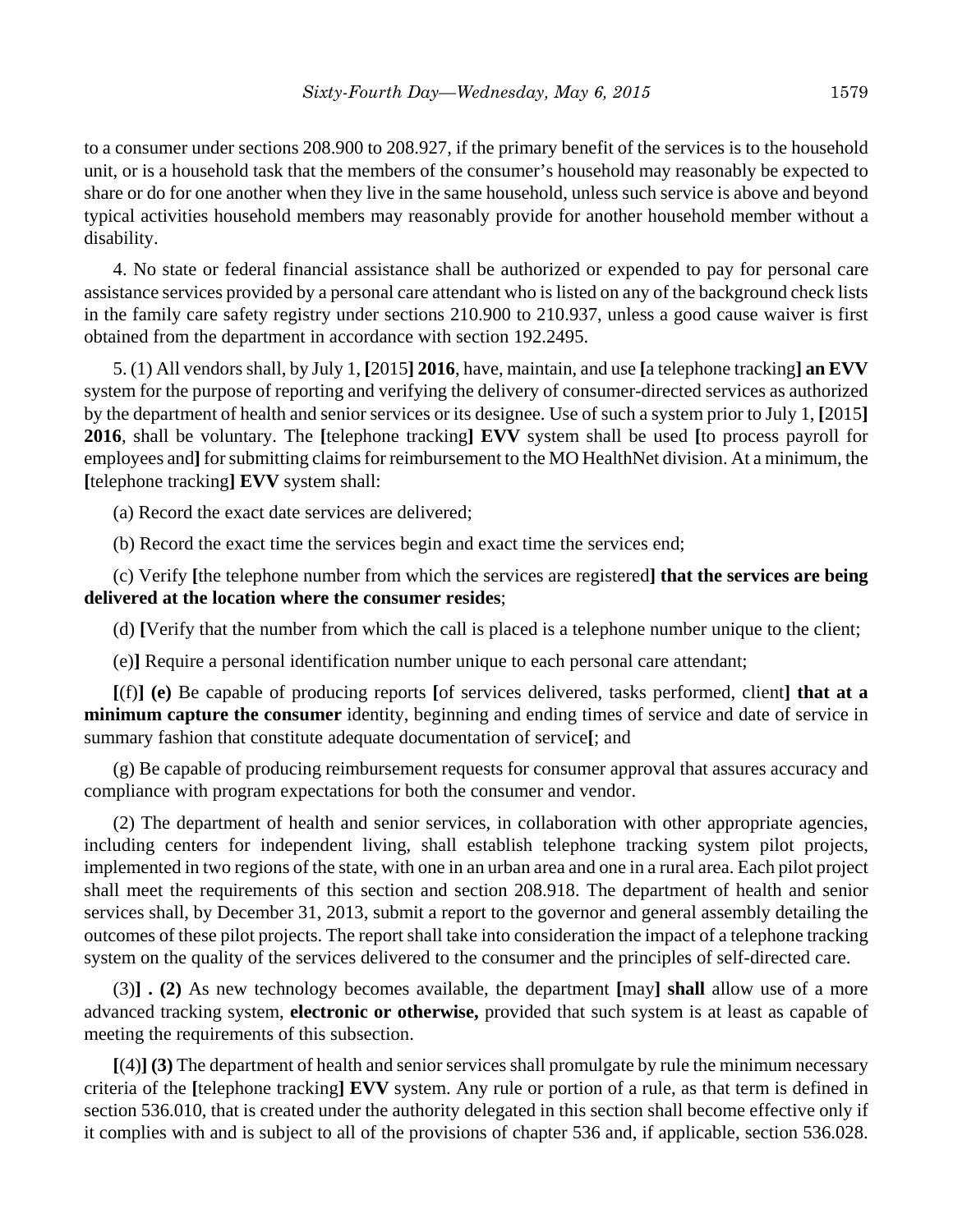to a consumer under sections 208.900 to 208.927, if the primary benefit of the services is to the household unit, or is a household task that the members of the consumer's household may reasonably be expected to share or do for one another when they live in the same household, unless such service is above and beyond typical activities household members may reasonably provide for another household member without a disability.

4. No state or federal financial assistance shall be authorized or expended to pay for personal care assistance services provided by a personal care attendant who is listed on any of the background check lists in the family care safety registry under sections 210.900 to 210.937, unless a good cause waiver is first obtained from the department in accordance with section 192.2495.

5. (1) All vendors shall, by July 1, **[**2015**] 2016**, have, maintain, and use **[**a telephone tracking**] an EVV** system for the purpose of reporting and verifying the delivery of consumer-directed services as authorized by the department of health and senior services or its designee. Use of such a system prior to July 1, **[**2015**] 2016**, shall be voluntary. The **[**telephone tracking**] EVV** system shall be used **[**to process payroll for employees and**]** for submitting claims for reimbursement to the MO HealthNet division. At a minimum, the **[**telephone tracking**] EVV** system shall:

(a) Record the exact date services are delivered;

(b) Record the exact time the services begin and exact time the services end;

(c) Verify **[**the telephone number from which the services are registered**] that the services are being delivered at the location where the consumer resides**;

(d) **[**Verify that the number from which the call is placed is a telephone number unique to the client;

(e)**]** Require a personal identification number unique to each personal care attendant;

**[**(f)**] (e)** Be capable of producing reports **[**of services delivered, tasks performed, client**] that at a minimum capture the consumer** identity, beginning and ending times of service and date of service in summary fashion that constitute adequate documentation of service**[**; and

(g) Be capable of producing reimbursement requests for consumer approval that assures accuracy and compliance with program expectations for both the consumer and vendor.

(2) The department of health and senior services, in collaboration with other appropriate agencies, including centers for independent living, shall establish telephone tracking system pilot projects, implemented in two regions of the state, with one in an urban area and one in a rural area. Each pilot project shall meet the requirements of this section and section 208.918. The department of health and senior services shall, by December 31, 2013, submit a report to the governor and general assembly detailing the outcomes of these pilot projects. The report shall take into consideration the impact of a telephone tracking system on the quality of the services delivered to the consumer and the principles of self-directed care.

(3)**] . (2)** As new technology becomes available, the department **[**may**] shall** allow use of a more advanced tracking system, **electronic or otherwise,** provided that such system is at least as capable of meeting the requirements of this subsection.

**[**(4)**] (3)** The department of health and senior services shall promulgate by rule the minimum necessary criteria of the **[**telephone tracking**] EVV** system. Any rule or portion of a rule, as that term is defined in section 536.010, that is created under the authority delegated in this section shall become effective only if it complies with and is subject to all of the provisions of chapter 536 and, if applicable, section 536.028.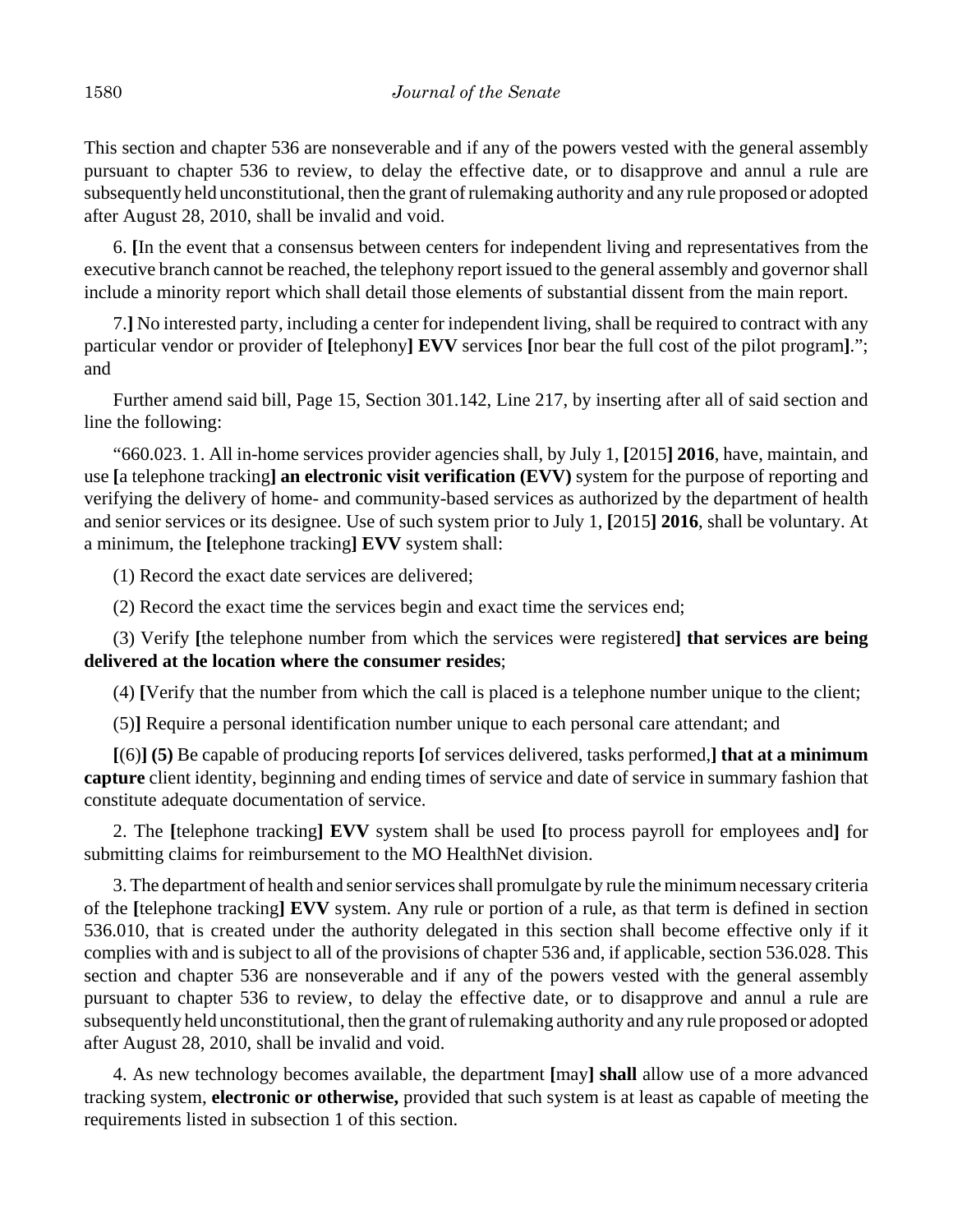This section and chapter 536 are nonseverable and if any of the powers vested with the general assembly pursuant to chapter 536 to review, to delay the effective date, or to disapprove and annul a rule are subsequently held unconstitutional, then the grant of rulemaking authority and any rule proposed or adopted after August 28, 2010, shall be invalid and void.

6. **[**In the event that a consensus between centers for independent living and representatives from the executive branch cannot be reached, the telephony report issued to the general assembly and governor shall include a minority report which shall detail those elements of substantial dissent from the main report.

7.**]** No interested party, including a center for independent living, shall be required to contract with any particular vendor or provider of **[**telephony**] EVV** services **[**nor bear the full cost of the pilot program**]**."; and

Further amend said bill, Page 15, Section 301.142, Line 217, by inserting after all of said section and line the following:

"660.023. 1. All in-home services provider agencies shall, by July 1, **[**2015**] 2016**, have, maintain, and use **[**a telephone tracking**] an electronic visit verification (EVV)** system for the purpose of reporting and verifying the delivery of home- and community-based services as authorized by the department of health and senior services or its designee. Use of such system prior to July 1, **[**2015**] 2016**, shall be voluntary. At a minimum, the **[**telephone tracking**] EVV** system shall:

(1) Record the exact date services are delivered;

(2) Record the exact time the services begin and exact time the services end;

(3) Verify **[**the telephone number from which the services were registered**] that services are being delivered at the location where the consumer resides**;

(4) **[**Verify that the number from which the call is placed is a telephone number unique to the client;

(5)**]** Require a personal identification number unique to each personal care attendant; and

**[**(6)**] (5)** Be capable of producing reports **[**of services delivered, tasks performed,**] that at a minimum capture** client identity, beginning and ending times of service and date of service in summary fashion that constitute adequate documentation of service.

2. The **[**telephone tracking**] EVV** system shall be used **[**to process payroll for employees and**]** for submitting claims for reimbursement to the MO HealthNet division.

3. The department of health and senior services shall promulgate by rule the minimum necessary criteria of the **[**telephone tracking**] EVV** system. Any rule or portion of a rule, as that term is defined in section 536.010, that is created under the authority delegated in this section shall become effective only if it complies with and is subject to all of the provisions of chapter 536 and, if applicable, section 536.028. This section and chapter 536 are nonseverable and if any of the powers vested with the general assembly pursuant to chapter 536 to review, to delay the effective date, or to disapprove and annul a rule are subsequently held unconstitutional, then the grant of rulemaking authority and any rule proposed or adopted after August 28, 2010, shall be invalid and void.

4. As new technology becomes available, the department **[**may**] shall** allow use of a more advanced tracking system, **electronic or otherwise,** provided that such system is at least as capable of meeting the requirements listed in subsection 1 of this section.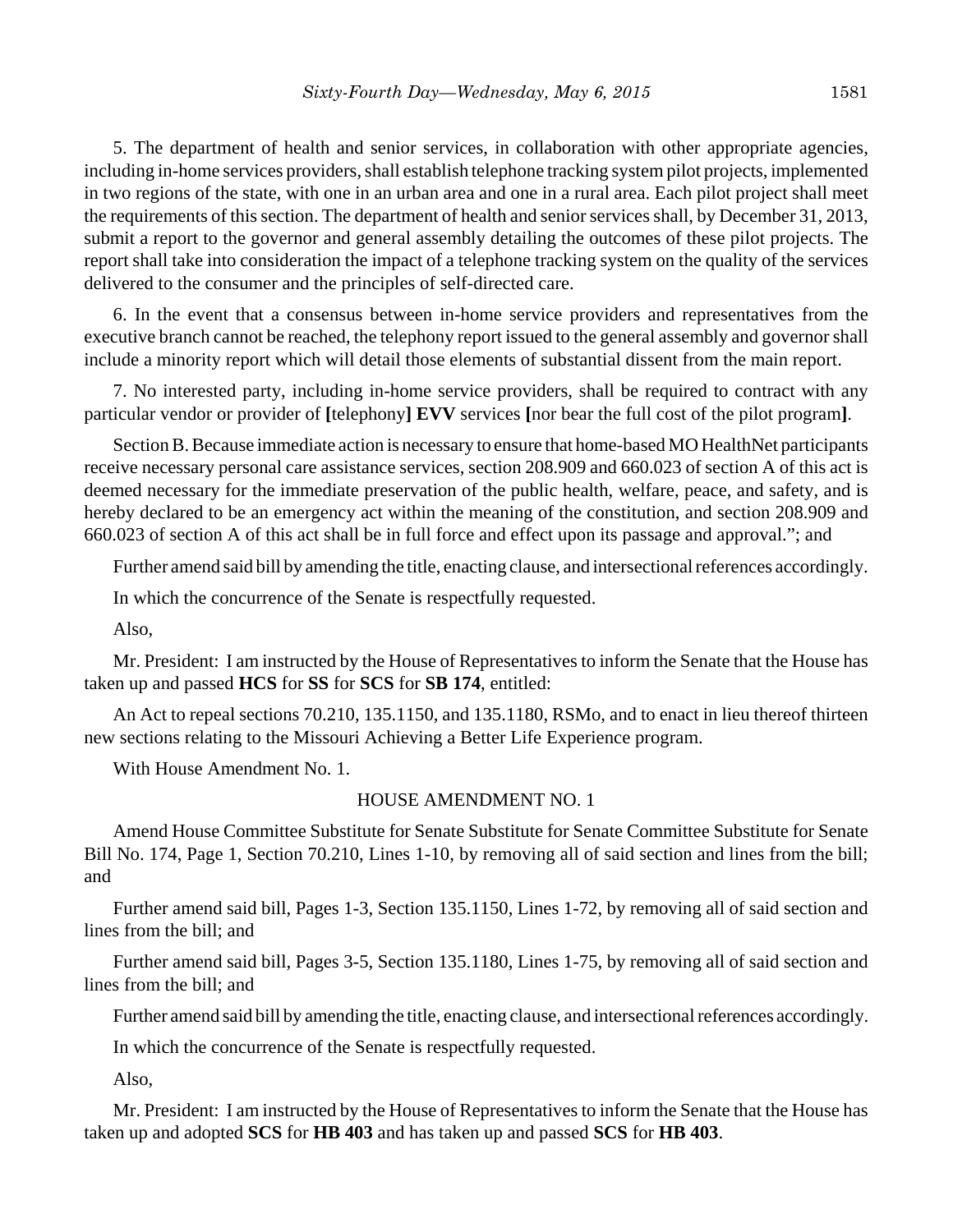5. The department of health and senior services, in collaboration with other appropriate agencies, including in-home services providers, shall establish telephone tracking system pilot projects, implemented in two regions of the state, with one in an urban area and one in a rural area. Each pilot project shall meet the requirements of this section. The department of health and senior services shall, by December 31, 2013, submit a report to the governor and general assembly detailing the outcomes of these pilot projects. The report shall take into consideration the impact of a telephone tracking system on the quality of the services delivered to the consumer and the principles of self-directed care.

6. In the event that a consensus between in-home service providers and representatives from the executive branch cannot be reached, the telephony report issued to the general assembly and governor shall include a minority report which will detail those elements of substantial dissent from the main report.

7. No interested party, including in-home service providers, shall be required to contract with any particular vendor or provider of **[**telephony**] EVV** services **[**nor bear the full cost of the pilot program**]**.

Section B. Because immediate action is necessary to ensure that home-based MO HealthNet participants receive necessary personal care assistance services, section 208.909 and 660.023 of section A of this act is deemed necessary for the immediate preservation of the public health, welfare, peace, and safety, and is hereby declared to be an emergency act within the meaning of the constitution, and section 208.909 and 660.023 of section A of this act shall be in full force and effect upon its passage and approval."; and

Further amend said bill by amending the title, enacting clause, and intersectional references accordingly.

In which the concurrence of the Senate is respectfully requested.

Also,

Mr. President: I am instructed by the House of Representatives to inform the Senate that the House has taken up and passed **HCS** for **SS** for **SCS** for **SB 174**, entitled:

An Act to repeal sections 70.210, 135.1150, and 135.1180, RSMo, and to enact in lieu thereof thirteen new sections relating to the Missouri Achieving a Better Life Experience program.

With House Amendment No. 1.

## HOUSE AMENDMENT NO. 1

Amend House Committee Substitute for Senate Substitute for Senate Committee Substitute for Senate Bill No. 174, Page 1, Section 70.210, Lines 1-10, by removing all of said section and lines from the bill; and

Further amend said bill, Pages 1-3, Section 135.1150, Lines 1-72, by removing all of said section and lines from the bill; and

Further amend said bill, Pages 3-5, Section 135.1180, Lines 1-75, by removing all of said section and lines from the bill; and

Further amend said bill by amending the title, enacting clause, and intersectional references accordingly.

In which the concurrence of the Senate is respectfully requested.

Also,

Mr. President: I am instructed by the House of Representatives to inform the Senate that the House has taken up and adopted **SCS** for **HB 403** and has taken up and passed **SCS** for **HB 403**.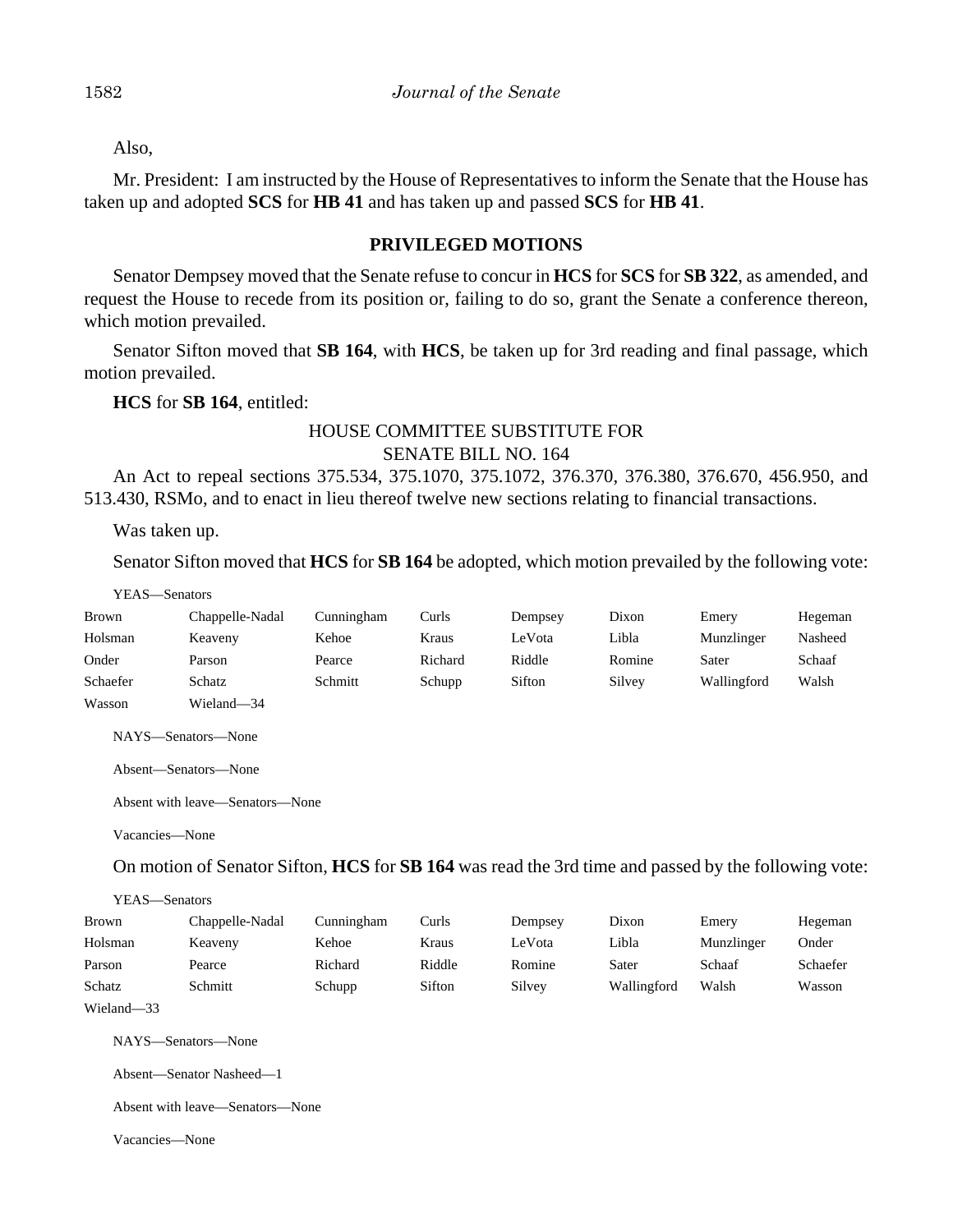Also,

Mr. President: I am instructed by the House of Representatives to inform the Senate that the House has taken up and adopted **SCS** for **HB 41** and has taken up and passed **SCS** for **HB 41**.

### **PRIVILEGED MOTIONS**

Senator Dempsey moved that the Senate refuse to concur in **HCS** for **SCS** for **SB 322**, as amended, and request the House to recede from its position or, failing to do so, grant the Senate a conference thereon, which motion prevailed.

Senator Sifton moved that **SB 164**, with **HCS**, be taken up for 3rd reading and final passage, which motion prevailed.

**HCS** for **SB 164**, entitled:

## HOUSE COMMITTEE SUBSTITUTE FOR SENATE BILL NO. 164

An Act to repeal sections 375.534, 375.1070, 375.1072, 376.370, 376.380, 376.670, 456.950, and 513.430, RSMo, and to enact in lieu thereof twelve new sections relating to financial transactions.

Was taken up.

Senator Sifton moved that **HCS** for **SB 164** be adopted, which motion prevailed by the following vote:

| YEAS—Senators |                 |            |         |         |        |             |         |
|---------------|-----------------|------------|---------|---------|--------|-------------|---------|
| <b>Brown</b>  | Chappelle-Nadal | Cunningham | Curls   | Dempsey | Dixon  | Emery       | Hegeman |
| Holsman       | Keaveny         | Kehoe      | Kraus   | LeVota  | Libla  | Munzlinger  | Nasheed |
| Onder         | Parson          | Pearce     | Richard | Riddle  | Romine | Sater       | Schaaf  |
| Schaefer      | Schatz          | Schmitt    | Schupp  | Sifton  | Silvey | Wallingford | Walsh   |
| Wasson        | Wieland-34      |            |         |         |        |             |         |

NAYS—Senators—None

Absent—Senators—None

Absent with leave—Senators—None

Vacancies—None

On motion of Senator Sifton, **HCS** for **SB 164** was read the 3rd time and passed by the following vote:

YEAS—Senators

| <b>Brown</b> | Chappelle-Nadal | Cunningham | Curls  | Dempsey | Dixon       | Emery      | Hegeman  |
|--------------|-----------------|------------|--------|---------|-------------|------------|----------|
| Holsman      | Keaveny         | Kehoe      | Kraus  | LeVota  | Libla       | Munzlinger | Onder    |
| Parson       | Pearce          | Richard    | Riddle | Romine  | Sater       | Schaaf     | Schaefer |
| Schatz       | Schmitt         | Schupp     | Sifton | Silvey  | Wallingford | Walsh      | Wasson   |
| Wieland-33   |                 |            |        |         |             |            |          |

NAYS—Senators—None

Absent—Senator Nasheed—1

Absent with leave—Senators—None

Vacancies—None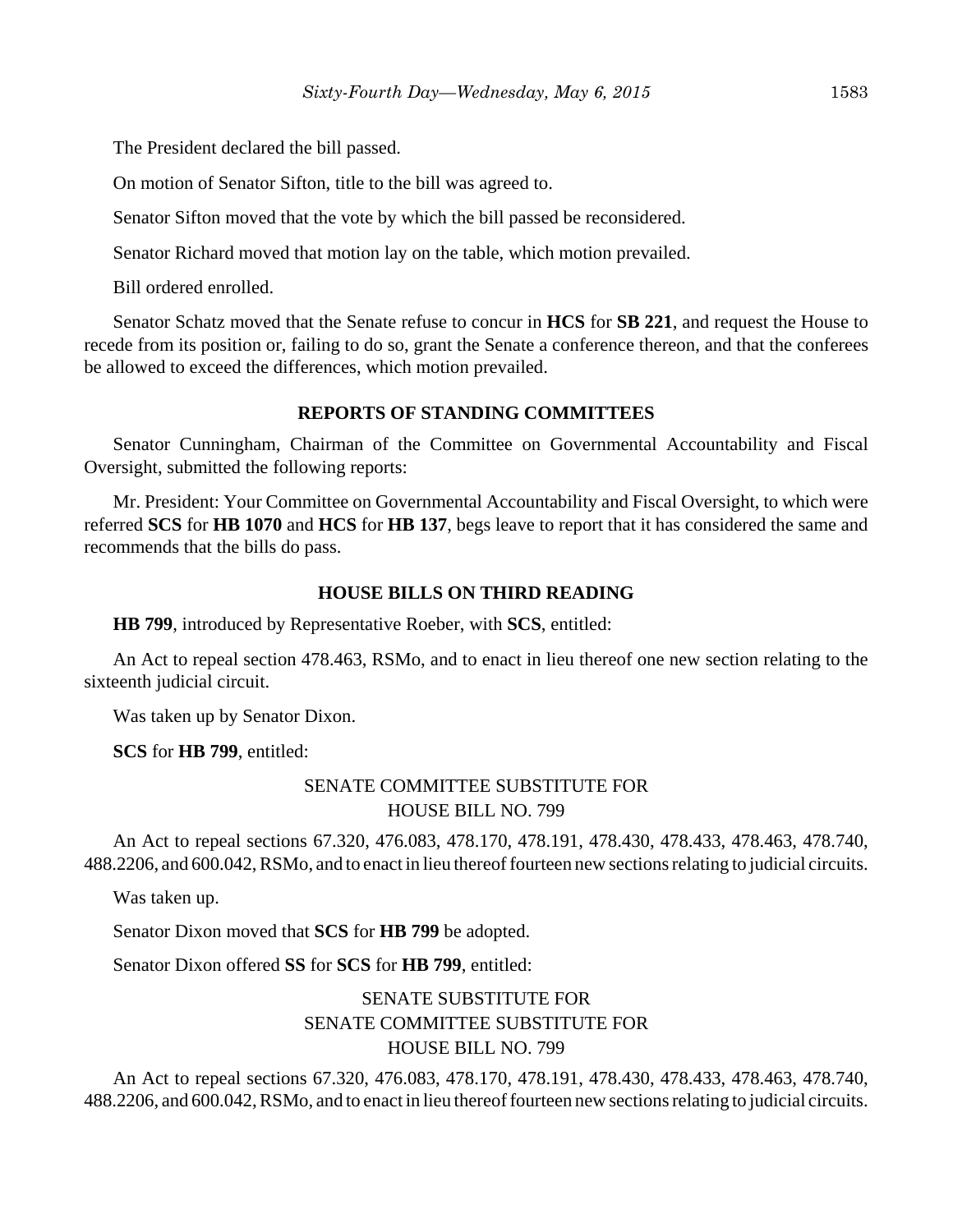The President declared the bill passed.

On motion of Senator Sifton, title to the bill was agreed to.

Senator Sifton moved that the vote by which the bill passed be reconsidered.

Senator Richard moved that motion lay on the table, which motion prevailed.

Bill ordered enrolled.

Senator Schatz moved that the Senate refuse to concur in **HCS** for **SB 221**, and request the House to recede from its position or, failing to do so, grant the Senate a conference thereon, and that the conferees be allowed to exceed the differences, which motion prevailed.

### **REPORTS OF STANDING COMMITTEES**

Senator Cunningham, Chairman of the Committee on Governmental Accountability and Fiscal Oversight, submitted the following reports:

Mr. President: Your Committee on Governmental Accountability and Fiscal Oversight, to which were referred **SCS** for **HB 1070** and **HCS** for **HB 137**, begs leave to report that it has considered the same and recommends that the bills do pass.

### **HOUSE BILLS ON THIRD READING**

**HB 799**, introduced by Representative Roeber, with **SCS**, entitled:

An Act to repeal section 478.463, RSMo, and to enact in lieu thereof one new section relating to the sixteenth judicial circuit.

Was taken up by Senator Dixon.

**SCS** for **HB 799**, entitled:

## SENATE COMMITTEE SUBSTITUTE FOR HOUSE BILL NO. 799

An Act to repeal sections 67.320, 476.083, 478.170, 478.191, 478.430, 478.433, 478.463, 478.740, 488.2206, and 600.042, RSMo, and to enact in lieu thereof fourteen new sections relating to judicial circuits.

Was taken up.

Senator Dixon moved that **SCS** for **HB 799** be adopted.

Senator Dixon offered **SS** for **SCS** for **HB 799**, entitled:

# SENATE SUBSTITUTE FOR SENATE COMMITTEE SUBSTITUTE FOR HOUSE BILL NO. 799

An Act to repeal sections 67.320, 476.083, 478.170, 478.191, 478.430, 478.433, 478.463, 478.740, 488.2206, and 600.042, RSMo, and to enact in lieu thereof fourteen new sections relating to judicial circuits.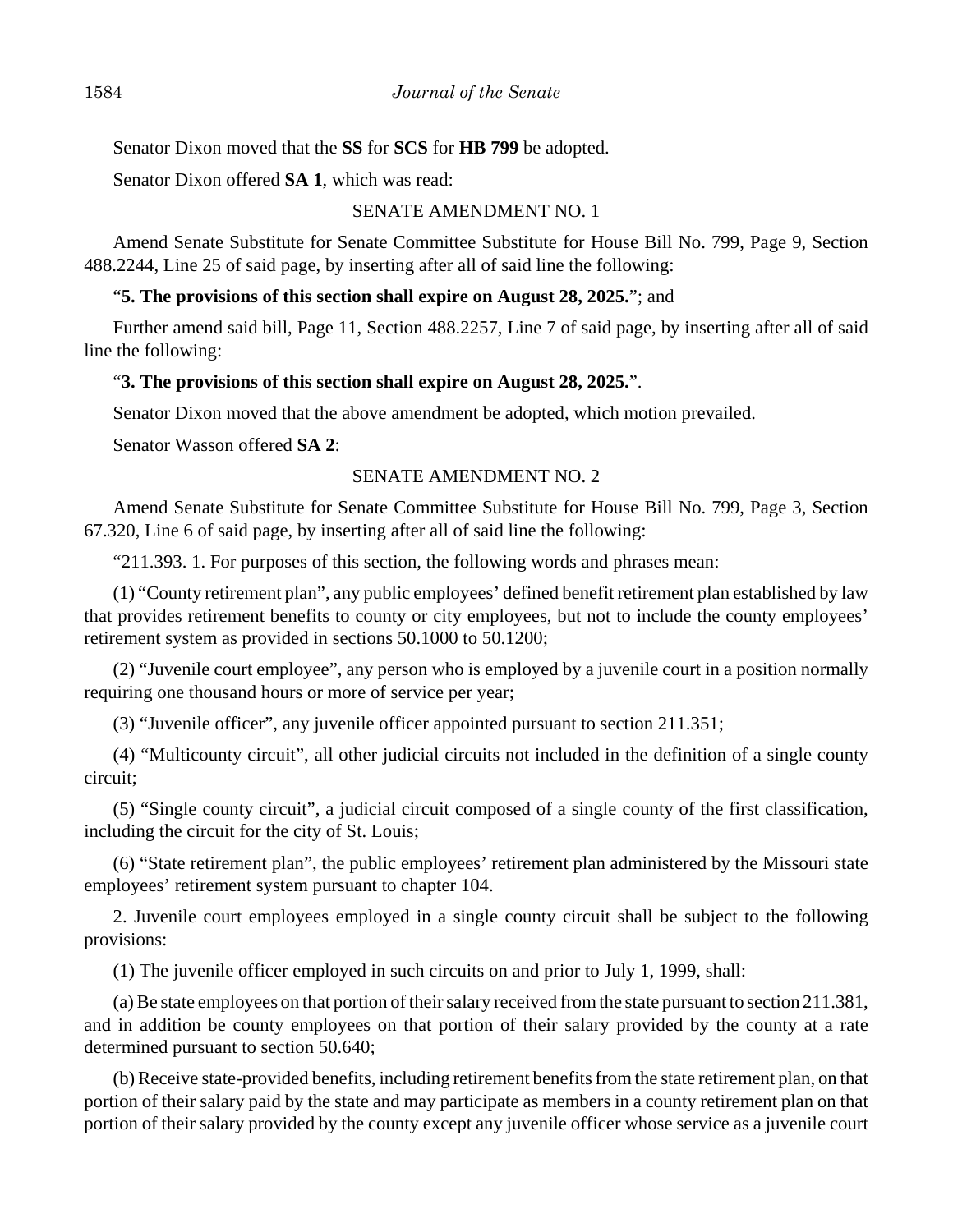Senator Dixon moved that the **SS** for **SCS** for **HB 799** be adopted.

Senator Dixon offered **SA 1**, which was read:

### SENATE AMENDMENT NO. 1

Amend Senate Substitute for Senate Committee Substitute for House Bill No. 799, Page 9, Section 488.2244, Line 25 of said page, by inserting after all of said line the following:

### "**5. The provisions of this section shall expire on August 28, 2025.**"; and

Further amend said bill, Page 11, Section 488.2257, Line 7 of said page, by inserting after all of said line the following:

### "**3. The provisions of this section shall expire on August 28, 2025.**".

Senator Dixon moved that the above amendment be adopted, which motion prevailed.

Senator Wasson offered **SA 2**:

### SENATE AMENDMENT NO. 2

Amend Senate Substitute for Senate Committee Substitute for House Bill No. 799, Page 3, Section 67.320, Line 6 of said page, by inserting after all of said line the following:

"211.393. 1. For purposes of this section, the following words and phrases mean:

(1) "County retirement plan", any public employees' defined benefit retirement plan established by law that provides retirement benefits to county or city employees, but not to include the county employees' retirement system as provided in sections 50.1000 to 50.1200;

(2) "Juvenile court employee", any person who is employed by a juvenile court in a position normally requiring one thousand hours or more of service per year;

(3) "Juvenile officer", any juvenile officer appointed pursuant to section 211.351;

(4) "Multicounty circuit", all other judicial circuits not included in the definition of a single county circuit;

(5) "Single county circuit", a judicial circuit composed of a single county of the first classification, including the circuit for the city of St. Louis;

(6) "State retirement plan", the public employees' retirement plan administered by the Missouri state employees' retirement system pursuant to chapter 104.

2. Juvenile court employees employed in a single county circuit shall be subject to the following provisions:

(1) The juvenile officer employed in such circuits on and prior to July 1, 1999, shall:

(a) Be state employees on that portion of their salary received from the state pursuant to section 211.381, and in addition be county employees on that portion of their salary provided by the county at a rate determined pursuant to section 50.640;

(b) Receive state-provided benefits, including retirement benefits from the state retirement plan, on that portion of their salary paid by the state and may participate as members in a county retirement plan on that portion of their salary provided by the county except any juvenile officer whose service as a juvenile court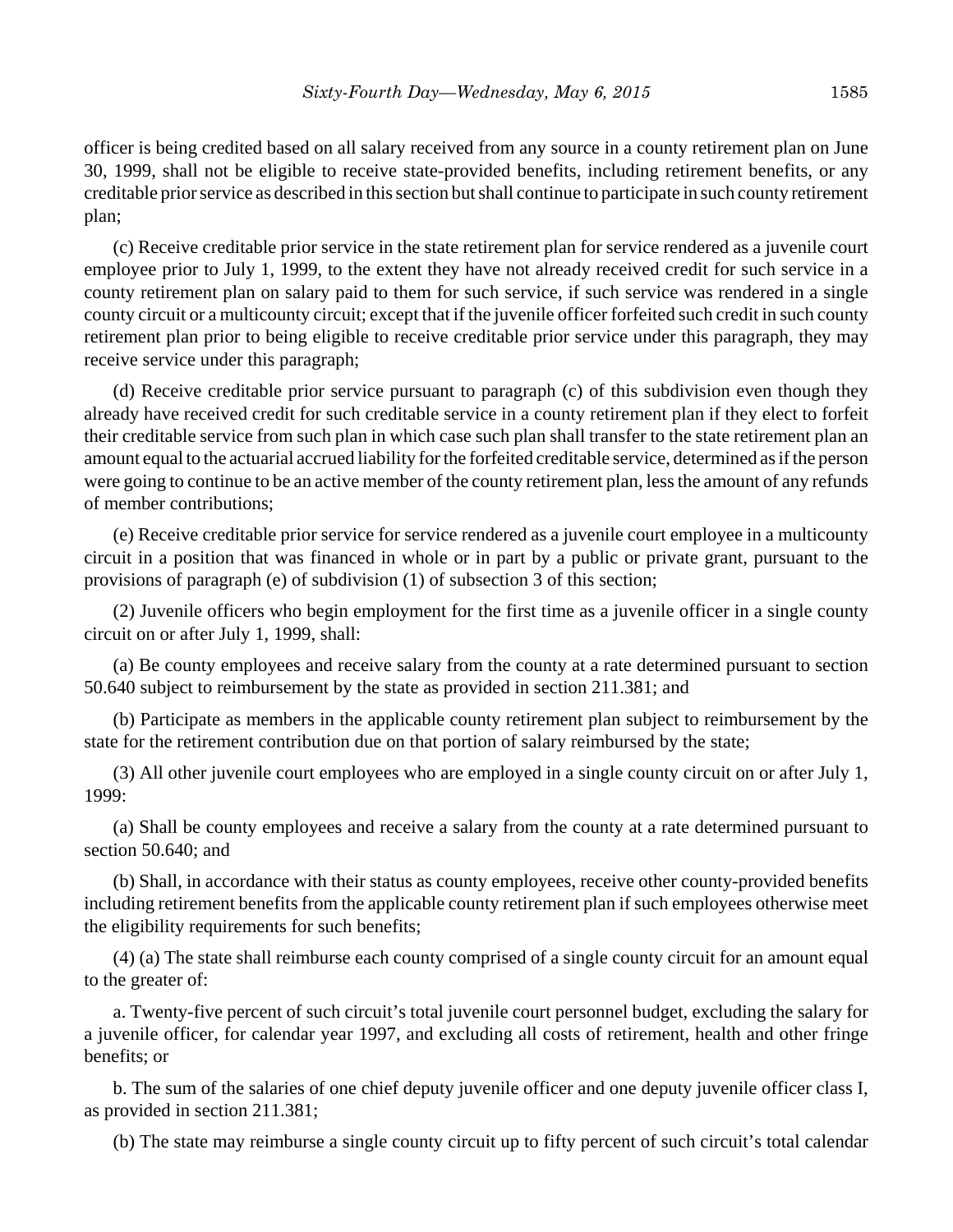officer is being credited based on all salary received from any source in a county retirement plan on June 30, 1999, shall not be eligible to receive state-provided benefits, including retirement benefits, or any creditable prior service as described in this section but shall continue to participate in such county retirement plan;

(c) Receive creditable prior service in the state retirement plan for service rendered as a juvenile court employee prior to July 1, 1999, to the extent they have not already received credit for such service in a county retirement plan on salary paid to them for such service, if such service was rendered in a single county circuit or a multicounty circuit; except that if the juvenile officer forfeited such credit in such county retirement plan prior to being eligible to receive creditable prior service under this paragraph, they may receive service under this paragraph;

(d) Receive creditable prior service pursuant to paragraph (c) of this subdivision even though they already have received credit for such creditable service in a county retirement plan if they elect to forfeit their creditable service from such plan in which case such plan shall transfer to the state retirement plan an amount equal to the actuarial accrued liability for the forfeited creditable service, determined as if the person were going to continue to be an active member of the county retirement plan, less the amount of any refunds of member contributions;

(e) Receive creditable prior service for service rendered as a juvenile court employee in a multicounty circuit in a position that was financed in whole or in part by a public or private grant, pursuant to the provisions of paragraph (e) of subdivision (1) of subsection 3 of this section;

(2) Juvenile officers who begin employment for the first time as a juvenile officer in a single county circuit on or after July 1, 1999, shall:

(a) Be county employees and receive salary from the county at a rate determined pursuant to section 50.640 subject to reimbursement by the state as provided in section 211.381; and

(b) Participate as members in the applicable county retirement plan subject to reimbursement by the state for the retirement contribution due on that portion of salary reimbursed by the state;

(3) All other juvenile court employees who are employed in a single county circuit on or after July 1, 1999:

(a) Shall be county employees and receive a salary from the county at a rate determined pursuant to section 50.640; and

(b) Shall, in accordance with their status as county employees, receive other county-provided benefits including retirement benefits from the applicable county retirement plan if such employees otherwise meet the eligibility requirements for such benefits;

(4) (a) The state shall reimburse each county comprised of a single county circuit for an amount equal to the greater of:

a. Twenty-five percent of such circuit's total juvenile court personnel budget, excluding the salary for a juvenile officer, for calendar year 1997, and excluding all costs of retirement, health and other fringe benefits; or

b. The sum of the salaries of one chief deputy juvenile officer and one deputy juvenile officer class I, as provided in section 211.381;

(b) The state may reimburse a single county circuit up to fifty percent of such circuit's total calendar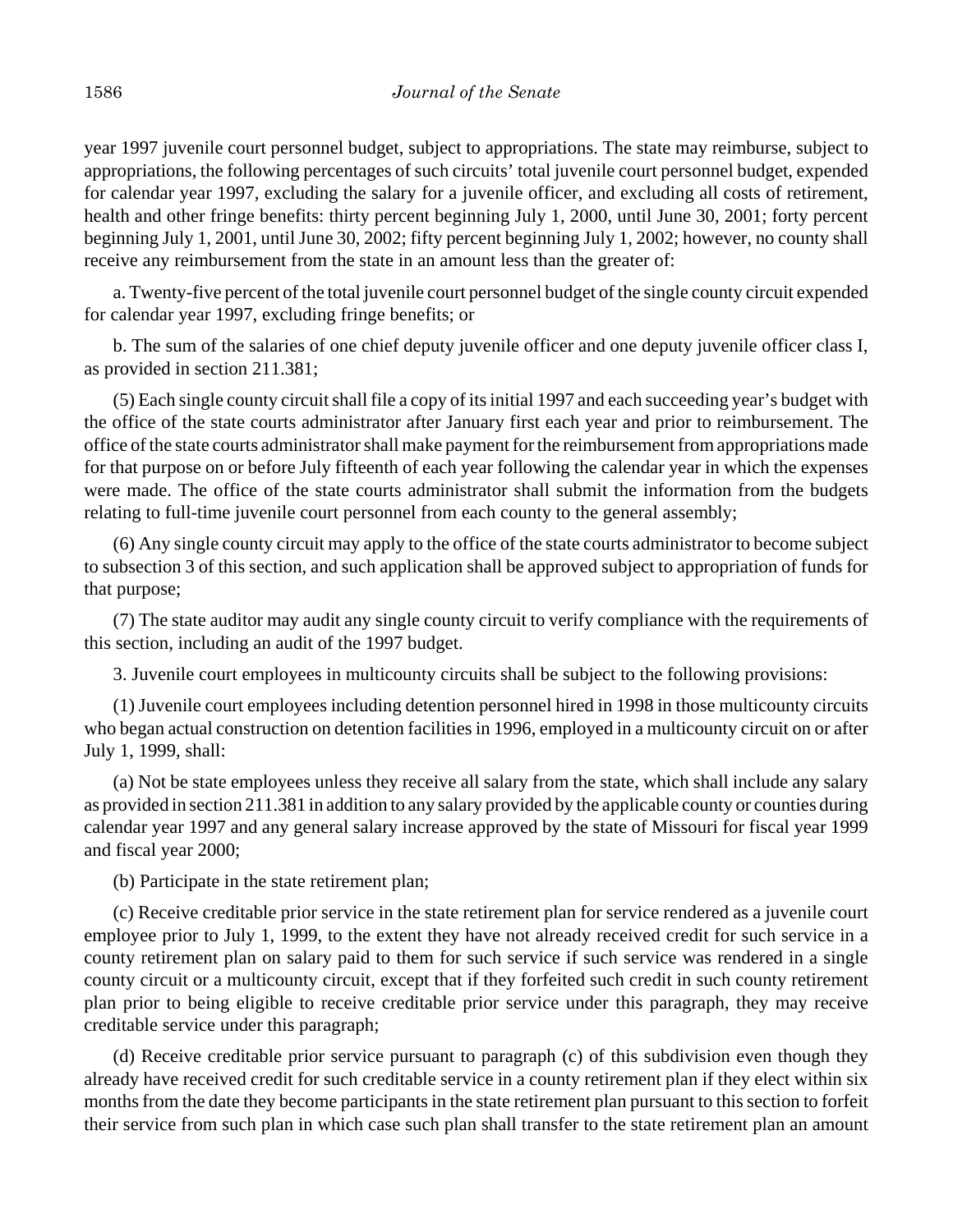year 1997 juvenile court personnel budget, subject to appropriations. The state may reimburse, subject to appropriations, the following percentages of such circuits' total juvenile court personnel budget, expended for calendar year 1997, excluding the salary for a juvenile officer, and excluding all costs of retirement, health and other fringe benefits: thirty percent beginning July 1, 2000, until June 30, 2001; forty percent beginning July 1, 2001, until June 30, 2002; fifty percent beginning July 1, 2002; however, no county shall receive any reimbursement from the state in an amount less than the greater of:

a. Twenty-five percent of the total juvenile court personnel budget of the single county circuit expended for calendar year 1997, excluding fringe benefits; or

b. The sum of the salaries of one chief deputy juvenile officer and one deputy juvenile officer class I, as provided in section 211.381;

(5) Each single county circuit shall file a copy of its initial 1997 and each succeeding year's budget with the office of the state courts administrator after January first each year and prior to reimbursement. The office of the state courts administrator shall make payment for the reimbursement from appropriations made for that purpose on or before July fifteenth of each year following the calendar year in which the expenses were made. The office of the state courts administrator shall submit the information from the budgets relating to full-time juvenile court personnel from each county to the general assembly;

(6) Any single county circuit may apply to the office of the state courts administrator to become subject to subsection 3 of this section, and such application shall be approved subject to appropriation of funds for that purpose;

(7) The state auditor may audit any single county circuit to verify compliance with the requirements of this section, including an audit of the 1997 budget.

3. Juvenile court employees in multicounty circuits shall be subject to the following provisions:

(1) Juvenile court employees including detention personnel hired in 1998 in those multicounty circuits who began actual construction on detention facilities in 1996, employed in a multicounty circuit on or after July 1, 1999, shall:

(a) Not be state employees unless they receive all salary from the state, which shall include any salary as provided in section 211.381 in addition to any salary provided by the applicable county or counties during calendar year 1997 and any general salary increase approved by the state of Missouri for fiscal year 1999 and fiscal year 2000;

(b) Participate in the state retirement plan;

(c) Receive creditable prior service in the state retirement plan for service rendered as a juvenile court employee prior to July 1, 1999, to the extent they have not already received credit for such service in a county retirement plan on salary paid to them for such service if such service was rendered in a single county circuit or a multicounty circuit, except that if they forfeited such credit in such county retirement plan prior to being eligible to receive creditable prior service under this paragraph, they may receive creditable service under this paragraph;

(d) Receive creditable prior service pursuant to paragraph (c) of this subdivision even though they already have received credit for such creditable service in a county retirement plan if they elect within six months from the date they become participants in the state retirement plan pursuant to this section to forfeit their service from such plan in which case such plan shall transfer to the state retirement plan an amount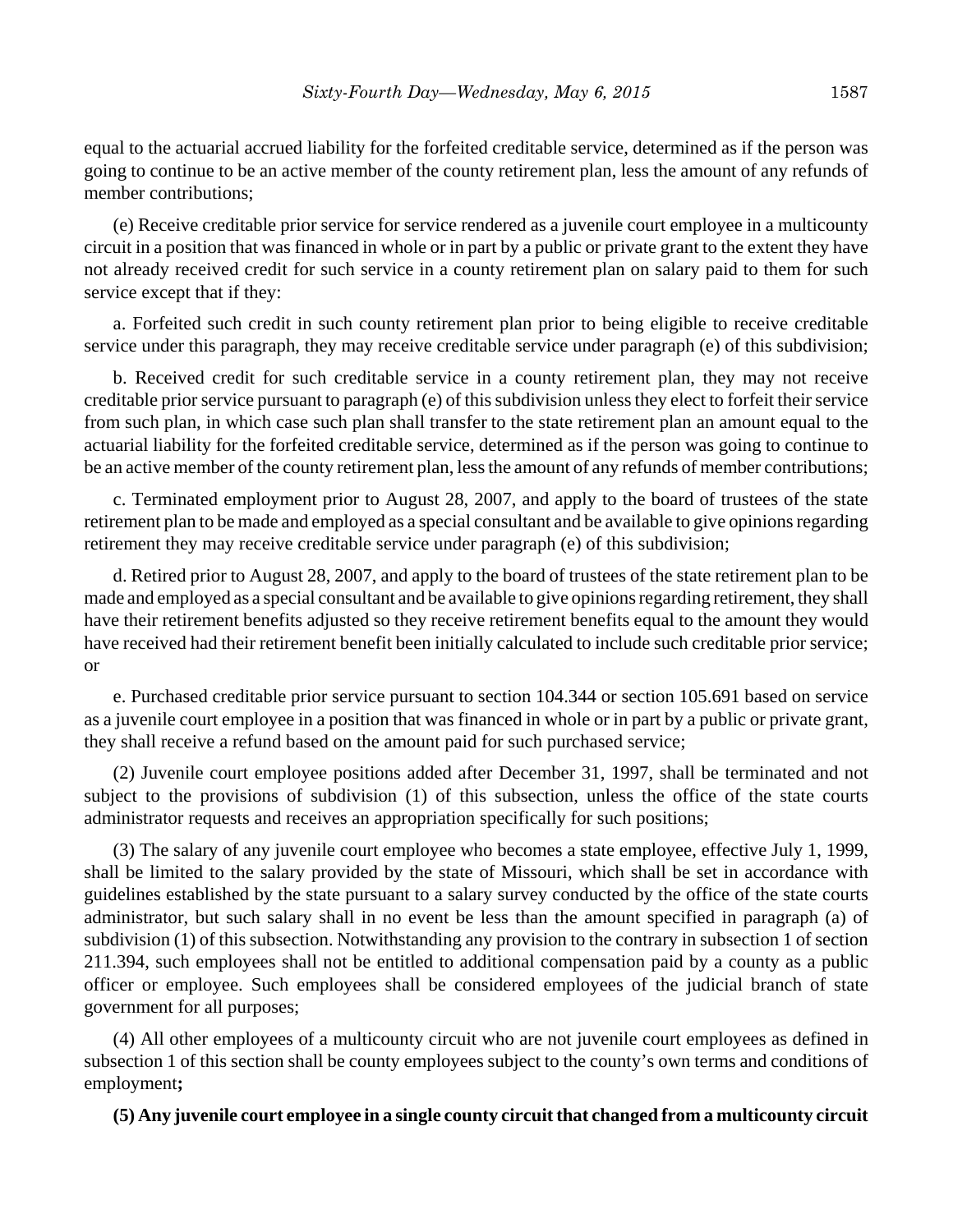equal to the actuarial accrued liability for the forfeited creditable service, determined as if the person was going to continue to be an active member of the county retirement plan, less the amount of any refunds of member contributions;

(e) Receive creditable prior service for service rendered as a juvenile court employee in a multicounty circuit in a position that was financed in whole or in part by a public or private grant to the extent they have not already received credit for such service in a county retirement plan on salary paid to them for such service except that if they:

a. Forfeited such credit in such county retirement plan prior to being eligible to receive creditable service under this paragraph, they may receive creditable service under paragraph (e) of this subdivision;

b. Received credit for such creditable service in a county retirement plan, they may not receive creditable prior service pursuant to paragraph (e) of this subdivision unless they elect to forfeit their service from such plan, in which case such plan shall transfer to the state retirement plan an amount equal to the actuarial liability for the forfeited creditable service, determined as if the person was going to continue to be an active member of the county retirement plan, less the amount of any refunds of member contributions;

c. Terminated employment prior to August 28, 2007, and apply to the board of trustees of the state retirement plan to be made and employed as a special consultant and be available to give opinions regarding retirement they may receive creditable service under paragraph (e) of this subdivision;

d. Retired prior to August 28, 2007, and apply to the board of trustees of the state retirement plan to be made and employed as a special consultant and be available to give opinions regarding retirement, they shall have their retirement benefits adjusted so they receive retirement benefits equal to the amount they would have received had their retirement benefit been initially calculated to include such creditable prior service; or

e. Purchased creditable prior service pursuant to section 104.344 or section 105.691 based on service as a juvenile court employee in a position that was financed in whole or in part by a public or private grant, they shall receive a refund based on the amount paid for such purchased service;

(2) Juvenile court employee positions added after December 31, 1997, shall be terminated and not subject to the provisions of subdivision (1) of this subsection, unless the office of the state courts administrator requests and receives an appropriation specifically for such positions;

(3) The salary of any juvenile court employee who becomes a state employee, effective July 1, 1999, shall be limited to the salary provided by the state of Missouri, which shall be set in accordance with guidelines established by the state pursuant to a salary survey conducted by the office of the state courts administrator, but such salary shall in no event be less than the amount specified in paragraph (a) of subdivision (1) of this subsection. Notwithstanding any provision to the contrary in subsection 1 of section 211.394, such employees shall not be entitled to additional compensation paid by a county as a public officer or employee. Such employees shall be considered employees of the judicial branch of state government for all purposes;

(4) All other employees of a multicounty circuit who are not juvenile court employees as defined in subsection 1 of this section shall be county employees subject to the county's own terms and conditions of employment**;**

## **(5) Any juvenile court employee in a single county circuit that changed from a multicounty circuit**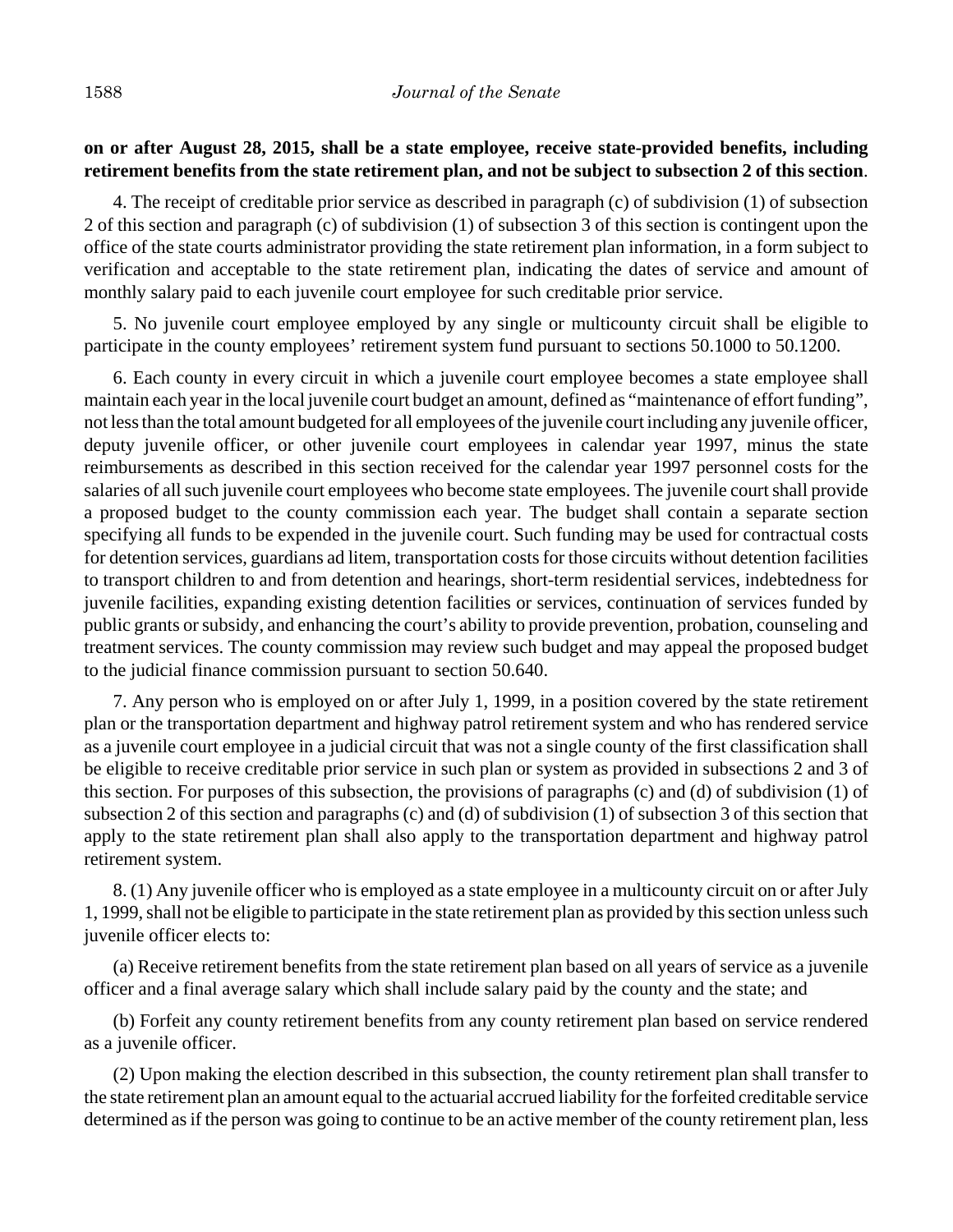## **on or after August 28, 2015, shall be a state employee, receive state-provided benefits, including retirement benefits from the state retirement plan, and not be subject to subsection 2 of this section**.

4. The receipt of creditable prior service as described in paragraph (c) of subdivision (1) of subsection 2 of this section and paragraph (c) of subdivision (1) of subsection 3 of this section is contingent upon the office of the state courts administrator providing the state retirement plan information, in a form subject to verification and acceptable to the state retirement plan, indicating the dates of service and amount of monthly salary paid to each juvenile court employee for such creditable prior service.

5. No juvenile court employee employed by any single or multicounty circuit shall be eligible to participate in the county employees' retirement system fund pursuant to sections 50.1000 to 50.1200.

6. Each county in every circuit in which a juvenile court employee becomes a state employee shall maintain each year in the local juvenile court budget an amount, defined as "maintenance of effort funding", not less than the total amount budgeted for all employees of the juvenile court including any juvenile officer, deputy juvenile officer, or other juvenile court employees in calendar year 1997, minus the state reimbursements as described in this section received for the calendar year 1997 personnel costs for the salaries of all such juvenile court employees who become state employees. The juvenile court shall provide a proposed budget to the county commission each year. The budget shall contain a separate section specifying all funds to be expended in the juvenile court. Such funding may be used for contractual costs for detention services, guardians ad litem, transportation costs for those circuits without detention facilities to transport children to and from detention and hearings, short-term residential services, indebtedness for juvenile facilities, expanding existing detention facilities or services, continuation of services funded by public grants or subsidy, and enhancing the court's ability to provide prevention, probation, counseling and treatment services. The county commission may review such budget and may appeal the proposed budget to the judicial finance commission pursuant to section 50.640.

7. Any person who is employed on or after July 1, 1999, in a position covered by the state retirement plan or the transportation department and highway patrol retirement system and who has rendered service as a juvenile court employee in a judicial circuit that was not a single county of the first classification shall be eligible to receive creditable prior service in such plan or system as provided in subsections 2 and 3 of this section. For purposes of this subsection, the provisions of paragraphs (c) and (d) of subdivision (1) of subsection 2 of this section and paragraphs (c) and (d) of subdivision (1) of subsection 3 of this section that apply to the state retirement plan shall also apply to the transportation department and highway patrol retirement system.

8. (1) Any juvenile officer who is employed as a state employee in a multicounty circuit on or after July 1, 1999, shall not be eligible to participate in the state retirement plan as provided by this section unless such juvenile officer elects to:

(a) Receive retirement benefits from the state retirement plan based on all years of service as a juvenile officer and a final average salary which shall include salary paid by the county and the state; and

(b) Forfeit any county retirement benefits from any county retirement plan based on service rendered as a juvenile officer.

(2) Upon making the election described in this subsection, the county retirement plan shall transfer to the state retirement plan an amount equal to the actuarial accrued liability for the forfeited creditable service determined as if the person was going to continue to be an active member of the county retirement plan, less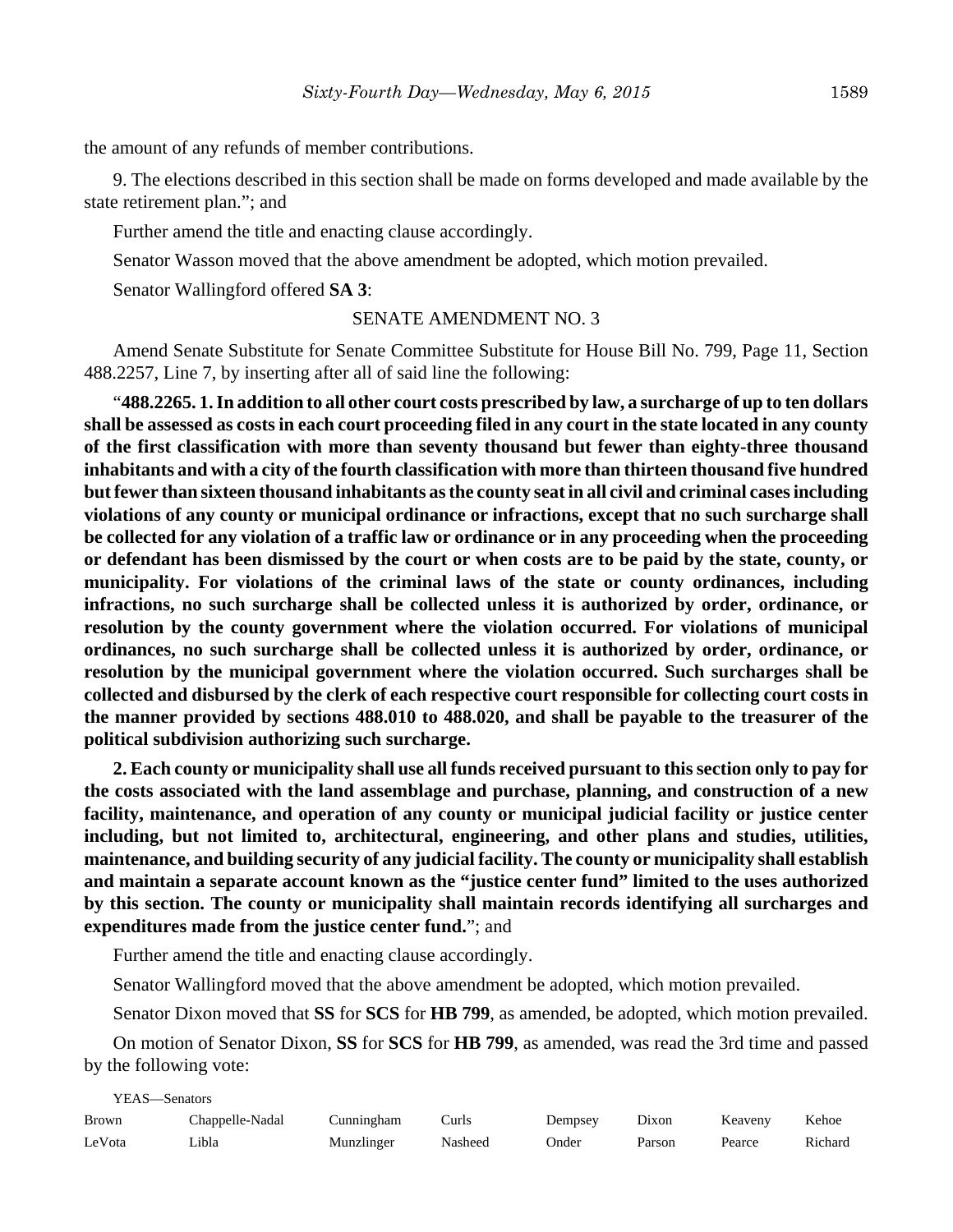the amount of any refunds of member contributions.

9. The elections described in this section shall be made on forms developed and made available by the state retirement plan."; and

Further amend the title and enacting clause accordingly.

Senator Wasson moved that the above amendment be adopted, which motion prevailed.

Senator Wallingford offered **SA 3**:

## SENATE AMENDMENT NO. 3

Amend Senate Substitute for Senate Committee Substitute for House Bill No. 799, Page 11, Section 488.2257, Line 7, by inserting after all of said line the following:

"**488.2265. 1. In addition to all other court costs prescribed by law, a surcharge of up to ten dollars shall be assessed as costs in each court proceeding filed in any court in the state located in any county of the first classification with more than seventy thousand but fewer than eighty-three thousand inhabitants and with a city of the fourth classification with more than thirteen thousand five hundred but fewer than sixteen thousand inhabitants as the county seat in all civil and criminal cases including violations of any county or municipal ordinance or infractions, except that no such surcharge shall be collected for any violation of a traffic law or ordinance or in any proceeding when the proceeding or defendant has been dismissed by the court or when costs are to be paid by the state, county, or municipality. For violations of the criminal laws of the state or county ordinances, including infractions, no such surcharge shall be collected unless it is authorized by order, ordinance, or resolution by the county government where the violation occurred. For violations of municipal ordinances, no such surcharge shall be collected unless it is authorized by order, ordinance, or resolution by the municipal government where the violation occurred. Such surcharges shall be collected and disbursed by the clerk of each respective court responsible for collecting court costs in the manner provided by sections 488.010 to 488.020, and shall be payable to the treasurer of the political subdivision authorizing such surcharge.**

**2. Each county or municipality shall use all funds received pursuant to this section only to pay for the costs associated with the land assemblage and purchase, planning, and construction of a new facility, maintenance, and operation of any county or municipal judicial facility or justice center including, but not limited to, architectural, engineering, and other plans and studies, utilities, maintenance, and building security of any judicial facility. The county or municipality shall establish and maintain a separate account known as the "justice center fund" limited to the uses authorized by this section. The county or municipality shall maintain records identifying all surcharges and expenditures made from the justice center fund.**"; and

Further amend the title and enacting clause accordingly.

Senator Wallingford moved that the above amendment be adopted, which motion prevailed.

Senator Dixon moved that **SS** for **SCS** for **HB 799**, as amended, be adopted, which motion prevailed.

On motion of Senator Dixon, **SS** for **SCS** for **HB 799**, as amended, was read the 3rd time and passed by the following vote:

| YEAS—Senators |                 |            |         |         |        |         |         |
|---------------|-----------------|------------|---------|---------|--------|---------|---------|
| <b>Brown</b>  | Chappelle-Nadal | Cunningham | Curls   | Dempsey | Dixon  | Keaveny | Kehoe   |
| LeVota        | ∟ibla           | Munzlinger | Nasheed | Onder   | Parson | Pearce  | Richard |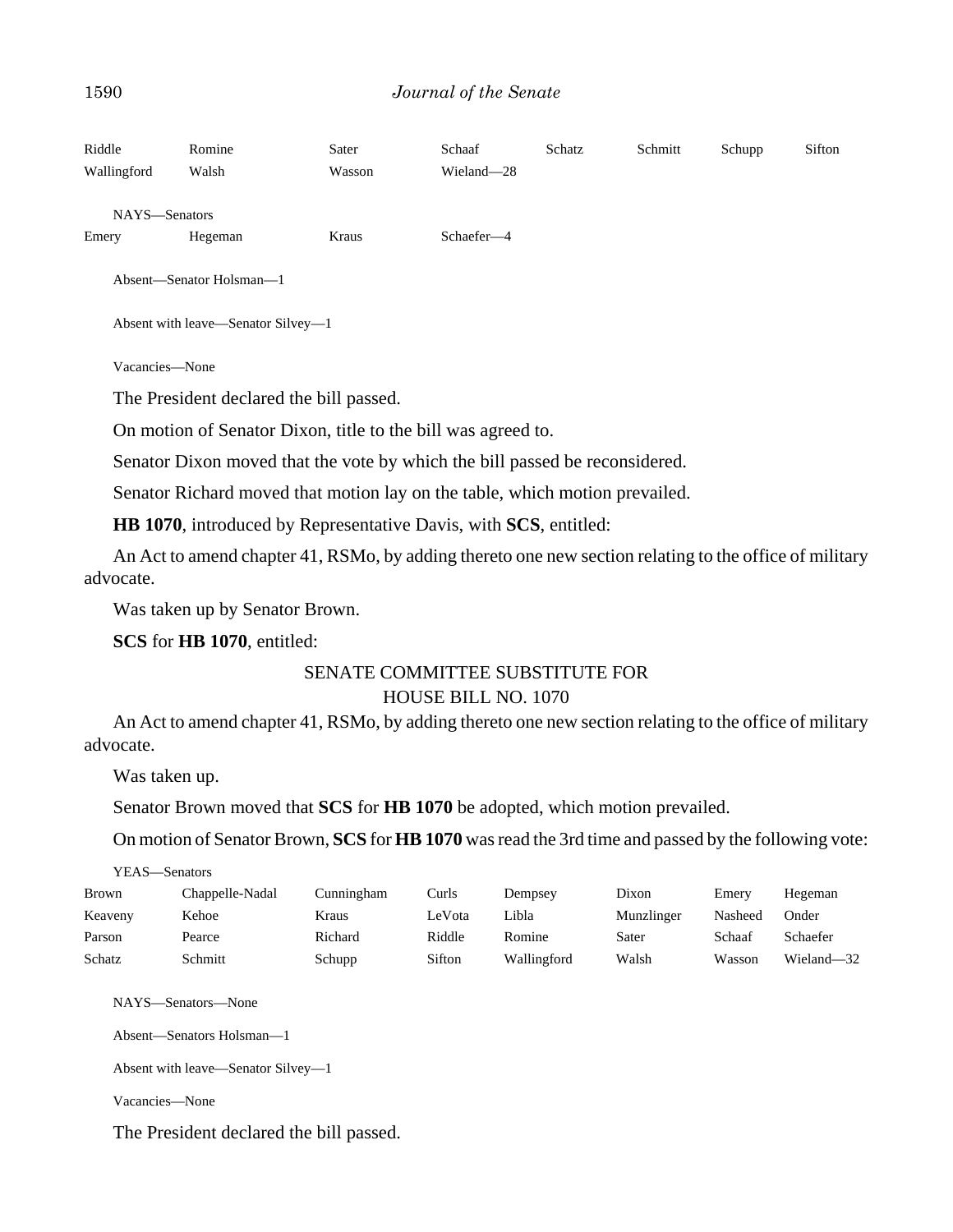| Riddle<br>Wallingford | Romine<br>Walsh                                                             | Sater<br>Wasson | Schaaf<br>Wieland-28 | Schatz | Schmitt | Schupp | Sifton |  |  |
|-----------------------|-----------------------------------------------------------------------------|-----------------|----------------------|--------|---------|--------|--------|--|--|
| NAYS-Senators         |                                                                             |                 |                      |        |         |        |        |  |  |
| Emery                 | Hegeman                                                                     | Kraus           | Schaefer-4           |        |         |        |        |  |  |
|                       | Absent-Senator Holsman-1                                                    |                 |                      |        |         |        |        |  |  |
|                       | Absent with leave—Senator Silvey—1                                          |                 |                      |        |         |        |        |  |  |
| Vacancies-None        |                                                                             |                 |                      |        |         |        |        |  |  |
|                       | The President declared the bill passed.                                     |                 |                      |        |         |        |        |  |  |
|                       | On motion of Senator Dixon, title to the bill was agreed to.                |                 |                      |        |         |        |        |  |  |
|                       | Senator Dixon moved that the vote by which the bill passed be reconsidered. |                 |                      |        |         |        |        |  |  |

Senator Richard moved that motion lay on the table, which motion prevailed.

**HB 1070**, introduced by Representative Davis, with **SCS**, entitled:

An Act to amend chapter 41, RSMo, by adding thereto one new section relating to the office of military advocate.

Was taken up by Senator Brown.

**SCS** for **HB 1070**, entitled:

## SENATE COMMITTEE SUBSTITUTE FOR HOUSE BILL NO. 1070

An Act to amend chapter 41, RSMo, by adding thereto one new section relating to the office of military advocate.

Was taken up.

Senator Brown moved that **SCS** for **HB 1070** be adopted, which motion prevailed.

On motion of Senator Brown, **SCS** for **HB 1070** was read the 3rd time and passed by the following vote:

| YEAS—Senators |  |  |
|---------------|--|--|
|               |  |  |

| Brown   | Chappelle-Nadal | Cunningham | Curls  | Dempsey     | Dixon      | Emery   | Hegeman    |
|---------|-----------------|------------|--------|-------------|------------|---------|------------|
| Keaveny | Kehoe           | Kraus      | LeVota | Libla       | Munzlinger | Nasheed | Onder      |
| Parson  | Pearce          | Richard    | Riddle | Romine      | Sater      | Schaaf  | Schaefer   |
| Schatz  | Schmitt         | Schupp     | Sifton | Wallingford | Walsh      | Wasson  | Wieland—32 |

NAYS—Senators—None

Absent—Senators Holsman—1

```
Absent with leave—Senator Silvey—1
```
Vacancies—None

The President declared the bill passed.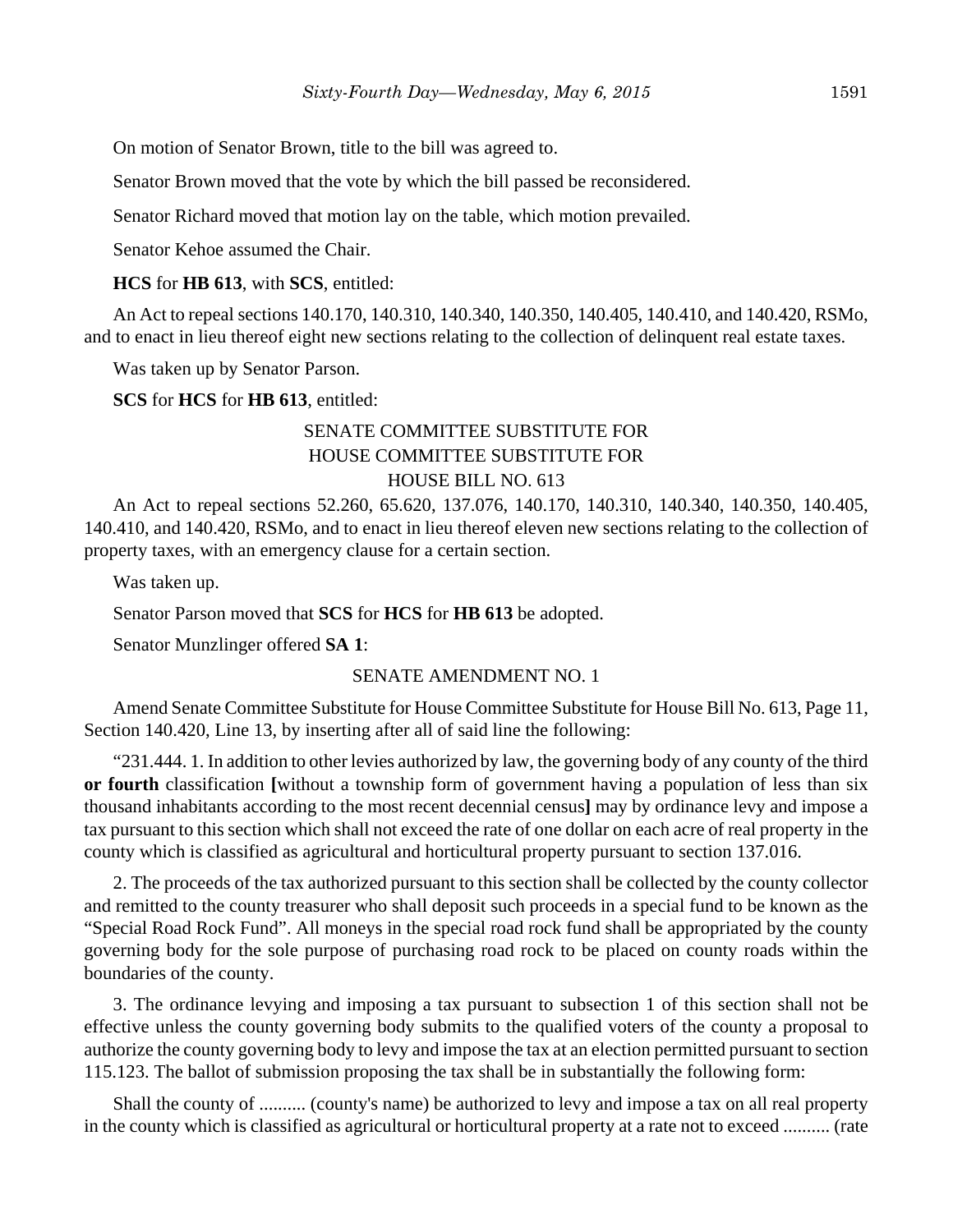On motion of Senator Brown, title to the bill was agreed to.

Senator Brown moved that the vote by which the bill passed be reconsidered.

Senator Richard moved that motion lay on the table, which motion prevailed.

Senator Kehoe assumed the Chair.

**HCS** for **HB 613**, with **SCS**, entitled:

An Act to repeal sections 140.170, 140.310, 140.340, 140.350, 140.405, 140.410, and 140.420, RSMo, and to enact in lieu thereof eight new sections relating to the collection of delinquent real estate taxes.

Was taken up by Senator Parson.

**SCS** for **HCS** for **HB 613**, entitled:

## SENATE COMMITTEE SUBSTITUTE FOR HOUSE COMMITTEE SUBSTITUTE FOR HOUSE BILL NO. 613

An Act to repeal sections 52.260, 65.620, 137.076, 140.170, 140.310, 140.340, 140.350, 140.405, 140.410, and 140.420, RSMo, and to enact in lieu thereof eleven new sections relating to the collection of property taxes, with an emergency clause for a certain section.

Was taken up.

Senator Parson moved that **SCS** for **HCS** for **HB 613** be adopted.

Senator Munzlinger offered **SA 1**:

#### SENATE AMENDMENT NO. 1

Amend Senate Committee Substitute for House Committee Substitute for House Bill No. 613, Page 11, Section 140.420, Line 13, by inserting after all of said line the following:

"231.444. 1. In addition to other levies authorized by law, the governing body of any county of the third **or fourth** classification **[**without a township form of government having a population of less than six thousand inhabitants according to the most recent decennial census**]** may by ordinance levy and impose a tax pursuant to this section which shall not exceed the rate of one dollar on each acre of real property in the county which is classified as agricultural and horticultural property pursuant to section 137.016.

2. The proceeds of the tax authorized pursuant to this section shall be collected by the county collector and remitted to the county treasurer who shall deposit such proceeds in a special fund to be known as the "Special Road Rock Fund". All moneys in the special road rock fund shall be appropriated by the county governing body for the sole purpose of purchasing road rock to be placed on county roads within the boundaries of the county.

3. The ordinance levying and imposing a tax pursuant to subsection 1 of this section shall not be effective unless the county governing body submits to the qualified voters of the county a proposal to authorize the county governing body to levy and impose the tax at an election permitted pursuant to section 115.123. The ballot of submission proposing the tax shall be in substantially the following form:

Shall the county of .......... (county's name) be authorized to levy and impose a tax on all real property in the county which is classified as agricultural or horticultural property at a rate not to exceed .......... (rate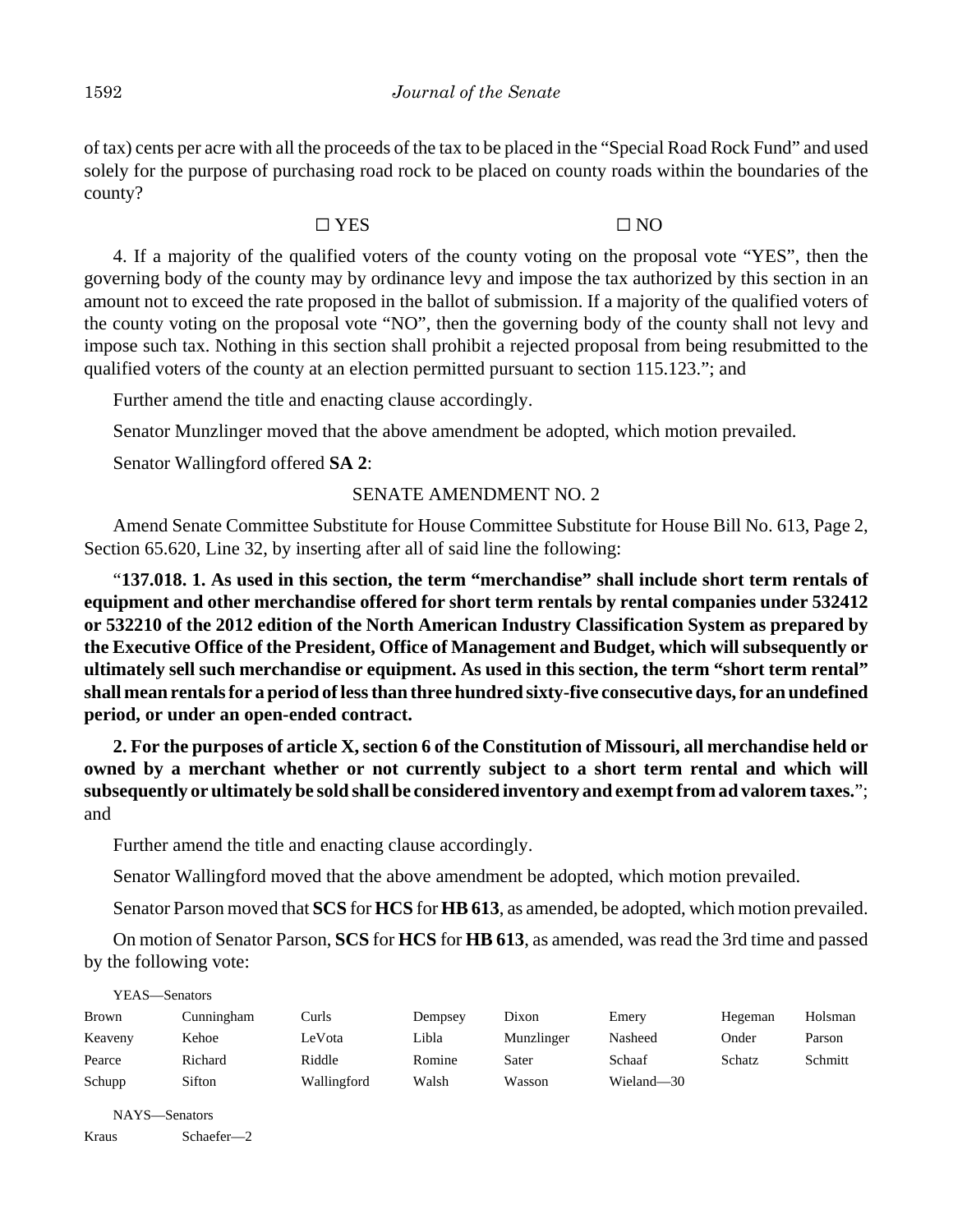of tax) cents per acre with all the proceeds of the tax to be placed in the "Special Road Rock Fund" and used solely for the purpose of purchasing road rock to be placed on county roads within the boundaries of the county?

## $\Box$  YES  $\Box$  NO

4. If a majority of the qualified voters of the county voting on the proposal vote "YES", then the governing body of the county may by ordinance levy and impose the tax authorized by this section in an amount not to exceed the rate proposed in the ballot of submission. If a majority of the qualified voters of the county voting on the proposal vote "NO", then the governing body of the county shall not levy and impose such tax. Nothing in this section shall prohibit a rejected proposal from being resubmitted to the qualified voters of the county at an election permitted pursuant to section 115.123."; and

Further amend the title and enacting clause accordingly.

Senator Munzlinger moved that the above amendment be adopted, which motion prevailed.

Senator Wallingford offered **SA 2**:

## SENATE AMENDMENT NO. 2

Amend Senate Committee Substitute for House Committee Substitute for House Bill No. 613, Page 2, Section 65.620, Line 32, by inserting after all of said line the following:

"**137.018. 1. As used in this section, the term "merchandise" shall include short term rentals of equipment and other merchandise offered for short term rentals by rental companies under 532412 or 532210 of the 2012 edition of the North American Industry Classification System as prepared by the Executive Office of the President, Office of Management and Budget, which will subsequently or ultimately sell such merchandise or equipment. As used in this section, the term "short term rental" shall mean rentals for a period of less than three hundred sixty-five consecutive days, for an undefined period, or under an open-ended contract.**

**2. For the purposes of article X, section 6 of the Constitution of Missouri, all merchandise held or owned by a merchant whether or not currently subject to a short term rental and which will subsequently or ultimately be sold shall be considered inventory and exempt from ad valorem taxes.**"; and

Further amend the title and enacting clause accordingly.

Senator Wallingford moved that the above amendment be adopted, which motion prevailed.

Senator Parson moved that **SCS** for **HCS** for **HB 613**, as amended, be adopted, which motion prevailed.

On motion of Senator Parson, **SCS** for **HCS** for **HB 613**, as amended, was read the 3rd time and passed by the following vote:

| YEAS—Senators |            |             |         |            |            |         |         |
|---------------|------------|-------------|---------|------------|------------|---------|---------|
| <b>Brown</b>  | Cunningham | Curls       | Dempsey | Dixon      | Emery      | Hegeman | Holsman |
| Keaveny       | Kehoe      | LeVota      | Libla   | Munzlinger | Nasheed    | Onder   | Parson  |
| Pearce        | Richard    | Riddle      | Romine  | Sater      | Schaaf     | Schatz  | Schmitt |
| Schupp        | Sifton     | Wallingford | Walsh   | Wasson     | Wieland-30 |         |         |

NAYS—Senators Kraus Schaefer—2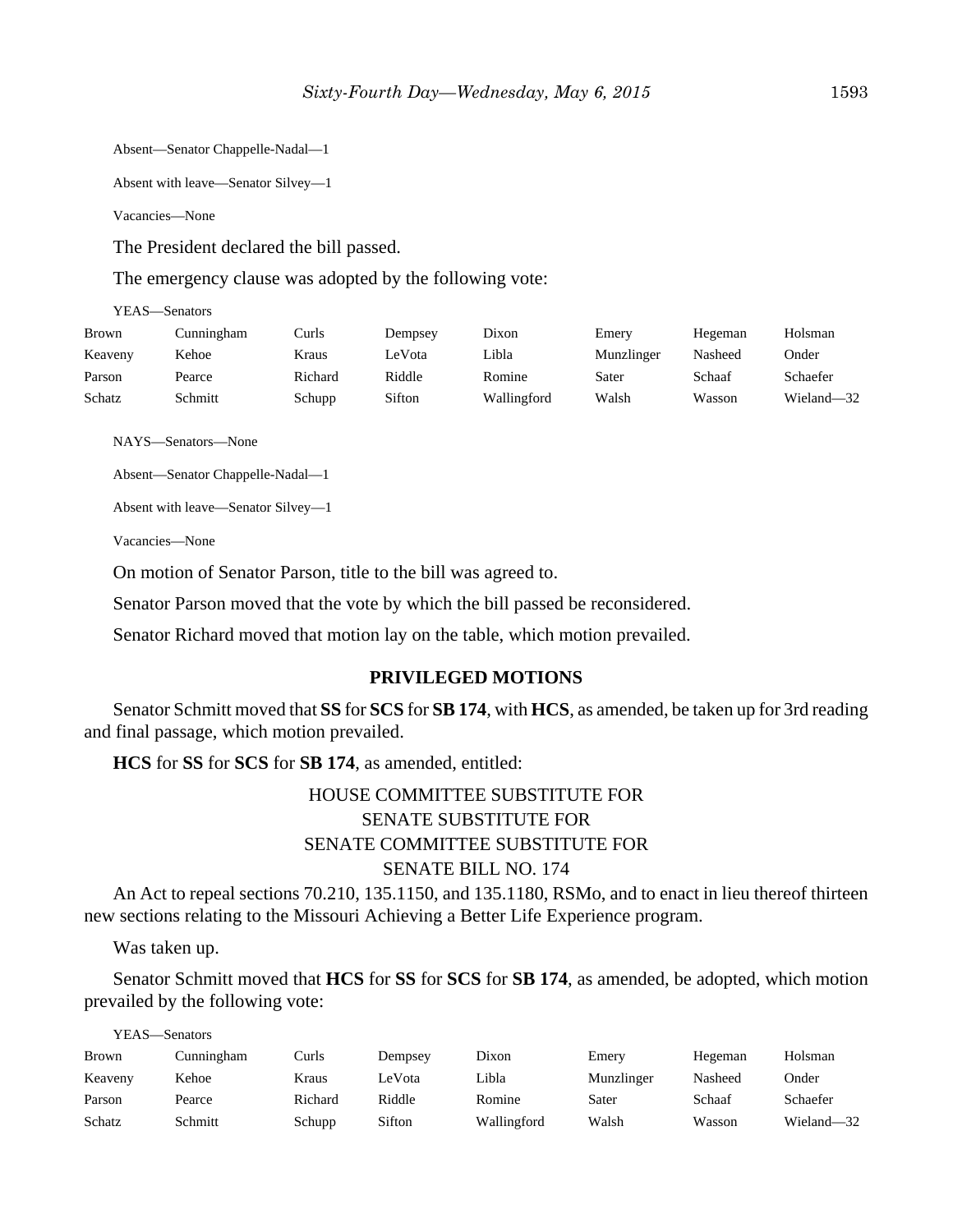Absent—Senator Chappelle-Nadal—1

Absent with leave—Senator Silvey—1

Vacancies—None

The President declared the bill passed.

The emergency clause was adopted by the following vote:

YEAS—Senators

| <b>Brown</b> | Cunningham | Curls   | Dempsey | Dixon       | Emery      | Hegeman | Holsman    |
|--------------|------------|---------|---------|-------------|------------|---------|------------|
| Keaveny      | Kehoe      | Kraus   | LeVota  | Libla       | Munzlinger | Nasheed | Onder      |
| Parson       | Pearce     | Richard | Riddle  | Romine      | Sater      | Schaaf  | Schaefer   |
| Schatz       | Schmitt    | Schupp  | Sifton  | Wallingford | Walsh      | Wasson  | Wieland-32 |

NAYS—Senators—None

Absent—Senator Chappelle-Nadal—1

Absent with leave—Senator Silvey—1

Vacancies—None

On motion of Senator Parson, title to the bill was agreed to.

Senator Parson moved that the vote by which the bill passed be reconsidered.

Senator Richard moved that motion lay on the table, which motion prevailed.

#### **PRIVILEGED MOTIONS**

Senator Schmitt moved that **SS** for **SCS** for **SB 174**, with **HCS**, as amended, be taken up for 3rd reading and final passage, which motion prevailed.

**HCS** for **SS** for **SCS** for **SB 174**, as amended, entitled:

# HOUSE COMMITTEE SUBSTITUTE FOR SENATE SUBSTITUTE FOR SENATE COMMITTEE SUBSTITUTE FOR SENATE BILL NO. 174

An Act to repeal sections 70.210, 135.1150, and 135.1180, RSMo, and to enact in lieu thereof thirteen new sections relating to the Missouri Achieving a Better Life Experience program.

Was taken up.

Senator Schmitt moved that **HCS** for **SS** for **SCS** for **SB 174**, as amended, be adopted, which motion prevailed by the following vote:

YEAS—Senators

| <b>Brown</b> | Cunningham | Curls   | Dempsey | Dixon       | Emerv      | Hegeman | Holsman    |
|--------------|------------|---------|---------|-------------|------------|---------|------------|
| Keaveny      | Kehoe      | Kraus   | LeVota  | Libla       | Munzlinger | Nasheed | Onder      |
| Parson       | Pearce     | Richard | Riddle  | Romine      | Sater      | Schaaf  | Schaefer   |
| Schatz       | Schmitt    | Schupp  | Sifton  | Wallingford | Walsh      | Wasson  | Wieland—32 |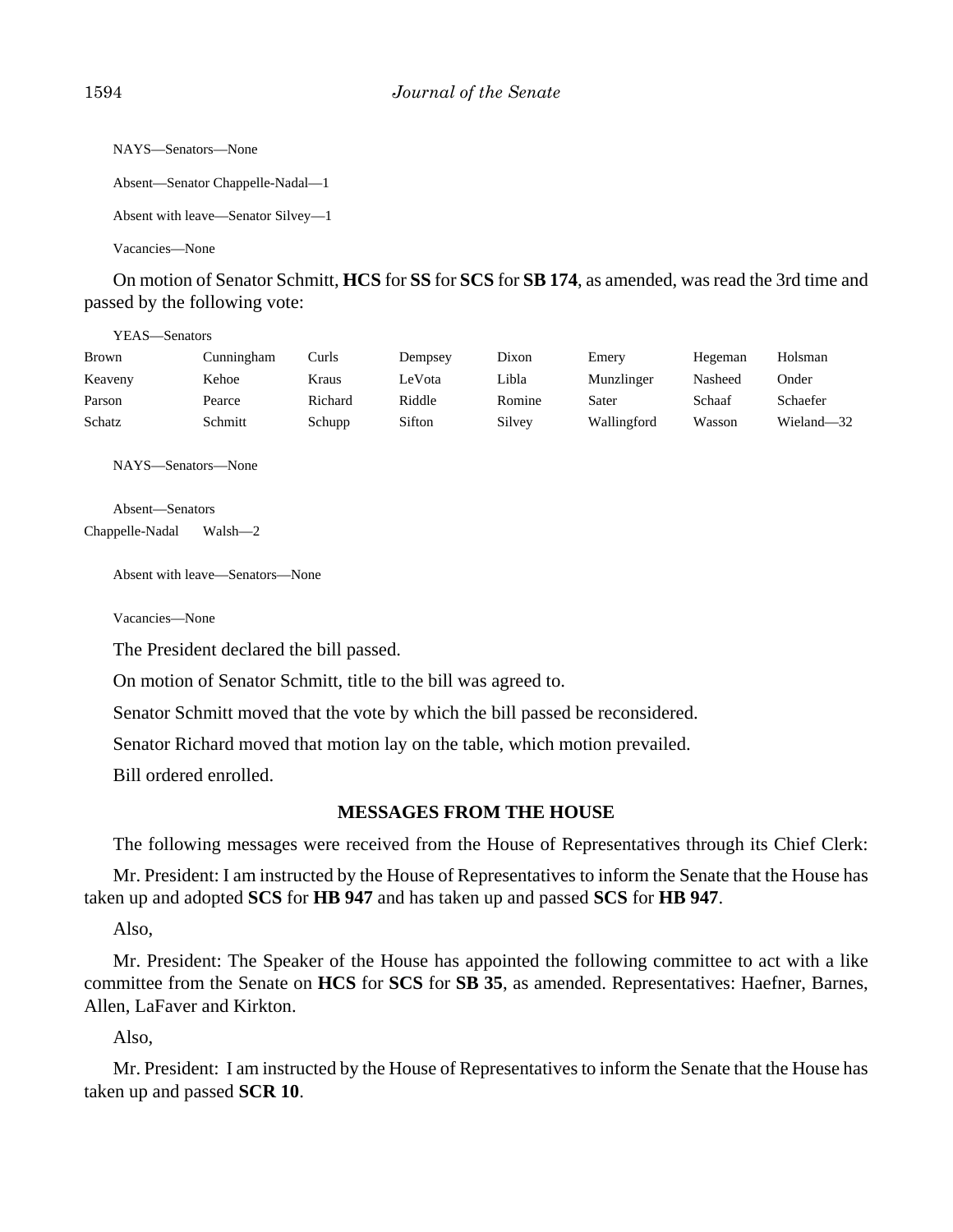```
NAYS—Senators—None
Absent—Senator Chappelle-Nadal—1
Absent with leave—Senator Silvey—1
```
Vacancies—None

On motion of Senator Schmitt, **HCS** for **SS** for **SCS** for **SB 174**, as amended, was read the 3rd time and passed by the following vote:

YEAS—Senators

| <b>Brown</b> | Cunningham | Curls   | Dempsey | Dixon  | Emery       | Hegeman | Holsman    |
|--------------|------------|---------|---------|--------|-------------|---------|------------|
| Keaveny      | Kehoe      | Kraus   | LeVota  | Libla  | Munzlinger  | Nasheed | Onder      |
| Parson       | Pearce     | Richard | Riddle  | Romine | Sater       | Schaaf  | Schaefer   |
| Schatz       | Schmitt    | Schupp  | Sifton  | Silvey | Wallingford | Wasson  | Wieland-32 |

NAYS—Senators—None

Absent—Senators Chappelle-Nadal Walsh—2

Absent with leave—Senators—None

Vacancies—None

The President declared the bill passed.

On motion of Senator Schmitt, title to the bill was agreed to.

Senator Schmitt moved that the vote by which the bill passed be reconsidered.

Senator Richard moved that motion lay on the table, which motion prevailed.

Bill ordered enrolled.

## **MESSAGES FROM THE HOUSE**

The following messages were received from the House of Representatives through its Chief Clerk:

Mr. President: I am instructed by the House of Representatives to inform the Senate that the House has taken up and adopted **SCS** for **HB 947** and has taken up and passed **SCS** for **HB 947**.

Also,

Mr. President: The Speaker of the House has appointed the following committee to act with a like committee from the Senate on **HCS** for **SCS** for **SB 35**, as amended. Representatives: Haefner, Barnes, Allen, LaFaver and Kirkton.

Also,

Mr. President: I am instructed by the House of Representatives to inform the Senate that the House has taken up and passed **SCR 10**.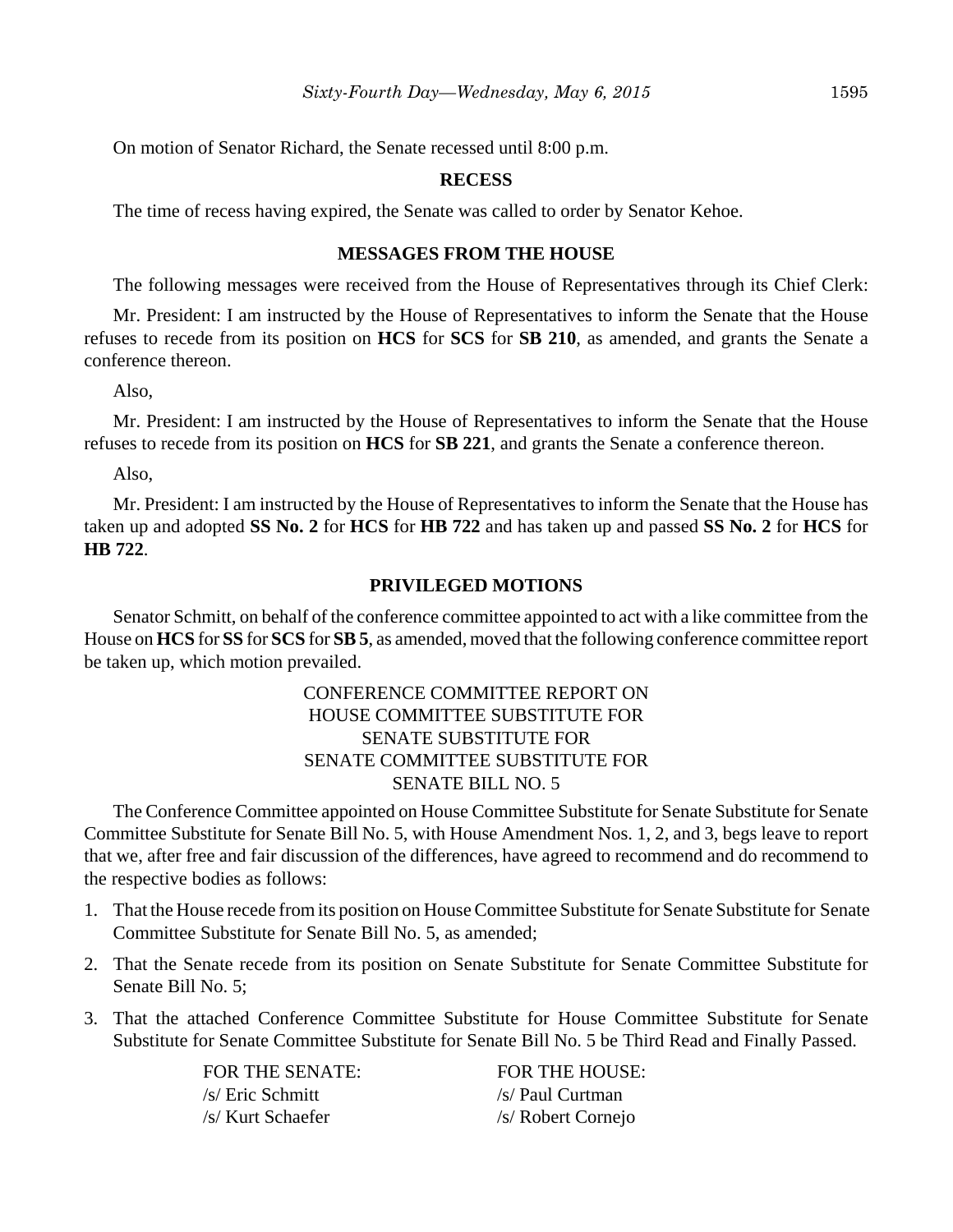On motion of Senator Richard, the Senate recessed until 8:00 p.m.

### **RECESS**

The time of recess having expired, the Senate was called to order by Senator Kehoe.

#### **MESSAGES FROM THE HOUSE**

The following messages were received from the House of Representatives through its Chief Clerk:

Mr. President: I am instructed by the House of Representatives to inform the Senate that the House refuses to recede from its position on **HCS** for **SCS** for **SB 210**, as amended, and grants the Senate a conference thereon.

Also,

Mr. President: I am instructed by the House of Representatives to inform the Senate that the House refuses to recede from its position on **HCS** for **SB 221**, and grants the Senate a conference thereon.

Also,

Mr. President: I am instructed by the House of Representatives to inform the Senate that the House has taken up and adopted **SS No. 2** for **HCS** for **HB 722** and has taken up and passed **SS No. 2** for **HCS** for **HB 722**.

#### **PRIVILEGED MOTIONS**

Senator Schmitt, on behalf of the conference committee appointed to act with a like committee from the House on **HCS** for **SS** for **SCS** for **SB 5**, as amended, moved that the following conference committee report be taken up, which motion prevailed.

## CONFERENCE COMMITTEE REPORT ON HOUSE COMMITTEE SUBSTITUTE FOR SENATE SUBSTITUTE FOR SENATE COMMITTEE SUBSTITUTE FOR SENATE BILL NO. 5

The Conference Committee appointed on House Committee Substitute for Senate Substitute for Senate Committee Substitute for Senate Bill No. 5, with House Amendment Nos. 1, 2, and 3, begs leave to report that we, after free and fair discussion of the differences, have agreed to recommend and do recommend to the respective bodies as follows:

- 1. That the House recede from its position on House Committee Substitute for Senate Substitute for Senate Committee Substitute for Senate Bill No. 5, as amended;
- 2. That the Senate recede from its position on Senate Substitute for Senate Committee Substitute for Senate Bill No. 5;
- 3. That the attached Conference Committee Substitute for House Committee Substitute for Senate Substitute for Senate Committee Substitute for Senate Bill No. 5 be Third Read and Finally Passed.

FOR THE SENATE: FOR THE HOUSE: /s/ Eric Schmitt /s/ Paul Curtman /s/ Kurt Schaefer /s/ Robert Cornejo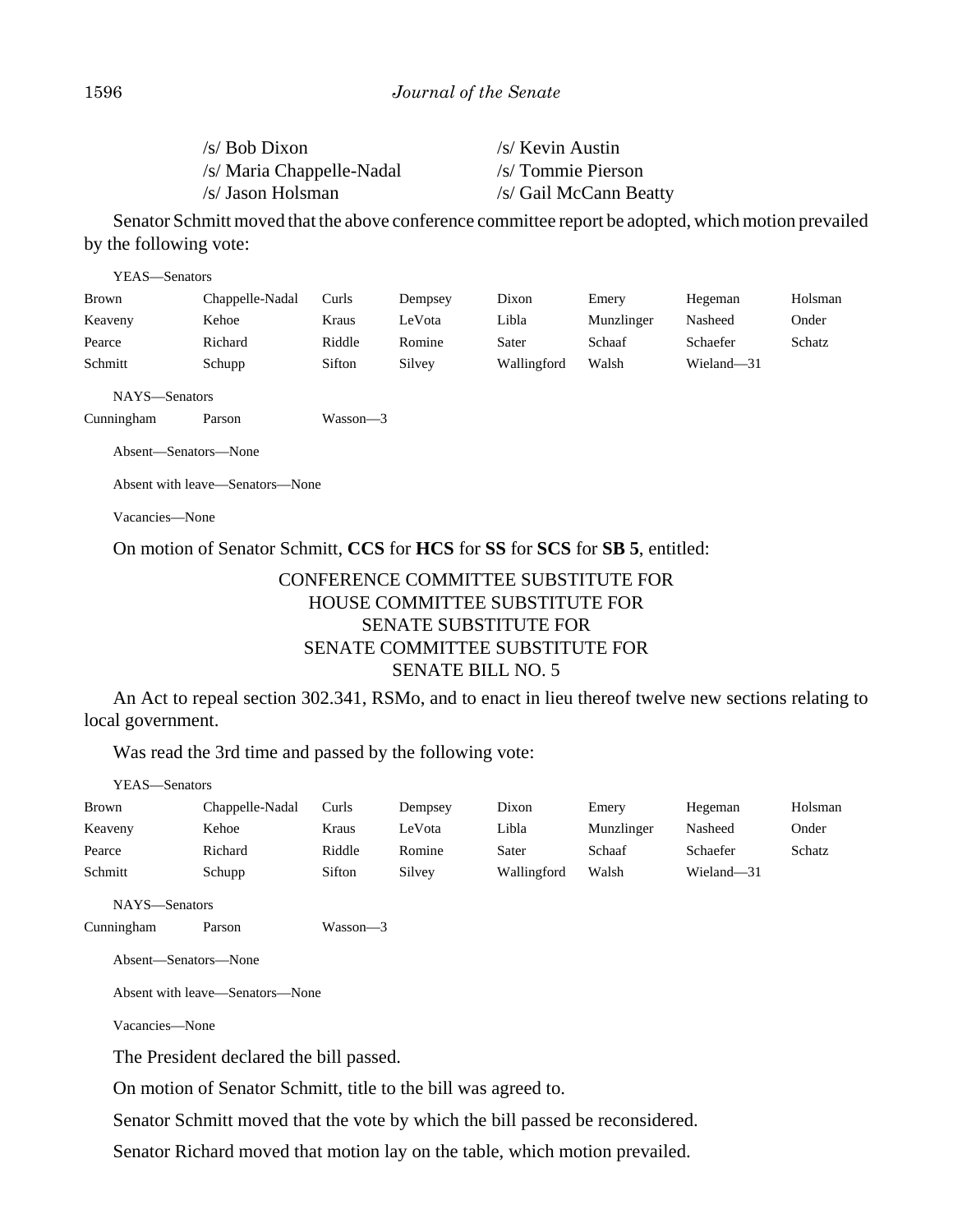| $/s/ Bob$ Dixon           | /s/ Kevin Austin       |
|---------------------------|------------------------|
| /s/ Maria Chappelle-Nadal | /s/ Tommie Pierson     |
| /s/ Jason Holsman         | /s/ Gail McCann Beatty |

Senator Schmitt moved that the above conference committee report be adopted, which motion prevailed by the following vote:

| YEAS—Senators        |                                 |              |         |             |            |            |         |
|----------------------|---------------------------------|--------------|---------|-------------|------------|------------|---------|
| <b>Brown</b>         | Chappelle-Nadal                 | Curls        | Dempsey | Dixon       | Emery      | Hegeman    | Holsman |
| Keaveny              | Kehoe                           | Kraus        | LeVota  | Libla       | Munzlinger | Nasheed    | Onder   |
| Pearce               | Richard                         | Riddle       | Romine  | Sater       | Schaaf     | Schaefer   | Schatz  |
| Schmitt              | Schupp                          | Sifton       | Silvey  | Wallingford | Walsh      | Wieland-31 |         |
| NAYS-Senators        |                                 |              |         |             |            |            |         |
| Cunningham           | Parson                          | $Wasson - 3$ |         |             |            |            |         |
| Absent—Senators—None |                                 |              |         |             |            |            |         |
|                      | Absent with leave—Senators—None |              |         |             |            |            |         |

Vacancies—None

On motion of Senator Schmitt, **CCS** for **HCS** for **SS** for **SCS** for **SB 5**, entitled:

## CONFERENCE COMMITTEE SUBSTITUTE FOR HOUSE COMMITTEE SUBSTITUTE FOR SENATE SUBSTITUTE FOR SENATE COMMITTEE SUBSTITUTE FOR SENATE BILL NO. 5

An Act to repeal section 302.341, RSMo, and to enact in lieu thereof twelve new sections relating to local government.

Was read the 3rd time and passed by the following vote:

| YEAS—Senators |                 |          |         |             |            |            |         |
|---------------|-----------------|----------|---------|-------------|------------|------------|---------|
| <b>Brown</b>  | Chappelle-Nadal | Curls    | Dempsey | Dixon       | Emery      | Hegeman    | Holsman |
| Keaveny       | Kehoe           | Kraus    | LeVota  | Libla       | Munzlinger | Nasheed    | Onder   |
| Pearce        | Richard         | Riddle   | Romine  | Sater       | Schaaf     | Schaefer   | Schatz  |
| Schmitt       | Schupp          | Sifton   | Silvey  | Wallingford | Walsh      | Wieland-31 |         |
| NAYS-Senators |                 |          |         |             |            |            |         |
| Cunningham    | Parson          | Wasson-3 |         |             |            |            |         |

Absent—Senators—None

Absent with leave—Senators—None

Vacancies—None

The President declared the bill passed.

On motion of Senator Schmitt, title to the bill was agreed to.

Senator Schmitt moved that the vote by which the bill passed be reconsidered.

Senator Richard moved that motion lay on the table, which motion prevailed.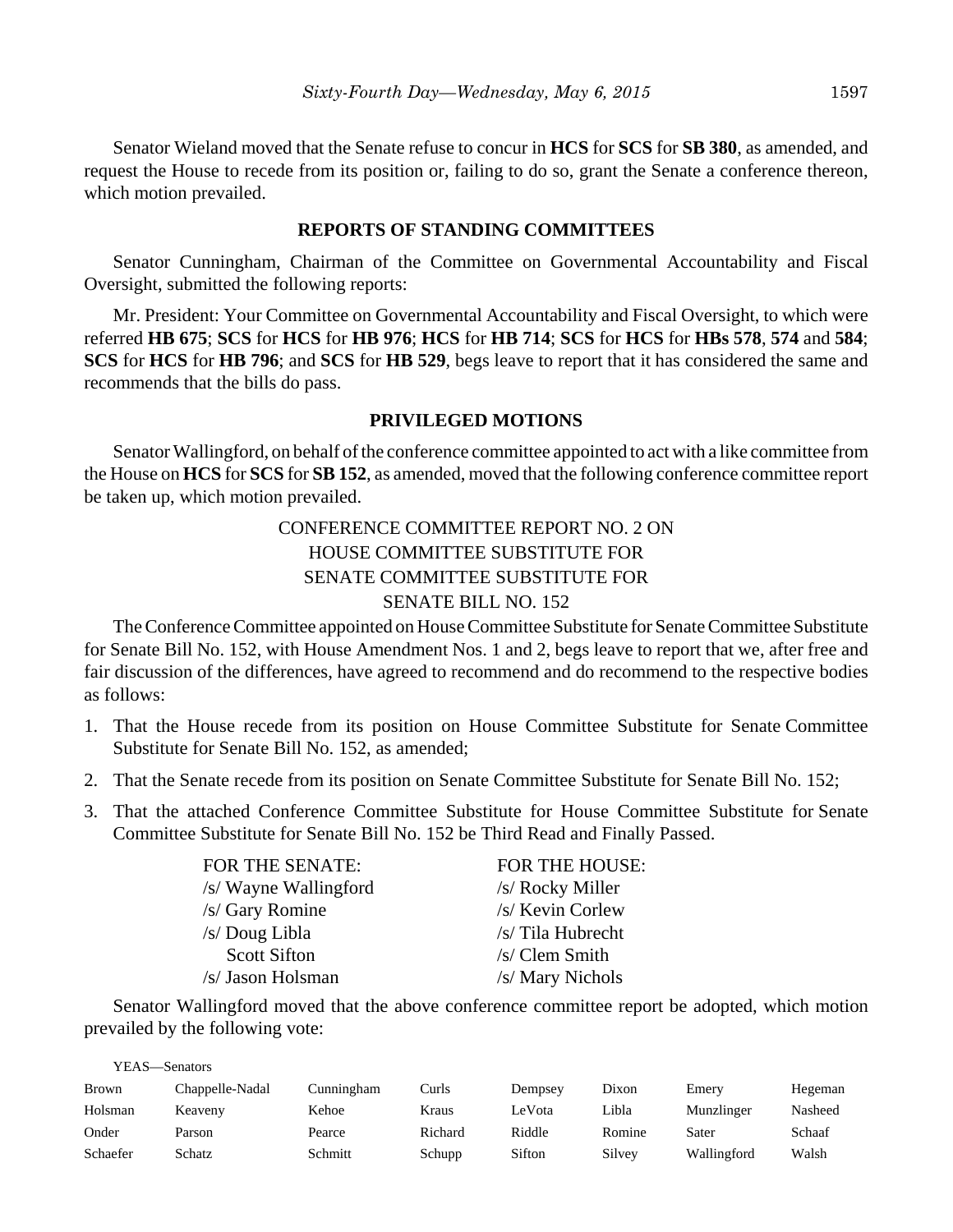Senator Wieland moved that the Senate refuse to concur in **HCS** for **SCS** for **SB 380**, as amended, and request the House to recede from its position or, failing to do so, grant the Senate a conference thereon, which motion prevailed.

## **REPORTS OF STANDING COMMITTEES**

Senator Cunningham, Chairman of the Committee on Governmental Accountability and Fiscal Oversight, submitted the following reports:

Mr. President: Your Committee on Governmental Accountability and Fiscal Oversight, to which were referred **HB 675**; **SCS** for **HCS** for **HB 976**; **HCS** for **HB 714**; **SCS** for **HCS** for **HBs 578**, **574** and **584**; **SCS** for **HCS** for **HB 796**; and **SCS** for **HB 529**, begs leave to report that it has considered the same and recommends that the bills do pass.

### **PRIVILEGED MOTIONS**

Senator Wallingford, on behalf of the conference committee appointed to act with a like committee from the House on **HCS** for **SCS** for **SB 152**, as amended, moved that the following conference committee report be taken up, which motion prevailed.

## CONFERENCE COMMITTEE REPORT NO. 2 ON HOUSE COMMITTEE SUBSTITUTE FOR SENATE COMMITTEE SUBSTITUTE FOR SENATE BILL NO. 152

The Conference Committee appointed on House Committee Substitute for Senate Committee Substitute for Senate Bill No. 152, with House Amendment Nos. 1 and 2, begs leave to report that we, after free and fair discussion of the differences, have agreed to recommend and do recommend to the respective bodies as follows:

- 1. That the House recede from its position on House Committee Substitute for Senate Committee Substitute for Senate Bill No. 152, as amended;
- 2. That the Senate recede from its position on Senate Committee Substitute for Senate Bill No. 152;
- 3. That the attached Conference Committee Substitute for House Committee Substitute for Senate Committee Substitute for Senate Bill No. 152 be Third Read and Finally Passed.

| <b>FOR THE SENATE:</b> | <b>FOR THE HOUSE:</b> |
|------------------------|-----------------------|
| /s/ Wayne Wallingford  | /s/ Rocky Miller      |
| /s/ Gary Romine        | /s/ Kevin Corlew      |
| /s/ Doug Libla         | /s/ Tila Hubrecht     |
| <b>Scott Sifton</b>    | /s/ Clem Smith        |
| /s/ Jason Holsman      | /s/ Mary Nichols      |

Senator Wallingford moved that the above conference committee report be adopted, which motion prevailed by the following vote:

YEAS—Senators

| <b>Brown</b> | Chappelle-Nadal | Cunningham | Curls   | Dempsey | Dixon  | Emery       | Hegeman |
|--------------|-----------------|------------|---------|---------|--------|-------------|---------|
| Holsman      | Keaveny         | Kehoe      | Kraus   | LeVota  | Libla  | Munzlinger  | Nasheed |
| Onder        | Parson          | Pearce     | Richard | Riddle  | Romine | Sater       | Schaaf  |
| Schaefer     | Schatz          | Schmitt    | Schupp  | Sifton  | Silvey | Wallingford | Walsh   |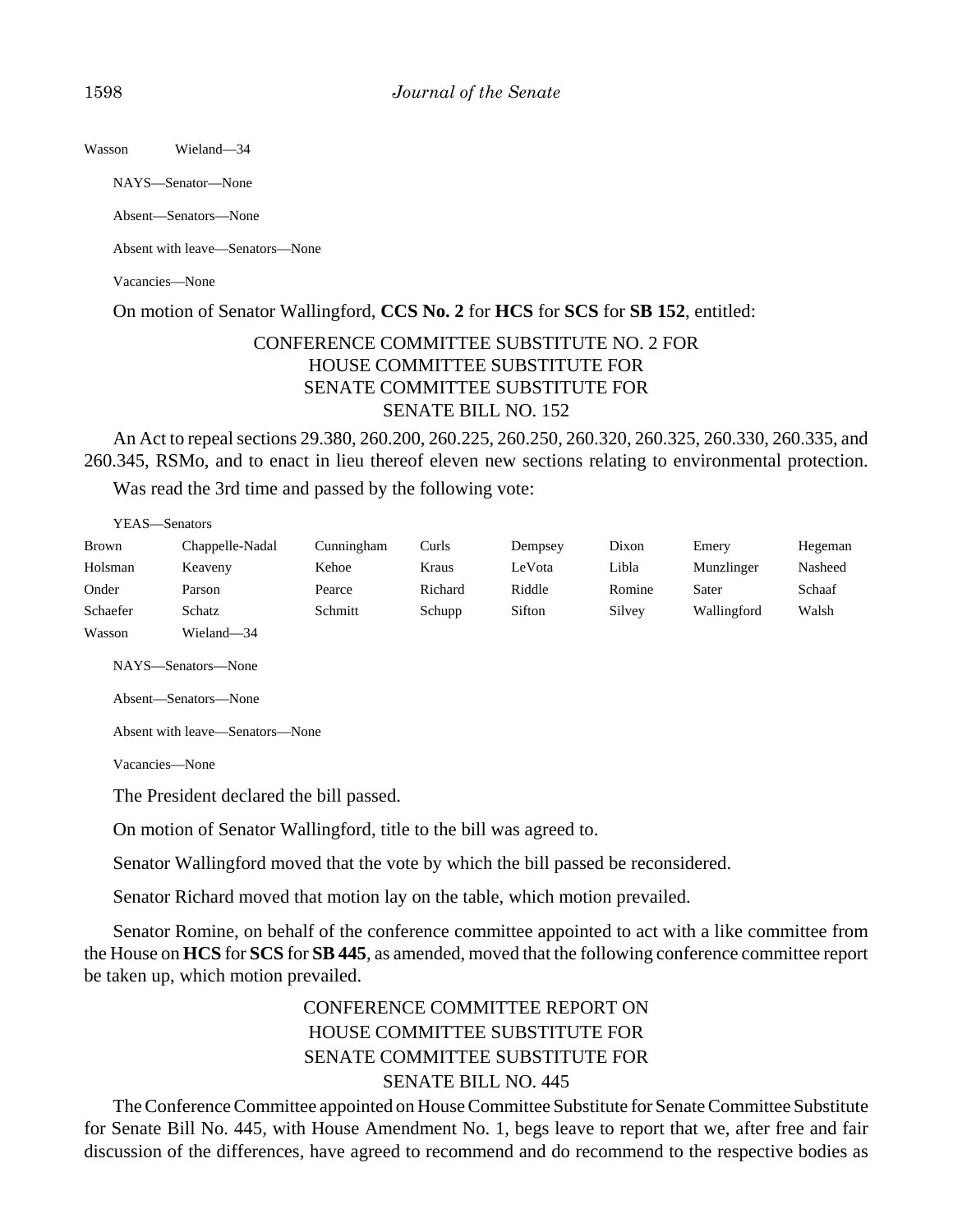Wasson Wieland—34

NAYS—Senator—None

Absent—Senators—None

Absent with leave—Senators—None

Vacancies—None

On motion of Senator Wallingford, **CCS No. 2** for **HCS** for **SCS** for **SB 152**, entitled:

## CONFERENCE COMMITTEE SUBSTITUTE NO. 2 FOR HOUSE COMMITTEE SUBSTITUTE FOR SENATE COMMITTEE SUBSTITUTE FOR SENATE BILL NO. 152

An Act to repeal sections 29.380, 260.200, 260.225, 260.250, 260.320, 260.325, 260.330, 260.335, and 260.345, RSMo, and to enact in lieu thereof eleven new sections relating to environmental protection.

Was read the 3rd time and passed by the following vote:

| YEAS—Senators |                 |            |         |         |        |             |         |
|---------------|-----------------|------------|---------|---------|--------|-------------|---------|
| <b>Brown</b>  | Chappelle-Nadal | Cunningham | Curls   | Dempsey | Dixon  | Emery       | Hegeman |
| Holsman       | Keaveny         | Kehoe      | Kraus   | LeVota  | Libla  | Munzlinger  | Nasheed |
| Onder         | Parson          | Pearce     | Richard | Riddle  | Romine | Sater       | Schaaf  |
| Schaefer      | Schatz          | Schmitt    | Schupp  | Sifton  | Silvey | Wallingford | Walsh   |
| Wasson        | Wieland—34      |            |         |         |        |             |         |

NAYS—Senators—None

Absent—Senators—None

Absent with leave—Senators—None

Vacancies—None

The President declared the bill passed.

On motion of Senator Wallingford, title to the bill was agreed to.

Senator Wallingford moved that the vote by which the bill passed be reconsidered.

Senator Richard moved that motion lay on the table, which motion prevailed.

Senator Romine, on behalf of the conference committee appointed to act with a like committee from the House on **HCS** for **SCS** for **SB 445**, as amended, moved that the following conference committee report be taken up, which motion prevailed.

# CONFERENCE COMMITTEE REPORT ON HOUSE COMMITTEE SUBSTITUTE FOR SENATE COMMITTEE SUBSTITUTE FOR SENATE BILL NO. 445

The Conference Committee appointed on House Committee Substitute for Senate Committee Substitute for Senate Bill No. 445, with House Amendment No. 1, begs leave to report that we, after free and fair discussion of the differences, have agreed to recommend and do recommend to the respective bodies as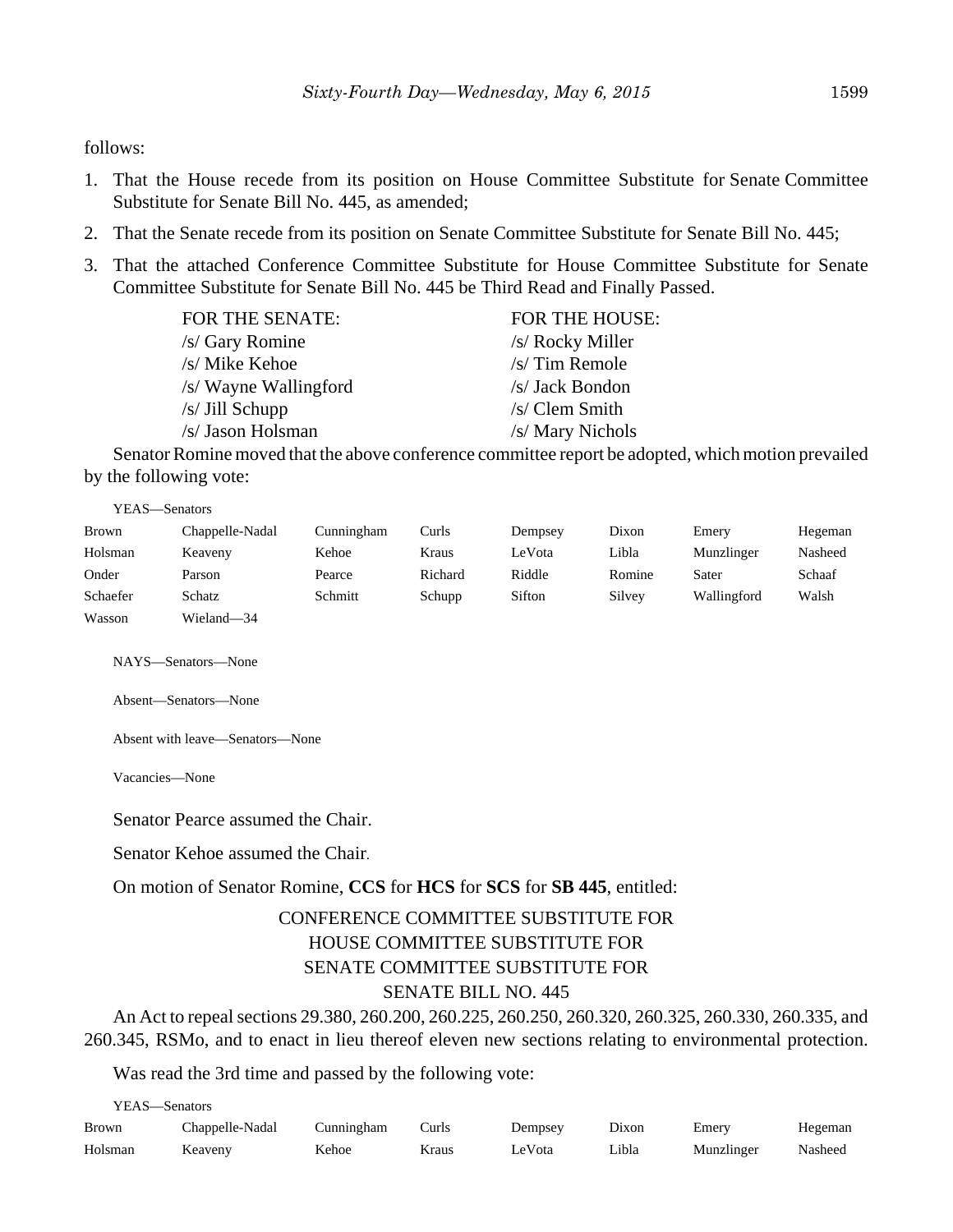follows:

- 1. That the House recede from its position on House Committee Substitute for Senate Committee Substitute for Senate Bill No. 445, as amended;
- 2. That the Senate recede from its position on Senate Committee Substitute for Senate Bill No. 445;
- 3. That the attached Conference Committee Substitute for House Committee Substitute for Senate Committee Substitute for Senate Bill No. 445 be Third Read and Finally Passed.

| <b>FOR THE SENATE:</b> | <b>FOR THE HOUSE:</b> |
|------------------------|-----------------------|
| /s/ Gary Romine        | /s/ Rocky Miller      |
| /s/ Mike Kehoe         | $/s/T$ im Remole      |
| /s/ Wayne Wallingford  | /s/ Jack Bondon       |
| $/s/$ Jill Schupp      | /s/Clem Smith         |
| /s/ Jason Holsman      | /s/ Mary Nichols      |

Senator Romine moved that the above conference committee report be adopted, which motion prevailed by the following vote:

YEAS—Senators

| <b>Brown</b> | Chappelle-Nadal | Cunningham | Curls   | Dempsey | Dixon  | Emery       | Hegeman |
|--------------|-----------------|------------|---------|---------|--------|-------------|---------|
| Holsman      | Keaveny         | Kehoe      | Kraus   | LeVota  | Libla  | Munzlinger  | Nasheed |
| Onder        | Parson          | Pearce     | Richard | Riddle  | Romine | Sater       | Schaaf  |
| Schaefer     | Schatz          | Schmitt    | Schupp  | Sifton  | Silvey | Wallingford | Walsh   |
| Wasson       | Wieland-34      |            |         |         |        |             |         |

NAYS—Senators—None

Absent—Senators—None

Absent with leave—Senators—None

Vacancies—None

Senator Pearce assumed the Chair.

Senator Kehoe assumed the Chair.

On motion of Senator Romine, **CCS** for **HCS** for **SCS** for **SB 445**, entitled:

# CONFERENCE COMMITTEE SUBSTITUTE FOR HOUSE COMMITTEE SUBSTITUTE FOR SENATE COMMITTEE SUBSTITUTE FOR SENATE BILL NO. 445

An Act to repeal sections 29.380, 260.200, 260.225, 260.250, 260.320, 260.325, 260.330, 260.335, and 260.345, RSMo, and to enact in lieu thereof eleven new sections relating to environmental protection.

Was read the 3rd time and passed by the following vote:

YEAS—Senators

| Brown   | Chappelle-Nadal | Cunningham | Curls | Dempsey | Dixon | Emery      | Hegeman |
|---------|-----------------|------------|-------|---------|-------|------------|---------|
| Holsman | Keaveny         | Kehoe      | Kraus | LeVota  | Libla | Munzlinger | Nasheed |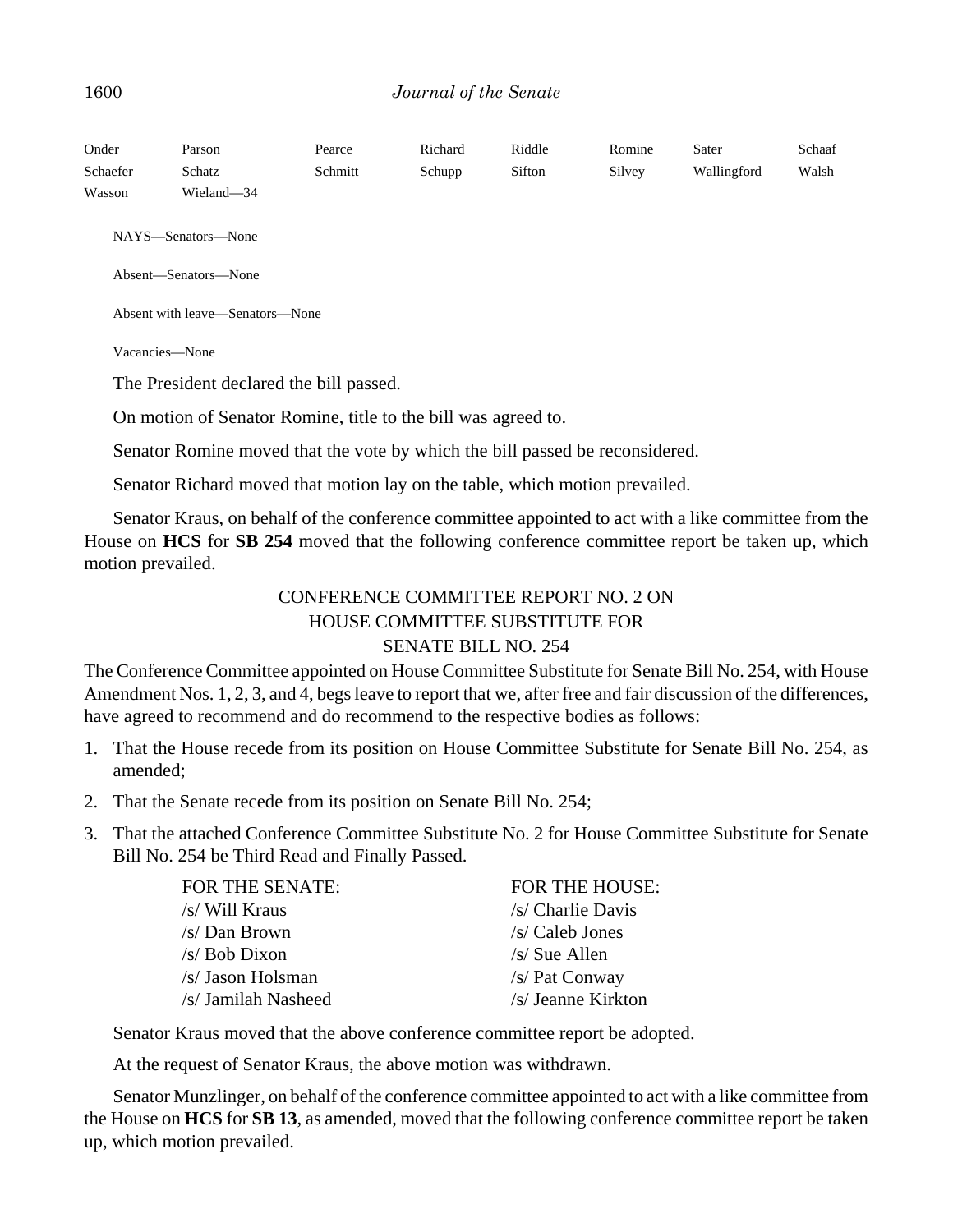### 1600 *Journal of the Senate*

| Onder<br>Schaefer<br>Wasson | Parson<br>Schatz<br>Wieland-34          | Pearce<br>Schmitt | Richard<br>Schupp | Riddle<br>Sifton | Romine<br>Silvey | Sater<br>Wallingford | Schaaf<br>Walsh |  |
|-----------------------------|-----------------------------------------|-------------------|-------------------|------------------|------------------|----------------------|-----------------|--|
|                             | NAYS—Senators—None                      |                   |                   |                  |                  |                      |                 |  |
|                             | Absent-Senators-None                    |                   |                   |                  |                  |                      |                 |  |
|                             | Absent with leave—Senators—None         |                   |                   |                  |                  |                      |                 |  |
|                             | Vacancies—None                          |                   |                   |                  |                  |                      |                 |  |
|                             | The President declared the bill passed. |                   |                   |                  |                  |                      |                 |  |

On motion of Senator Romine, title to the bill was agreed to.

Senator Romine moved that the vote by which the bill passed be reconsidered.

Senator Richard moved that motion lay on the table, which motion prevailed.

Senator Kraus, on behalf of the conference committee appointed to act with a like committee from the House on **HCS** for **SB 254** moved that the following conference committee report be taken up, which motion prevailed.

## CONFERENCE COMMITTEE REPORT NO. 2 ON HOUSE COMMITTEE SUBSTITUTE FOR SENATE BILL NO. 254

The Conference Committee appointed on House Committee Substitute for Senate Bill No. 254, with House Amendment Nos. 1, 2, 3, and 4, begs leave to report that we, after free and fair discussion of the differences, have agreed to recommend and do recommend to the respective bodies as follows:

- 1. That the House recede from its position on House Committee Substitute for Senate Bill No. 254, as amended;
- 2. That the Senate recede from its position on Senate Bill No. 254;
- 3. That the attached Conference Committee Substitute No. 2 for House Committee Substitute for Senate Bill No. 254 be Third Read and Finally Passed.

| FOR THE SENATE:     | <b>FOR THE HOUSE:</b> |
|---------------------|-----------------------|
| /s/ Will Kraus      | /s/ Charlie Davis     |
| /s/ Dan Brown       | $/s/Caleb$ Jones      |
| /s/ Bob Dixon       | $/s/$ Sue Allen       |
| /s/ Jason Holsman   | /s/ Pat Conway        |
| /s/ Jamilah Nasheed | /s/ Jeanne Kirkton    |

Senator Kraus moved that the above conference committee report be adopted.

At the request of Senator Kraus, the above motion was withdrawn.

Senator Munzlinger, on behalf of the conference committee appointed to act with a like committee from the House on **HCS** for **SB 13**, as amended, moved that the following conference committee report be taken up, which motion prevailed.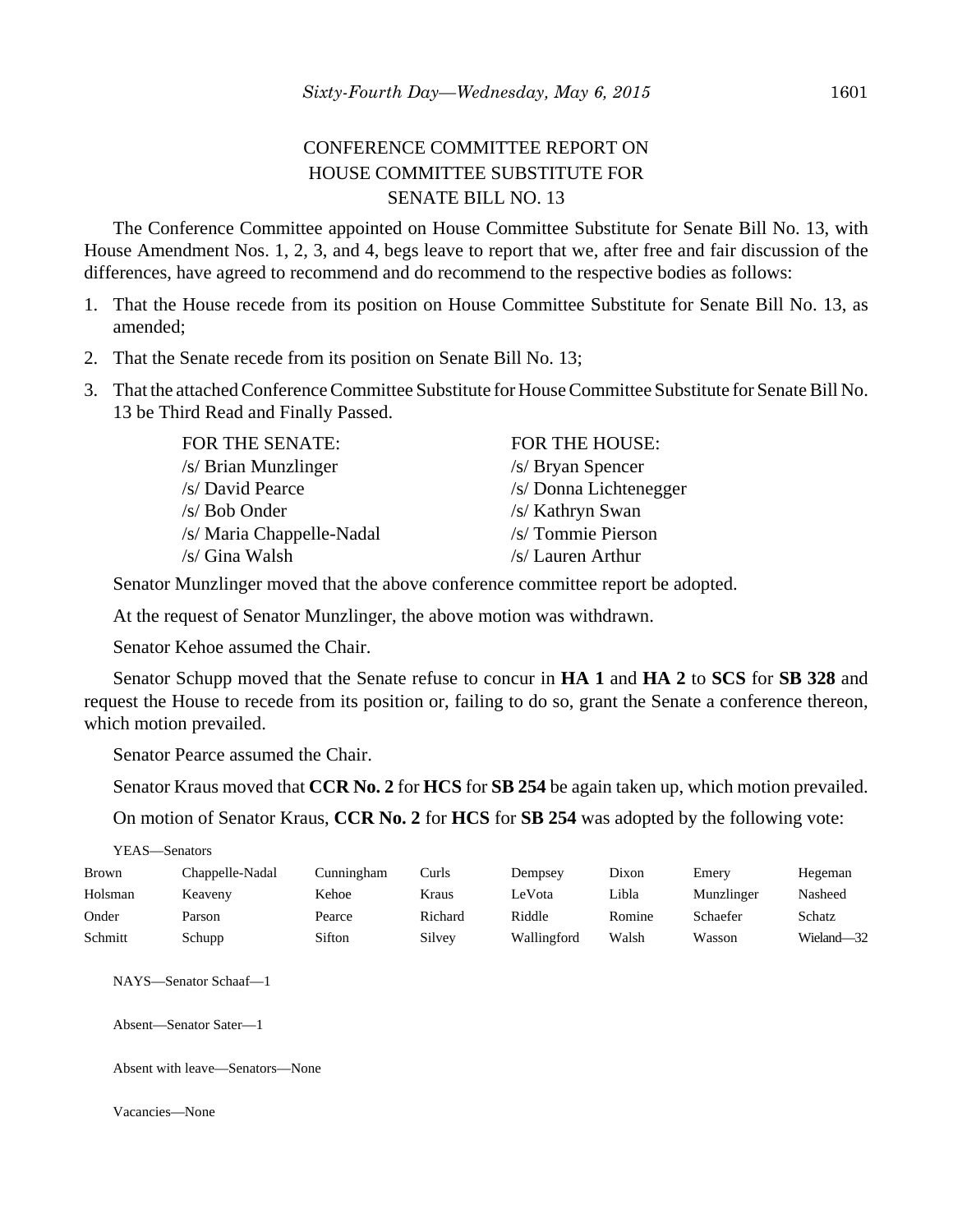## CONFERENCE COMMITTEE REPORT ON HOUSE COMMITTEE SUBSTITUTE FOR SENATE BILL NO. 13

The Conference Committee appointed on House Committee Substitute for Senate Bill No. 13, with House Amendment Nos. 1, 2, 3, and 4, begs leave to report that we, after free and fair discussion of the differences, have agreed to recommend and do recommend to the respective bodies as follows:

- 1. That the House recede from its position on House Committee Substitute for Senate Bill No. 13, as amended;
- 2. That the Senate recede from its position on Senate Bill No. 13;
- 3. That the attached Conference Committee Substitute for House Committee Substitute for Senate Bill No. 13 be Third Read and Finally Passed.

| <b>FOR THE SENATE:</b>    | FOR THE HOUSE:         |
|---------------------------|------------------------|
| /s/ Brian Munzlinger      | /s/ Bryan Spencer      |
| /s/ David Pearce          | /s/ Donna Lichtenegger |
| $/s/ Bob$ Onder           | /s/ Kathryn Swan       |
| /s/ Maria Chappelle-Nadal | /s/ Tommie Pierson     |
| /s/ Gina Walsh            | /s/ Lauren Arthur      |

Senator Munzlinger moved that the above conference committee report be adopted.

At the request of Senator Munzlinger, the above motion was withdrawn.

Senator Kehoe assumed the Chair.

Senator Schupp moved that the Senate refuse to concur in **HA 1** and **HA 2** to **SCS** for **SB 328** and request the House to recede from its position or, failing to do so, grant the Senate a conference thereon, which motion prevailed.

Senator Pearce assumed the Chair.

Senator Kraus moved that **CCR No. 2** for **HCS** for **SB 254** be again taken up, which motion prevailed.

On motion of Senator Kraus, **CCR No. 2** for **HCS** for **SB 254** was adopted by the following vote:

| YEAS—Senators   |            |         |             |        |            |            |
|-----------------|------------|---------|-------------|--------|------------|------------|
| Chappelle-Nadal | Cunningham | Curls   | Dempsey     | Dixon  | Emery      | Hegeman    |
| Keaveny         | Kehoe      | Kraus   | LeVota      | Libla  | Munzlinger | Nasheed    |
| Parson          | Pearce     | Richard | Riddle      | Romine | Schaefer   | Schatz     |
| Schupp          | Sifton     | Silvey  | Wallingford | Walsh  | Wasson     | Wieland-32 |
|                 |            |         |             |        |            |            |

NAYS—Senator Schaaf—1

Absent—Senator Sater—1

Absent with leave—Senators—None

Vacancies—None

YEAS—Senators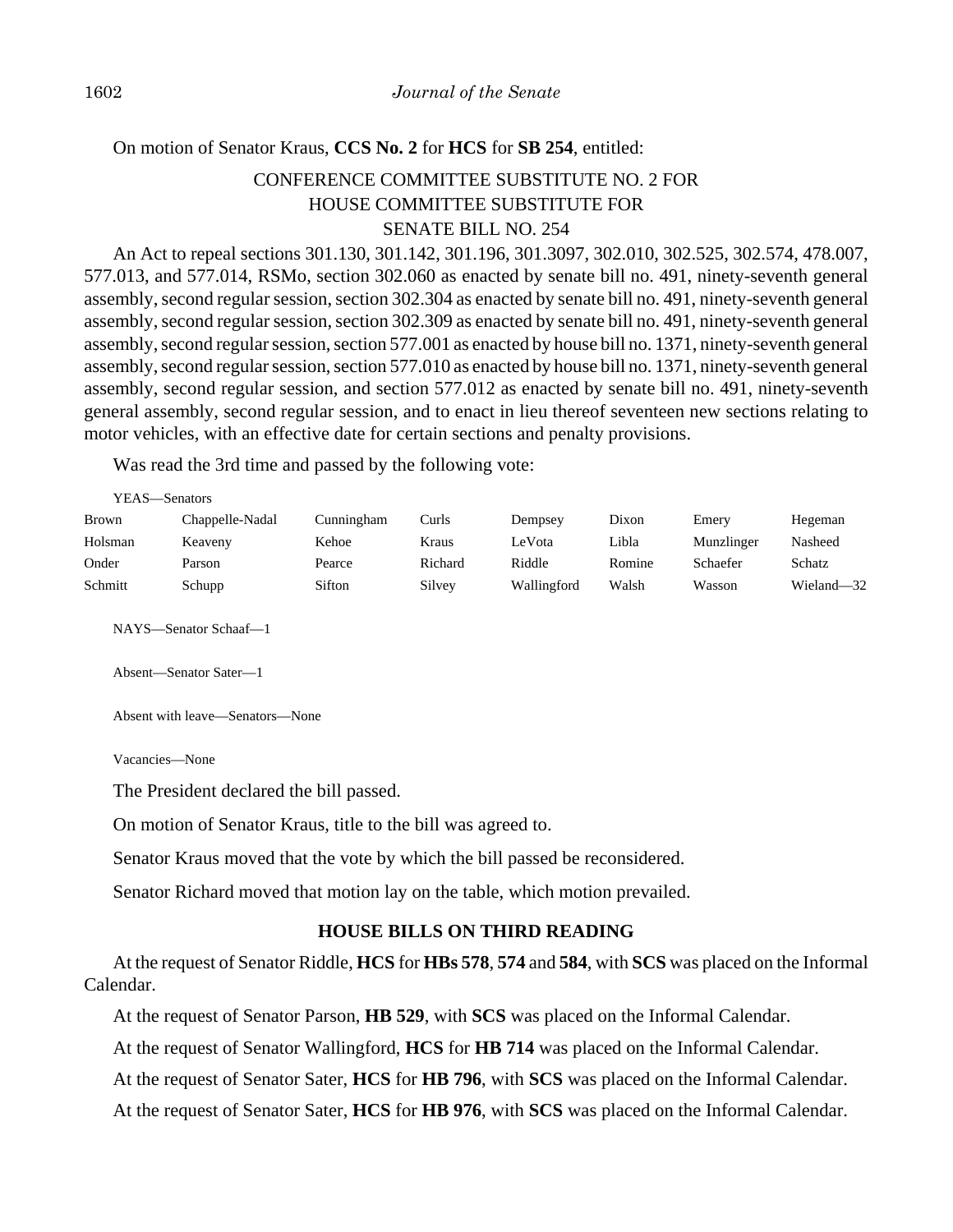### On motion of Senator Kraus, **CCS No. 2** for **HCS** for **SB 254**, entitled:

## CONFERENCE COMMITTEE SUBSTITUTE NO. 2 FOR HOUSE COMMITTEE SUBSTITUTE FOR SENATE BILL NO. 254

An Act to repeal sections 301.130, 301.142, 301.196, 301.3097, 302.010, 302.525, 302.574, 478.007, 577.013, and 577.014, RSMo, section 302.060 as enacted by senate bill no. 491, ninety-seventh general assembly, second regular session, section 302.304 as enacted by senate bill no. 491, ninety-seventh general assembly, second regular session, section 302.309 as enacted by senate bill no. 491, ninety-seventh general assembly, second regular session, section 577.001 as enacted by house bill no. 1371, ninety-seventh general assembly, second regular session, section 577.010 as enacted by house bill no. 1371, ninety-seventh general assembly, second regular session, and section 577.012 as enacted by senate bill no. 491, ninety-seventh general assembly, second regular session, and to enact in lieu thereof seventeen new sections relating to motor vehicles, with an effective date for certain sections and penalty provisions.

Was read the 3rd time and passed by the following vote:

| YEAS—Senators |                 |            |         |             |        |            |            |  |  |  |
|---------------|-----------------|------------|---------|-------------|--------|------------|------------|--|--|--|
| Brown         | Chappelle-Nadal | Cunningham | Curls   | Dempsey     | Dixon  | Emery      | Hegeman    |  |  |  |
| Holsman       | Keaveny         | Kehoe      | Kraus   | LeVota      | Libla  | Munzlinger | Nasheed    |  |  |  |
| Onder         | Parson          | Pearce     | Richard | Riddle      | Romine | Schaefer   | Schatz     |  |  |  |
| Schmitt       | Schupp          | Sifton     | Silvey  | Wallingford | Walsh  | Wasson     | Wieland-32 |  |  |  |

NAYS—Senator Schaaf—1

Absent—Senator Sater—1

Absent with leave—Senators—None

Vacancies—None

The President declared the bill passed.

On motion of Senator Kraus, title to the bill was agreed to.

Senator Kraus moved that the vote by which the bill passed be reconsidered.

Senator Richard moved that motion lay on the table, which motion prevailed.

### **HOUSE BILLS ON THIRD READING**

At the request of Senator Riddle, **HCS** for **HBs 578**, **574** and **584**, with **SCS** was placed on the Informal Calendar.

At the request of Senator Parson, **HB 529**, with **SCS** was placed on the Informal Calendar.

At the request of Senator Wallingford, **HCS** for **HB 714** was placed on the Informal Calendar.

At the request of Senator Sater, **HCS** for **HB 796**, with **SCS** was placed on the Informal Calendar.

At the request of Senator Sater, **HCS** for **HB 976**, with **SCS** was placed on the Informal Calendar.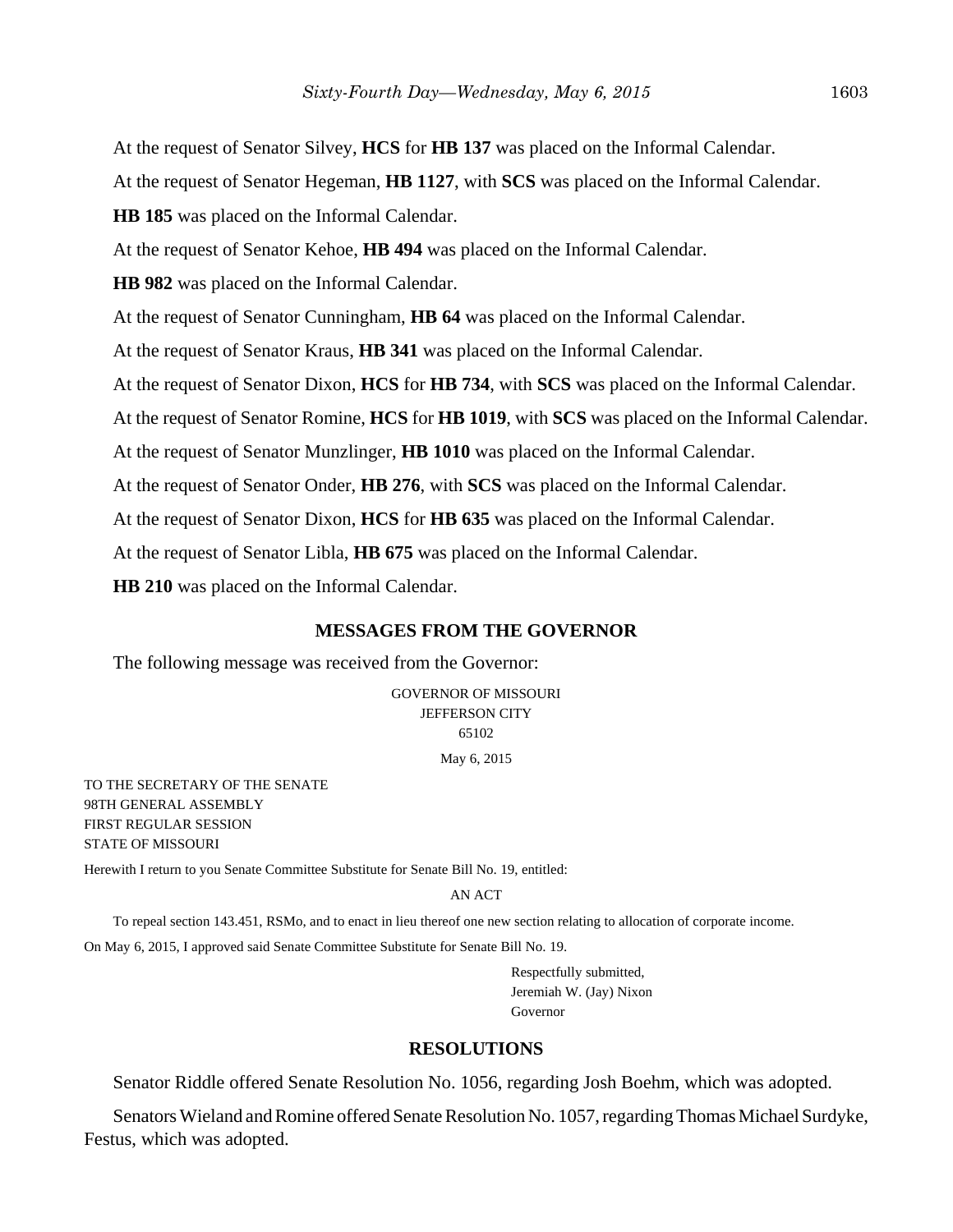At the request of Senator Silvey, **HCS** for **HB 137** was placed on the Informal Calendar. At the request of Senator Hegeman, **HB 1127**, with **SCS** was placed on the Informal Calendar. **HB 185** was placed on the Informal Calendar. At the request of Senator Kehoe, **HB 494** was placed on the Informal Calendar. **HB 982** was placed on the Informal Calendar. At the request of Senator Cunningham, **HB 64** was placed on the Informal Calendar. At the request of Senator Kraus, **HB 341** was placed on the Informal Calendar. At the request of Senator Dixon, **HCS** for **HB 734**, with **SCS** was placed on the Informal Calendar. At the request of Senator Romine, **HCS** for **HB 1019**, with **SCS** was placed on the Informal Calendar. At the request of Senator Munzlinger, **HB 1010** was placed on the Informal Calendar. At the request of Senator Onder, **HB 276**, with **SCS** was placed on the Informal Calendar. At the request of Senator Dixon, **HCS** for **HB 635** was placed on the Informal Calendar. At the request of Senator Libla, **HB 675** was placed on the Informal Calendar.

**HB 210** was placed on the Informal Calendar.

### **MESSAGES FROM THE GOVERNOR**

The following message was received from the Governor:

GOVERNOR OF MISSOURI JEFFERSON CITY 65102

May 6, 2015

TO THE SECRETARY OF THE SENATE 98TH GENERAL ASSEMBLY FIRST REGULAR SESSION STATE OF MISSOURI

Herewith I return to you Senate Committee Substitute for Senate Bill No. 19, entitled:

#### AN ACT

To repeal section 143.451, RSMo, and to enact in lieu thereof one new section relating to allocation of corporate income. On May 6, 2015, I approved said Senate Committee Substitute for Senate Bill No. 19.

> Respectfully submitted, Jeremiah W. (Jay) Nixon Governor

#### **RESOLUTIONS**

Senator Riddle offered Senate Resolution No. 1056, regarding Josh Boehm, which was adopted.

Senators Wieland and Romine offered Senate Resolution No. 1057, regarding Thomas Michael Surdyke, Festus, which was adopted.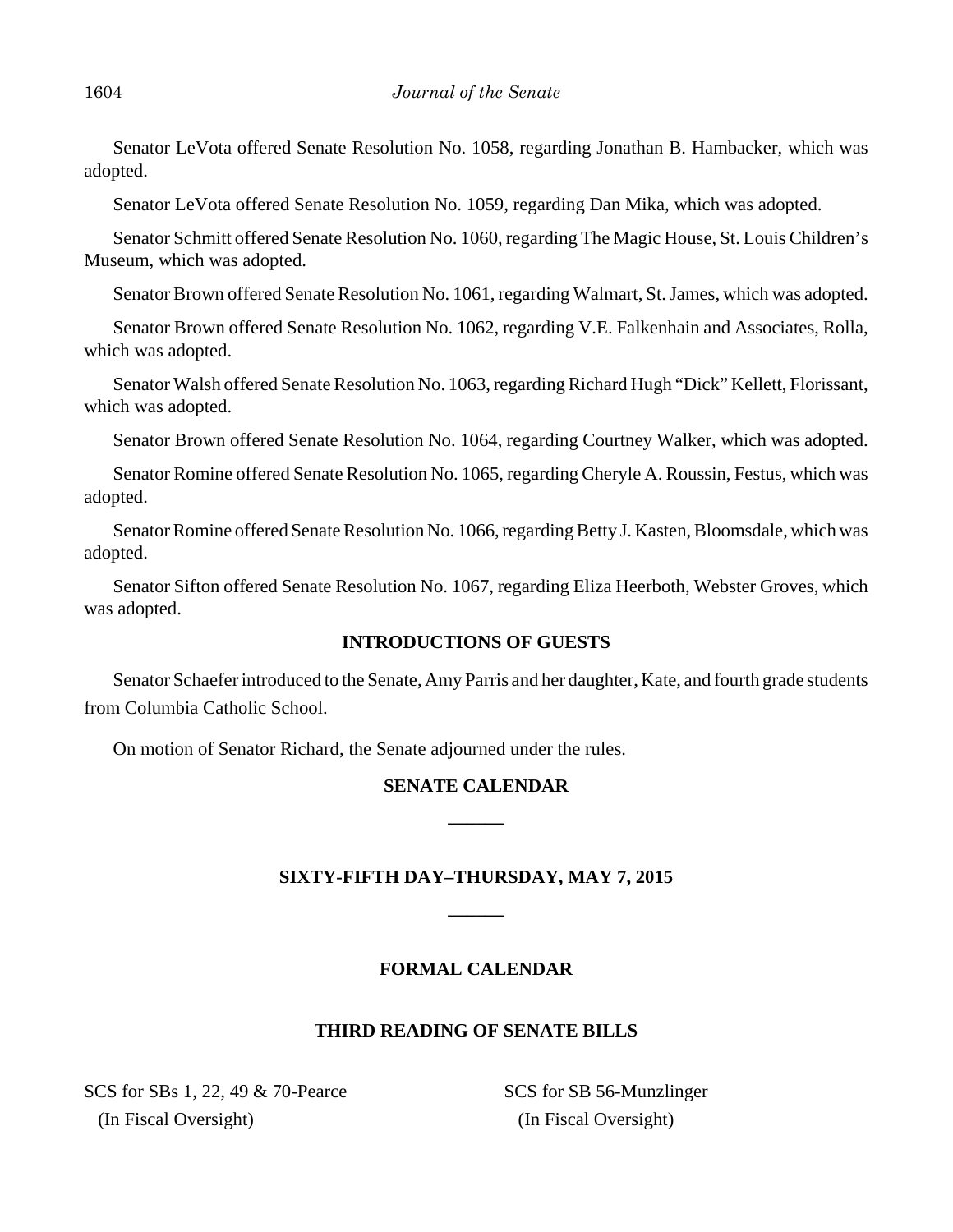Senator LeVota offered Senate Resolution No. 1058, regarding Jonathan B. Hambacker, which was adopted.

Senator LeVota offered Senate Resolution No. 1059, regarding Dan Mika, which was adopted.

Senator Schmitt offered Senate Resolution No. 1060, regarding The Magic House, St. Louis Children's Museum, which was adopted.

Senator Brown offered Senate Resolution No. 1061, regarding Walmart, St. James, which was adopted.

Senator Brown offered Senate Resolution No. 1062, regarding V.E. Falkenhain and Associates, Rolla, which was adopted.

Senator Walsh offered Senate Resolution No. 1063, regarding Richard Hugh "Dick" Kellett, Florissant, which was adopted.

Senator Brown offered Senate Resolution No. 1064, regarding Courtney Walker, which was adopted.

Senator Romine offered Senate Resolution No. 1065, regarding Cheryle A. Roussin, Festus, which was adopted.

Senator Romine offered Senate Resolution No. 1066, regarding Betty J. Kasten, Bloomsdale, which was adopted.

Senator Sifton offered Senate Resolution No. 1067, regarding Eliza Heerboth, Webster Groves, which was adopted.

## **INTRODUCTIONS OF GUESTS**

Senator Schaefer introduced to the Senate, Amy Parris and her daughter, Kate, and fourth grade students from Columbia Catholic School.

On motion of Senator Richard, the Senate adjourned under the rules.

# **SENATE CALENDAR \_\_\_\_\_\_**

## **SIXTY-FIFTH DAY–THURSDAY, MAY 7, 2015**

**\_\_\_\_\_\_**

## **FORMAL CALENDAR**

### **THIRD READING OF SENATE BILLS**

SCS for SBs 1, 22, 49 & 70-Pearce (In Fiscal Oversight)

SCS for SB 56-Munzlinger (In Fiscal Oversight)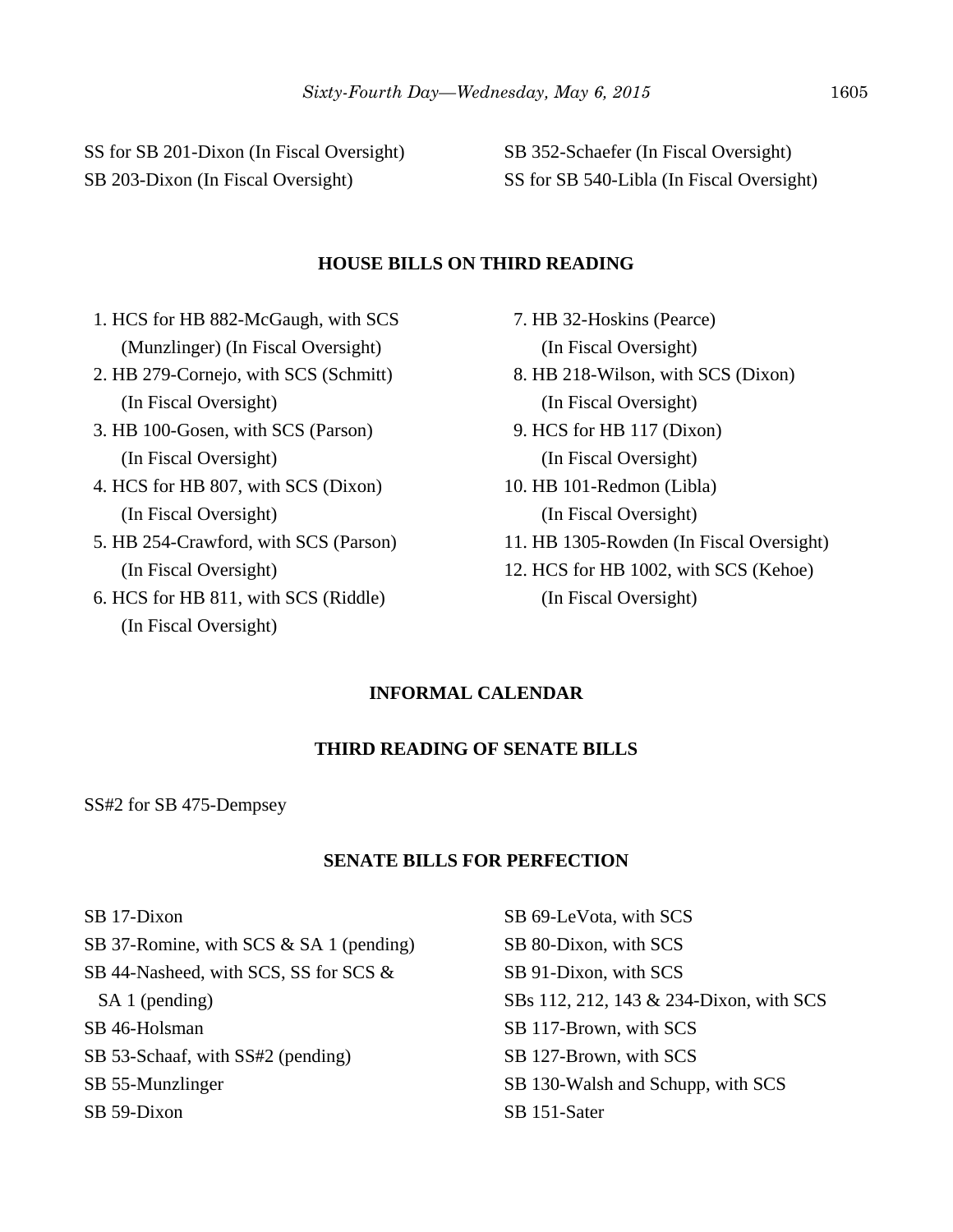SS for SB 201-Dixon (In Fiscal Oversight) SB 203-Dixon (In Fiscal Oversight)

SB 352-Schaefer (In Fiscal Oversight) SS for SB 540-Libla (In Fiscal Oversight)

#### **HOUSE BILLS ON THIRD READING**

- 1. HCS for HB 882-McGaugh, with SCS (Munzlinger) (In Fiscal Oversight)
- 2. HB 279-Cornejo, with SCS (Schmitt) (In Fiscal Oversight)
- 3. HB 100-Gosen, with SCS (Parson) (In Fiscal Oversight)
- 4. HCS for HB 807, with SCS (Dixon) (In Fiscal Oversight)
- 5. HB 254-Crawford, with SCS (Parson) (In Fiscal Oversight)
- 6. HCS for HB 811, with SCS (Riddle) (In Fiscal Oversight)
- 7. HB 32-Hoskins (Pearce) (In Fiscal Oversight)
- 8. HB 218-Wilson, with SCS (Dixon) (In Fiscal Oversight)
- 9. HCS for HB 117 (Dixon) (In Fiscal Oversight)
- 10. HB 101-Redmon (Libla) (In Fiscal Oversight)
- 11. HB 1305-Rowden (In Fiscal Oversight)
- 12. HCS for HB 1002, with SCS (Kehoe) (In Fiscal Oversight)

## **INFORMAL CALENDAR**

### **THIRD READING OF SENATE BILLS**

SS#2 for SB 475-Dempsey

### **SENATE BILLS FOR PERFECTION**

SB 17-Dixon SB 37-Romine, with SCS & SA 1 (pending) SB 44-Nasheed, with SCS, SS for SCS & SA 1 (pending) SB 46-Holsman SB 53-Schaaf, with SS#2 (pending) SB 55-Munzlinger SB 59-Dixon

SB 69-LeVota, with SCS SB 80-Dixon, with SCS SB 91-Dixon, with SCS SBs 112, 212, 143 & 234-Dixon, with SCS SB 117-Brown, with SCS SB 127-Brown, with SCS SB 130-Walsh and Schupp, with SCS SB 151-Sater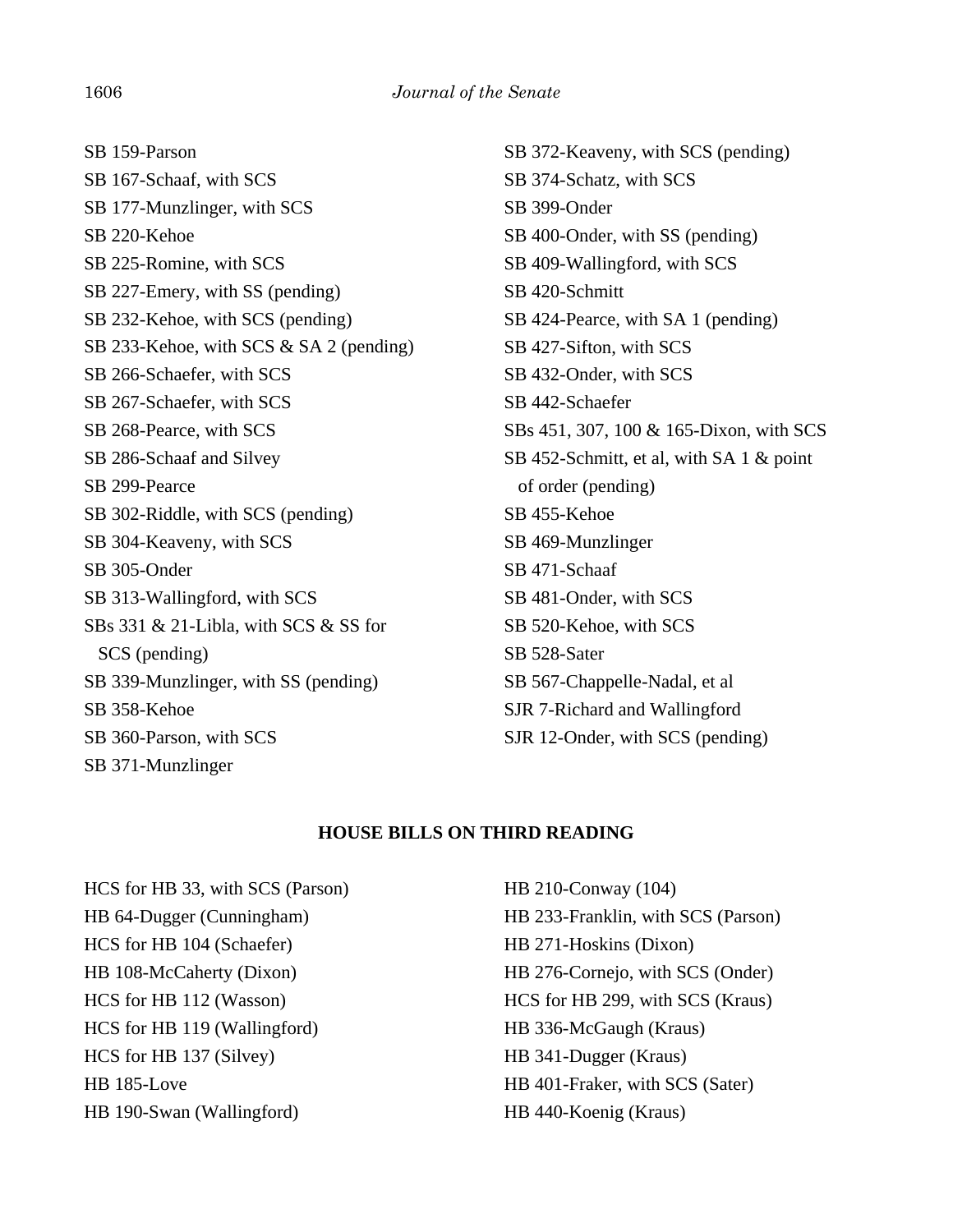SB 159-Parson SB 167-Schaaf, with SCS SB 177-Munzlinger, with SCS SB 220-Kehoe SB 225-Romine, with SCS SB 227-Emery, with SS (pending) SB 232-Kehoe, with SCS (pending) SB 233-Kehoe, with SCS & SA 2 (pending) SB 266-Schaefer, with SCS SB 267-Schaefer, with SCS SB 268-Pearce, with SCS SB 286-Schaaf and Silvey SB 299-Pearce SB 302-Riddle, with SCS (pending) SB 304-Keaveny, with SCS SB 305-Onder SB 313-Wallingford, with SCS SBs 331 & 21-Libla, with SCS & SS for SCS (pending) SB 339-Munzlinger, with SS (pending) SB 358-Kehoe SB 360-Parson, with SCS SB 371-Munzlinger

SB 372-Keaveny, with SCS (pending) SB 374-Schatz, with SCS SB 399-Onder SB 400-Onder, with SS (pending) SB 409-Wallingford, with SCS SB 420-Schmitt SB 424-Pearce, with SA 1 (pending) SB 427-Sifton, with SCS SB 432-Onder, with SCS SB 442-Schaefer SBs 451, 307, 100 & 165-Dixon, with SCS SB 452-Schmitt, et al, with SA 1 & point of order (pending) SB 455-Kehoe SB 469-Munzlinger SB 471-Schaaf SB 481-Onder, with SCS SB 520-Kehoe, with SCS SB 528-Sater SB 567-Chappelle-Nadal, et al SJR 7-Richard and Wallingford SJR 12-Onder, with SCS (pending)

### **HOUSE BILLS ON THIRD READING**

HCS for HB 33, with SCS (Parson) HB 64-Dugger (Cunningham) HCS for HB 104 (Schaefer) HB 108-McCaherty (Dixon) HCS for HB 112 (Wasson) HCS for HB 119 (Wallingford) HCS for HB 137 (Silvey) HB 185-Love HB 190-Swan (Wallingford)

HB 210-Conway (104) HB 233-Franklin, with SCS (Parson) HB 271-Hoskins (Dixon) HB 276-Cornejo, with SCS (Onder) HCS for HB 299, with SCS (Kraus) HB 336-McGaugh (Kraus) HB 341-Dugger (Kraus) HB 401-Fraker, with SCS (Sater) HB 440-Koenig (Kraus)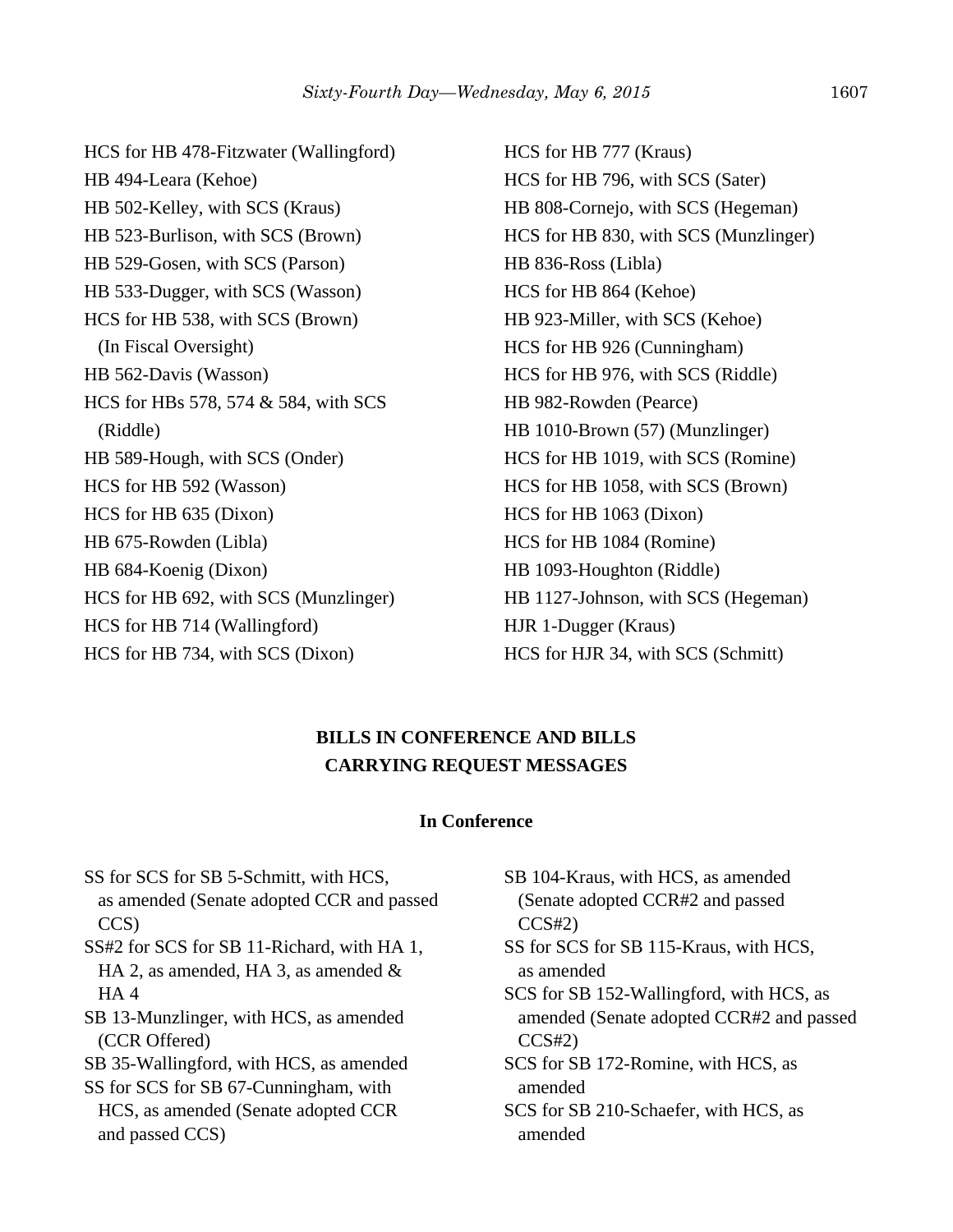HCS for HB 478-Fitzwater (Wallingford) HB 494-Leara (Kehoe) HB 502-Kelley, with SCS (Kraus) HB 523-Burlison, with SCS (Brown) HB 529-Gosen, with SCS (Parson) HB 533-Dugger, with SCS (Wasson) HCS for HB 538, with SCS (Brown) (In Fiscal Oversight) HB 562-Davis (Wasson) HCS for HBs 578, 574 & 584, with SCS (Riddle) HB 589-Hough, with SCS (Onder) HCS for HB 592 (Wasson) HCS for HB 635 (Dixon) HB 675-Rowden (Libla) HB 684-Koenig (Dixon) HCS for HB 692, with SCS (Munzlinger) HCS for HB 714 (Wallingford) HCS for HB 734, with SCS (Dixon)

HCS for HB 777 (Kraus) HCS for HB 796, with SCS (Sater) HB 808-Cornejo, with SCS (Hegeman) HCS for HB 830, with SCS (Munzlinger) HB 836-Ross (Libla) HCS for HB 864 (Kehoe) HB 923-Miller, with SCS (Kehoe) HCS for HB 926 (Cunningham) HCS for HB 976, with SCS (Riddle) HB 982-Rowden (Pearce) HB 1010-Brown (57) (Munzlinger) HCS for HB 1019, with SCS (Romine) HCS for HB 1058, with SCS (Brown) HCS for HB 1063 (Dixon) HCS for HB 1084 (Romine) HB 1093-Houghton (Riddle) HB 1127-Johnson, with SCS (Hegeman) HJR 1-Dugger (Kraus) HCS for HJR 34, with SCS (Schmitt)

## **BILLS IN CONFERENCE AND BILLS CARRYING REQUEST MESSAGES**

#### **In Conference**

SS for SCS for SB 5-Schmitt, with HCS, as amended (Senate adopted CCR and passed CCS) SS#2 for SCS for SB 11-Richard, with HA 1, HA 2, as amended, HA 3, as amended  $\&$  HA 4 SB 13-Munzlinger, with HCS, as amended (CCR Offered) SB 35-Wallingford, with HCS, as amended SS for SCS for SB 67-Cunningham, with HCS, as amended (Senate adopted CCR and passed CCS)

- SB 104-Kraus, with HCS, as amended (Senate adopted CCR#2 and passed  $CCS#2)$
- SS for SCS for SB 115-Kraus, with HCS, as amended

SCS for SB 152-Wallingford, with HCS, as amended (Senate adopted CCR#2 and passed  $CCS#2)$ 

SCS for SB 172-Romine, with HCS, as amended

SCS for SB 210-Schaefer, with HCS, as amended